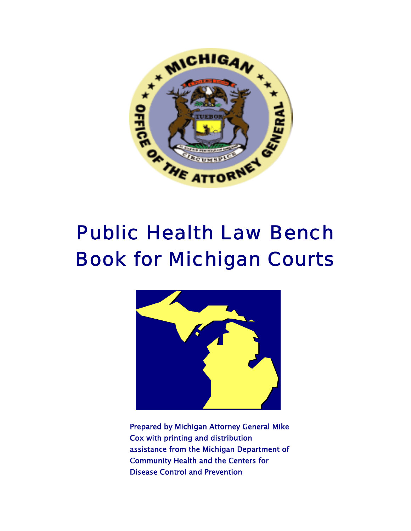

# Public Health Law Bench Book for Michigan Courts



Prepared by Michigan Attorney General Mike Cox with printing and distribution assistance from the Michigan Department of Community Health and the Centers for Disease Control and Prevention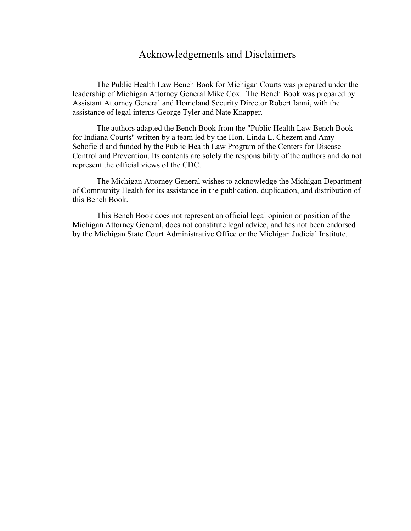# Acknowledgements and Disclaimers

The Public Health Law Bench Book for Michigan Courts was prepared under the leadership of Michigan Attorney General Mike Cox. The Bench Book was prepared by Assistant Attorney General and Homeland Security Director Robert Ianni, with the assistance of legal interns George Tyler and Nate Knapper.

The authors adapted the Bench Book from the "Public Health Law Bench Book for Indiana Courts" written by a team led by the Hon. Linda L. Chezem and Amy Schofield and funded by the Public Health Law Program of the Centers for Disease Control and Prevention. Its contents are solely the responsibility of the authors and do not represent the official views of the CDC.

The Michigan Attorney General wishes to acknowledge the Michigan Department of Community Health for its assistance in the publication, duplication, and distribution of this Bench Book.

This Bench Book does not represent an official legal opinion or position of the Michigan Attorney General, does not constitute legal advice, and has not been endorsed by the Michigan State Court Administrative Office or the Michigan Judicial Institute.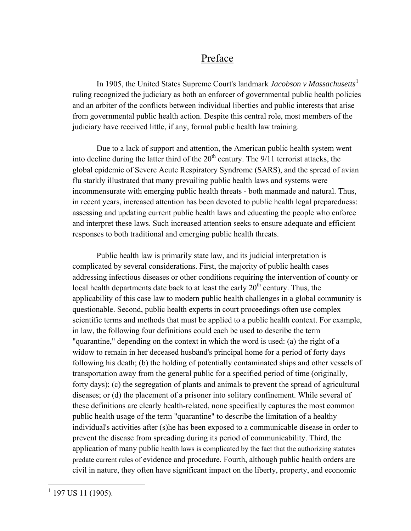# Preface

In 1905, the United States Supreme Court's landmark *Jacobson v Massachusetts*[1](#page-2-0) ruling recognized the judiciary as both an enforcer of governmental public health policies and an arbiter of the conflicts between individual liberties and public interests that arise from governmental public health action. Despite this central role, most members of the judiciary have received little, if any, formal public health law training.

Due to a lack of support and attention, the American public health system went into decline during the latter third of the  $20<sup>th</sup>$  century. The  $9/11$  terrorist attacks, the global epidemic of Severe Acute Respiratory Syndrome (SARS), and the spread of avian flu starkly illustrated that many prevailing public health laws and systems were incommensurate with emerging public health threats - both manmade and natural. Thus, in recent years, increased attention has been devoted to public health legal preparedness: assessing and updating current public health laws and educating the people who enforce and interpret these laws. Such increased attention seeks to ensure adequate and efficient responses to both traditional and emerging public health threats.

Public health law is primarily state law, and its judicial interpretation is complicated by several considerations. First, the majority of public health cases addressing infectious diseases or other conditions requiring the intervention of county or local health departments date back to at least the early  $20<sup>th</sup>$  century. Thus, the applicability of this case law to modern public health challenges in a global community is questionable. Second, public health experts in court proceedings often use complex scientific terms and methods that must be applied to a public health context. For example, in law, the following four definitions could each be used to describe the term "quarantine," depending on the context in which the word is used: (a) the right of a widow to remain in her deceased husband's principal home for a period of forty days following his death; (b) the holding of potentially contaminated ships and other vessels of transportation away from the general public for a specified period of time (originally, forty days); (c) the segregation of plants and animals to prevent the spread of agricultural diseases; or (d) the placement of a prisoner into solitary confinement. While several of these definitions are clearly health-related, none specifically captures the most common public health usage of the term "quarantine" to describe the limitation of a healthy individual's activities after (s)he has been exposed to a communicable disease in order to prevent the disease from spreading during its period of communicability. Third, the application of many public health laws is complicated by the fact that the authorizing statutes predate current rules of evidence and procedure. Fourth, although public health orders are civil in nature, they often have significant impact on the liberty, property, and economic

<span id="page-2-0"></span> $\frac{1}{1}$  197 US 11 (1905).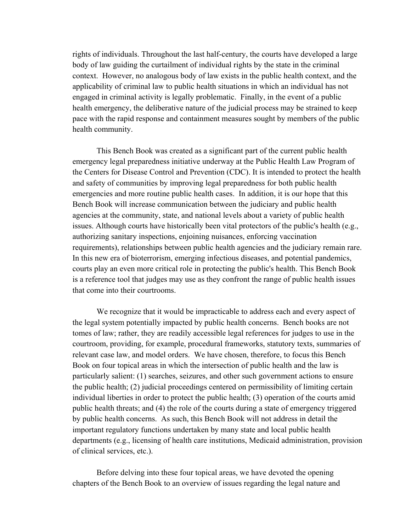rights of individuals. Throughout the last half-century, the courts have developed a large body of law guiding the curtailment of individual rights by the state in the criminal context. However, no analogous body of law exists in the public health context, and the applicability of criminal law to public health situations in which an individual has not engaged in criminal activity is legally problematic. Finally, in the event of a public health emergency, the deliberative nature of the judicial process may be strained to keep pace with the rapid response and containment measures sought by members of the public health community.

This Bench Book was created as a significant part of the current public health emergency legal preparedness initiative underway at the Public Health Law Program of the Centers for Disease Control and Prevention (CDC). It is intended to protect the health and safety of communities by improving legal preparedness for both public health emergencies and more routine public health cases. In addition, it is our hope that this Bench Book will increase communication between the judiciary and public health agencies at the community, state, and national levels about a variety of public health issues. Although courts have historically been vital protectors of the public's health (e.g., authorizing sanitary inspections, enjoining nuisances, enforcing vaccination requirements), relationships between public health agencies and the judiciary remain rare. In this new era of bioterrorism, emerging infectious diseases, and potential pandemics, courts play an even more critical role in protecting the public's health. This Bench Book is a reference tool that judges may use as they confront the range of public health issues that come into their courtrooms.

We recognize that it would be impracticable to address each and every aspect of the legal system potentially impacted by public health concerns. Bench books are not tomes of law; rather, they are readily accessible legal references for judges to use in the courtroom, providing, for example, procedural frameworks, statutory texts, summaries of relevant case law, and model orders. We have chosen, therefore, to focus this Bench Book on four topical areas in which the intersection of public health and the law is particularly salient: (1) searches, seizures, and other such government actions to ensure the public health; (2) judicial proceedings centered on permissibility of limiting certain individual liberties in order to protect the public health; (3) operation of the courts amid public health threats; and (4) the role of the courts during a state of emergency triggered by public health concerns. As such, this Bench Book will not address in detail the important regulatory functions undertaken by many state and local public health departments (e.g., licensing of health care institutions, Medicaid administration, provision of clinical services, etc.).

Before delving into these four topical areas, we have devoted the opening chapters of the Bench Book to an overview of issues regarding the legal nature and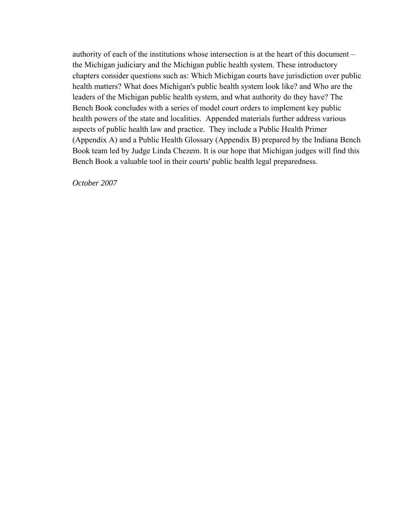authority of each of the institutions whose intersection is at the heart of this document – the Michigan judiciary and the Michigan public health system. These introductory chapters consider questions such as: Which Michigan courts have jurisdiction over public health matters? What does Michigan's public health system look like? and Who are the leaders of the Michigan public health system, and what authority do they have? The Bench Book concludes with a series of model court orders to implement key public health powers of the state and localities. Appended materials further address various aspects of public health law and practice. They include a Public Health Primer (Appendix A) and a Public Health Glossary (Appendix B) prepared by the Indiana Bench Book team led by Judge Linda Chezem. It is our hope that Michigan judges will find this Bench Book a valuable tool in their courts' public health legal preparedness.

*October 2007*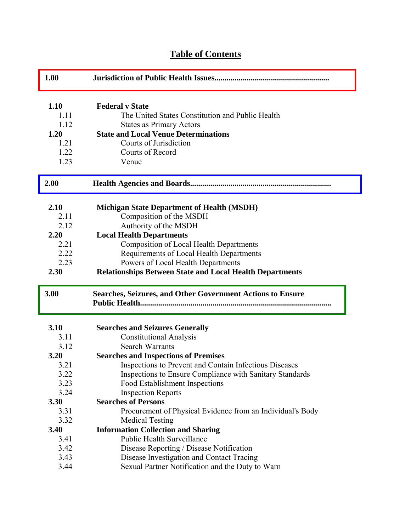# **Table of Contents**

| 1.00 |                                                                   |  |  |  |  |
|------|-------------------------------------------------------------------|--|--|--|--|
| 1.10 | <b>Federal v State</b>                                            |  |  |  |  |
| 1.11 | The United States Constitution and Public Health                  |  |  |  |  |
| 1.12 | <b>States as Primary Actors</b>                                   |  |  |  |  |
| 1.20 | <b>State and Local Venue Determinations</b>                       |  |  |  |  |
| 1.21 | Courts of Jurisdiction                                            |  |  |  |  |
| 1.22 | Courts of Record                                                  |  |  |  |  |
| 1.23 | Venue                                                             |  |  |  |  |
| 2.00 |                                                                   |  |  |  |  |
| 2.10 | <b>Michigan State Department of Health (MSDH)</b>                 |  |  |  |  |
| 2.11 | Composition of the MSDH                                           |  |  |  |  |
| 2.12 | Authority of the MSDH                                             |  |  |  |  |
| 2.20 | <b>Local Health Departments</b>                                   |  |  |  |  |
| 2.21 | <b>Composition of Local Health Departments</b>                    |  |  |  |  |
| 2.22 | Requirements of Local Health Departments                          |  |  |  |  |
| 2.23 | Powers of Local Health Departments                                |  |  |  |  |
| 2.30 | <b>Relationships Between State and Local Health Departments</b>   |  |  |  |  |
| 3.00 | <b>Searches, Seizures, and Other Government Actions to Ensure</b> |  |  |  |  |
| 3.10 | <b>Searches and Seizures Generally</b>                            |  |  |  |  |
| 3.11 | <b>Constitutional Analysis</b>                                    |  |  |  |  |
| 3.12 | <b>Search Warrants</b>                                            |  |  |  |  |
| 3.20 | <b>Searches and Inspections of Premises</b>                       |  |  |  |  |
| 3.21 | Inspections to Prevent and Contain Infectious Diseases            |  |  |  |  |
| 3.22 | <b>Inspections to Ensure Compliance with Sanitary Standards</b>   |  |  |  |  |
| 3.23 | Food Establishment Inspections                                    |  |  |  |  |
| 3.24 | <b>Inspection Reports</b>                                         |  |  |  |  |
| 3.30 | <b>Searches of Persons</b>                                        |  |  |  |  |
| 3.31 | Procurement of Physical Evidence from an Individual's Body        |  |  |  |  |
| 3.32 | <b>Medical Testing</b>                                            |  |  |  |  |
| 3.40 | <b>Information Collection and Sharing</b>                         |  |  |  |  |
| 3.41 | <b>Public Health Surveillance</b>                                 |  |  |  |  |
| 3.42 | Disease Reporting / Disease Notification                          |  |  |  |  |
| 3.43 | Disease Investigation and Contact Tracing                         |  |  |  |  |
| 3.44 | Sexual Partner Notification and the Duty to Warn                  |  |  |  |  |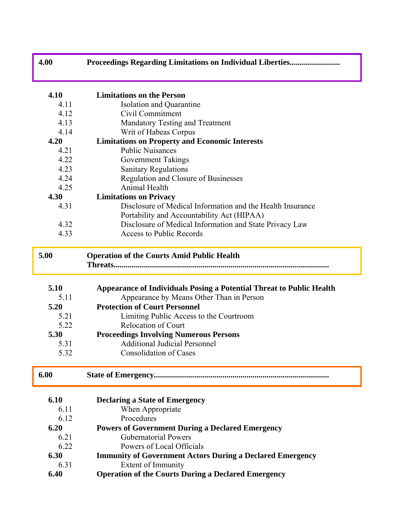| 4.00         | Proceedings Regarding Limitations on Individual Liberties                                   |  |  |  |  |
|--------------|---------------------------------------------------------------------------------------------|--|--|--|--|
| 4.10         | <b>Limitations on the Person</b>                                                            |  |  |  |  |
| 4.11         | <b>Isolation and Quarantine</b>                                                             |  |  |  |  |
| 4.12         | Civil Commitment                                                                            |  |  |  |  |
| 4.13         | Mandatory Testing and Treatment                                                             |  |  |  |  |
| 4.14         | Writ of Habeas Corpus                                                                       |  |  |  |  |
| 4.20         | <b>Limitations on Property and Economic Interests</b>                                       |  |  |  |  |
| 4.21         | <b>Public Nuisances</b>                                                                     |  |  |  |  |
| 4.22         | Government Takings                                                                          |  |  |  |  |
| 4.23         | <b>Sanitary Regulations</b>                                                                 |  |  |  |  |
| 4.24<br>4.25 | <b>Regulation and Closure of Businesses</b><br>Animal Health                                |  |  |  |  |
| 4.30         |                                                                                             |  |  |  |  |
| 4.31         | <b>Limitations on Privacy</b><br>Disclosure of Medical Information and the Health Insurance |  |  |  |  |
|              | Portability and Accountability Act (HIPAA)                                                  |  |  |  |  |
| 4.32         | Disclosure of Medical Information and State Privacy Law                                     |  |  |  |  |
| 4.33         | Access to Public Records                                                                    |  |  |  |  |
|              |                                                                                             |  |  |  |  |
| 5.00         | <b>Operation of the Courts Amid Public Health</b>                                           |  |  |  |  |
|              | <b>Threats</b>                                                                              |  |  |  |  |
| 5.10         | <b>Appearance of Individuals Posing a Potential Threat to Public Health</b>                 |  |  |  |  |
| 5.11         | Appearance by Means Other Than in Person                                                    |  |  |  |  |
| 5.20         | <b>Protection of Court Personnel</b>                                                        |  |  |  |  |
| 5.21         | Limiting Public Access to the Courtroom                                                     |  |  |  |  |
| 5.22         | <b>Relocation of Court</b>                                                                  |  |  |  |  |
| 5.30         | <b>Proceedings Involving Numerous Persons</b>                                               |  |  |  |  |
| 5.31         | <b>Additional Judicial Personnel</b>                                                        |  |  |  |  |
| 5.32         | Consolidation of Cases                                                                      |  |  |  |  |
| 6.00         |                                                                                             |  |  |  |  |
| 6.10         | <b>Declaring a State of Emergency</b>                                                       |  |  |  |  |
| 6.11         | When Appropriate                                                                            |  |  |  |  |
| 6.12         | Procedures                                                                                  |  |  |  |  |
| 6.20         | <b>Powers of Government During a Declared Emergency</b>                                     |  |  |  |  |
| 6.21         | <b>Gubernatorial Powers</b>                                                                 |  |  |  |  |
| 6.22         | Powers of Local Officials                                                                   |  |  |  |  |
| 6.30         | <b>Immunity of Government Actors During a Declared Emergency</b>                            |  |  |  |  |
| 6.31         | <b>Extent of Immunity</b>                                                                   |  |  |  |  |
| 6.40         | <b>Operation of the Courts During a Declared Emergency</b>                                  |  |  |  |  |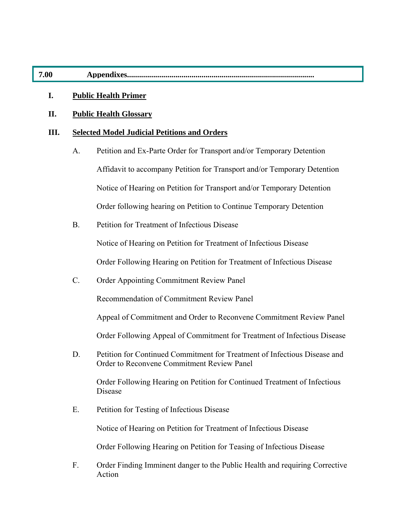# **I. Public Health Primer**

# **II. Public Health Glossary**

#### **III. Selected Model Judicial Petitions and Orders**

- A. Petition and Ex-Parte Order for Transport and/or Temporary Detention Affidavit to accompany Petition for Transport and/or Temporary Detention Notice of Hearing on Petition for Transport and/or Temporary Detention Order following hearing on Petition to Continue Temporary Detention
- B. Petition for Treatment of Infectious Disease Notice of Hearing on Petition for Treatment of Infectious Disease

Order Following Hearing on Petition for Treatment of Infectious Disease

C. Order Appointing Commitment Review Panel

Recommendation of Commitment Review Panel

**7.00 Appendixes.............................................................................................** 

Appeal of Commitment and Order to Reconvene Commitment Review Panel

Order Following Appeal of Commitment for Treatment of Infectious Disease

D. Petition for Continued Commitment for Treatment of Infectious Disease and Order to Reconvene Commitment Review Panel

Order Following Hearing on Petition for Continued Treatment of Infectious Disease

E. Petition for Testing of Infectious Disease

Notice of Hearing on Petition for Treatment of Infectious Disease

Order Following Hearing on Petition for Teasing of Infectious Disease

F. Order Finding Imminent danger to the Public Health and requiring Corrective Action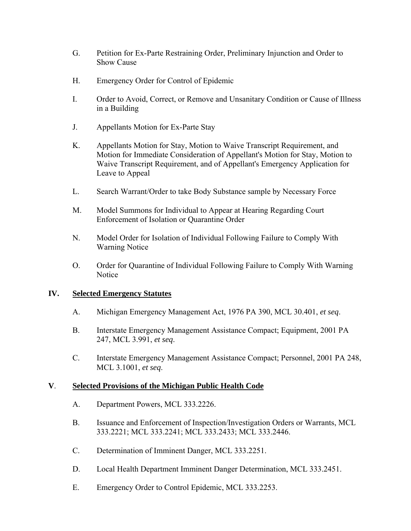- G. Petition for Ex-Parte Restraining Order, Preliminary Injunction and Order to Show Cause
- H. Emergency Order for Control of Epidemic
- I. Order to Avoid, Correct, or Remove and Unsanitary Condition or Cause of Illness in a Building
- J. Appellants Motion for Ex-Parte Stay
- K. Appellants Motion for Stay, Motion to Waive Transcript Requirement, and Motion for Immediate Consideration of Appellant's Motion for Stay, Motion to Waive Transcript Requirement, and of Appellant's Emergency Application for Leave to Appeal
- L. Search Warrant/Order to take Body Substance sample by Necessary Force
- M. Model Summons for Individual to Appear at Hearing Regarding Court Enforcement of Isolation or Quarantine Order
- N. Model Order for Isolation of Individual Following Failure to Comply With Warning Notice
- O. Order for Quarantine of Individual Following Failure to Comply With Warning **Notice**

#### **IV. Selected Emergency Statutes**

- A. Michigan Emergency Management Act, 1976 PA 390, MCL 30.401, *et seq*.
- B. Interstate Emergency Management Assistance Compact; Equipment, 2001 PA 247, MCL 3.991, *et seq*.
- C. Interstate Emergency Management Assistance Compact; Personnel, 2001 PA 248, MCL 3.1001, *et seq*.

#### **V**. **Selected Provisions of the Michigan Public Health Code**

- A. Department Powers, MCL 333.2226.
- B. Issuance and Enforcement of Inspection/Investigation Orders or Warrants, MCL 333.2221; MCL 333.2241; MCL 333.2433; MCL 333.2446.
- C. Determination of Imminent Danger, MCL 333.2251.
- D. Local Health Department Imminent Danger Determination, MCL 333.2451.
- E. Emergency Order to Control Epidemic, MCL 333.2253.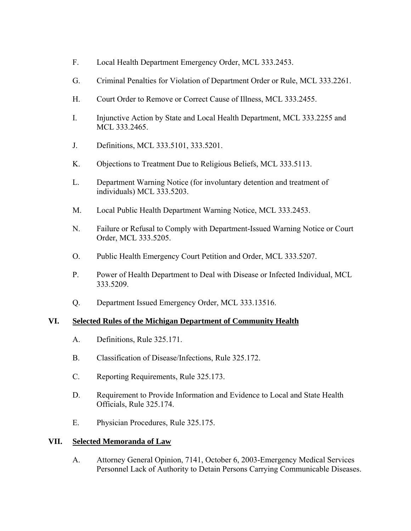- F. Local Health Department Emergency Order, MCL 333.2453.
- G. Criminal Penalties for Violation of Department Order or Rule, MCL 333.2261.
- H. Court Order to Remove or Correct Cause of Illness, MCL 333.2455.
- I. Injunctive Action by State and Local Health Department, MCL 333.2255 and MCL 333.2465.
- J. Definitions, MCL 333.5101, 333.5201.
- K. Objections to Treatment Due to Religious Beliefs, MCL 333.5113.
- L. Department Warning Notice (for involuntary detention and treatment of individuals) MCL 333.5203.
- M. Local Public Health Department Warning Notice, MCL 333.2453.
- N. Failure or Refusal to Comply with Department-Issued Warning Notice or Court Order, MCL 333.5205.
- O. Public Health Emergency Court Petition and Order, MCL 333.5207.
- P. Power of Health Department to Deal with Disease or Infected Individual, MCL 333.5209.
- Q. Department Issued Emergency Order, MCL 333.13516.

# **VI. Selected Rules of the Michigan Department of Community Health**

- A. Definitions, Rule 325.171.
- B. Classification of Disease/Infections, Rule 325.172.
- C. Reporting Requirements, Rule 325.173.
- D. Requirement to Provide Information and Evidence to Local and State Health Officials, Rule 325.174.
- E. Physician Procedures, Rule 325.175.

# **VII. Selected Memoranda of Law**

A. Attorney General Opinion, 7141, October 6, 2003-Emergency Medical Services Personnel Lack of Authority to Detain Persons Carrying Communicable Diseases.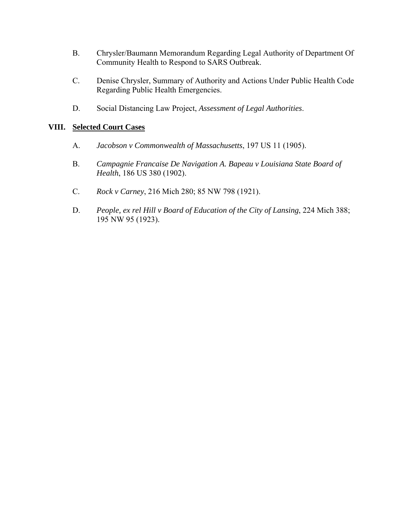- B. Chrysler/Baumann Memorandum Regarding Legal Authority of Department Of Community Health to Respond to SARS Outbreak.
- C. Denise Chrysler, Summary of Authority and Actions Under Public Health Code Regarding Public Health Emergencies.
- D. Social Distancing Law Project, *Assessment of Legal Authorities*.

# **VIII. Selected Court Cases**

- A. *Jacobson v Commonwealth of Massachusetts*, 197 US 11 (1905).
- B. *Campagnie Francaise De Navigation A. Bapeau v Louisiana State Board of Health*, 186 US 380 (1902).
- C. *Rock v Carney*, 216 Mich 280; 85 NW 798 (1921).
- D. *People, ex rel Hill v Board of Education of the City of Lansing*, 224 Mich 388; 195 NW 95 (1923).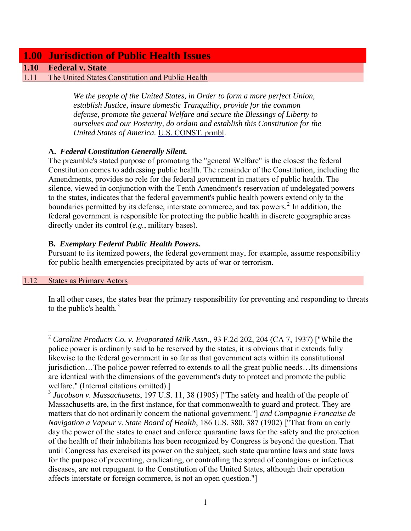# **1.00 Jurisdiction of Public Health Issues**

# **1.10 Federal v. State**

1.11 The United States Constitution and Public Health

*We the people of the United States, in Order to form a more perfect Union, establish Justice, insure domestic Tranquility, provide for the common defense, promote the general Welfare and secure the Blessings of Liberty to ourselves and our Posterity, do ordain and establish this Constitution for the United States of America.* U.S. CONST. prmbl.

#### **A.** *Federal Constitution Generally Silent.*

The preamble's stated purpose of promoting the "general Welfare" is the closest the federal Constitution comes to addressing public health. The remainder of the Constitution, including the Amendments, provides no role for the federal government in matters of public health. The silence, viewed in conjunction with the Tenth Amendment's reservation of undelegated powers to the states, indicates that the federal government's public health powers extend only to the boundaries permitted by its defense, interstate commerce, and tax powers. $2$  In addition, the federal government is responsible for protecting the public health in discrete geographic areas directly under its control (*e.g.*, military bases).

#### **B.** *Exemplary Federal Public Health Powers.*

Pursuant to its itemized powers, the federal government may, for example, assume responsibility for public health emergencies precipitated by acts of war or terrorism.

# 1.12 States as Primary Actors

 $\overline{a}$ 

In all other cases, the states bear the primary responsibility for preventing and responding to threats to the public's health. $3$ 

<span id="page-11-0"></span><sup>&</sup>lt;sup>2</sup> Caroline Products Co. v. Evaporated Milk Assn., 93 F.2d 202, 204 (CA 7, 1937) ["While the police power is ordinarily said to be reserved by the states, it is obvious that it extends fully likewise to the federal government in so far as that government acts within its constitutional jurisdiction…The police power referred to extends to all the great public needs…Its dimensions are identical with the dimensions of the government's duty to protect and promote the public welfare." (Internal citations omitted).]

<span id="page-11-1"></span><sup>3</sup> *Jacobson v. Massachusetts*, 197 U.S. 11, 38 (1905) ["The safety and health of the people of Massachusetts are, in the first instance, for that commonwealth to guard and protect. They are matters that do not ordinarily concern the national government."] *and Compagnie Francaise de Navigation a Vapeur v. State Board of Health*, 186 U.S. 380, 387 (1902) ["That from an early day the power of the states to enact and enforce quarantine laws for the safety and the protection of the health of their inhabitants has been recognized by Congress is beyond the question. That until Congress has exercised its power on the subject, such state quarantine laws and state laws for the purpose of preventing, eradicating, or controlling the spread of contagious or infectious diseases, are not repugnant to the Constitution of the United States, although their operation affects interstate or foreign commerce, is not an open question."]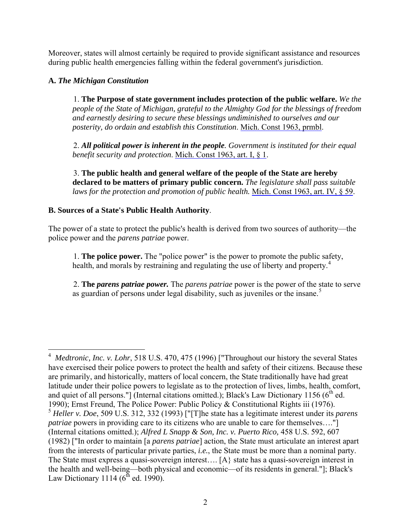Moreover, states will almost certainly be required to provide significant assistance and resources during public health emergencies falling within the federal government's jurisdiction.

# **A.** *The Michigan Constitution*

1. **The Purpose of state government includes protection of the public welfare.** *We the people of the State of Michigan, grateful to the Almighty God for the blessings of freedom and earnestly desiring to secure these blessings undiminished to ourselves and our posterity, do ordain and establish this Constitution*. Mich. Const 1963, prmbl.

2. *All political power is inherent in the people. Government is instituted for their equal benefit security and protection*. Mich. Const 1963, art. I, § 1.

3. **The public health and general welfare of the people of the State are hereby declared to be matters of primary public concern.** *The legislature shall pass suitable laws for the protection and promotion of public health.* Mich. Const 1963, art. IV, § 59.

# **B. Sources of a State's Public Health Authority**.

The power of a state to protect the public's health is derived from two sources of authority—the police power and the *parens patriae* power.

1. **The police power.** The "police power" is the power to promote the public safety, health, and morals by restraining and regulating the use of liberty and property.<sup>[4](#page-12-0)</sup>

2. **The** *parens patriae power.* The *parens patriae* power is the power of the state to serve as guardian of persons under legal disability, such as juveniles or the insane.<sup>[5](#page-12-1)</sup>

<span id="page-12-1"></span><span id="page-12-0"></span> 4 *Medtronic, Inc. v. Lohr*, 518 U.S. 470, 475 (1996) ["Throughout our history the several States have exercised their police powers to protect the health and safety of their citizens. Because these are primarily, and historically, matters of local concern, the State traditionally have had great latitude under their police powers to legislate as to the protection of lives, limbs, health, comfort, and quiet of all persons."] (Internal citations omitted.); Black's Law Dictionary 1156 ( $6<sup>th</sup>$  ed. 1990); Ernst Freund, The Police Power: Public Policy & Constitutional Rights iii (1976). <sup>5</sup> *Heller v. Doe*, 509 U.S. 312, 332 (1993) ["[T]he state has a legitimate interest under its *parens patriae* powers in providing care to its citizens who are unable to care for themselves...." (Internal citations omitted.); *Alfred L Snapp & Son, Inc. v. Puerto Rico,* 458 U.S. 592, 607 (1982) ["In order to maintain [a *parens patriae*] action, the State must articulate an interest apart from the interests of particular private parties, *i.e.*, the State must be more than a nominal party. The State must express a quasi-sovereign interest…. [A} state has a quasi-sovereign interest in the health and well-being—both physical and economic—of its residents in general."]; Black's Law Dictionary 1114 ( $6^{th}$  ed. 1990).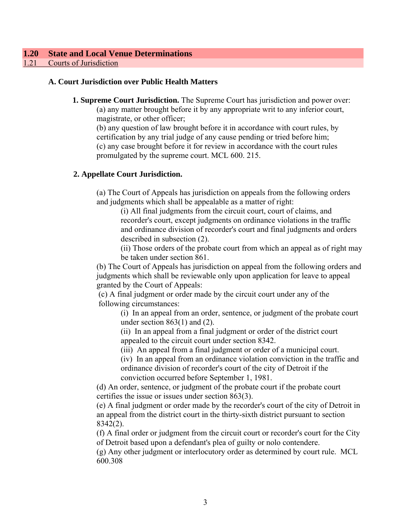1.21 Courts of Jurisdiction

#### **A. Court Jurisdiction over Public Health Matters**

**1. Supreme Court Jurisdiction.** The Supreme Court has jurisdiction and power over: (a) any matter brought before it by any appropriate writ to any inferior court, magistrate, or other officer;

(b) any question of law brought before it in accordance with court rules, by certification by any trial judge of any cause pending or tried before him; (c) any case brought before it for review in accordance with the court rules promulgated by the supreme court. MCL 600. 215.

#### **2. Appellate Court Jurisdiction.**

(a) The Court of Appeals has jurisdiction on appeals from the following orders and judgments which shall be appealable as a matter of right:

(i) All final judgments from the circuit court, court of claims, and recorder's court, except judgments on ordinance violations in the traffic and ordinance division of recorder's court and final judgments and orders described in subsection (2).

(ii) Those orders of the probate court from which an appeal as of right may be taken under section 861.

(b) The Court of Appeals has jurisdiction on appeal from the following orders and judgments which shall be reviewable only upon application for leave to appeal granted by the Court of Appeals:

(c) A final judgment or order made by the circuit court under any of the following circumstances:

(i) In an appeal from an order, sentence, or judgment of the probate court under section  $863(1)$  and  $(2)$ .

(ii) In an appeal from a final judgment or order of the district court appealed to the circuit court under section 8342.

(iii) An appeal from a final judgment or order of a municipal court.

(iv) In an appeal from an ordinance violation conviction in the traffic and ordinance division of recorder's court of the city of Detroit if the conviction occurred before September 1, 1981.

(d) An order, sentence, or judgment of the probate court if the probate court certifies the issue or issues under section 863(3).

(e) A final judgment or order made by the recorder's court of the city of Detroit in an appeal from the district court in the thirty-sixth district pursuant to section 8342(2).

(f) A final order or judgment from the circuit court or recorder's court for the City of Detroit based upon a defendant's plea of guilty or nolo contendere.

(g) Any other judgment or interlocutory order as determined by court rule. MCL 600.308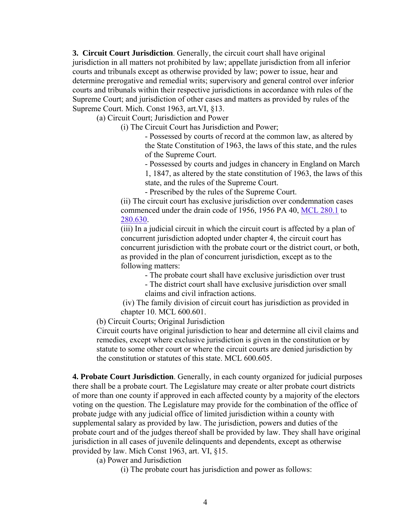**3. Circuit Court Jurisdiction**. Generally, the circuit court shall have original jurisdiction in all matters not prohibited by law; appellate jurisdiction from all inferior courts and tribunals except as otherwise provided by law; power to issue, hear and determine prerogative and remedial writs; supervisory and general control over inferior courts and tribunals within their respective jurisdictions in accordance with rules of the Supreme Court; and jurisdiction of other cases and matters as provided by rules of the Supreme Court. Mich. Const 1963, art.VI, §13.

(a) Circuit Court; Jurisdiction and Power

(i) The Circuit Court has Jurisdiction and Power;

- Possessed by courts of record at the common law, as altered by the State Constitution of 1963, the laws of this state, and the rules of the Supreme Court.

- Possessed by courts and judges in chancery in England on March 1, 1847, as altered by the state constitution of 1963, the laws of this state, and the rules of the Supreme Court.

- Prescribed by the rules of the Supreme Court.

(ii) The circuit court has exclusive jurisdiction over condemnation cases commenced under the drain code of 1956, 1956 PA 40, [MCL 280.1](http://www.lexis.com/research/buttonTFLink?_m=2d36156c841f82c47d696809734f1a1b&_xfercite=%3ccite%20cc%3d%22USA%22%3e%3c%21%5bCDATA%5bMCLS%20%a7%20600.601%5d%5d%3e%3c%2fcite%3e&_butType=4&_butStat=0&_butNum=3&_butInline=1&_butinfo=MICODE%20280.1&_fmtstr=FULL&docnum=1&_startdoc=1&wchp=dGLbVlz-zSkAt&_md5=d9135350239b536244d06457ce4a2c90) to [280.630](http://www.lexis.com/research/buttonTFLink?_m=2d36156c841f82c47d696809734f1a1b&_xfercite=%3ccite%20cc%3d%22USA%22%3e%3c%21%5bCDATA%5bMCLS%20%a7%20600.601%5d%5d%3e%3c%2fcite%3e&_butType=4&_butStat=0&_butNum=4&_butInline=1&_butinfo=MICODE%20280.630&_fmtstr=FULL&docnum=1&_startdoc=1&wchp=dGLbVlz-zSkAt&_md5=3eda5199e47774f6ed345d9e38ef7f28).

(iii) In a judicial circuit in which the circuit court is affected by a plan of concurrent jurisdiction adopted under chapter 4, the circuit court has concurrent jurisdiction with the probate court or the district court, or both, as provided in the plan of concurrent jurisdiction, except as to the following matters:

- The probate court shall have exclusive jurisdiction over trust

- The district court shall have exclusive jurisdiction over small claims and civil infraction actions.

 (iv) The family division of circuit court has jurisdiction as provided in chapter 10. MCL 600.601.

(b) Circuit Courts; Original Jurisdiction

Circuit courts have original jurisdiction to hear and determine all civil claims and remedies, except where exclusive jurisdiction is given in the constitution or by statute to some other court or where the circuit courts are denied jurisdiction by the constitution or statutes of this state. MCL 600.605.

**4. Probate Court Jurisdiction**. Generally, in each county organized for judicial purposes there shall be a probate court. The Legislature may create or alter probate court districts of more than one county if approved in each affected county by a majority of the electors voting on the question. The Legislature may provide for the combination of the office of probate judge with any judicial office of limited jurisdiction within a county with supplemental salary as provided by law. The jurisdiction, powers and duties of the probate court and of the judges thereof shall be provided by law. They shall have original jurisdiction in all cases of juvenile delinquents and dependents, except as otherwise provided by law. Mich Const 1963, art. VI, §15.

(a) Power and Jurisdiction

(i) The probate court has jurisdiction and power as follows: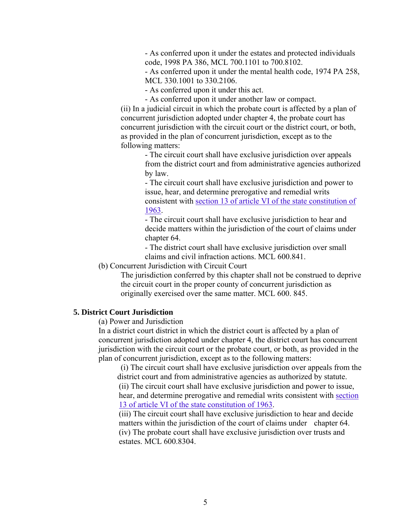- As conferred upon it under the estates and protected individuals code, 1998 PA 386, MCL 700.1101 to 700.8102.

- As conferred upon it under the mental health code, 1974 PA 258, MCL 330.1001 to 330.2106.

- As conferred upon it under this act.

- As conferred upon it under another law or compact. (ii) In a judicial circuit in which the probate court is affected by a plan of concurrent jurisdiction adopted under chapter 4, the probate court has concurrent jurisdiction with the circuit court or the district court, or both, as provided in the plan of concurrent jurisdiction, except as to the following matters:

- The circuit court shall have exclusive jurisdiction over appeals from the district court and from administrative agencies authorized by law.

- The circuit court shall have exclusive jurisdiction and power to issue, hear, and determine prerogative and remedial writs consistent with [section 13 of article VI of the state constitution of](http://www.lexis.com/research/buttonTFLink?_m=fd1709b068b50a68b603631fb3c9f951&_xfercite=%3ccite%20cc%3d%22USA%22%3e%3c%21%5bCDATA%5bMCLS%20%a7%20600.841%5d%5d%3e%3c%2fcite%3e&_butType=4&_butStat=0&_butNum=8&_butInline=1&_butinfo=MI%20CONST%20VI%2013&_fmtstr=FULL&docnum=1&_startdoc=1&wchp=dGLbVlz-zSkAt&_md5=996ea59bcdc55b0719aa5cfb4dfb5b5f)  [1963](http://www.lexis.com/research/buttonTFLink?_m=fd1709b068b50a68b603631fb3c9f951&_xfercite=%3ccite%20cc%3d%22USA%22%3e%3c%21%5bCDATA%5bMCLS%20%a7%20600.841%5d%5d%3e%3c%2fcite%3e&_butType=4&_butStat=0&_butNum=8&_butInline=1&_butinfo=MI%20CONST%20VI%2013&_fmtstr=FULL&docnum=1&_startdoc=1&wchp=dGLbVlz-zSkAt&_md5=996ea59bcdc55b0719aa5cfb4dfb5b5f).

- The circuit court shall have exclusive jurisdiction to hear and decide matters within the jurisdiction of the court of claims under chapter 64.

- The district court shall have exclusive jurisdiction over small claims and civil infraction actions. MCL 600.841.

(b) Concurrent Jurisdiction with Circuit Court

The jurisdiction conferred by this chapter shall not be construed to deprive the circuit court in the proper county of concurrent jurisdiction as originally exercised over the same matter. MCL 600. 845.

#### **5. District Court Jurisdiction**

(a) Power and Jurisdiction

In a district court district in which the district court is affected by a plan of concurrent jurisdiction adopted under chapter 4, the district court has concurrent jurisdiction with the circuit court or the probate court, or both, as provided in the plan of concurrent jurisdiction, except as to the following matters:

(i) The circuit court shall have exclusive jurisdiction over appeals from the district court and from administrative agencies as authorized by statute. (ii) The circuit court shall have exclusive jurisdiction and power to issue, hear, and determine prerogative and remedial writs consistent with [section](http://www.lexis.com/research/buttonTFLink?_m=9ee2447e9dd1274aa1b804b858a9d4c5&_xfercite=%3ccite%20cc%3d%22USA%22%3e%3c%21%5bCDATA%5bMCLS%20%a7%20600.8304%5d%5d%3e%3c%2fcite%3e&_butType=4&_butStat=0&_butNum=2&_butInline=1&_butinfo=MI%20CONST%20VI%2013&_fmtstr=FULL&docnum=1&_startdoc=1&wchp=dGLbVlz-zSkAt&_md5=1b2a31713f6b517d416153a5fead49ae) 

[13 of article VI of the state constitution of 1963](http://www.lexis.com/research/buttonTFLink?_m=9ee2447e9dd1274aa1b804b858a9d4c5&_xfercite=%3ccite%20cc%3d%22USA%22%3e%3c%21%5bCDATA%5bMCLS%20%a7%20600.8304%5d%5d%3e%3c%2fcite%3e&_butType=4&_butStat=0&_butNum=2&_butInline=1&_butinfo=MI%20CONST%20VI%2013&_fmtstr=FULL&docnum=1&_startdoc=1&wchp=dGLbVlz-zSkAt&_md5=1b2a31713f6b517d416153a5fead49ae).

(iii) The circuit court shall have exclusive jurisdiction to hear and decide matters within the jurisdiction of the court of claims under chapter 64. (iv) The probate court shall have exclusive jurisdiction over trusts and estates. MCL 600.8304.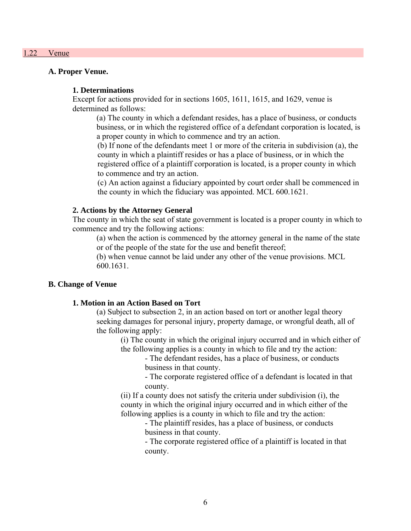#### 1.22 Venue

#### **A. Proper Venue.**

#### **1. Determinations**

Except for actions provided for in sections 1605, 1611, 1615, and 1629, venue is determined as follows:

(a) The county in which a defendant resides, has a place of business, or conducts business, or in which the registered office of a defendant corporation is located, is a proper county in which to commence and try an action.

(b) If none of the defendants meet 1 or more of the criteria in subdivision (a), the county in which a plaintiff resides or has a place of business, or in which the registered office of a plaintiff corporation is located, is a proper county in which to commence and try an action.

(c) An action against a fiduciary appointed by court order shall be commenced in the county in which the fiduciary was appointed. MCL 600.1621.

# **2. Actions by the Attorney General**

The county in which the seat of state government is located is a proper county in which to commence and try the following actions:

(a) when the action is commenced by the attorney general in the name of the state or of the people of the state for the use and benefit thereof;

(b) when venue cannot be laid under any other of the venue provisions. MCL 600.1631.

#### **B. Change of Venue**

#### **1. Motion in an Action Based on Tort**

(a) Subject to subsection 2, in an action based on tort or another legal theory seeking damages for personal injury, property damage, or wrongful death, all of the following apply:

(i) The county in which the original injury occurred and in which either of the following applies is a county in which to file and try the action:

> - The defendant resides, has a place of business, or conducts business in that county.

- The corporate registered office of a defendant is located in that county.

(ii) If a county does not satisfy the criteria under subdivision (i), the county in which the original injury occurred and in which either of the following applies is a county in which to file and try the action:

> - The plaintiff resides, has a place of business, or conducts business in that county.

- The corporate registered office of a plaintiff is located in that county.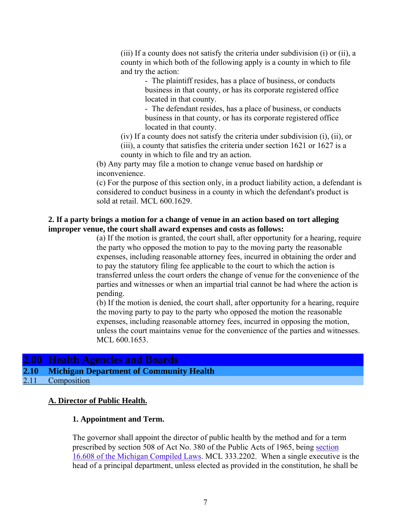(iii) If a county does not satisfy the criteria under subdivision (i) or (ii), a county in which both of the following apply is a county in which to file and try the action:

> - The plaintiff resides, has a place of business, or conducts business in that county, or has its corporate registered office located in that county.

- The defendant resides, has a place of business, or conducts business in that county, or has its corporate registered office located in that county.

(iv) If a county does not satisfy the criteria under subdivision (i), (ii), or (iii), a county that satisfies the criteria under section 1621 or 1627 is a county in which to file and try an action.

(b) Any party may file a motion to change venue based on hardship or inconvenience.

(c) For the purpose of this section only, in a product liability action, a defendant is considered to conduct business in a county in which the defendant's product is sold at retail. MCL 600.1629.

#### **2. If a party brings a motion for a change of venue in an action based on tort alleging improper venue, the court shall award expenses and costs as follows:**

(a) If the motion is granted, the court shall, after opportunity for a hearing, require the party who opposed the motion to pay to the moving party the reasonable expenses, including reasonable attorney fees, incurred in obtaining the order and to pay the statutory filing fee applicable to the court to which the action is transferred unless the court orders the change of venue for the convenience of the parties and witnesses or when an impartial trial cannot be had where the action is pending.

(b) If the motion is denied, the court shall, after opportunity for a hearing, require the moving party to pay to the party who opposed the motion the reasonable expenses, including reasonable attorney fees, incurred in opposing the motion, unless the court maintains venue for the convenience of the parties and witnesses. MCL 600.1653.

|  | <b>2.00 Health Agencies and Boards</b> |  |
|--|----------------------------------------|--|
|  |                                        |  |

**2.10 Michigan Department of Community Health**  2.11 Composition

#### **A. Director of Public Health.**

#### **1. Appointment and Term.**

The governor shall appoint the director of public health by the method and for a term prescribed by section 508 of Act No. 380 of the Public Acts of 1965, being [section](http://www.lexis.com/research/buttonTFLink?_m=947dbd052d26b0a57c0e91f779751372&_xfercite=%3ccite%20cc%3d%22USA%22%3e%3c%21%5bCDATA%5bMCLS%20%a7%20333.2202%5d%5d%3e%3c%2fcite%3e&_butType=4&_butStat=0&_butNum=2&_butInline=1&_butinfo=MICODE%2016.608&_fmtstr=FULL&docnum=1&_startdoc=1&wchp=dGLbVlz-zSkAt&_md5=82fd8b5ae14fb5f2bfa51f3f0ec2cf92)  [16.608 of the Michigan Compiled Laws.](http://www.lexis.com/research/buttonTFLink?_m=947dbd052d26b0a57c0e91f779751372&_xfercite=%3ccite%20cc%3d%22USA%22%3e%3c%21%5bCDATA%5bMCLS%20%a7%20333.2202%5d%5d%3e%3c%2fcite%3e&_butType=4&_butStat=0&_butNum=2&_butInline=1&_butinfo=MICODE%2016.608&_fmtstr=FULL&docnum=1&_startdoc=1&wchp=dGLbVlz-zSkAt&_md5=82fd8b5ae14fb5f2bfa51f3f0ec2cf92) MCL 333.2202. When a single executive is the head of a principal department, unless elected as provided in the constitution, he shall be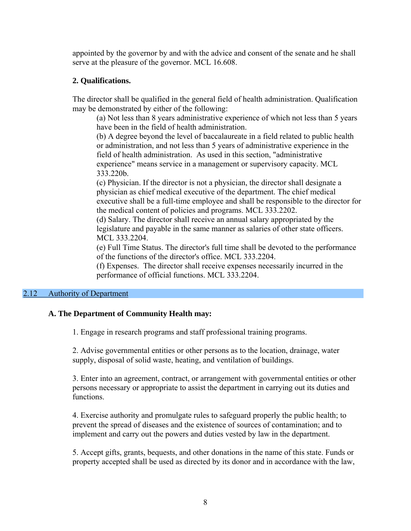appointed by the governor by and with the advice and consent of the senate and he shall serve at the pleasure of the governor. MCL 16.608.

# **2. Qualifications.**

The director shall be qualified in the general field of health administration. Qualification may be demonstrated by either of the following:

(a) Not less than 8 years administrative experience of which not less than 5 years have been in the field of health administration.

(b) A degree beyond the level of baccalaureate in a field related to public health or administration, and not less than 5 years of administrative experience in the field of health administration. As used in this section, "administrative experience" means service in a management or supervisory capacity. MCL 333.220b.

(c) Physician. If the director is not a physician, the director shall designate a physician as chief medical executive of the department. The chief medical executive shall be a full-time employee and shall be responsible to the director for the medical content of policies and programs. MCL 333.2202.

(d) Salary. The director shall receive an annual salary appropriated by the legislature and payable in the same manner as salaries of other state officers. MCL 333.2204.

(e) Full Time Status. The director's full time shall be devoted to the performance of the functions of the director's office. MCL 333.2204.

(f) Expenses. The director shall receive expenses necessarily incurred in the performance of official functions. MCL 333.2204.

# 2.12 Authority of Department

# **A. The Department of Community Health may:**

1. Engage in research programs and staff professional training programs.

2. Advise governmental entities or other persons as to the location, drainage, water supply, disposal of solid waste, heating, and ventilation of buildings.

3. Enter into an agreement, contract, or arrangement with governmental entities or other persons necessary or appropriate to assist the department in carrying out its duties and functions.

4. Exercise authority and promulgate rules to safeguard properly the public health; to prevent the spread of diseases and the existence of sources of contamination; and to implement and carry out the powers and duties vested by law in the department.

5. Accept gifts, grants, bequests, and other donations in the name of this state. Funds or property accepted shall be used as directed by its donor and in accordance with the law,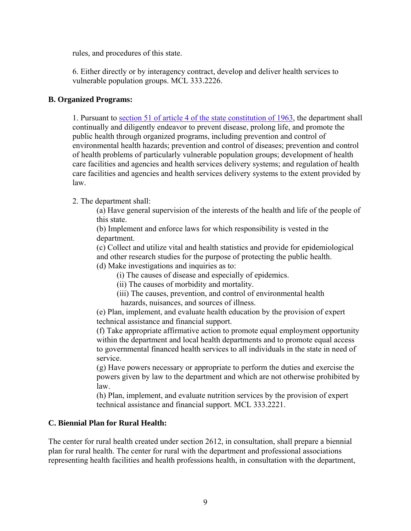rules, and procedures of this state.

6. Either directly or by interagency contract, develop and deliver health services to vulnerable population groups. MCL 333.2226.

# **B. Organized Programs:**

1. Pursuant to [section 51 of article 4 of the state constitution of 1963,](http://www.lexis.com/research/buttonTFLink?_m=58cb91473041aad9eec78fd55909ef9e&_xfercite=%3ccite%20cc%3d%22USA%22%3e%3c%21%5bCDATA%5bMCLS%20%a7%20333.2221%5d%5d%3e%3c%2fcite%3e&_butType=4&_butStat=0&_butNum=2&_butInline=1&_butinfo=MI%20CONST%204%2051&_fmtstr=FULL&docnum=1&_startdoc=1&wchp=dGLbVlz-zSkAt&_md5=1cd03dff9b6e93b64f82fce18b00cbe6) the department shall continually and diligently endeavor to prevent disease, prolong life, and promote the public health through organized programs, including prevention and control of environmental health hazards; prevention and control of diseases; prevention and control of health problems of particularly vulnerable population groups; development of health care facilities and agencies and health services delivery systems; and regulation of health care facilities and agencies and health services delivery systems to the extent provided by law.

# 2. The department shall:

(a) Have general supervision of the interests of the health and life of the people of this state.

(b) Implement and enforce laws for which responsibility is vested in the department.

(c) Collect and utilize vital and health statistics and provide for epidemiological and other research studies for the purpose of protecting the public health. (d) Make investigations and inquiries as to:

- (i) The causes of disease and especially of epidemics.
- (ii) The causes of morbidity and mortality.
- (iii) The causes, prevention, and control of environmental health hazards, nuisances, and sources of illness.

(e) Plan, implement, and evaluate health education by the provision of expert technical assistance and financial support.

(f) Take appropriate affirmative action to promote equal employment opportunity within the department and local health departments and to promote equal access to governmental financed health services to all individuals in the state in need of service.

(g) Have powers necessary or appropriate to perform the duties and exercise the powers given by law to the department and which are not otherwise prohibited by law.

(h) Plan, implement, and evaluate nutrition services by the provision of expert technical assistance and financial support. MCL 333.2221.

# **C. Biennial Plan for Rural Health:**

The center for rural health created under section 2612, in consultation, shall prepare a biennial plan for rural health. The center for rural with the department and professional associations representing health facilities and health professions health, in consultation with the department,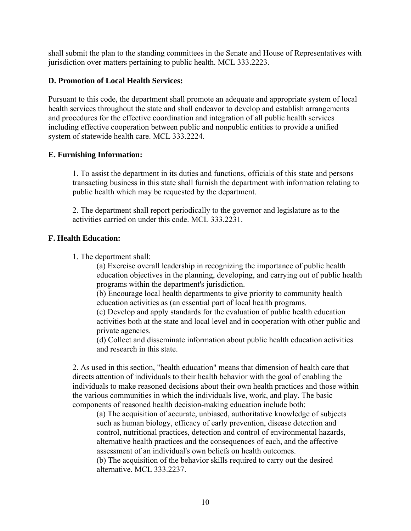shall submit the plan to the standing committees in the Senate and House of Representatives with jurisdiction over matters pertaining to public health. MCL 333.2223.

# **D. Promotion of Local Health Services:**

Pursuant to this code, the department shall promote an adequate and appropriate system of local health services throughout the state and shall endeavor to develop and establish arrangements and procedures for the effective coordination and integration of all public health services including effective cooperation between public and nonpublic entities to provide a unified system of statewide health care. MCL 333.2224.

# **E. Furnishing Information:**

1. To assist the department in its duties and functions, officials of this state and persons transacting business in this state shall furnish the department with information relating to public health which may be requested by the department.

2. The department shall report periodically to the governor and legislature as to the activities carried on under this code. MCL 333.2231.

# **F. Health Education:**

1. The department shall:

(a) Exercise overall leadership in recognizing the importance of public health education objectives in the planning, developing, and carrying out of public health programs within the department's jurisdiction.

(b) Encourage local health departments to give priority to community health education activities as (an essential part of local health programs.

(c) Develop and apply standards for the evaluation of public health education activities both at the state and local level and in cooperation with other public and private agencies.

(d) Collect and disseminate information about public health education activities and research in this state.

2. As used in this section, "health education" means that dimension of health care that directs attention of individuals to their health behavior with the goal of enabling the individuals to make reasoned decisions about their own health practices and those within the various communities in which the individuals live, work, and play. The basic components of reasoned health decision-making education include both:

(a) The acquisition of accurate, unbiased, authoritative knowledge of subjects such as human biology, efficacy of early prevention, disease detection and control, nutritional practices, detection and control of environmental hazards, alternative health practices and the consequences of each, and the affective assessment of an individual's own beliefs on health outcomes. (b) The acquisition of the behavior skills required to carry out the desired alternative. MCL 333.2237.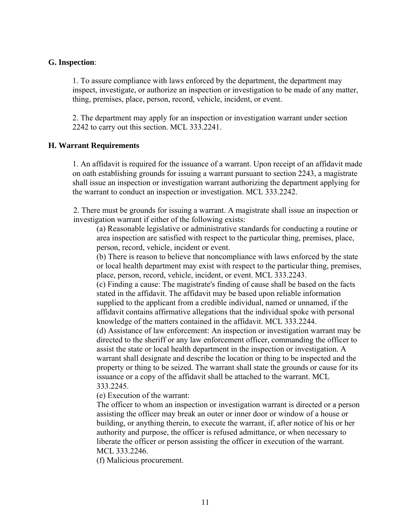#### **G. Inspection**:

1. To assure compliance with laws enforced by the department, the department may inspect, investigate, or authorize an inspection or investigation to be made of any matter, thing, premises, place, person, record, vehicle, incident, or event.

2. The department may apply for an inspection or investigation warrant under section 2242 to carry out this section. MCL 333.2241.

#### **H. Warrant Requirements**

1. An affidavit is required for the issuance of a warrant. Upon receipt of an affidavit made on oath establishing grounds for issuing a warrant pursuant to section 2243, a magistrate shall issue an inspection or investigation warrant authorizing the department applying for the warrant to conduct an inspection or investigation. MCL 333.2242.

2. There must be grounds for issuing a warrant. A magistrate shall issue an inspection or investigation warrant if either of the following exists:

(a) Reasonable legislative or administrative standards for conducting a routine or area inspection are satisfied with respect to the particular thing, premises, place, person, record, vehicle, incident or event.

(b) There is reason to believe that noncompliance with laws enforced by the state or local health department may exist with respect to the particular thing, premises, place, person, record, vehicle, incident, or event. MCL 333.2243.

(c) Finding a cause: The magistrate's finding of cause shall be based on the facts stated in the affidavit. The affidavit may be based upon reliable information supplied to the applicant from a credible individual, named or unnamed, if the affidavit contains affirmative allegations that the individual spoke with personal knowledge of the matters contained in the affidavit. MCL 333.2244.

(d) Assistance of law enforcement: An inspection or investigation warrant may be directed to the sheriff or any law enforcement officer, commanding the officer to assist the state or local health department in the inspection or investigation. A warrant shall designate and describe the location or thing to be inspected and the property or thing to be seized. The warrant shall state the grounds or cause for its issuance or a copy of the affidavit shall be attached to the warrant. MCL 333.2245.

(e) Execution of the warrant:

The officer to whom an inspection or investigation warrant is directed or a person assisting the officer may break an outer or inner door or window of a house or building, or anything therein, to execute the warrant, if, after notice of his or her authority and purpose, the officer is refused admittance, or when necessary to liberate the officer or person assisting the officer in execution of the warrant. MCL 333.2246.

(f) Malicious procurement.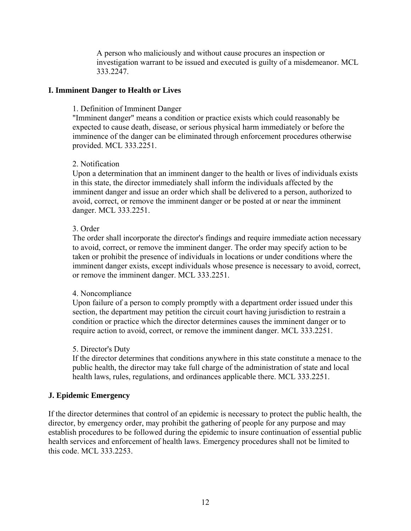A person who maliciously and without cause procures an inspection or investigation warrant to be issued and executed is guilty of a misdemeanor. MCL 333.2247.

#### **I. Imminent Danger to Health or Lives**

#### 1. Definition of Imminent Danger

"Imminent danger" means a condition or practice exists which could reasonably be expected to cause death, disease, or serious physical harm immediately or before the imminence of the danger can be eliminated through enforcement procedures otherwise provided. MCL 333.2251.

#### 2. Notification

Upon a determination that an imminent danger to the health or lives of individuals exists in this state, the director immediately shall inform the individuals affected by the imminent danger and issue an order which shall be delivered to a person, authorized to avoid, correct, or remove the imminent danger or be posted at or near the imminent danger. MCL 333.2251.

#### 3. Order

The order shall incorporate the director's findings and require immediate action necessary to avoid, correct, or remove the imminent danger. The order may specify action to be taken or prohibit the presence of individuals in locations or under conditions where the imminent danger exists, except individuals whose presence is necessary to avoid, correct, or remove the imminent danger. MCL 333.2251.

#### 4. Noncompliance

Upon failure of a person to comply promptly with a department order issued under this section, the department may petition the circuit court having jurisdiction to restrain a condition or practice which the director determines causes the imminent danger or to require action to avoid, correct, or remove the imminent danger. MCL 333.2251.

#### 5. Director's Duty

If the director determines that conditions anywhere in this state constitute a menace to the public health, the director may take full charge of the administration of state and local health laws, rules, regulations, and ordinances applicable there. MCL 333.2251.

#### **J. Epidemic Emergency**

If the director determines that control of an epidemic is necessary to protect the public health, the director, by emergency order, may prohibit the gathering of people for any purpose and may establish procedures to be followed during the epidemic to insure continuation of essential public health services and enforcement of health laws. Emergency procedures shall not be limited to this code. MCL 333.2253.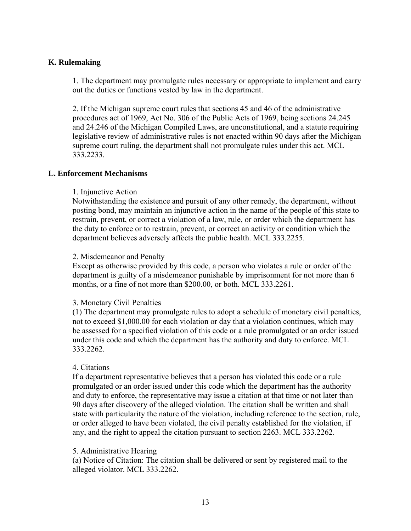# **K. Rulemaking**

1. The department may promulgate rules necessary or appropriate to implement and carry out the duties or functions vested by law in the department.

2. If the Michigan supreme court rules that sections 45 and 46 of the administrative procedures act of 1969, Act No. 306 of the Public Acts of 1969, being [sections 24.245](http://www.lexis.com/research/buttonTFLink?_m=46dae4b33f9adeba6a30761dd6b62893&_xfercite=%3ccite%20cc%3d%22USA%22%3e%3c%21%5bCDATA%5bMCLS%20%a7%20333.2233%5d%5d%3e%3c%2fcite%3e&_butType=4&_butStat=0&_butNum=2&_butInline=1&_butinfo=MICODE%2024.245&_fmtstr=FULL&docnum=1&_startdoc=1&wchp=dGLbVlz-zSkAt&_md5=1d680cd25be7ac916e14a40329a39ef2) and [24.246 of the Michigan Compiled Laws](http://www.lexis.com/research/buttonTFLink?_m=46dae4b33f9adeba6a30761dd6b62893&_xfercite=%3ccite%20cc%3d%22USA%22%3e%3c%21%5bCDATA%5bMCLS%20%a7%20333.2233%5d%5d%3e%3c%2fcite%3e&_butType=4&_butStat=0&_butNum=3&_butInline=1&_butinfo=MICODE%2024.246&_fmtstr=FULL&docnum=1&_startdoc=1&wchp=dGLbVlz-zSkAt&_md5=eb64204a8e956545c1b430c566039d43), are unconstitutional, and a statute requiring legislative review of administrative rules is not enacted within 90 days after the Michigan supreme court ruling, the department shall not promulgate rules under this act. MCL 333.2233.

#### **L. Enforcement Mechanisms**

#### 1. Injunctive Action

Notwithstanding the existence and pursuit of any other remedy, the department, without posting bond, may maintain an injunctive action in the name of the people of this state to restrain, prevent, or correct a violation of a law, rule, or order which the department has the duty to enforce or to restrain, prevent, or correct an activity or condition which the department believes adversely affects the public health. MCL 333.2255.

#### 2. Misdemeanor and Penalty

Except as otherwise provided by this code, a person who violates a rule or order of the department is guilty of a misdemeanor punishable by imprisonment for not more than 6 months, or a fine of not more than \$200.00, or both. MCL 333.2261.

#### 3. Monetary Civil Penalties

(1) The department may promulgate rules to adopt a schedule of monetary civil penalties, not to exceed \$1,000.00 for each violation or day that a violation continues, which may be assessed for a specified violation of this code or a rule promulgated or an order issued under this code and which the department has the authority and duty to enforce. MCL 333.2262.

#### 4. Citations

If a department representative believes that a person has violated this code or a rule promulgated or an order issued under this code which the department has the authority and duty to enforce, the representative may issue a citation at that time or not later than 90 days after discovery of the alleged violation. The citation shall be written and shall state with particularity the nature of the violation, including reference to the section, rule, or order alleged to have been violated, the civil penalty established for the violation, if any, and the right to appeal the citation pursuant to section 2263. MCL 333.2262.

#### 5. Administrative Hearing

(a) Notice of Citation: The citation shall be delivered or sent by registered mail to the alleged violator. MCL 333.2262.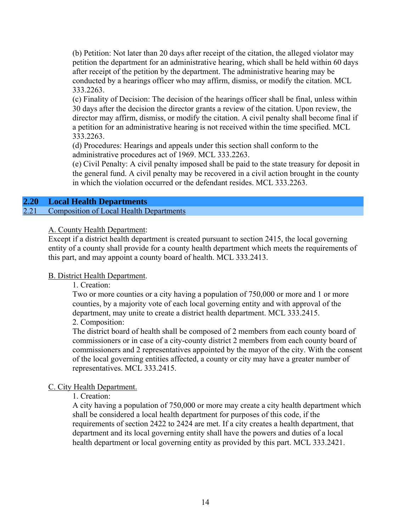(b) Petition: Not later than 20 days after receipt of the citation, the alleged violator may petition the department for an administrative hearing, which shall be held within 60 days after receipt of the petition by the department. The administrative hearing may be conducted by a hearings officer who may affirm, dismiss, or modify the citation. MCL 333.2263.

(c) Finality of Decision: The decision of the hearings officer shall be final, unless within 30 days after the decision the director grants a review of the citation. Upon review, the director may affirm, dismiss, or modify the citation. A civil penalty shall become final if a petition for an administrative hearing is not received within the time specified. MCL 333.2263.

(d) Procedures: Hearings and appeals under this section shall conform to the administrative procedures act of 1969. MCL 333.2263.

(e) Civil Penalty: A civil penalty imposed shall be paid to the state treasury for deposit in the general fund. A civil penalty may be recovered in a civil action brought in the county in which the violation occurred or the defendant resides. MCL 333.2263.

# **2.20 Local Health Departments**

# 2.21 Composition of Local Health Departments

# A. County Health Department:

Except if a district health department is created pursuant to section 2415, the local governing entity of a county shall provide for a county health department which meets the requirements of this part, and may appoint a county board of health. MCL 333.2413.

# B. District Health Department.

1. Creation:

Two or more counties or a city having a population of 750,000 or more and 1 or more counties, by a majority vote of each local governing entity and with approval of the department, may unite to create a district health department. MCL 333.2415.

2. Composition:

The district board of health shall be composed of 2 members from each county board of commissioners or in case of a city-county district 2 members from each county board of commissioners and 2 representatives appointed by the mayor of the city. With the consent of the local governing entities affected, a county or city may have a greater number of representatives. MCL 333.2415.

# C. City Health Department.

1. Creation:

A city having a population of 750,000 or more may create a city health department which shall be considered a local health department for purposes of this code, if the requirements of section 2422 to 2424 are met. If a city creates a health department, that department and its local governing entity shall have the powers and duties of a local health department or local governing entity as provided by this part. MCL 333.2421.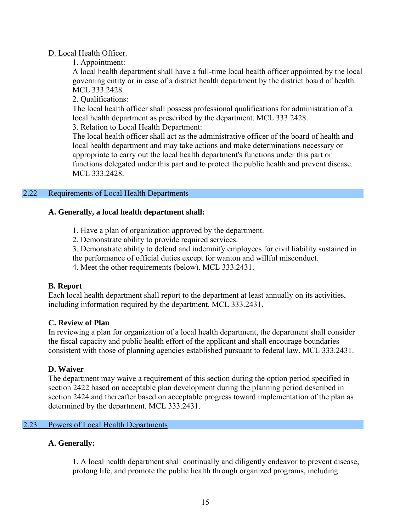### D. Local Health Officer.

1. Appointment:

A local health department shall have a full-time local health officer appointed by the local governing entity or in case of a district health department by the district board of health. MCL 333.2428.

2. Qualifications:

The local health officer shall possess professional qualifications for administration of a local health department as prescribed by the department. MCL 333.2428.

3. Relation to Local Health Department:

The local health officer shall act as the administrative officer of the board of health and local health department and may take actions and make determinations necessary or appropriate to carry out the local health department's functions under this part or functions delegated under this part and to protect the public health and prevent disease. MCL 333.2428.

# 2.22 Requirements of Local Health Departments

# **A. Generally, a local health department shall:**

- 1. Have a plan of organization approved by the department.
- 2. Demonstrate ability to provide required services.

3. Demonstrate ability to defend and indemnify employees for civil liability sustained in the performance of official duties except for wanton and willful misconduct.

4. Meet the other requirements (below). MCL 333.2431.

#### **B. Report**

Each local health department shall report to the department at least annually on its activities, including information required by the department. MCL 333.2431.

#### **C. Review of Plan**

In reviewing a plan for organization of a local health department, the department shall consider the fiscal capacity and public health effort of the applicant and shall encourage boundaries consistent with those of planning agencies established pursuant to federal law. MCL 333.2431.

# **D. Waiver**

The department may waive a requirement of this section during the option period specified in section 2422 based on acceptable plan development during the planning period described in section 2424 and thereafter based on acceptable progress toward implementation of the plan as determined by the department. MCL 333.2431.

#### 2.23 Powers of Local Health Departments

# **A. Generally:**

1. A local health department shall continually and diligently endeavor to prevent disease, prolong life, and promote the public health through organized programs, including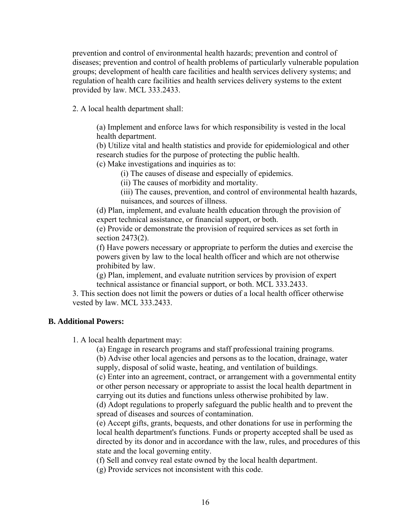prevention and control of environmental health hazards; prevention and control of diseases; prevention and control of health problems of particularly vulnerable population groups; development of health care facilities and health services delivery systems; and regulation of health care facilities and health services delivery systems to the extent provided by law. MCL 333.2433.

2. A local health department shall:

(a) Implement and enforce laws for which responsibility is vested in the local health department.

(b) Utilize vital and health statistics and provide for epidemiological and other research studies for the purpose of protecting the public health.

(c) Make investigations and inquiries as to:

(i) The causes of disease and especially of epidemics.

(ii) The causes of morbidity and mortality.

(iii) The causes, prevention, and control of environmental health hazards, nuisances, and sources of illness.

(d) Plan, implement, and evaluate health education through the provision of expert technical assistance, or financial support, or both.

(e) Provide or demonstrate the provision of required services as set forth in section 2473(2).

(f) Have powers necessary or appropriate to perform the duties and exercise the powers given by law to the local health officer and which are not otherwise prohibited by law.

(g) Plan, implement, and evaluate nutrition services by provision of expert technical assistance or financial support, or both. MCL 333.2433.

3. This section does not limit the powers or duties of a local health officer otherwise vested by law. MCL 333.2433.

# **B. Additional Powers:**

1. A local health department may:

(a) Engage in research programs and staff professional training programs. (b) Advise other local agencies and persons as to the location, drainage, water supply, disposal of solid waste, heating, and ventilation of buildings.

(c) Enter into an agreement, contract, or arrangement with a governmental entity or other person necessary or appropriate to assist the local health department in carrying out its duties and functions unless otherwise prohibited by law.

(d) Adopt regulations to properly safeguard the public health and to prevent the spread of diseases and sources of contamination.

(e) Accept gifts, grants, bequests, and other donations for use in performing the local health department's functions. Funds or property accepted shall be used as directed by its donor and in accordance with the law, rules, and procedures of this state and the local governing entity.

(f) Sell and convey real estate owned by the local health department.

(g) Provide services not inconsistent with this code.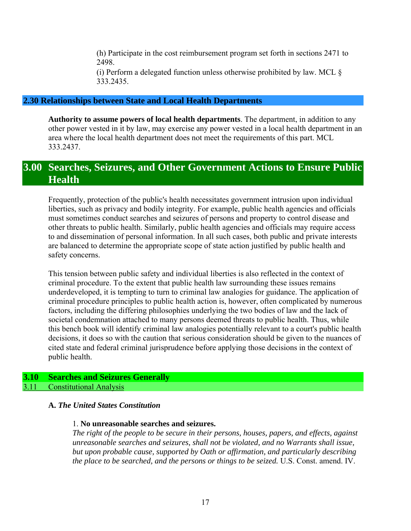(h) Participate in the cost reimbursement program set forth in sections 2471 to 2498.

(i) Perform a delegated function unless otherwise prohibited by law. MCL § 333.2435.

# **2.30 Relationships between State and Local Health Departments**

**Authority to assume powers of local health departments**. The department, in addition to any other power vested in it by law, may exercise any power vested in a local health department in an area where the local health department does not meet the requirements of this part. MCL 333.2437.

# **3.00 Searches, Seizures, and Other Government Actions to Ensure Public Health**

Frequently, protection of the public's health necessitates government intrusion upon individual liberties, such as privacy and bodily integrity. For example, public health agencies and officials must sometimes conduct searches and seizures of persons and property to control disease and other threats to public health. Similarly, public health agencies and officials may require access to and dissemination of personal information. In all such cases, both public and private interests are balanced to determine the appropriate scope of state action justified by public health and safety concerns.

This tension between public safety and individual liberties is also reflected in the context of criminal procedure. To the extent that public health law surrounding these issues remains underdeveloped, it is tempting to turn to criminal law analogies for guidance. The application of criminal procedure principles to public health action is, however, often complicated by numerous factors, including the differing philosophies underlying the two bodies of law and the lack of societal condemnation attached to many persons deemed threats to public health. Thus, while this bench book will identify criminal law analogies potentially relevant to a court's public health decisions, it does so with the caution that serious consideration should be given to the nuances of cited state and federal criminal jurisprudence before applying those decisions in the context of public health.

#### **3.10 Searches and Seizures Generally**  3.11 Constitutional Analysis

#### **A.** *The United States Constitution*

#### 1. **No unreasonable searches and seizures.**

*The right of the people to be secure in their persons, houses, papers, and effects, against unreasonable searches and seizures, shall not be violated, and no Warrants shall issue, but upon probable cause, supported by Oath or affirmation, and particularly describing the place to be searched, and the persons or things to be seized.* U.S. Const. amend. IV.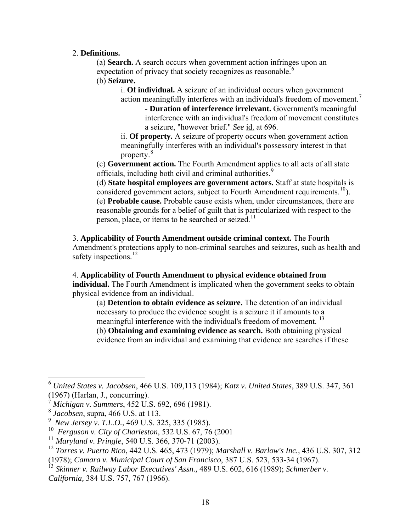### 2. **Definitions.**

(a) **Search.** A search occurs when government action infringes upon an expectation of privacy that society recognizes as reasonable.<sup>[6](#page-28-0)</sup>

(b) **Seizure.**

i. **Of individual.** A seizure of an individual occurs when government action meaningfully interferes with an individual's freedom of movement.<sup>[7](#page-28-1)</sup>

- **Duration of interference irrelevant.** Government's meaningful interference with an individual's freedom of movement constitutes a seizure, "however brief." *See* id. at 696.

ii. **Of property.** A seizure of property occurs when government action meaningfully interferes with an individual's possessory interest in that property.<sup>[8](#page-28-2)</sup>

(c) **Government action.** The Fourth Amendment applies to all acts of all state officials, including both civil and criminal authorities.<sup>[9](#page-28-3)</sup>

(d) **State hospital employees are government actors.** Staff at state hospitals is considered government actors, subject to Fourth Amendment requirements.<sup>[10](#page-28-4)</sup>). (e) **Probable cause.** Probable cause exists when, under circumstances, there are reasonable grounds for a belief of guilt that is particularized with respect to the person, place, or items to be searched or seized.<sup>[11](#page-28-5)</sup>

3. **Applicability of Fourth Amendment outside criminal context.** The Fourth Amendment's protections apply to non-criminal searches and seizures, such as health and safety inspections.<sup>[12](#page-28-6)</sup>

# 4. **Applicability of Fourth Amendment to physical evidence obtained from**

**individual.** The Fourth Amendment is implicated when the government seeks to obtain physical evidence from an individual.

(a) **Detention to obtain evidence as seizure.** The detention of an individual necessary to produce the evidence sought is a seizure it if amounts to a meaningful interference with the individual's freedom of movement. [13](#page-28-7)

(b) **Obtaining and examining evidence as search.** Both obtaining physical evidence from an individual and examining that evidence are searches if these

<span id="page-28-0"></span> $\overline{a}$ <sup>6</sup> *United States v. Jacobsen*, 466 U.S. 109,113 (1984); *Katz v. United States*, 389 U.S. 347, 361 (1967) (Harlan, J., concurring).

<sup>7</sup> *Michigan v. Summers*, 452 U.S. 692, 696 (1981).

<span id="page-28-2"></span><span id="page-28-1"></span><sup>8</sup> *Jacobsen*, supra, 466 U.S. at 113.

<span id="page-28-3"></span><sup>9</sup> *New Jersey v. T.L.O.*, 469 U.S. 325, 335 (1985).

<span id="page-28-4"></span><sup>10</sup> *Ferguson v. City of Charleston*, 532 U.S. 67, 76 (2001

<span id="page-28-5"></span><sup>11</sup> *Maryland v. Pringle*, 540 U.S. 366, 370-71 (2003).

<span id="page-28-6"></span><sup>12</sup> *Torres v. Puerto Rico*, 442 U.S. 465, 473 (1979); *Marshall v. Barlow's Inc.,* 436 U.S. 307, 312

<sup>(1978);</sup> *Camara v. Municipal Court of San Francisco*, 387 U.S. 523, 533-34 (1967).

<span id="page-28-7"></span><sup>13</sup> *Skinner v. Railway Labor Executives' Assn.,* 489 U.S. 602, 616 (1989); *Schmerber v. California,* 384 U.S. 757, 767 (1966).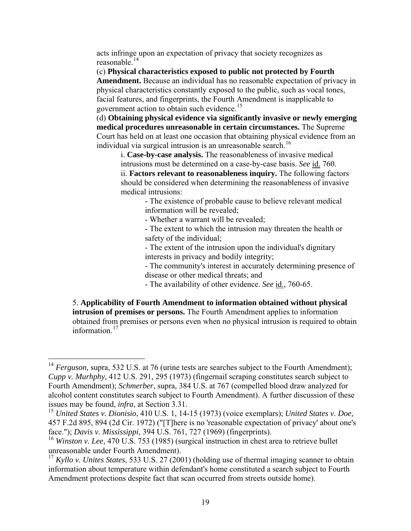acts infringe upon an expectation of privacy that society recognizes as reasonable.<sup>[14](#page-29-0)</sup>

(c) **Physical characteristics exposed to public not protected by Fourth Amendment.** Because an individual has no reasonable expectation of privacy in physical characteristics constantly exposed to the public, such as vocal tones, facial features, and fingerprints, the Fourth Amendment is inapplicable to government action to obtain such evidence.<sup>[15](#page-29-1)</sup>

(d) **Obtaining physical evidence via significantly invasive or newly emerging medical procedures unreasonable in certain circumstances.** The Supreme Court has held on at least one occasion that obtaining physical evidence from an individual via surgical intrusion is an unreasonable search.<sup>[16](#page-29-2)</sup>

i. **Case-by-case analysis.** The reasonableness of invasive medical intrusions must be determined on a case-by-case basis. *See* id. 760. ii. **Factors relevant to reasonableness inquiry.** The following factors should be considered when determining the reasonableness of invasive

medical intrusions:

 $\overline{a}$ 

- The existence of probable cause to believe relevant medical information will be revealed;

- Whether a warrant will be revealed;

- The extent to which the intrusion may threaten the health or safety of the individual;

- The extent of the intrusion upon the individual's dignitary interests in privacy and bodily integrity;

- The community's interest in accurately determining presence of disease or other medical threats; and

- The availability of other evidence. *See* id., 760-65.

5. **Applicability of Fourth Amendment to information obtained without physical intrusion of premises or persons.** The Fourth Amendment applies to information obtained from premises or persons even when no physical intrusion is required to obtain information.<sup>[17](#page-29-3)</sup>

<span id="page-29-0"></span><sup>&</sup>lt;sup>14</sup> *Ferguson*, supra, 532 U.S. at 76 (urine tests are searches subject to the Fourth Amendment); *Cupp v. Murhphy,* 412 U.S. 291, 295 (1973) (fingernail scraping constitutes search subject to Fourth Amendment); *Schmerber*, supra, 384 U.S. at 767 (compelled blood draw analyzed for alcohol content constitutes search subject to Fourth Amendment). A further discussion of these issues may be found, *infra*, at Section 3.31.

<span id="page-29-1"></span><sup>15</sup> *United States v. Dionisio*, 410 U.S. 1, 14-15 (1973) (voice exemplars); *United States v. Doe,* 457 F.2d 895, 894 (2d Cir. 1972) ("[T]here is no 'reasonable expectation of privacy' about one's face."); *Davis v. Mississippi,* 394 U.S. 761, 727 (1969) (fingerprints).

<span id="page-29-2"></span><sup>&</sup>lt;sup>16</sup> *Winston v. Lee*, 470 U.S. 753 (1985) (surgical instruction in chest area to retrieve bullet unreasonable under Fourth Amendment).

<span id="page-29-3"></span><sup>&</sup>lt;sup>17</sup> *Kyllo v. Unites States*, 533 U.S. 27 (2001) (holding use of thermal imaging scanner to obtain information about temperature within defendant's home constituted a search subject to Fourth Amendment protections despite fact that scan occurred from streets outside home).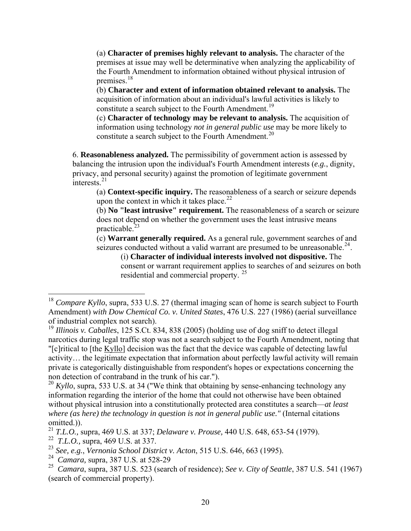(a) **Character of premises highly relevant to analysis.** The character of the premises at issue may well be determinative when analyzing the applicability of the Fourth Amendment to information obtained without physical intrusion of premises.[18](#page-30-0)

(b) **Character and extent of information obtained relevant to analysis.** The acquisition of information about an individual's lawful activities is likely to constitute a search subject to the Fourth Amendment.<sup>[19](#page-30-1)</sup>

(c) **Character of technology may be relevant to analysis.** The acquisition of information using technology *not in general public use* may be more likely to constitute a search subject to the Fourth Amendment.<sup>[20](#page-30-2)</sup>

6. **Reasonableness analyzed.** The permissibility of government action is assessed by balancing the intrusion upon the individual's Fourth Amendment interests (*e.g.*, dignity, privacy, and personal security) against the promotion of legitimate government  $interests$ <sup>[21](#page-30-3)</sup>

(a) **Context-specific inquiry.** The reasonableness of a search or seizure depends upon the context in which it takes place. $^{22}$  $^{22}$  $^{22}$ 

(b) **No "least intrusive" requirement.** The reasonableness of a search or seizure does not depend on whether the government uses the least intrusive means practicable. $^{23}$  $^{23}$  $^{23}$ 

(c) **Warrant generally required.** As a general rule, government searches of and seizures conducted without a valid warrant are presumed to be unreasonable.<sup>[24](#page-30-6)</sup>.

(i) **Character of individual interests involved not dispositive.** The consent or warrant requirement applies to searches of and seizures on both residential and commercial property. [25](#page-30-7)

<span id="page-30-0"></span><sup>18</sup> *Compare Kyllo*, supra, 533 U.S. 27 (thermal imaging scan of home is search subject to Fourth Amendment) *with Dow Chemical Co. v. United States*, 476 U.S. 227 (1986) (aerial surveillance of industrial complex not search).

<span id="page-30-1"></span><sup>&</sup>lt;sup>19</sup> Illinois v. Caballes, 125 S.Ct. 834, 838 (2005) (holding use of dog sniff to detect illegal narcotics during legal traffic stop was not a search subject to the Fourth Amendment, noting that "[c]ritical to [the Kyllo] decision was the fact that the device was capable of detecting lawful activity… the legitimate expectation that information about perfectly lawful activity will remain private is categorically distinguishable from respondent's hopes or expectations concerning the non detection of contraband in the trunk of his car.").

<span id="page-30-2"></span><sup>&</sup>lt;sup>20</sup> *Kyllo*, supra, 533 U.S. at 34 ("We think that obtaining by sense-enhancing technology any information regarding the interior of the home that could not otherwise have been obtained without physical intrusion into a constitutionally protected area constitutes a search—*at least where (as here) the technology in question is not in general public use."* (Internal citations omitted.)).

<span id="page-30-3"></span><sup>21</sup> *T.L.O.,* supra, 469 U.S. at 337; *Delaware v. Prouse,* 440 U.S. 648, 653-54 (1979).

<span id="page-30-4"></span><sup>22</sup> *T.L.O.,* supra, 469 U.S. at 337.

<span id="page-30-5"></span><sup>23</sup> *See, e.g.*, *Vernonia School District v. Acton*, 515 U.S. 646, 663 (1995).

<span id="page-30-6"></span><sup>24</sup> *Camara,* supra, 387 U.S. at 528-29

<span id="page-30-7"></span><sup>25</sup> *Camara*, supra, 387 U.S. 523 (search of residence); *See v. City of Seattle*, 387 U.S. 541 (1967) (search of commercial property).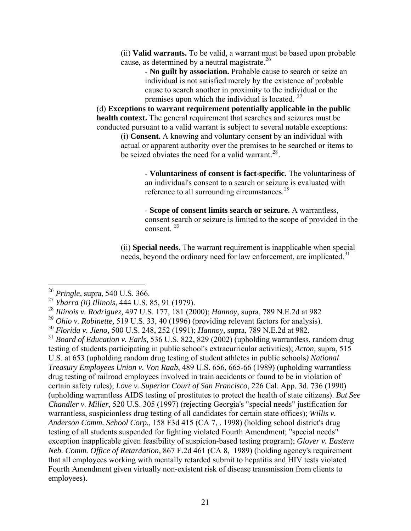(ii) **Valid warrants.** To be valid, a warrant must be based upon probable cause, as determined by a neutral magistrate.<sup>[26](#page-31-0)</sup>

> - **No guilt by association.** Probable cause to search or seize an individual is not satisfied merely by the existence of probable cause to search another in proximity to the individual or the premises upon which the individual is located. [27](#page-31-1)

(d) **Exceptions to warrant requirement potentially applicable in the public health context.** The general requirement that searches and seizures must be conducted pursuant to a valid warrant is subject to several notable exceptions:

(i) **Consent.** A knowing and voluntary consent by an individual with actual or apparent authority over the premises to be searched or items to be seized obviates the need for a valid warrant. $28$ .

> - **Voluntariness of consent is fact-specific.** The voluntariness of an individual's consent to a search or seizure is evaluated with reference to all surrounding circumstances.<sup>[29](#page-31-3)</sup>

- **Scope of consent limits search or seizure.** A warrantless, consent search or seizure is limited to the scope of provided in the consent. *[30](#page-31-4)*

(ii) **Special needs.** The warrant requirement is inapplicable when special needs, beyond the ordinary need for law enforcement, are implicated.<sup>[31](#page-31-5)</sup>

1

<span id="page-31-5"></span><sup>31</sup> *Board of Education v. Earls,* 536 U.S. 822, 829 (2002) (upholding warrantless, random drug testing of students participating in public school's extracurricular activities); *Acton,* supra, 515 U.S. at 653 (upholding random drug testing of student athletes in public schools*) National Treasury Employees Union v. Von Raab*, 489 U.S. 656, 665-66 (1989) (upholding warrantless drug testing of railroad employees involved in train accidents or found to be in violation of certain safety rules); *Love v. Superior Court of San Francisco*, 226 Cal. App. 3d. 736 (1990) (upholding warrantless AIDS testing of prostitutes to protect the health of state citizens). *But See Chandler v. Miller,* 520 U.S. 305 (1997) (rejecting Georgia's "special needs" justification for warrantless, suspicionless drug testing of all candidates for certain state offices); *Willis v. Anderson Comm. School Corp.,* 158 F3d 415 (CA 7, . 1998) (holding school district's drug testing of all students suspended for fighting violated Fourth Amendment; "special needs" exception inapplicable given feasibility of suspicion-based testing program); *Glover v. Eastern Neb. Comm. Office of Retardation*, 867 F.2d 461 (CA 8, 1989) (holding agency's requirement that all employees working with mentally retarded submit to hepatitis and HIV tests violated Fourth Amendment given virtually non-existent risk of disease transmission from clients to employees).

<sup>26</sup> *Pringle,* supra, 540 U.S. 366.

<span id="page-31-1"></span><span id="page-31-0"></span><sup>27</sup> *Ybarra (ii) Illinois*, 444 U.S. 85, 91 (1979).

<span id="page-31-2"></span><sup>28</sup> *Illinois v. Rodriguez,* 497 U.S. 177, 181 (2000); *Hannoy,* supra, 789 N.E.2d at 982

<span id="page-31-3"></span><sup>29</sup> *Ohio v. Robinette,* 519 U.S. 33, 40 (1996) (providing relevant factors for analysis).

<span id="page-31-4"></span><sup>30</sup> *Florida v. Jieno,* 500 U.S. 248, 252 (1991); *Hannoy*, supra, 789 N.E.2d at 982.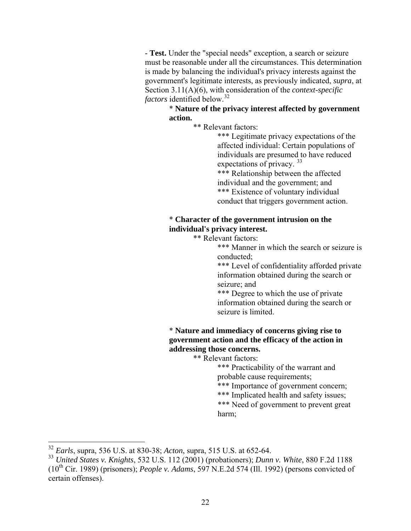- **Test.** Under the "special needs" exception, a search or seizure must be reasonable under all the circumstances. This determination is made by balancing the individual's privacy interests against the government's legitimate interests, as previously indicated, *supra*, at Section 3.11(A)(6), with consideration of the *context-specific factors* identified below.<sup>[32](#page-32-0)</sup>

# \* **Nature of the privacy interest affected by government action.**

\*\* Relevant factors:

\*\*\* Legitimate privacy expectations of the affected individual: Certain populations of individuals are presumed to have reduced expectations of privacy.  $33$ \*\*\* Relationship between the affected individual and the government; and

\*\*\* Existence of voluntary individual conduct that triggers government action.

# \* **Character of the government intrusion on the individual's privacy interest.**

\*\* Relevant factors:

\*\*\* Manner in which the search or seizure is conducted;

\*\*\* Level of confidentiality afforded private information obtained during the search or seizure; and

\*\*\* Degree to which the use of private information obtained during the search or seizure is limited.

# \* **Nature and immediacy of concerns giving rise to government action and the efficacy of the action in addressing those concerns.**

\*\* Relevant factors:

\*\*\* Practicability of the warrant and probable cause requirements;

\*\*\* Importance of government concern;

\*\*\* Implicated health and safety issues;

\*\*\* Need of government to prevent great harm;

<span id="page-32-0"></span><sup>32</sup> *Earls*, supra, 536 U.S. at 830-38; *Acton*, supra, 515 U.S. at 652-64.

<span id="page-32-1"></span><sup>33</sup> *United States v. Knights*, 532 U.S. 112 (2001) (probationers); *Dunn v. White*, 880 F.2d 1188  $(10^{th}$  Cir. 1989) (prisoners); *People v. Adams*, 597 N.E.2d 574 (Ill. 1992) (persons convicted of certain offenses).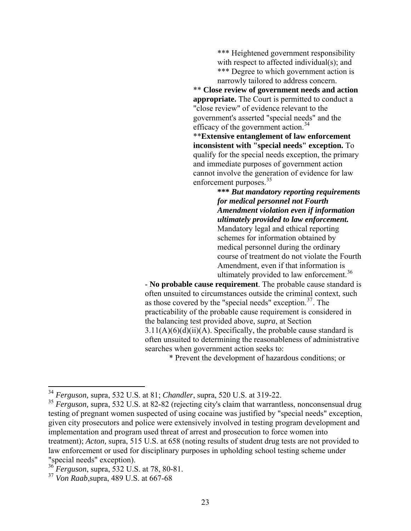\*\*\* Heightened government responsibility with respect to affected individual(s); and \*\*\* Degree to which government action is narrowly tailored to address concern.

\*\* **Close review of government needs and action appropriate.** The Court is permitted to conduct a "close review" of evidence relevant to the government's asserted "special needs" and the efficacy of the government action.<sup>[34](#page-33-0)</sup>

\*\***Extensive entanglement of law enforcement inconsistent with "special needs" exception.** To qualify for the special needs exception, the primary and immediate purposes of government action cannot involve the generation of evidence for law enforcement purposes.<sup>[35](#page-33-1)</sup>

> **\*\*\*** *But mandatory reporting requirements for medical personnel not Fourth Amendment violation even if information ultimately provided to law enforcement.*  Mandatory legal and ethical reporting schemes for information obtained by medical personnel during the ordinary course of treatment do not violate the Fourth Amendment, even if that information is ultimately provided to law enforcement.<sup>[36](#page-33-2)</sup>

- **No probable cause requirement**. The probable cause standard is often unsuited to circumstances outside the criminal context, such as those covered by the "special needs" exception.<sup>[37](#page-33-3)</sup>. The practicability of the probable cause requirement is considered in the balancing test provided above, *supra*, at Section  $3.11(A)(6)(d)(ii)(A)$ . Specifically, the probable cause standard is often unsuited to determining the reasonableness of administrative searches when government action seeks to:

\* Prevent the development of hazardous conditions; or

<sup>34</sup> *Ferguson,* supra, 532 U.S. at 81; *Chandler*, supra, 520 U.S. at 319-22.

<span id="page-33-1"></span><span id="page-33-0"></span><sup>&</sup>lt;sup>35</sup> *Ferguson*, supra, 532 U.S. at 82-82 (rejecting city's claim that warrantless, nonconsensual drug testing of pregnant women suspected of using cocaine was justified by "special needs" exception, given city prosecutors and police were extensively involved in testing program development and implementation and program used threat of arrest and prosecution to force women into treatment); *Acton,* supra, 515 U.S. at 658 (noting results of student drug tests are not provided to law enforcement or used for disciplinary purposes in upholding school testing scheme under "special needs" exception).

<span id="page-33-2"></span><sup>36</sup> *Ferguson*, supra, 532 U.S. at 78, 80-81.

<span id="page-33-3"></span><sup>37</sup> *Von Raab*,supra, 489 U.S. at 667-68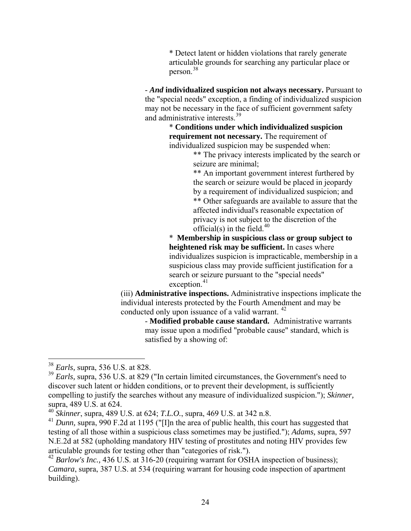\* Detect latent or hidden violations that rarely generate articulable grounds for searching any particular place or person.[38](#page-34-0)

- *And* **individualized suspicion not always necessary.** Pursuant to the "special needs" exception, a finding of individualized suspicion may not be necessary in the face of sufficient government safety and administrative interests.<sup>[39](#page-34-1)</sup>

> \* **Conditions under which individualized suspicion requirement not necessary.** The requirement of individualized suspicion may be suspended when:

> > \*\* The privacy interests implicated by the search or seizure are minimal;

\*\* An important government interest furthered by the search or seizure would be placed in jeopardy by a requirement of individualized suspicion; and \*\* Other safeguards are available to assure that the affected individual's reasonable expectation of privacy is not subject to the discretion of the official(s) in the field. $40$ 

\* **Membership in suspicious class or group subject to heightened risk may be sufficient.** In cases where individualizes suspicion is impracticable, membership in a suspicious class may provide sufficient justification for a search or seizure pursuant to the "special needs" exception.<sup>[41](#page-34-3)</sup>

(iii) **Administrative inspections.** Administrative inspections implicate the individual interests protected by the Fourth Amendment and may be conducted only upon issuance of a valid warrant.<sup>[42](#page-34-4)</sup>

- **Modified probable cause standard.** Administrative warrants may issue upon a modified "probable cause" standard, which is satisfied by a showing of:

<sup>38</sup> *Earls,* supra, 536 U.S. at 828.

<span id="page-34-1"></span><span id="page-34-0"></span><sup>&</sup>lt;sup>39</sup> *Earls*, supra, 536 U.S. at 829 ("In certain limited circumstances, the Government's need to discover such latent or hidden conditions, or to prevent their development, is sufficiently compelling to justify the searches without any measure of individualized suspicion."); *Skinner,* supra, 489 U.S. at 624.

<span id="page-34-2"></span><sup>40</sup> *Skinner*, supra, 489 U.S. at 624; *T.L.O.*, supra, 469 U.S. at 342 n.8.

<span id="page-34-3"></span><sup>&</sup>lt;sup>41</sup> *Dunn*, supra, 990 F.2d at 1195 ("[I]n the area of public health, this court has suggested that testing of all those within a suspicious class sometimes may be justified."); *Adams,* supra, 597 N.E.2d at 582 (upholding mandatory HIV testing of prostitutes and noting HIV provides few articulable grounds for testing other than "categories of risk.").

<span id="page-34-4"></span><sup>&</sup>lt;sup>42</sup> *Barlow's Inc.*, 436 U.S. at 316-20 (requiring warrant for OSHA inspection of business); *Camara*, supra, 387 U.S. at 534 (requiring warrant for housing code inspection of apartment building).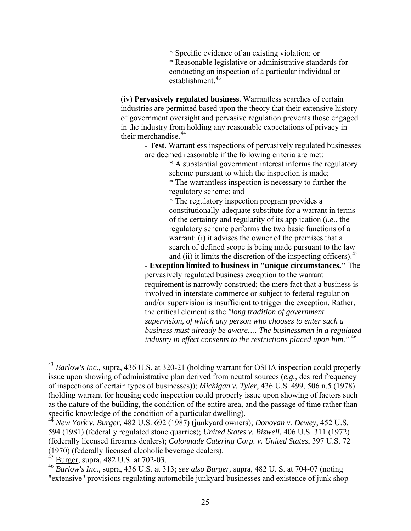\* Specific evidence of an existing violation; or

\* Reasonable legislative or administrative standards for conducting an inspection of a particular individual or establishment. $43$ 

(iv) **Pervasively regulated business.** Warrantless searches of certain industries are permitted based upon the theory that their extensive history of government oversight and pervasive regulation prevents those engaged in the industry from holding any reasonable expectations of privacy in their merchandise. $44$ 

- **Test.** Warrantless inspections of pervasively regulated businesses are deemed reasonable if the following criteria are met:

\* A substantial government interest informs the regulatory scheme pursuant to which the inspection is made;

\* The warrantless inspection is necessary to further the regulatory scheme; and

\* The regulatory inspection program provides a constitutionally-adequate substitute for a warrant in terms of the certainty and regularity of its application (*i.e.*, the regulatory scheme performs the two basic functions of a warrant: (i) it advises the owner of the premises that a search of defined scope is being made pursuant to the law and (ii) it limits the discretion of the inspecting officers).<sup>[45](#page-35-2)</sup>

- **Exception limited to business in "unique circumstances."** The pervasively regulated business exception to the warrant requirement is narrowly construed; the mere fact that a business is involved in interstate commerce or subject to federal regulation and/or supervision is insufficient to trigger the exception. Rather, the critical element is the *"long tradition of government supervision, of which any person who chooses to enter such a business must already be aware…. The businessman in a regulated industry in effect consents to the restrictions placed upon him."* [46](#page-35-3)

<span id="page-35-0"></span><sup>&</sup>lt;sup>43</sup> *Barlow's Inc.*, supra, 436 U.S. at 320-21 (holding warrant for OSHA inspection could properly issue upon showing of administrative plan derived from neutral sources (*e.g.*, desired frequency of inspections of certain types of businesses)); *Michigan v. Tyler*, 436 U.S. 499, 506 n.5 (1978) (holding warrant for housing code inspection could properly issue upon showing of factors such as the nature of the building, the condition of the entire area, and the passage of time rather than specific knowledge of the condition of a particular dwelling).

<span id="page-35-1"></span><sup>44</sup> *New York v. Burger,* 482 U.S. 692 (1987) (junkyard owners); *Donovan v. Dewey*, 452 U.S. 594 (1981) (federally regulated stone quarries); *United States v. Biswell,* 406 U.S. 311 (1972) (federally licensed firearms dealers); *Colonnade Catering Corp. v. United States*, 397 U.S. 72  $(1970)$  (federally licensed alcoholic beverage dealers).

<span id="page-35-2"></span><sup>45</sup> Burger, supra, 482 U.S. at 702-03.

<span id="page-35-3"></span><sup>46</sup> *Barlow's Inc.,* supra, 436 U.S. at 313; *see also Burger,* supra, 482 U. S. at 704-07 (noting "extensive" provisions regulating automobile junkyard businesses and existence of junk shop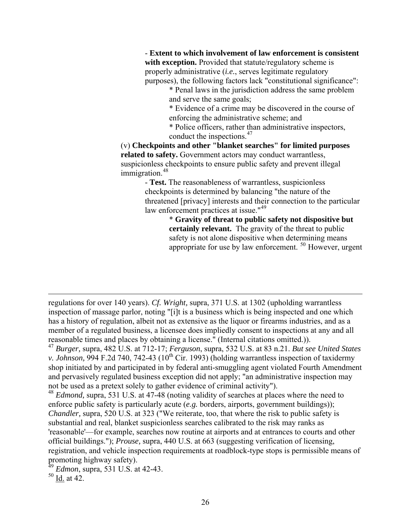- **Extent to which involvement of law enforcement is consistent** 

with exception. Provided that statute/regulatory scheme is properly administrative (*i.e.*, serves legitimate regulatory purposes), the following factors lack "constitutional significance":

> \* Penal laws in the jurisdiction address the same problem and serve the same goals;

> \* Evidence of a crime may be discovered in the course of enforcing the administrative scheme; and

\* Police officers, rather than administrative inspectors, conduct the inspections.<sup>[47](#page-36-0)</sup>

(v) **Checkpoints and other "blanket searches" for limited purposes related to safety.** Government actors may conduct warrantless, suspicionless checkpoints to ensure public safety and prevent illegal immigration.<sup>[48](#page-36-1)</sup>

> - **Test.** The reasonableness of warrantless, suspicionless checkpoints is determined by balancing "the nature of the threatened [privacy] interests and their connection to the particular law enforcement practices at issue."<sup>[49](#page-36-2)</sup>

> > \* **Gravity of threat to public safety not dispositive but certainly relevant.** The gravity of the threat to public safety is not alone dispositive when determining means appropriate for use by law enforcement.  $50$  However, urgent

regulations for over 140 years). *Cf. Wright,* supra, 371 U.S. at 1302 (upholding warrantless inspection of massage parlor, noting "[i]t is a business which is being inspected and one which has a history of regulation, albeit not as extensive as the liquor or firearms industries, and as a member of a regulated business, a licensee does impliedly consent to inspections at any and all reasonable times and places by obtaining a license." (Internal citations omitted.)).

<span id="page-36-0"></span><sup>47</sup> *Burger,* supra, 482 U.S. at 712-17; *Ferguson*, supra, 532 U.S. at 83 n.21. *But see United States v. Johnson,* 994 F.2d 740, 742-43 (10<sup>th</sup> Cir. 1993) (holding warrantless inspection of taxidermy shop initiated by and participated in by federal anti-smuggling agent violated Fourth Amendment and pervasively regulated business exception did not apply; "an administrative inspection may not be used as a pretext solely to gather evidence of criminal activity").

<span id="page-36-1"></span><sup>48</sup> *Edmond,* supra, 531 U.S. at 47-48 (noting validity of searches at places where the need to enforce public safety is particularly acute (*e.g.* borders, airports, government buildings)); *Chandler,* supra, 520 U.S. at 323 ("We reiterate, too, that where the risk to public safety is substantial and real, blanket suspicionless searches calibrated to the risk may ranks as 'reasonable'—for example, searches now routine at airports and at entrances to courts and other official buildings."); *Prouse,* supra, 440 U.S. at 663 (suggesting verification of licensing, registration, and vehicle inspection requirements at roadblock-type stops is permissible means of promoting highway safety).

<sup>49</sup> *Edmon*, supra, 531 U.S. at 42-43.

<span id="page-36-3"></span><span id="page-36-2"></span> $50 \underline{\text{Id.}}$  at 42.

 $\overline{a}$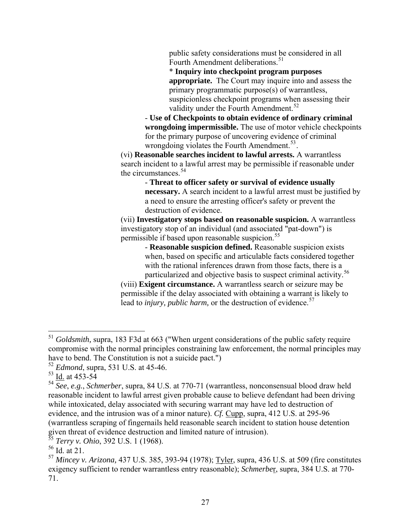public safety considerations must be considered in all Fourth Amendment deliberations.<sup>[51](#page-37-0)</sup>

\* **Inquiry into checkpoint program purposes appropriate.** The Court may inquire into and assess the primary programmatic purpose(s) of warrantless, suspicionless checkpoint programs when assessing their validity under the Fourth Amendment.<sup>[52](#page-37-1)</sup>

- **Use of Checkpoints to obtain evidence of ordinary criminal wrongdoing impermissible.** The use of motor vehicle checkpoints for the primary purpose of uncovering evidence of criminal wrongdoing violates the Fourth Amendment.<sup>[53](#page-37-2)</sup>.

(vi) **Reasonable searches incident to lawful arrests.** A warrantless search incident to a lawful arrest may be permissible if reasonable under the circumstances.<sup>[54](#page-37-3)</sup>

> - **Threat to officer safety or survival of evidence usually necessary.** A search incident to a lawful arrest must be justified by a need to ensure the arresting officer's safety or prevent the destruction of evidence.

(vii) **Investigatory stops based on reasonable suspicion.** A warrantless investigatory stop of an individual (and associated "pat-down") is permissible if based upon reasonable suspicion.<sup>[55](#page-37-4)</sup>

> - **Reasonable suspicion defined.** Reasonable suspicion exists when, based on specific and articulable facts considered together with the rational inferences drawn from those facts, there is a particularized and objective basis to suspect criminal activity.<sup>[56](#page-37-5)</sup>

(viii) **Exigent circumstance.** A warrantless search or seizure may be permissible if the delay associated with obtaining a warrant is likely to lead to *injury, public harm*, or the destruction of evidence.<sup>[57](#page-37-6)</sup>

 $\overline{a}$ 

<span id="page-37-0"></span><sup>51</sup> *Goldsmith,* supra, 183 F3d at 663 ("When urgent considerations of the public safety require compromise with the normal principles constraining law enforcement, the normal principles may have to bend. The Constitution is not a suicide pact.")

<span id="page-37-1"></span><sup>52</sup> *Edmond*, supra, 531 U.S. at 45-46.

<span id="page-37-2"></span> $^{53}$  Id. at 453-54

<span id="page-37-3"></span><sup>54</sup> *See*, *e.g.*, *Schmerber*, supra, 84 U.S. at 770-71 (warrantless, nonconsensual blood draw held reasonable incident to lawful arrest given probable cause to believe defendant had been driving while intoxicated, delay associated with securing warrant may have led to destruction of evidence, and the intrusion was of a minor nature). *Cf.* Cupp, supra, 412 U.S. at 295-96 (warrantless scraping of fingernails held reasonable search incident to station house detention given threat of evidence destruction and limited nature of intrusion).

<sup>55</sup> *Terry v. Ohio*, 392 U.S. 1 (1968).

<span id="page-37-5"></span><span id="page-37-4"></span><sup>56</sup> Id. at 21.

<span id="page-37-6"></span><sup>57</sup> *Mincey v. Arizona,* 437 U.S. 385, 393-94 (1978); Tyler, supra, 436 U.S. at 509 (fire constitutes exigency sufficient to render warrantless entry reasonable); *Schmerbe*r, supra, 384 U.S. at 770- 71.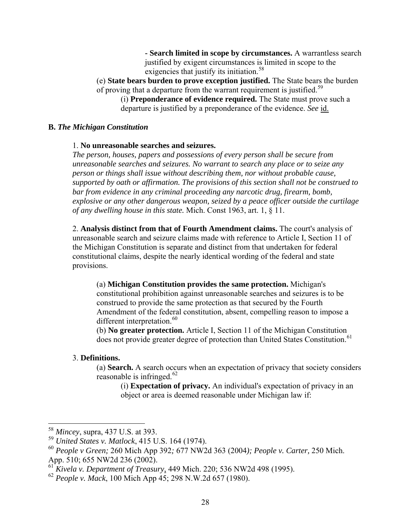**- Search limited in scope by circumstances.** A warrantless search justified by exigent circumstances is limited in scope to the exigencies that justify its initiation.<sup>[58](#page-38-0)</sup>

(e) **State bears burden to prove exception justified.** The State bears the burden of proving that a departure from the warrant requirement is justified.<sup>[59](#page-38-1)</sup>

(i) **Preponderance of evidence required.** The State must prove such a departure is justified by a preponderance of the evidence. *See* id.

#### **B.** *The Michigan Constitution*

#### 1. **No unreasonable searches and seizures.**

*The person, houses, papers and possessions of every person shall be secure from unreasonable searches and seizures. No warrant to search any place or to seize any person or things shall issue without describing them, nor without probable cause, supported by oath or affirmation. The provisions of this section shall not be construed to bar from evidence in any criminal proceeding any narcotic drug, firearm, bomb, explosive or any other dangerous weapon, seized by a peace officer outside the curtilage of any dwelling house in this state.* Mich. Const 1963, art. 1, § 11.

2. **Analysis distinct from that of Fourth Amendment claims.** The court's analysis of unreasonable search and seizure claims made with reference to Article I, Section 11 of the Michigan Constitution is separate and distinct from that undertaken for federal constitutional claims, despite the nearly identical wording of the federal and state provisions.

(a) **Michigan Constitution provides the same protection.** Michigan's constitutional prohibition against unreasonable searches and seizures is to be construed to provide the same protection as that secured by the [Fourth](http://www.lexis.com/research/buttonTFLink?_m=fbbd26ac208bc39d4c7e7db3ede113f3&_xfercite=%3ccite%20cc%3d%22USA%22%3e%3c%21%5bCDATA%5bMCLS%20Const.%20Art.%20I%2c%20%a7%2011%5d%5d%3e%3c%2fcite%3e&_butType=4&_butStat=0&_butNum=108&_butInline=1&_butinfo=USCONST%20AMEND%204&_fmtstr=FULL&docnum=1&_startdoc=1&wchp=dGLbVzb-zSkAt&_md5=6d71d9ceeedd0e1a346f019dab704711)  [Amendment of the federal constitution](http://www.lexis.com/research/buttonTFLink?_m=fbbd26ac208bc39d4c7e7db3ede113f3&_xfercite=%3ccite%20cc%3d%22USA%22%3e%3c%21%5bCDATA%5bMCLS%20Const.%20Art.%20I%2c%20%a7%2011%5d%5d%3e%3c%2fcite%3e&_butType=4&_butStat=0&_butNum=108&_butInline=1&_butinfo=USCONST%20AMEND%204&_fmtstr=FULL&docnum=1&_startdoc=1&wchp=dGLbVzb-zSkAt&_md5=6d71d9ceeedd0e1a346f019dab704711), absent, compelling reason to impose a different interpretation.<sup>[60](#page-38-2)</sup>

(b) **No greater protection.** Article I, Section 11 of the Michigan Constitution does not provide greater degree of protection than United States Constitution.<sup>[61](#page-38-3)</sup>

## 3. **Definitions.**

(a) **Search.** A search occurs when an expectation of privacy that society considers reasonable is infringed. $62$ 

(i) **Expectation of privacy.** An individual's expectation of privacy in an object or area is deemed reasonable under Michigan law if:

 $\overline{a}$ 

<sup>58</sup> *Mincey*, supra, 437 U.S. at 393.

<span id="page-38-1"></span><span id="page-38-0"></span><sup>59</sup> *United States v. Matlock*, 415 U.S. 164 (1974).

<span id="page-38-2"></span><sup>60</sup> *People v Green;* 260 Mich App 392*;* [677 NW2d 363 \(2004](http://www.lexis.com/research/buttonTFLink?_m=fbbd26ac208bc39d4c7e7db3ede113f3&_xfercite=%3ccite%20cc%3d%22USA%22%3e%3c%21%5bCDATA%5bMCLS%20Const.%20Art.%20I%2c%20%a7%2011%5d%5d%3e%3c%2fcite%3e&_butType=3&_butStat=2&_butNum=109&_butInline=1&_butinfo=%3ccite%20cc%3d%22USA%22%3e%3c%21%5bCDATA%5b260%20Mich.%20App.%20392%5d%5d%3e%3c%2fcite%3e&_fmtstr=FULL&docnum=1&_startdoc=1&wchp=dGLbVzb-zSkAt&_md5=0d88a33569ac30c1b61326f4855de8d3)*); People v. Carter,* 250 Mich. App. 510; 655 NW2d 236 (2002).

<span id="page-38-3"></span><sup>61</sup> *Kivela v. Department of Treasury*, 449 Mich. 220; 536 NW2d 498 (1995).

<span id="page-38-4"></span><sup>62</sup> *People v. Mack*, 100 Mich App 45; 298 N.W.2d 657 (1980).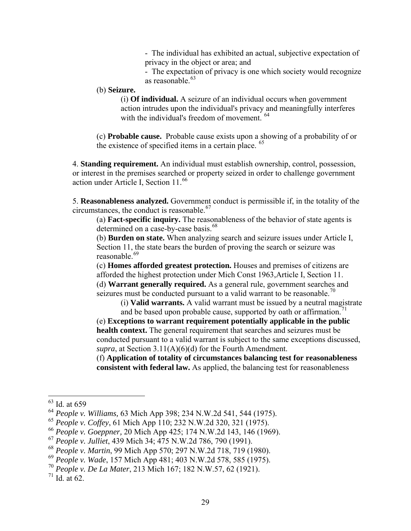- The individual has exhibited an actual, subjective expectation of privacy in the object or area; and

- The expectation of privacy is one which society would recognize as reasonable  $63$ 

# (b) **Seizure.**

(i) **Of individual.** A seizure of an individual occurs when government action intrudes upon the individual's privacy and meaningfully interferes with the individual's freedom of movement.<sup>[64](#page-39-1)</sup>

(c) **Probable cause.** Probable cause exists upon a showing of a probability of or the existence of specified items in a certain place. <sup>[65](#page-39-2)</sup>

4. **Standing requirement.** An individual must establish ownership, control, possession, or interest in the premises searched or property seized in order to challenge government action under Article I, Section 11.<sup>[66](#page-39-3)</sup>

5. **Reasonableness analyzed.** Government conduct is permissible if, in the totality of the circumstances, the conduct is reasonable. $67$ 

(a) **Fact-specific inquiry.** The reasonableness of the behavior of state agents is determined on a case-by-case basis.<sup>[68](#page-39-5)</sup>

(b) **Burden on state.** When analyzing search and seizure issues under Article I, Section 11, the state bears the burden of proving the search or seizure was reasonable.<sup>[69](#page-39-6)</sup>

(c) **Homes afforded greatest protection.** Houses and premises of citizens are afforded the highest protection under Mich Const 1963,Article I, Section 11. (d) **Warrant generally required.** As a general rule, government searches and seizures must be conducted pursuant to a valid warrant to be reasonable.<sup>[70](#page-39-7)</sup>

(i) **Valid warrants.** A valid warrant must be issued by a neutral magistrate and be based upon probable cause, supported by oath or affirmation.<sup>[71](#page-39-8)</sup>

(e) **Exceptions to warrant requirement potentially applicable in the public health context.** The general requirement that searches and seizures must be conducted pursuant to a valid warrant is subject to the same exceptions discussed, *supra*, at Section 3.11(A)(6)(d) for the Fourth Amendment.

(f) **Application of totality of circumstances balancing test for reasonableness consistent with federal law.** As applied, the balancing test for reasonableness

<u>.</u>

<sup>&</sup>lt;sup>63</sup> Id. at 659

<span id="page-39-1"></span><span id="page-39-0"></span><sup>64</sup> *People v. Williams,* 63 Mich App 398; 234 N.W.2d 541, 544 (1975).

<span id="page-39-2"></span><sup>65</sup> *People v. Coffey*, 61 Mich App 110; 232 N.W.2d 320, 321 (1975).

<span id="page-39-3"></span><sup>66</sup> *People v. Goeppner,* 20 Mich App 425; 174 N.W.2d 143, 146 (1969).

<span id="page-39-4"></span><sup>67</sup> *People v. Julliet*, 439 Mich 34; 475 N.W.2d 786, 790 (1991).

<span id="page-39-5"></span><sup>68</sup> *People v. Martin*, 99 Mich App 570; 297 N.W.2d 718, 719 (1980).

<span id="page-39-6"></span><sup>69</sup> *People v. Wade*, 157 Mich App 481; 403 N.W.2d 578, 585 (1975).

<span id="page-39-7"></span><sup>70</sup> *People v. De La Mater*, 213 Mich 167; 182 N.W.57, 62 (1921).

<span id="page-39-8"></span> $71$  Id. at 62.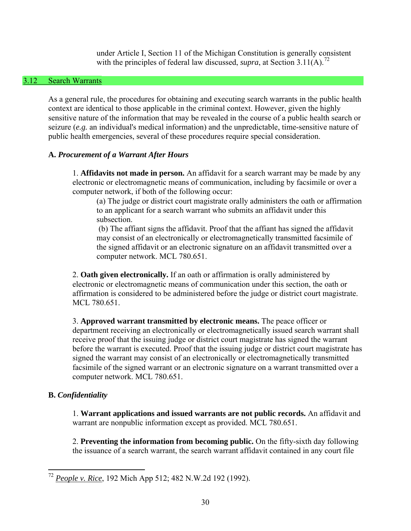under Article I, Section 11 of the Michigan Constitution is generally consistent with the principles of federal law discussed, *supra*, at Section 3.11(A).<sup>[72](#page-40-0)</sup>

# 3.12 Search Warrants

As a general rule, the procedures for obtaining and executing search warrants in the public health context are identical to those applicable in the criminal context. However, given the highly sensitive nature of the information that may be revealed in the course of a public health search or seizure (*e.g.* an individual's medical information) and the unpredictable, time-sensitive nature of public health emergencies, several of these procedures require special consideration.

## **A.** *Procurement of a Warrant After Hours*

1. **Affidavits not made in person.** An affidavit for a search warrant may be made by any electronic or electromagnetic means of communication, including by facsimile or over a computer network, if both of the following occur:

(a) The judge or district court magistrate orally administers the oath or affirmation to an applicant for a search warrant who submits an affidavit under this subsection.

 (b) The affiant signs the affidavit. Proof that the affiant has signed the affidavit may consist of an electronically or electromagnetically transmitted facsimile of the signed affidavit or an electronic signature on an affidavit transmitted over a computer network. MCL 780.651.

2. **Oath given electronically.** If an oath or affirmation is orally administered by electronic or electromagnetic means of communication under this section, the oath or affirmation is considered to be administered before the judge or district court magistrate. MCL 780.651.

3. **Approved warrant transmitted by electronic means.** The peace officer or department receiving an electronically or electromagnetically issued search warrant shall receive proof that the issuing judge or district court magistrate has signed the warrant before the warrant is executed. Proof that the issuing judge or district court magistrate has signed the warrant may consist of an electronically or electromagnetically transmitted facsimile of the signed warrant or an electronic signature on a warrant transmitted over a computer network. MCL 780.651.

# **B.** *Confidentiality*

1. **Warrant applications and issued warrants are not public records.** An affidavit and warrant are nonpublic information except as provided. MCL 780.651.

2. **Preventing the information from becoming public.** On the fifty-sixth day following the issuance of a search warrant, the search warrant affidavit contained in any court file

<span id="page-40-0"></span> $\overline{a}$ <sup>72</sup> *People v. Rice*, 192 Mich App 512; 482 N.W.2d 192 (1992).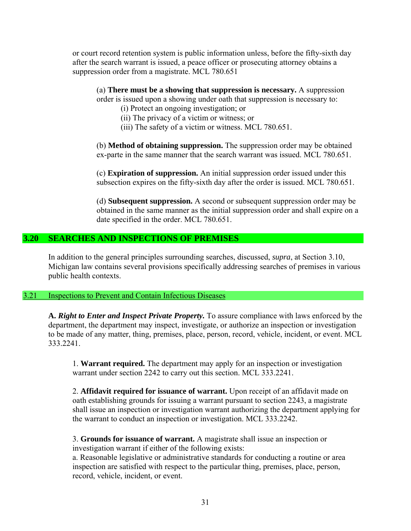or court record retention system is public information unless, before the fifty-sixth day after the search warrant is issued, a peace officer or prosecuting attorney obtains a suppression order from a magistrate. MCL 780.651

(a) **There must be a showing that suppression is necessary.** A suppression order is issued upon a showing under oath that suppression is necessary to:

- (i) Protect an ongoing investigation; or
- (ii) The privacy of a victim or witness; or
- (iii) The safety of a victim or witness. MCL 780.651.

(b) **Method of obtaining suppression.** The suppression order may be obtained ex-parte in the same manner that the search warrant was issued. MCL 780.651.

(c) **Expiration of suppression.** An initial suppression order issued under this subsection expires on the fifty-sixth day after the order is issued. MCL 780.651.

(d) **Subsequent suppression.** A second or subsequent suppression order may be obtained in the same manner as the initial suppression order and shall expire on a date specified in the order. MCL 780.651.

# **3.20 SEARCHES AND INSPECTIONS OF PREMISES**

In addition to the general principles surrounding searches, discussed, *supra*, at Section 3.10, Michigan law contains several provisions specifically addressing searches of premises in various public health contexts.

3.21 Inspections to Prevent and Contain Infectious Diseases

**A.** *Right to Enter and Inspect Private Property.* To assure compliance with laws enforced by the department, the department may inspect, investigate, or authorize an inspection or investigation to be made of any matter, thing, premises, place, person, record, vehicle, incident, or event. MCL 333.2241.

1. **Warrant required.** The department may apply for an inspection or investigation warrant under section 2242 to carry out this section. MCL 333.2241.

2. **Affidavit required for issuance of warrant.** Upon receipt of an affidavit made on oath establishing grounds for issuing a warrant pursuant to section 2243, a magistrate shall issue an inspection or investigation warrant authorizing the department applying for the warrant to conduct an inspection or investigation. MCL 333.2242.

3. **Grounds for issuance of warrant.** A magistrate shall issue an inspection or investigation warrant if either of the following exists:

a. Reasonable legislative or administrative standards for conducting a routine or area inspection are satisfied with respect to the particular thing, premises, place, person, record, vehicle, incident, or event.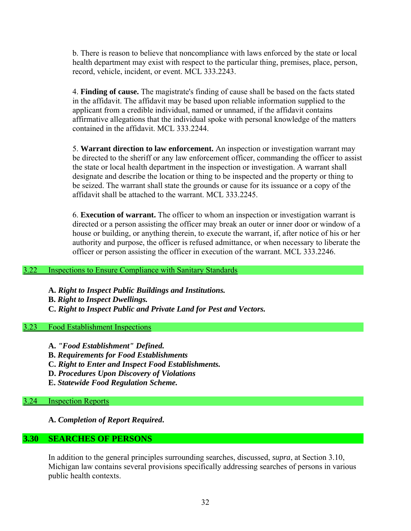b. There is reason to believe that noncompliance with laws enforced by the state or local health department may exist with respect to the particular thing, premises, place, person, record, vehicle, incident, or event. MCL 333.2243.

4. **Finding of cause.** The magistrate's finding of cause shall be based on the facts stated in the affidavit. The affidavit may be based upon reliable information supplied to the applicant from a credible individual, named or unnamed, if the affidavit contains affirmative allegations that the individual spoke with personal knowledge of the matters contained in the affidavit. MCL 333.2244.

5. **Warrant direction to law enforcement.** An inspection or investigation warrant may be directed to the sheriff or any law enforcement officer, commanding the officer to assist the state or local health department in the inspection or investigation. A warrant shall designate and describe the location or thing to be inspected and the property or thing to be seized. The warrant shall state the grounds or cause for its issuance or a copy of the affidavit shall be attached to the warrant. MCL 333.2245.

6. **Execution of warrant.** The officer to whom an inspection or investigation warrant is directed or a person assisting the officer may break an outer or inner door or window of a house or building, or anything therein, to execute the warrant, if, after notice of his or her authority and purpose, the officer is refused admittance, or when necessary to liberate the officer or person assisting the officer in execution of the warrant. MCL 333.2246.

## 3.22 Inspections to Ensure Compliance with Sanitary Standards

**A.** *Right to Inspect Public Buildings and Institutions.* **B.** *Right to Inspect Dwellings.* **C.** *Right to Inspect Public and Private Land for Pest and Vectors.* 

## 3.23 Food Establishment Inspections

- **A.** *"Food Establishment" Defined.*
- **B.** *Requirements for Food Establishments*
- **C.** *Right to Enter and Inspect Food Establishments.*
- **D.** *Procedures Upon Discovery of Violations*
- **E.** *Statewide Food Regulation Scheme.*

## 3.24 Inspection Reports

**A.** *Completion of Report Required***.** 

# **3.30 SEARCHES OF PERSONS**

In addition to the general principles surrounding searches, discussed, *supra*, at Section 3.10, Michigan law contains several provisions specifically addressing searches of persons in various public health contexts.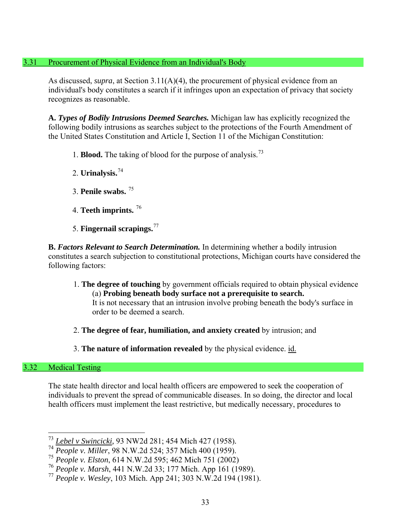## 3.31 Procurement of Physical Evidence from an Individual's Body

As discussed, *supra*, at Section 3.11(A)(4), the procurement of physical evidence from an individual's body constitutes a search if it infringes upon an expectation of privacy that society recognizes as reasonable.

**A.** *Types of Bodily Intrusions Deemed Searches.* Michigan law has explicitly recognized the following bodily intrusions as searches subject to the protections of the Fourth Amendment of the United States Constitution and Article I, Section 11 of the Michigan Constitution:

1. **Blood.** The taking of blood for the purpose of analysis.[73](#page-43-0)

2. **Urinalysis.**[74](#page-43-1)

- 3. **Penile swabs.** [75](#page-43-2)
- 4. **Teeth imprints.** [76](#page-43-3)
- 5. **Fingernail scrapings.**[77](#page-43-4)

**B.** *Factors Relevant to Search Determination.* In determining whether a bodily intrusion constitutes a search subjection to constitutional protections, Michigan courts have considered the following factors:

 1. **The degree of touching** by government officials required to obtain physical evidence (a) **Probing beneath body surface not a prerequisite to search.**  It is not necessary that an intrusion involve probing beneath the body's surface in

order to be deemed a search.

- 2. **The degree of fear, humiliation, and anxiety created** by intrusion; and
- 3. **The nature of information revealed** by the physical evidence. id.

# 3.32 Medical Testing

 $\overline{a}$ 

The state health director and local health officers are empowered to seek the cooperation of individuals to prevent the spread of communicable diseases. In so doing, the director and local health officers must implement the least restrictive, but medically necessary, procedures to

<span id="page-43-0"></span><sup>73</sup> *Lebel v Swincicki,* 93 NW2d [281; 454 Mich 427 \(1958\)](http://www.lexis.com/research/buttonTFLink?_m=a313a3f88ac54584c176157323257742&_xfercite=%3ccite%20cc%3d%22USA%22%3e%3c%21%5bCDATA%5bMCLS%20Const.%20Art.%20I%2c%20%a7%2011%5d%5d%3e%3c%2fcite%3e&_butType=3&_butStat=2&_butNum=134&_butInline=1&_butinfo=%3ccite%20cc%3d%22USA%22%3e%3c%21%5bCDATA%5b354%20Mich.%20427%5d%5d%3e%3c%2fcite%3e&_fmtstr=FULL&docnum=1&_startdoc=1&wchp=dGLbVzz-zSkAA&_md5=051dbdaed9f31536568b832c5bc6e390)*.* <sup>74</sup> *People v. Miller*, 98 N.W.2d 524; 357 Mich 400 (1959).

<span id="page-43-2"></span><span id="page-43-1"></span><sup>75</sup> *People v. Elston*, 614 N.W.2d 595; 462 Mich 751 (2002)

<span id="page-43-3"></span><sup>76</sup> *People v. Marsh*, 441 N.W.2d 33; 177 Mich. App 161 (1989).

<span id="page-43-4"></span><sup>77</sup> *People v. Wesley*, 103 Mich. App 241; 303 N.W.2d 194 (1981).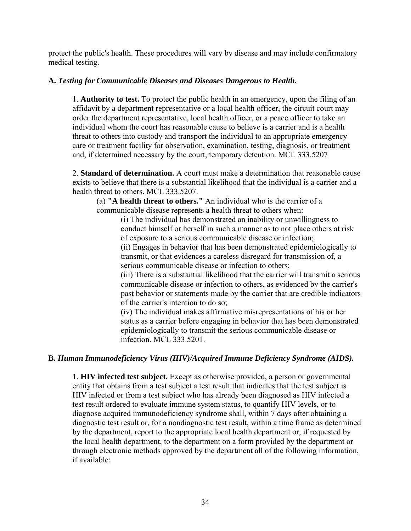protect the public's health. These procedures will vary by disease and may include confirmatory medical testing.

## **A.** *Testing for Communicable Diseases and Diseases Dangerous to Health.*

1. **Authority to test.** To protect the public health in an emergency, upon the filing of an affidavit by a department representative or a local health officer, the circuit court may order the department representative, local health officer, or a peace officer to take an individual whom the court has reasonable cause to believe is a carrier and is a health threat to others into custody and transport the individual to an appropriate emergency care or treatment facility for observation, examination, testing, diagnosis, or treatment and, if determined necessary by the court, temporary detention. MCL 333.5207

2. **Standard of determination.** A court must make a determination that reasonable cause exists to believe that there is a substantial likelihood that the individual is a carrier and a health threat to others. MCL 333.5207.

(a) **"A health threat to others."** An individual who is the carrier of a communicable disease represents a health threat to others when:

> (i) The individual has demonstrated an inability or unwillingness to conduct himself or herself in such a manner as to not place others at risk of exposure to a serious communicable disease or infection;

> (ii) Engages in behavior that has been demonstrated epidemiologically to transmit, or that evidences a careless disregard for transmission of, a serious communicable disease or infection to others;

(iii) There is a substantial likelihood that the carrier will transmit a serious communicable disease or infection to others, as evidenced by the carrier's past behavior or statements made by the carrier that are credible indicators of the carrier's intention to do so;

(iv) The individual makes affirmative misrepresentations of his or her status as a carrier before engaging in behavior that has been demonstrated epidemiologically to transmit the serious communicable disease or infection. MCL 333.5201.

# **B.** *Human Immunodeficiency Virus (HIV)/Acquired Immune Deficiency Syndrome (AIDS).*

1. **HIV infected test subject.** Except as otherwise provided, a person or governmental entity that obtains from a test subject a test result that indicates that the test subject is HIV infected or from a test subject who has already been diagnosed as HIV infected a test result ordered to evaluate immune system status, to quantify HIV levels, or to diagnose acquired immunodeficiency syndrome shall, within 7 days after obtaining a diagnostic test result or, for a nondiagnostic test result, within a time frame as determined by the department, report to the appropriate local health department or, if requested by the local health department, to the department on a form provided by the department or through electronic methods approved by the department all of the following information, if available: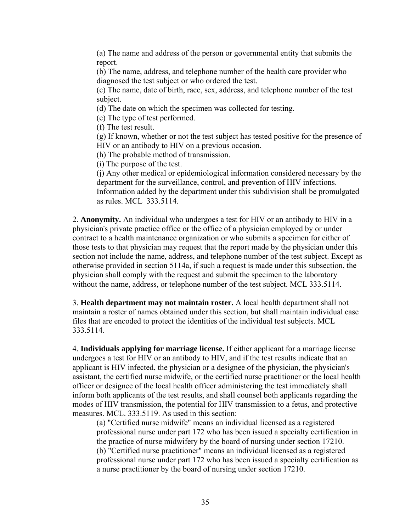(a) The name and address of the person or governmental entity that submits the report.

(b) The name, address, and telephone number of the health care provider who diagnosed the test subject or who ordered the test.

(c) The name, date of birth, race, sex, address, and telephone number of the test subject.

(d) The date on which the specimen was collected for testing.

(e) The type of test performed.

(f) The test result.

(g) If known, whether or not the test subject has tested positive for the presence of HIV or an antibody to HIV on a previous occasion.

(h) The probable method of transmission.

(i) The purpose of the test.

(j) Any other medical or epidemiological information considered necessary by the department for the surveillance, control, and prevention of HIV infections. Information added by the department under this subdivision shall be promulgated as rules. MCL 333.5114.

2. **Anonymity.** An individual who undergoes a test for HIV or an antibody to HIV in a physician's private practice office or the office of a physician employed by or under contract to a health maintenance organization or who submits a specimen for either of those tests to that physician may request that the report made by the physician under this section not include the name, address, and telephone number of the test subject. Except as otherwise provided in section 5114a, if such a request is made under this subsection, the physician shall comply with the request and submit the specimen to the laboratory without the name, address, or telephone number of the test subject. MCL 333.5114.

3. **Health department may not maintain roster.** A local health department shall not maintain a roster of names obtained under this section, but shall maintain individual case files that are encoded to protect the identities of the individual test subjects. MCL 333.5114.

4. **Individuals applying for marriage license.** If either applicant for a marriage license undergoes a test for HIV or an antibody to HIV, and if the test results indicate that an applicant is HIV infected, the physician or a designee of the physician, the physician's assistant, the certified nurse midwife, or the certified nurse practitioner or the local health officer or designee of the local health officer administering the test immediately shall inform both applicants of the test results, and shall counsel both applicants regarding the modes of HIV transmission, the potential for HIV transmission to a fetus, and protective measures. MCL. 333.5119. As used in this section:

(a) "Certified nurse midwife" means an individual licensed as a registered professional nurse under part 172 who has been issued a specialty certification in the practice of nurse midwifery by the board of nursing under section 17210. (b) "Certified nurse practitioner" means an individual licensed as a registered professional nurse under part 172 who has been issued a specialty certification as a nurse practitioner by the board of nursing under section 17210.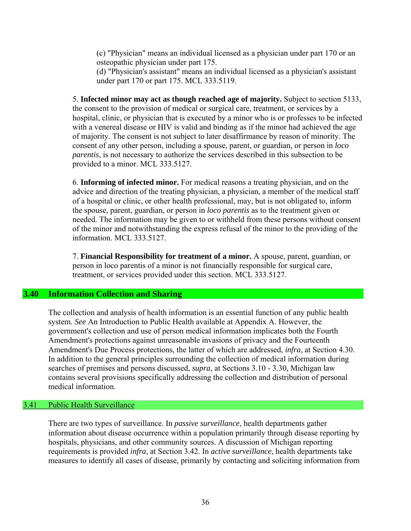(c) "Physician" means an individual licensed as a physician under part 170 or an osteopathic physician under part 175.

(d) "Physician's assistant" means an individual licensed as a physician's assistant under part 170 or part 175. MCL 333.5119.

5. **Infected minor may act as though reached age of majority.** Subject to section 5133, the consent to the provision of medical or surgical care, treatment, or services by a hospital, clinic, or physician that is executed by a minor who is or professes to be infected with a venereal disease or HIV is valid and binding as if the minor had achieved the age of majority. The consent is not subject to later disaffirmance by reason of minority. The consent of any other person, including a spouse, parent, or guardian, or person in *loco parentis*, is not necessary to authorize the services described in this subsection to be provided to a minor. MCL 333.5127.

6. **Informing of infected minor.** For medical reasons a treating physician, and on the advice and direction of the treating physician, a physician, a member of the medical staff of a hospital or clinic, or other health professional, may, but is not obligated to, inform the spouse, parent, guardian, or person in *loco parentis* as to the treatment given or needed. The information may be given to or withheld from these persons without consent of the minor and notwithstanding the express refusal of the minor to the providing of the information. MCL 333.5127.

7. **Financial Responsibility for treatment of a minor.** A spouse, parent, guardian, or person in loco parentis of a minor is not financially responsible for surgical care, treatment, or services provided under this section. MCL 333.5127.

## **3.40 Information Collection and Sharing**

The collection and analysis of health information is an essential function of any public health system. *See* An Introduction to Public Health available at Appendix A. However, the government's collection and use of person medical information implicates both the Fourth Amendment's protections against unreasonable invasions of privacy and the Fourteenth Amendment's Due Process protections, the latter of which are addressed, *infra*, at Section 4.30. In addition to the general principles surrounding the collection of medical information during searches of premises and persons discussed, *supra*, at Sections 3.10 - 3.30, Michigan law contains several provisions specifically addressing the collection and distribution of personal medical information.

## 3.41 Public Health Surveillance

There are two types of surveillance. In *passive surveillance*, health departments gather information about disease occurrence within a population primarily through disease reporting by hospitals, physicians, and other community sources. A discussion of Michigan reporting requirements is provided *infra*, at Section 3.42. In *active surveillance*, health departments take measures to identify all cases of disease, primarily by contacting and soliciting information from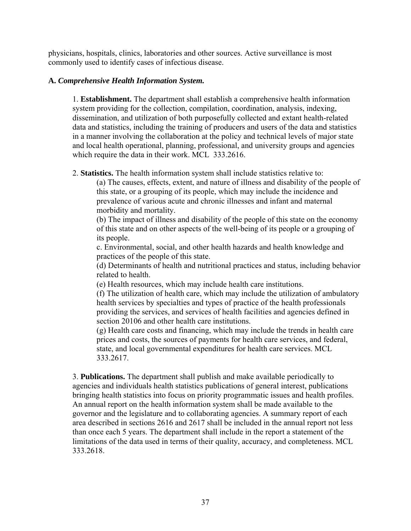physicians, hospitals, clinics, laboratories and other sources. Active surveillance is most commonly used to identify cases of infectious disease.

## **A.** *Comprehensive Health Information System.*

1. **Establishment.** The department shall establish a comprehensive health information system providing for the collection, compilation, coordination, analysis, indexing, dissemination, and utilization of both purposefully collected and extant health-related data and statistics, including the training of producers and users of the data and statistics in a manner involving the collaboration at the policy and technical levels of major state and local health operational, planning, professional, and university groups and agencies which require the data in their work. MCL 333.2616.

2. **Statistics.** The health information system shall include statistics relative to:

(a) The causes, effects, extent, and nature of illness and disability of the people of this state, or a grouping of its people, which may include the incidence and prevalence of various acute and chronic illnesses and infant and maternal morbidity and mortality.

(b) The impact of illness and disability of the people of this state on the economy of this state and on other aspects of the well-being of its people or a grouping of its people.

c. Environmental, social, and other health hazards and health knowledge and practices of the people of this state.

(d) Determinants of health and nutritional practices and status, including behavior related to health.

(e) Health resources, which may include health care institutions.

(f) The utilization of health care, which may include the utilization of ambulatory health services by specialties and types of practice of the health professionals providing the services, and services of health facilities and agencies defined in section 20106 and other health care institutions.

(g) Health care costs and financing, which may include the trends in health care prices and costs, the sources of payments for health care services, and federal, state, and local governmental expenditures for health care services. MCL 333.2617.

3. **Publications.** The department shall publish and make available periodically to agencies and individuals health statistics publications of general interest, publications bringing health statistics into focus on priority programmatic issues and health profiles. An annual report on the health information system shall be made available to the governor and the legislature and to collaborating agencies. A summary report of each area described in sections 2616 and 2617 shall be included in the annual report not less than once each 5 years. The department shall include in the report a statement of the limitations of the data used in terms of their quality, accuracy, and completeness. MCL 333.2618.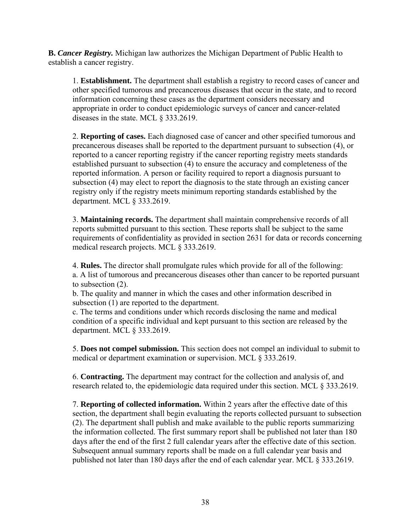**B.** *Cancer Registry.* Michigan law authorizes the Michigan Department of Public Health to establish a cancer registry.

1. **Establishment.** The department shall establish a registry to record cases of cancer and other specified tumorous and precancerous diseases that occur in the state, and to record information concerning these cases as the department considers necessary and appropriate in order to conduct epidemiologic surveys of cancer and cancer-related diseases in the state. MCL § 333.2619.

2. **Reporting of cases.** Each diagnosed case of cancer and other specified tumorous and precancerous diseases shall be reported to the department pursuant to subsection (4), or reported to a cancer reporting registry if the cancer reporting registry meets standards established pursuant to subsection (4) to ensure the accuracy and completeness of the reported information. A person or facility required to report a diagnosis pursuant to subsection (4) may elect to report the diagnosis to the state through an existing cancer registry only if the registry meets minimum reporting standards established by the department. MCL § 333.2619.

3. **Maintaining records.** The department shall maintain comprehensive records of all reports submitted pursuant to this section. These reports shall be subject to the same requirements of confidentiality as provided in section 2631 for data or records concerning medical research projects. MCL § 333.2619.

4. **Rules.** The director shall promulgate rules which provide for all of the following: a. A list of tumorous and precancerous diseases other than cancer to be reported pursuant to subsection (2).

b. The quality and manner in which the cases and other information described in subsection (1) are reported to the department.

c. The terms and conditions under which records disclosing the name and medical condition of a specific individual and kept pursuant to this section are released by the department. MCL § 333.2619.

5. **Does not compel submission.** This section does not compel an individual to submit to medical or department examination or supervision. MCL § 333.2619.

6. **Contracting.** The department may contract for the collection and analysis of, and research related to, the epidemiologic data required under this section. MCL § 333.2619.

7. **Reporting of collected information.** Within 2 years after the effective date of this section, the department shall begin evaluating the reports collected pursuant to subsection (2). The department shall publish and make available to the public reports summarizing the information collected. The first summary report shall be published not later than 180 days after the end of the first 2 full calendar years after the effective date of this section. Subsequent annual summary reports shall be made on a full calendar year basis and published not later than 180 days after the end of each calendar year. MCL § 333.2619.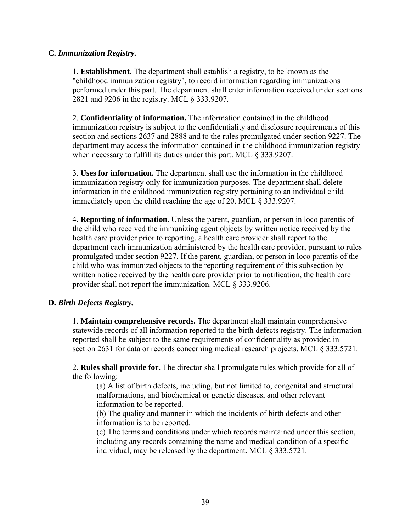# **C.** *Immunization Registry.*

1. **Establishment.** The department shall establish a registry, to be known as the "childhood immunization registry", to record information regarding immunizations performed under this part. The department shall enter information received under sections 2821 and 9206 in the registry. MCL § 333.9207.

2. **Confidentiality of information.** The information contained in the childhood immunization registry is subject to the confidentiality and disclosure requirements of this section and sections 2637 and 2888 and to the rules promulgated under section 9227. The department may access the information contained in the childhood immunization registry when necessary to fulfill its duties under this part. MCL § 333.9207.

3. **Uses for information.** The department shall use the information in the childhood immunization registry only for immunization purposes. The department shall delete information in the childhood immunization registry pertaining to an individual child immediately upon the child reaching the age of 20. MCL § 333.9207.

4. **Reporting of information.** Unless the parent, guardian, or person in loco parentis of the child who received the immunizing agent objects by written notice received by the health care provider prior to reporting, a health care provider shall report to the department each immunization administered by the health care provider, pursuant to rules promulgated under section 9227. If the parent, guardian, or person in loco parentis of the child who was immunized objects to the reporting requirement of this subsection by written notice received by the health care provider prior to notification, the health care provider shall not report the immunization. MCL § 333.9206.

# **D.** *Birth Defects Registry.*

1. **Maintain comprehensive records.** The department shall maintain comprehensive statewide records of all information reported to the birth defects registry. The information reported shall be subject to the same requirements of confidentiality as provided in section 2631 for data or records concerning medical research projects. MCL § 333.5721.

2. **Rules shall provide for.** The director shall promulgate rules which provide for all of the following:

(a) A list of birth defects, including, but not limited to, congenital and structural malformations, and biochemical or genetic diseases, and other relevant information to be reported.

(b) The quality and manner in which the incidents of birth defects and other information is to be reported.

(c) The terms and conditions under which records maintained under this section, including any records containing the name and medical condition of a specific individual, may be released by the department. MCL § 333.5721.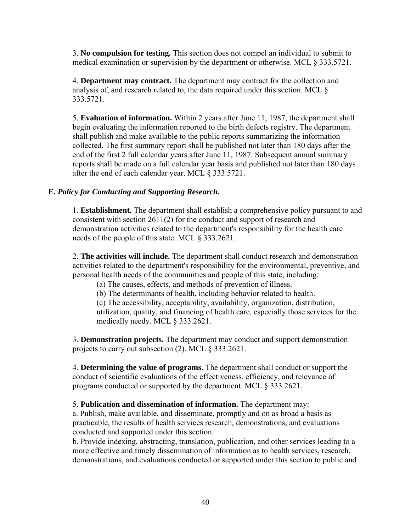3. **No compulsion for testing.** This section does not compel an individual to submit to medical examination or supervision by the department or otherwise. MCL § 333.5721.

4. **Department may contract.** The department may contract for the collection and analysis of, and research related to, the data required under this section. MCL § 333.5721.

5. **Evaluation of information.** Within 2 years after June 11, 1987, the department shall begin evaluating the information reported to the birth defects registry. The department shall publish and make available to the public reports summarizing the information collected. The first summary report shall be published not later than 180 days after the end of the first 2 full calendar years after June 11, 1987. Subsequent annual summary reports shall be made on a full calendar year basis and published not later than 180 days after the end of each calendar year. MCL § 333.5721.

# **E.** *Policy for Conducting and Supporting Research.*

1. **Establishment.** The department shall establish a comprehensive policy pursuant to and consistent with section 2611(2) for the conduct and support of research and demonstration activities related to the department's responsibility for the health care needs of the people of this state. MCL § 333.2621.

2. **The activities will include.** The department shall conduct research and demonstration activities related to the department's responsibility for the environmental, preventive, and personal health needs of the communities and people of this state, including:

(a) The causes, effects, and methods of prevention of illness.

(b) The determinants of health, including behavior related to health.

(c) The accessibility, acceptability, availability, organization, distribution, utilization, quality, and financing of health care, especially those services for the medically needy. MCL § 333.2621.

3. **Demonstration projects.** The department may conduct and support demonstration projects to carry out subsection (2). MCL § 333.2621.

4. **Determining the value of programs.** The department shall conduct or support the conduct of scientific evaluations of the effectiveness, efficiency, and relevance of programs conducted or supported by the department. MCL § 333.2621.

5. **Publication and dissemination of information.** The department may:

a. Publish, make available, and disseminate, promptly and on as broad a basis as practicable, the results of health services research, demonstrations, and evaluations conducted and supported under this section.

b. Provide indexing, abstracting, translation, publication, and other services leading to a more effective and timely dissemination of information as to health services, research, demonstrations, and evaluations conducted or supported under this section to public and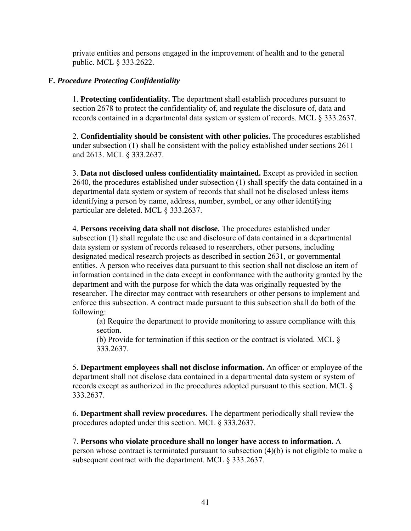private entities and persons engaged in the improvement of health and to the general public. MCL § 333.2622.

# **F.** *Procedure Protecting Confidentiality*

1. **Protecting confidentiality.** The department shall establish procedures pursuant to section 2678 to protect the confidentiality of, and regulate the disclosure of, data and records contained in a departmental data system or system of records. MCL § 333.2637.

2. **Confidentiality should be consistent with other policies.** The procedures established under subsection (1) shall be consistent with the policy established under sections 2611 and 2613. MCL § 333.2637.

3. **Data not disclosed unless confidentiality maintained.** Except as provided in section 2640, the procedures established under subsection (1) shall specify the data contained in a departmental data system or system of records that shall not be disclosed unless items identifying a person by name, address, number, symbol, or any other identifying particular are deleted. MCL § 333.2637.

4. **Persons receiving data shall not disclose.** The procedures established under subsection (1) shall regulate the use and disclosure of data contained in a departmental data system or system of records released to researchers, other persons, including designated medical research projects as described in section 2631, or governmental entities. A person who receives data pursuant to this section shall not disclose an item of information contained in the data except in conformance with the authority granted by the department and with the purpose for which the data was originally requested by the researcher. The director may contract with researchers or other persons to implement and enforce this subsection. A contract made pursuant to this subsection shall do both of the following:

(a) Require the department to provide monitoring to assure compliance with this section.

(b) Provide for termination if this section or the contract is violated. MCL § 333.2637.

5. **Department employees shall not disclose information.** An officer or employee of the department shall not disclose data contained in a departmental data system or system of records except as authorized in the procedures adopted pursuant to this section. MCL § 333.2637.

6. **Department shall review procedures.** The department periodically shall review the procedures adopted under this section. MCL § 333.2637.

7. **Persons who violate procedure shall no longer have access to information.** A person whose contract is terminated pursuant to subsection (4)(b) is not eligible to make a subsequent contract with the department. MCL § 333.2637.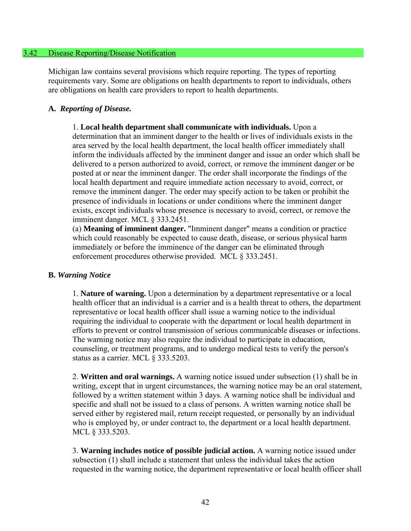#### 3.42 Disease Reporting/Disease Notification

Michigan law contains several provisions which require reporting. The types of reporting requirements vary. Some are obligations on health departments to report to individuals, others are obligations on health care providers to report to health departments.

# **A.** *Reporting of Disease.*

1. **Local health department shall communicate with individuals.** Upon a determination that an imminent danger to the health or lives of individuals exists in the area served by the local health department, the local health officer immediately shall inform the individuals affected by the imminent danger and issue an order which shall be delivered to a person authorized to avoid, correct, or remove the imminent danger or be posted at or near the imminent danger. The order shall incorporate the findings of the local health department and require immediate action necessary to avoid, correct, or remove the imminent danger. The order may specify action to be taken or prohibit the presence of individuals in locations or under conditions where the imminent danger exists, except individuals whose presence is necessary to avoid, correct, or remove the imminent danger. MCL § 333.2451.

(a) **Meaning of imminent danger.** "Imminent danger" means a condition or practice which could reasonably be expected to cause death, disease, or serious physical harm immediately or before the imminence of the danger can be eliminated through enforcement procedures otherwise provided. MCL § 333.2451.

## **B.** *Warning Notice*

1. **Nature of warning.** Upon a determination by a department representative or a local health officer that an individual is a carrier and is a health threat to others, the department representative or local health officer shall issue a warning notice to the individual requiring the individual to cooperate with the department or local health department in efforts to prevent or control transmission of serious communicable diseases or infections. The warning notice may also require the individual to participate in education, counseling, or treatment programs, and to undergo medical tests to verify the person's status as a carrier. MCL § 333.5203.

2. **Written and oral warnings.** A warning notice issued under subsection (1) shall be in writing, except that in urgent circumstances, the warning notice may be an oral statement, followed by a written statement within 3 days. A warning notice shall be individual and specific and shall not be issued to a class of persons. A written warning notice shall be served either by registered mail, return receipt requested, or personally by an individual who is employed by, or under contract to, the department or a local health department. MCL § 333.5203.

3. **Warning includes notice of possible judicial action.** A warning notice issued under subsection (1) shall include a statement that unless the individual takes the action requested in the warning notice, the department representative or local health officer shall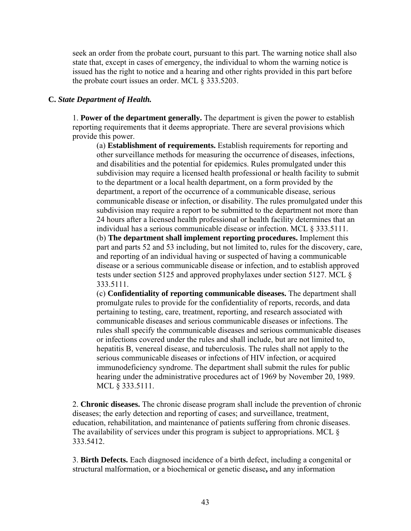seek an order from the probate court, pursuant to this part. The warning notice shall also state that, except in cases of emergency, the individual to whom the warning notice is issued has the right to notice and a hearing and other rights provided in this part before the probate court issues an order. MCL § 333.5203.

## **C.** *State Department of Health.*

1. **Power of the department generally.** The department is given the power to establish reporting requirements that it deems appropriate. There are several provisions which provide this power.

(a) **Establishment of requirements.** Establish requirements for reporting and other surveillance methods for measuring the occurrence of diseases, infections, and disabilities and the potential for epidemics. Rules promulgated under this subdivision may require a licensed health professional or health facility to submit to the department or a local health department, on a form provided by the department, a report of the occurrence of a communicable disease, serious communicable disease or infection, or disability. The rules promulgated under this subdivision may require a report to be submitted to the department not more than 24 hours after a licensed health professional or health facility determines that an individual has a serious communicable disease or infection. MCL § 333.5111.

(b) **The department shall implement reporting procedures.** Implement this part and parts 52 and 53 including, but not limited to, rules for the discovery, care, and reporting of an individual having or suspected of having a communicable disease or a serious communicable disease or infection, and to establish approved tests under section 5125 and approved prophylaxes under section 5127. MCL § 333.5111.

(c) **Confidentiality of reporting communicable diseases.** The department shall promulgate rules to provide for the confidentiality of reports, records, and data pertaining to testing, care, treatment, reporting, and research associated with communicable diseases and serious communicable diseases or infections. The rules shall specify the communicable diseases and serious communicable diseases or infections covered under the rules and shall include, but are not limited to, hepatitis B, venereal disease, and tuberculosis. The rules shall not apply to the serious communicable diseases or infections of HIV infection, or acquired immunodeficiency syndrome. The department shall submit the rules for public hearing under the administrative procedures act of 1969 by November 20, 1989. MCL § 333.5111.

2. **Chronic diseases.** The chronic disease program shall include the prevention of chronic diseases; the early detection and reporting of cases; and surveillance, treatment, education, rehabilitation, and maintenance of patients suffering from chronic diseases. The availability of services under this program is subject to appropriations. MCL  $\delta$ 333.5412.

3. **Birth Defects.** Each diagnosed incidence of a birth defect, including a congenital or structural malformation, or a biochemical or genetic disease**,** and any information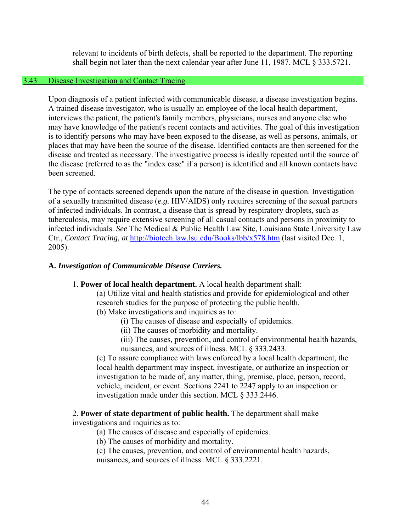relevant to incidents of birth defects, shall be reported to the department. The reporting shall begin not later than the next calendar year after June 11, 1987. MCL § 333.5721.

## 3.43 Disease Investigation and Contact Tracing

Upon diagnosis of a patient infected with communicable disease, a disease investigation begins. A trained disease investigator, who is usually an employee of the local health department, interviews the patient, the patient's family members, physicians, nurses and anyone else who may have knowledge of the patient's recent contacts and activities. The goal of this investigation is to identify persons who may have been exposed to the disease, as well as persons, animals, or places that may have been the source of the disease. Identified contacts are then screened for the disease and treated as necessary. The investigative process is ideally repeated until the source of the disease (referred to as the "index case" if a person) is identified and all known contacts have been screened.

The type of contacts screened depends upon the nature of the disease in question. Investigation of a sexually transmitted disease (*e.g.* HIV/AIDS) only requires screening of the sexual partners of infected individuals. In contrast, a disease that is spread by respiratory droplets, such as tuberculosis, may require extensive screening of all casual contacts and persons in proximity to infected individuals. *See* The Medical & Public Health Law Site, Louisiana State University Law Ctr., *Contact Tracing, at* <http://biotech.law.lsu.edu/Books/lbb/x578.htm> (last visited Dec. 1, 2005).

#### **A.** *Investigation of Communicable Disease Carriers.*

1. **Power of local health department.** A local health department shall:

(a) Utilize vital and health statistics and provide for epidemiological and other research studies for the purpose of protecting the public health.

(b) Make investigations and inquiries as to:

- (i) The causes of disease and especially of epidemics.
- (ii) The causes of morbidity and mortality.

(iii) The causes, prevention, and control of environmental health hazards, nuisances, and sources of illness. MCL § 333.2433.

(c) To assure compliance with laws enforced by a local health department, the local health department may inspect, investigate, or authorize an inspection or investigation to be made of, any matter, thing, premise, place, person, record, vehicle, incident, or event. Sections 2241 to 2247 apply to an inspection or investigation made under this section. MCL § 333.2446.

# 2. **Power of state department of public health.** The department shall make

investigations and inquiries as to:

(a) The causes of disease and especially of epidemics.

- (b) The causes of morbidity and mortality.
- (c) The causes, prevention, and control of environmental health hazards, nuisances, and sources of illness. MCL § 333.2221.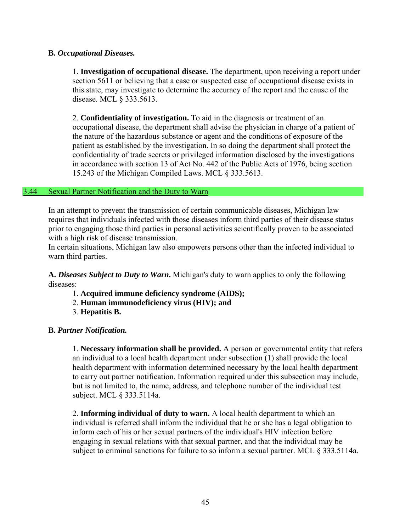## **B.** *Occupational Diseases.*

1. **Investigation of occupational disease.** The department, upon receiving a report under section 5611 or believing that a case or suspected case of occupational disease exists in this state, may investigate to determine the accuracy of the report and the cause of the disease. MCL § 333.5613.

2. **Confidentiality of investigation.** To aid in the diagnosis or treatment of an occupational disease, the department shall advise the physician in charge of a patient of the nature of the hazardous substance or agent and the conditions of exposure of the patient as established by the investigation. In so doing the department shall protect the confidentiality of trade secrets or privileged information disclosed by the investigations in accordance with section 13 of Act No. 442 of the Public Acts of 1976, being [section](http://www.lexis.com/research/buttonTFLink?_m=0819bb7fa1e21a7f98795719519eacd6&_xfercite=%3ccite%20cc%3d%22USA%22%3e%3c%21%5bCDATA%5bMCLS%20%a7%20333.5613%5d%5d%3e%3c%2fcite%3e&_butType=4&_butStat=0&_butNum=2&_butInline=1&_butinfo=MICODE%2015.243&_fmtstr=FULL&docnum=1&_startdoc=1&wchp=dGLbVlb-zSkAA&_md5=aa1d0aff44e836c876f11c21b48fbbff)  [15.243 of the Michigan Compiled Laws.](http://www.lexis.com/research/buttonTFLink?_m=0819bb7fa1e21a7f98795719519eacd6&_xfercite=%3ccite%20cc%3d%22USA%22%3e%3c%21%5bCDATA%5bMCLS%20%a7%20333.5613%5d%5d%3e%3c%2fcite%3e&_butType=4&_butStat=0&_butNum=2&_butInline=1&_butinfo=MICODE%2015.243&_fmtstr=FULL&docnum=1&_startdoc=1&wchp=dGLbVlb-zSkAA&_md5=aa1d0aff44e836c876f11c21b48fbbff) MCL § 333.5613.

#### 3.44 Sexual Partner Notification and the Duty to Warn

In an attempt to prevent the transmission of certain communicable diseases, Michigan law requires that individuals infected with those diseases inform third parties of their disease status prior to engaging those third parties in personal activities scientifically proven to be associated with a high risk of disease transmission.

In certain situations, Michigan law also empowers persons other than the infected individual to warn third parties.

**A.** *Diseases Subject to Duty to Warn***.** Michigan's duty to warn applies to only the following diseases:

- 1. **Acquired immune deficiency syndrome (AIDS);**
- 2. **Human immunodeficiency virus (HIV); and**
- 3. **Hepatitis B.**

## **B.** *Partner Notification.*

1. **Necessary information shall be provided.** A person or governmental entity that refers an individual to a local health department under subsection (1) shall provide the local health department with information determined necessary by the local health department to carry out partner notification. Information required under this subsection may include, but is not limited to, the name, address, and telephone number of the individual test subject. MCL § 333.5114a.

2. **Informing individual of duty to warn.** A local health department to which an individual is referred shall inform the individual that he or she has a legal obligation to inform each of his or her sexual partners of the individual's HIV infection before engaging in sexual relations with that sexual partner, and that the individual may be subject to criminal sanctions for failure to so inform a sexual partner. MCL § 333.5114a.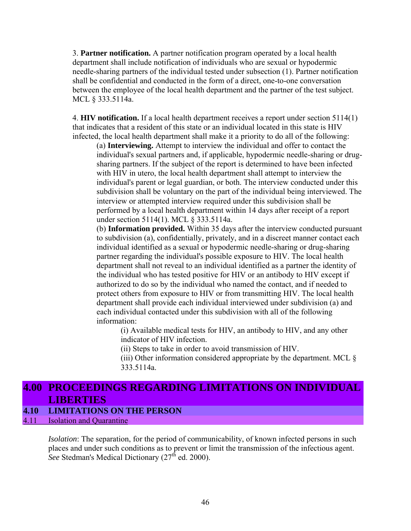3. **Partner notification.** A partner notification program operated by a local health department shall include notification of individuals who are sexual or hypodermic needle-sharing partners of the individual tested under subsection (1). Partner notification shall be confidential and conducted in the form of a direct, one-to-one conversation between the employee of the local health department and the partner of the test subject. MCL § 333.5114a.

4. **HIV notification.** If a local health department receives a report under section 5114(1) that indicates that a resident of this state or an individual located in this state is HIV infected, the local health department shall make it a priority to do all of the following:

(a) **Interviewing.** Attempt to interview the individual and offer to contact the individual's sexual partners and, if applicable, hypodermic needle-sharing or drugsharing partners. If the subject of the report is determined to have been infected with HIV in utero, the local health department shall attempt to interview the individual's parent or legal guardian, or both. The interview conducted under this subdivision shall be voluntary on the part of the individual being interviewed. The interview or attempted interview required under this subdivision shall be performed by a local health department within 14 days after receipt of a report under section 5114(1). MCL § 333.5114a.

(b) **Information provided.** Within 35 days after the interview conducted pursuant to subdivision (a), confidentially, privately, and in a discreet manner contact each individual identified as a sexual or hypodermic needle-sharing or drug-sharing partner regarding the individual's possible exposure to HIV. The local health department shall not reveal to an individual identified as a partner the identity of the individual who has tested positive for HIV or an antibody to HIV except if authorized to do so by the individual who named the contact, and if needed to protect others from exposure to HIV or from transmitting HIV. The local health department shall provide each individual interviewed under subdivision (a) and each individual contacted under this subdivision with all of the following information:

(i) Available medical tests for HIV, an antibody to HIV, and any other indicator of HIV infection.

(ii) Steps to take in order to avoid transmission of HIV.

(iii) Other information considered appropriate by the department. MCL § 333.5114a.

# **4.00 PROCEEDINGS REGARDING LIMITATIONS ON INDIVIDUAL LIBERTIES**

**4.10 LIMITATIONS ON THE PERSON**

## 4.11 Isolation and Quarantine

*Isolation*: The separation, for the period of communicability, of known infected persons in such places and under such conditions as to prevent or limit the transmission of the infectious agent. See Stedman's Medical Dictionary (27<sup>th</sup> ed. 2000).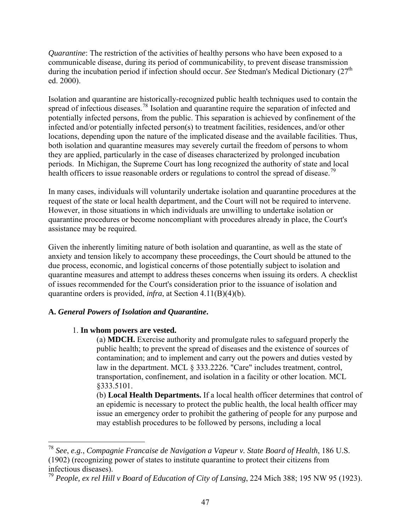*Quarantine*: The restriction of the activities of healthy persons who have been exposed to a communicable disease, during its period of communicability, to prevent disease transmission during the incubation period if infection should occur. *See* Stedman's Medical Dictionary (27<sup>th</sup> ed. 2000).

Isolation and quarantine are historically-recognized public health techniques used to contain the spread of infectious diseases.<sup>[78](#page-57-0)</sup> Isolation and quarantine require the separation of infected and potentially infected persons, from the public. This separation is achieved by confinement of the infected and/or potentially infected person(s) to treatment facilities, residences, and/or other locations, depending upon the nature of the implicated disease and the available facilities. Thus, both isolation and quarantine measures may severely curtail the freedom of persons to whom they are applied, particularly in the case of diseases characterized by prolonged incubation periods. In Michigan, the Supreme Court has long recognized the authority of state and local health officers to issue reasonable orders or regulations to control the spread of disease.<sup>[79](#page-57-1)</sup>

In many cases, individuals will voluntarily undertake isolation and quarantine procedures at the request of the state or local health department, and the Court will not be required to intervene. However, in those situations in which individuals are unwilling to undertake isolation or quarantine procedures or become noncompliant with procedures already in place, the Court's assistance may be required.

Given the inherently limiting nature of both isolation and quarantine, as well as the state of anxiety and tension likely to accompany these proceedings, the Court should be attuned to the due process, economic, and logistical concerns of those potentially subject to isolation and quarantine measures and attempt to address theses concerns when issuing its orders. A checklist of issues recommended for the Court's consideration prior to the issuance of isolation and quarantine orders is provided, *infra*, at Section 4.11(B)(4)(b).

# **A.** *General Powers of Isolation and Quarantine***.**

# 1. **In whom powers are vested.**

 $\overline{a}$ 

(a) **MDCH.** Exercise authority and promulgate rules to safeguard properly the public health; to prevent the spread of diseases and the existence of sources of contamination; and to implement and carry out the powers and duties vested by law in the department. MCL § 333.2226. "Care" includes treatment, control, transportation, confinement, and isolation in a facility or other location. MCL §333.5101.

(b) **Local Health Departments.** If a local health officer determines that control of an epidemic is necessary to protect the public health, the local health officer may issue an emergency order to prohibit the gathering of people for any purpose and may establish procedures to be followed by persons, including a local

<span id="page-57-0"></span><sup>78</sup> *See*, *e.g.*, *Compagnie Francaise de Navigation a Vapeur v. State Board of Health*, 186 U.S. (1902) (recognizing power of states to institute quarantine to protect their citizens from infectious diseases).

<span id="page-57-1"></span><sup>79</sup> *People, ex rel Hill v Board of Education of City of Lansing*, 224 Mich 388; 195 NW 95 (1923).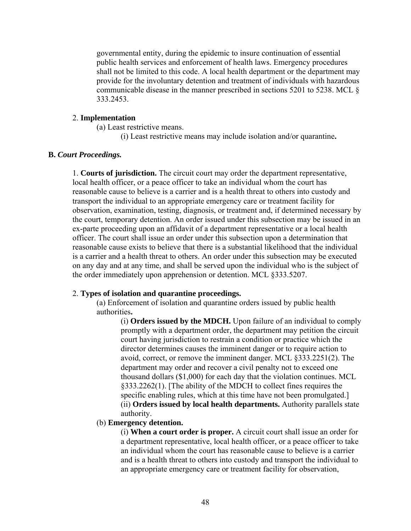governmental entity, during the epidemic to insure continuation of essential public health services and enforcement of health laws. Emergency procedures shall not be limited to this code. A local health department or the department may provide for the involuntary detention and treatment of individuals with hazardous communicable disease in the manner prescribed in sections 5201 to 5238. MCL § 333.2453.

#### 2. **Implementation**

(a) Least restrictive means.

(i) Least restrictive means may include isolation and/or quarantine**.** 

## **B.** *Court Proceedings.*

1. **Courts of jurisdiction.** The circuit court may order the department representative, local health officer, or a peace officer to take an individual whom the court has reasonable cause to believe is a carrier and is a health threat to others into custody and transport the individual to an appropriate emergency care or treatment facility for observation, examination, testing, diagnosis, or treatment and, if determined necessary by the court, temporary detention. An order issued under this subsection may be issued in an ex-parte proceeding upon an affidavit of a department representative or a local health officer. The court shall issue an order under this subsection upon a determination that reasonable cause exists to believe that there is a substantial likelihood that the individual is a carrier and a health threat to others. An order under this subsection may be executed on any day and at any time, and shall be served upon the individual who is the subject of the order immediately upon apprehension or detention. MCL §333.5207.

## 2. **Types of isolation and quarantine proceedings.**

(a) Enforcement of isolation and quarantine orders issued by public health authorities**.** 

> (i) **Orders issued by the MDCH.** Upon failure of an individual to comply promptly with a department order, the department may petition the circuit court having jurisdiction to restrain a condition or practice which the director determines causes the imminent danger or to require action to avoid, correct, or remove the imminent danger. MCL §333.2251(2). The department may order and recover a civil penalty not to exceed one thousand dollars (\$1,000) for each day that the violation continues. MCL §333.2262(1). [The ability of the MDCH to collect fines requires the specific enabling rules, which at this time have not been promulgated. (ii) **Orders issued by local health departments.** Authority parallels state authority.

## (b) **Emergency detention.**

(i) **When a court order is proper.** A circuit court shall issue an order for a department representative, local health officer, or a peace officer to take an individual whom the court has reasonable cause to believe is a carrier and is a health threat to others into custody and transport the individual to an appropriate emergency care or treatment facility for observation,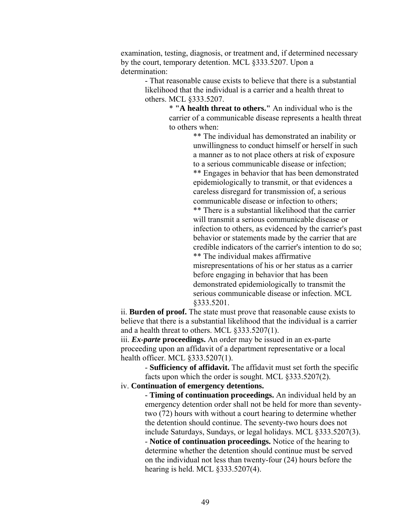examination, testing, diagnosis, or treatment and, if determined necessary by the court, temporary detention. MCL §333.5207. Upon a determination:

- That reasonable cause exists to believe that there is a substantial likelihood that the individual is a carrier and a health threat to others. MCL §333.5207.

> \* **"A health threat to others."** An individual who is the carrier of a communicable disease represents a health threat to others when:

\*\* The individual has demonstrated an inability or unwillingness to conduct himself or herself in such a manner as to not place others at risk of exposure to a serious communicable disease or infection; \*\* Engages in behavior that has been demonstrated epidemiologically to transmit, or that evidences a careless disregard for transmission of, a serious communicable disease or infection to others; \*\* There is a substantial likelihood that the carrier will transmit a serious communicable disease or infection to others, as evidenced by the carrier's past behavior or statements made by the carrier that are credible indicators of the carrier's intention to do so; \*\* The individual makes affirmative misrepresentations of his or her status as a carrier

before engaging in behavior that has been demonstrated epidemiologically to transmit the serious communicable disease or infection. MCL §333.5201.

ii. **Burden of proof.** The state must prove that reasonable cause exists to believe that there is a substantial likelihood that the individual is a carrier and a health threat to others. MCL §333.5207(1).

iii. *Ex-parte* **proceedings.** An order may be issued in an ex-parte proceeding upon an affidavit of a department representative or a local health officer. MCL §333.5207(1).

- **Sufficiency of affidavit.** The affidavit must set forth the specific facts upon which the order is sought. MCL §333.5207(2).

#### iv. **Continuation of emergency detentions.**

- **Timing of continuation proceedings.** An individual held by an emergency detention order shall not be held for more than seventytwo (72) hours with without a court hearing to determine whether the detention should continue. The seventy-two hours does not include Saturdays, Sundays, or legal holidays. MCL §333.5207(3).

- **Notice of continuation proceedings.** Notice of the hearing to determine whether the detention should continue must be served on the individual not less than twenty-four (24) hours before the hearing is held. MCL §333.5207(4).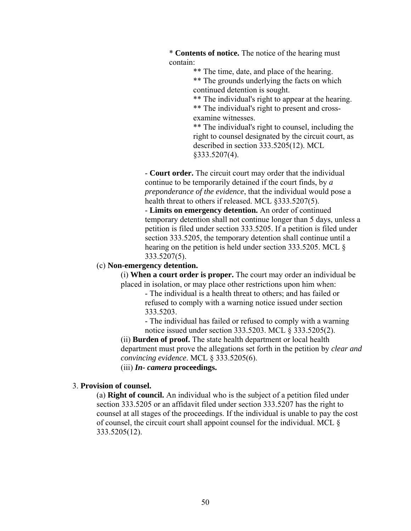\* **Contents of notice.** The notice of the hearing must contain:

\*\* The time, date, and place of the hearing.

\*\* The grounds underlying the facts on which continued detention is sought.

\*\* The individual's right to appear at the hearing. \*\* The individual's right to present and crossexamine witnesses.

\*\* The individual's right to counsel, including the right to counsel designated by the circuit court, as described in section 333.5205(12). MCL §333.5207(4).

- **Court order.** The circuit court may order that the individual continue to be temporarily detained if the court finds, by *a preponderance of the evidence*, that the individual would pose a health threat to others if released. MCL §333.5207(5).

- **Limits on emergency detention.** An order of continued temporary detention shall not continue longer than 5 days, unless a petition is filed under section 333.5205. If a petition is filed under section 333.5205, the temporary detention shall continue until a hearing on the petition is held under section 333.5205. MCL § 333.5207(5).

## (c) **Non-emergency detention.**

(i) **When a court order is proper.** The court may order an individual be placed in isolation, or may place other restrictions upon him when:

- The individual is a health threat to others; and has failed or refused to comply with a warning notice issued under section 333.5203.

- The individual has failed or refused to comply with a warning notice issued under section 333.5203. MCL § 333.5205(2).

(ii) **Burden of proof.** The state health department or local health department must prove the allegations set forth in the petition by *clear and convincing evidence*. MCL § 333.5205(6).

(iii) *In- camera* **proceedings.** 

## 3. **Provision of counsel.**

(a) **Right of council.** An individual who is the subject of a petition filed under section 333.5205 or an affidavit filed under section 333.5207 has the right to counsel at all stages of the proceedings. If the individual is unable to pay the cost of counsel, the circuit court shall appoint counsel for the individual. MCL § 333.5205(12).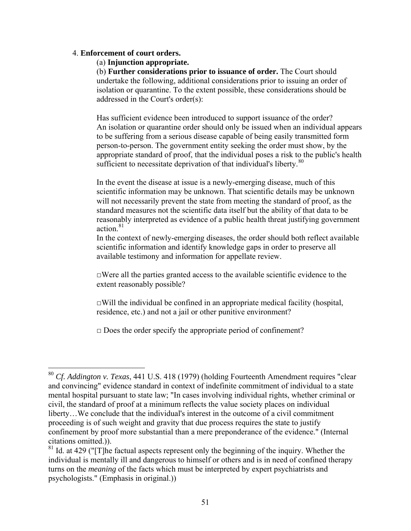# 4. **Enforcement of court orders.**

 $\overline{a}$ 

(a) **Injunction appropriate.** 

(b) **Further considerations prior to issuance of order.** The Court should undertake the following, additional considerations prior to issuing an order of isolation or quarantine. To the extent possible, these considerations should be addressed in the Court's order(s):

Has sufficient evidence been introduced to support issuance of the order? An isolation or quarantine order should only be issued when an individual appears to be suffering from a serious disease capable of being easily transmitted form person-to-person. The government entity seeking the order must show, by the appropriate standard of proof, that the individual poses a risk to the public's health sufficient to necessitate deprivation of that individual's liberty.<sup>[80](#page-61-0)</sup>

In the event the disease at issue is a newly-emerging disease, much of this scientific information may be unknown. That scientific details may be unknown will not necessarily prevent the state from meeting the standard of proof, as the standard measures not the scientific data itself but the ability of that data to be reasonably interpreted as evidence of a public health threat justifying government action<sup>[81](#page-61-1)</sup>

In the context of newly-emerging diseases, the order should both reflect available scientific information and identify knowledge gaps in order to preserve all available testimony and information for appellate review.

 $\Box$ Were all the parties granted access to the available scientific evidence to the extent reasonably possible?

 $\Box$ Will the individual be confined in an appropriate medical facility (hospital, residence, etc.) and not a jail or other punitive environment?

 $\Box$  Does the order specify the appropriate period of confinement?

<span id="page-61-0"></span><sup>80</sup> *Cf. Addington v. Texas*, 441 U.S. 418 (1979) (holding Fourteenth Amendment requires "clear and convincing" evidence standard in context of indefinite commitment of individual to a state mental hospital pursuant to state law; "In cases involving individual rights, whether criminal or civil, the standard of proof at a minimum reflects the value society places on individual liberty…We conclude that the individual's interest in the outcome of a civil commitment proceeding is of such weight and gravity that due process requires the state to justify confinement by proof more substantial than a mere preponderance of the evidence." (Internal citations omitted.)).

<span id="page-61-1"></span> $81$  Id. at 429 ("[T]ne factual aspects represent only the beginning of the inquiry. Whether the individual is mentally ill and dangerous to himself or others and is in need of confined therapy turns on the *meaning* of the facts which must be interpreted by expert psychiatrists and psychologists." (Emphasis in original.))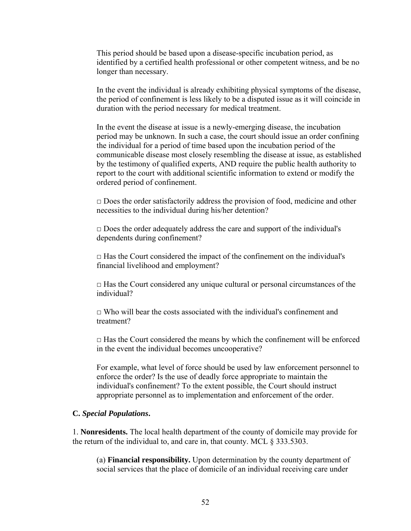This period should be based upon a disease-specific incubation period, as identified by a certified health professional or other competent witness, and be no longer than necessary.

In the event the individual is already exhibiting physical symptoms of the disease, the period of confinement is less likely to be a disputed issue as it will coincide in duration with the period necessary for medical treatment.

In the event the disease at issue is a newly-emerging disease, the incubation period may be unknown. In such a case, the court should issue an order confining the individual for a period of time based upon the incubation period of the communicable disease most closely resembling the disease at issue, as established by the testimony of qualified experts, AND require the public health authority to report to the court with additional scientific information to extend or modify the ordered period of confinement.

 $\Box$  Does the order satisfactorily address the provision of food, medicine and other necessities to the individual during his/her detention?

 $\Box$  Does the order adequately address the care and support of the individual's dependents during confinement?

 $\Box$  Has the Court considered the impact of the confinement on the individual's financial livelihood and employment?

 $\Box$  Has the Court considered any unique cultural or personal circumstances of the individual?

 $\Box$  Who will bear the costs associated with the individual's confinement and treatment?

 $\Box$  Has the Court considered the means by which the confinement will be enforced in the event the individual becomes uncooperative?

For example, what level of force should be used by law enforcement personnel to enforce the order? Is the use of deadly force appropriate to maintain the individual's confinement? To the extent possible, the Court should instruct appropriate personnel as to implementation and enforcement of the order.

#### **C.** *Special Populations***.**

1. **Nonresidents.** The local health department of the county of domicile may provide for the return of the individual to, and care in, that county. MCL § 333.5303.

(a) **Financial responsibility.** Upon determination by the county department of social services that the place of domicile of an individual receiving care under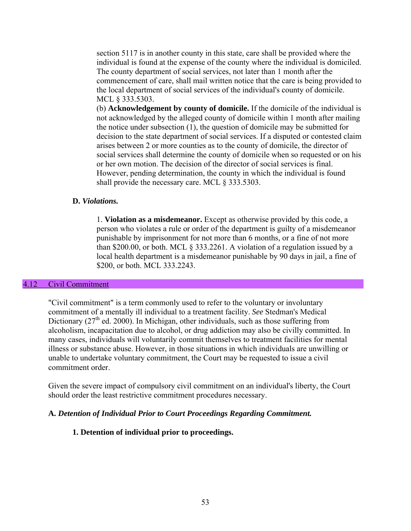section 5117 is in another county in this state, care shall be provided where the individual is found at the expense of the county where the individual is domiciled. The county department of social services, not later than 1 month after the commencement of care, shall mail written notice that the care is being provided to the local department of social services of the individual's county of domicile. MCL § 333.5303.

(b) **Acknowledgement by county of domicile.** If the domicile of the individual is not acknowledged by the alleged county of domicile within 1 month after mailing the notice under subsection (1), the question of domicile may be submitted for decision to the state department of social services. If a disputed or contested claim arises between 2 or more counties as to the county of domicile, the director of social services shall determine the county of domicile when so requested or on his or her own motion. The decision of the director of social services is final. However, pending determination, the county in which the individual is found shall provide the necessary care. MCL § 333.5303.

## **D.** *Violations.*

1. **Violation as a misdemeanor.** Except as otherwise provided by this code, a person who violates a rule or order of the department is guilty of a misdemeanor punishable by imprisonment for not more than 6 months, or a fine of not more than \$200.00, or both. MCL § 333.2261. A violation of a regulation issued by a local health department is a misdemeanor punishable by 90 days in jail, a fine of \$200, or both. MCL 333.2243.

## 4.12 Civil Commitment

"Civil commitment" is a term commonly used to refer to the voluntary or involuntary commitment of a mentally ill individual to a treatment facility. *See* Stedman's Medical Dictionary  $(27<sup>th</sup>$  ed. 2000). In Michigan, other individuals, such as those suffering from alcoholism, incapacitation due to alcohol, or drug addiction may also be civilly committed. In many cases, individuals will voluntarily commit themselves to treatment facilities for mental illness or substance abuse. However, in those situations in which individuals are unwilling or unable to undertake voluntary commitment, the Court may be requested to issue a civil commitment order.

Given the severe impact of compulsory civil commitment on an individual's liberty, the Court should order the least restrictive commitment procedures necessary.

#### **A.** *Detention of Individual Prior to Court Proceedings Regarding Commitment.*

#### **1. Detention of individual prior to proceedings.**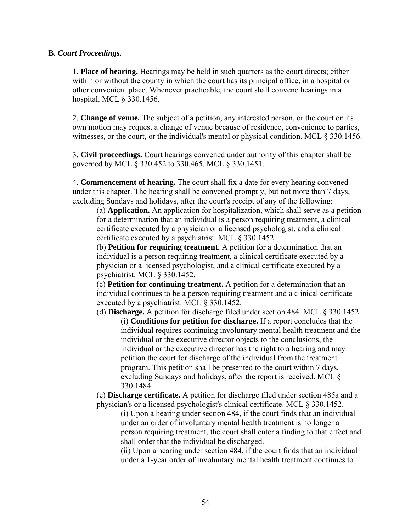## **B.** *Court Proceedings.*

1. **Place of hearing.** Hearings may be held in such quarters as the court directs; either within or without the county in which the court has its principal office, in a hospital or other convenient place. Whenever practicable, the court shall convene hearings in a hospital. MCL § 330.1456.

2. **Change of venue.** The subject of a petition, any interested person, or the court on its own motion may request a change of venue because of residence, convenience to parties, witnesses, or the court, or the individual's mental or physical condition. MCL § 330.1456.

3. **Civil proceedings.** Court hearings convened under authority of this chapter shall be governed by MCL § 330.452 to 330.465. MCL § 330.1451.

4. **Commencement of hearing.** The court shall fix a date for every hearing convened under this chapter. The hearing shall be convened promptly, but not more than 7 days, excluding Sundays and holidays, after the court's receipt of any of the following:

(a) **Application.** An application for hospitalization, which shall serve as a petition for a determination that an individual is a person requiring treatment, a clinical certificate executed by a physician or a licensed psychologist, and a clinical certificate executed by a psychiatrist. MCL § 330.1452.

(b) **Petition for requiring treatment.** A petition for a determination that an individual is a person requiring treatment, a clinical certificate executed by a physician or a licensed psychologist, and a clinical certificate executed by a psychiatrist. MCL § 330.1452.

(c) **Petition for continuing treatment.** A petition for a determination that an individual continues to be a person requiring treatment and a clinical certificate executed by a psychiatrist. MCL § 330.1452.

(d) **Discharge.** A petition for discharge filed under section 484. MCL § 330.1452. (i) **Conditions for petition for discharge.** If a report concludes that the individual requires continuing involuntary mental health treatment and the individual or the executive director objects to the conclusions, the individual or the executive director has the right to a hearing and may petition the court for discharge of the individual from the treatment program. This petition shall be presented to the court within 7 days, excluding Sundays and holidays, after the report is received. MCL § 330.1484.

(e) **Discharge certificate.** A petition for discharge filed under section 485a and a physician's or a licensed psychologist's clinical certificate. MCL § 330.1452.

(i) Upon a hearing under section 484, if the court finds that an individual under an order of involuntary mental health treatment is no longer a person requiring treatment, the court shall enter a finding to that effect and shall order that the individual be discharged.

(ii) Upon a hearing under section 484, if the court finds that an individual under a 1-year order of involuntary mental health treatment continues to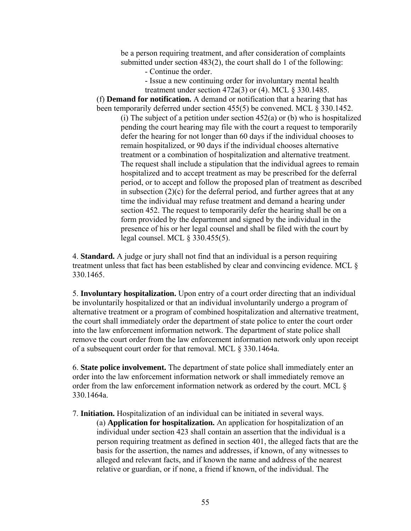be a person requiring treatment, and after consideration of complaints submitted under section 483(2), the court shall do 1 of the following:

- Continue the order.
- Issue a new continuing order for involuntary mental health treatment under section 472a(3) or (4). MCL § 330.1485.

(f) **Demand for notification.** A demand or notification that a hearing that has been temporarily deferred under section 455(5) be convened. MCL § 330.1452.

(i) The subject of a petition under section  $452(a)$  or (b) who is hospitalized pending the court hearing may file with the court a request to temporarily defer the hearing for not longer than 60 days if the individual chooses to remain hospitalized, or 90 days if the individual chooses alternative treatment or a combination of hospitalization and alternative treatment. The request shall include a stipulation that the individual agrees to remain hospitalized and to accept treatment as may be prescribed for the deferral period, or to accept and follow the proposed plan of treatment as described in subsection  $(2)(c)$  for the deferral period, and further agrees that at any time the individual may refuse treatment and demand a hearing under section 452. The request to temporarily defer the hearing shall be on a form provided by the department and signed by the individual in the presence of his or her legal counsel and shall be filed with the court by legal counsel. MCL § 330.455(5).

4. **Standard.** A judge or jury shall not find that an individual is a person requiring treatment unless that fact has been established by clear and convincing evidence. MCL § 330.1465.

5. **Involuntary hospitalization.** Upon entry of a court order directing that an individual be involuntarily hospitalized or that an individual involuntarily undergo a program of alternative treatment or a program of combined hospitalization and alternative treatment, the court shall immediately order the department of state police to enter the court order into the law enforcement information network. The department of state police shall remove the court order from the law enforcement information network only upon receipt of a subsequent court order for that removal. MCL § 330.1464a.

6. **State police involvement.** The department of state police shall immediately enter an order into the law enforcement information network or shall immediately remove an order from the law enforcement information network as ordered by the court. MCL § 330.1464a.

7. **Initiation.** Hospitalization of an individual can be initiated in several ways. (a) **Application for hospitalization.** An application for hospitalization of an individual under section 423 shall contain an assertion that the individual is a person requiring treatment as defined in section 401, the alleged facts that are the basis for the assertion, the names and addresses, if known, of any witnesses to alleged and relevant facts, and if known the name and address of the nearest relative or guardian, or if none, a friend if known, of the individual. The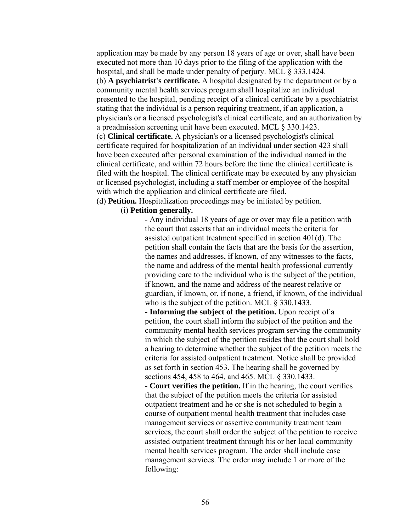application may be made by any person 18 years of age or over, shall have been executed not more than 10 days prior to the filing of the application with the hospital, and shall be made under penalty of perjury. MCL § 333.1424. (b) **A psychiatrist's certificate.** A hospital designated by the department or by a community mental health services program shall hospitalize an individual presented to the hospital, pending receipt of a clinical certificate by a psychiatrist stating that the individual is a person requiring treatment, if an application, a physician's or a licensed psychologist's clinical certificate, and an authorization by a preadmission screening unit have been executed. MCL § 330.1423.

(c) **Clinical certificate.** A physician's or a licensed psychologist's clinical certificate required for hospitalization of an individual under section 423 shall have been executed after personal examination of the individual named in the clinical certificate, and within 72 hours before the time the clinical certificate is filed with the hospital. The clinical certificate may be executed by any physician or licensed psychologist, including a staff member or employee of the hospital with which the application and clinical certificate are filed.

(d) **Petition.** Hospitalization proceedings may be initiated by petition.

#### (i) **Petition generally.**

- Any individual 18 years of age or over may file a petition with the court that asserts that an individual meets the criteria for assisted outpatient treatment specified in section 401(d). The petition shall contain the facts that are the basis for the assertion, the names and addresses, if known, of any witnesses to the facts, the name and address of the mental health professional currently providing care to the individual who is the subject of the petition, if known, and the name and address of the nearest relative or guardian, if known, or, if none, a friend, if known, of the individual who is the subject of the petition. MCL § 330.1433.

- **Informing the subject of the petition.** Upon receipt of a petition, the court shall inform the subject of the petition and the community mental health services program serving the community in which the subject of the petition resides that the court shall hold a hearing to determine whether the subject of the petition meets the criteria for assisted outpatient treatment. Notice shall be provided as set forth in section 453. The hearing shall be governed by sections 454, 458 to 464, and 465. MCL § 330.1433.

- **Court verifies the petition.** If in the hearing, the court verifies that the subject of the petition meets the criteria for assisted outpatient treatment and he or she is not scheduled to begin a course of outpatient mental health treatment that includes case management services or assertive community treatment team services, the court shall order the subject of the petition to receive assisted outpatient treatment through his or her local community mental health services program. The order shall include case management services. The order may include 1 or more of the following: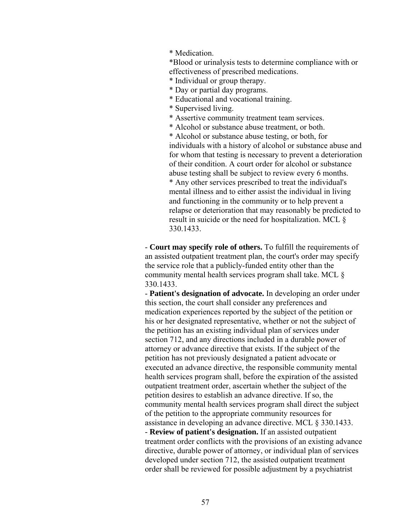\* Medication.

\*Blood or urinalysis tests to determine compliance with or effectiveness of prescribed medications.

- \* Individual or group therapy.
- \* Day or partial day programs.
- \* Educational and vocational training.
- \* Supervised living.
- \* Assertive community treatment team services.
- \* Alcohol or substance abuse treatment, or both.

\* Alcohol or substance abuse testing, or both, for individuals with a history of alcohol or substance abuse and for whom that testing is necessary to prevent a deterioration of their condition. A court order for alcohol or substance abuse testing shall be subject to review every 6 months. \* Any other services prescribed to treat the individual's mental illness and to either assist the individual in living and functioning in the community or to help prevent a relapse or deterioration that may reasonably be predicted to result in suicide or the need for hospitalization. MCL § 330.1433.

- **Court may specify role of others.** To fulfill the requirements of an assisted outpatient treatment plan, the court's order may specify the service role that a publicly-funded entity other than the community mental health services program shall take. MCL § 330.1433.

- **Patient's designation of advocate.** In developing an order under this section, the court shall consider any preferences and medication experiences reported by the subject of the petition or his or her designated representative, whether or not the subject of the petition has an existing individual plan of services under section 712, and any directions included in a durable power of attorney or advance directive that exists. If the subject of the petition has not previously designated a patient advocate or executed an advance directive, the responsible community mental health services program shall, before the expiration of the assisted outpatient treatment order, ascertain whether the subject of the petition desires to establish an advance directive. If so, the community mental health services program shall direct the subject of the petition to the appropriate community resources for assistance in developing an advance directive. MCL § 330.1433.

- **Review of patient's designation.** If an assisted outpatient treatment order conflicts with the provisions of an existing advance directive, durable power of attorney, or individual plan of services developed under section 712, the assisted outpatient treatment order shall be reviewed for possible adjustment by a psychiatrist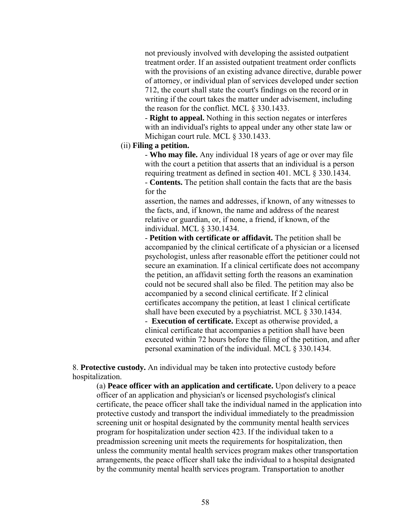not previously involved with developing the assisted outpatient treatment order. If an assisted outpatient treatment order conflicts with the provisions of an existing advance directive, durable power of attorney, or individual plan of services developed under section 712, the court shall state the court's findings on the record or in writing if the court takes the matter under advisement, including the reason for the conflict. MCL § 330.1433.

- **Right to appeal.** Nothing in this section negates or interferes with an individual's rights to appeal under any other state law or Michigan court rule. MCL § 330.1433.

#### (ii) **Filing a petition.**

- **Who may file.** Any individual 18 years of age or over may file with the court a petition that asserts that an individual is a person requiring treatment as defined in section 401. MCL § 330.1434.

- **Contents.** The petition shall contain the facts that are the basis for the

assertion, the names and addresses, if known, of any witnesses to the facts, and, if known, the name and address of the nearest relative or guardian, or, if none, a friend, if known, of the individual. MCL § 330.1434.

- **Petition with certificate or affidavit.** The petition shall be accompanied by the clinical certificate of a physician or a licensed psychologist, unless after reasonable effort the petitioner could not secure an examination. If a clinical certificate does not accompany the petition, an affidavit setting forth the reasons an examination could not be secured shall also be filed. The petition may also be accompanied by a second clinical certificate. If 2 clinical certificates accompany the petition, at least 1 clinical certificate shall have been executed by a psychiatrist. MCL § 330.1434.

- **Execution of certificate.** Except as otherwise provided, a clinical certificate that accompanies a petition shall have been executed within 72 hours before the filing of the petition, and after personal examination of the individual. MCL § 330.1434.

8. **Protective custody.** An individual may be taken into protective custody before hospitalization.

(a) **Peace officer with an application and certificate.** Upon delivery to a peace officer of an application and physician's or licensed psychologist's clinical certificate, the peace officer shall take the individual named in the application into protective custody and transport the individual immediately to the preadmission screening unit or hospital designated by the community mental health services program for hospitalization under section 423. If the individual taken to a preadmission screening unit meets the requirements for hospitalization, then unless the community mental health services program makes other transportation arrangements, the peace officer shall take the individual to a hospital designated by the community mental health services program. Transportation to another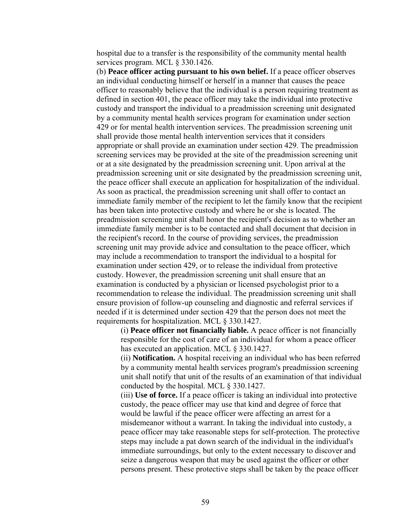hospital due to a transfer is the responsibility of the community mental health services program. MCL § 330.1426.

(b) **Peace officer acting pursuant to his own belief.** If a peace officer observes an individual conducting himself or herself in a manner that causes the peace officer to reasonably believe that the individual is a person requiring treatment as defined in section 401, the peace officer may take the individual into protective custody and transport the individual to a preadmission screening unit designated by a community mental health services program for examination under section 429 or for mental health intervention services. The preadmission screening unit shall provide those mental health intervention services that it considers appropriate or shall provide an examination under section 429. The preadmission screening services may be provided at the site of the preadmission screening unit or at a site designated by the preadmission screening unit. Upon arrival at the preadmission screening unit or site designated by the preadmission screening unit, the peace officer shall execute an application for hospitalization of the individual. As soon as practical, the preadmission screening unit shall offer to contact an immediate family member of the recipient to let the family know that the recipient has been taken into protective custody and where he or she is located. The preadmission screening unit shall honor the recipient's decision as to whether an immediate family member is to be contacted and shall document that decision in the recipient's record. In the course of providing services, the preadmission screening unit may provide advice and consultation to the peace officer, which may include a recommendation to transport the individual to a hospital for examination under section 429, or to release the individual from protective custody. However, the preadmission screening unit shall ensure that an examination is conducted by a physician or licensed psychologist prior to a recommendation to release the individual. The preadmission screening unit shall ensure provision of follow-up counseling and diagnostic and referral services if needed if it is determined under section 429 that the person does not meet the requirements for hospitalization. MCL § 330.1427.

(i) **Peace officer not financially liable.** A peace officer is not financially responsible for the cost of care of an individual for whom a peace officer has executed an application. MCL § 330.1427.

(ii) **Notification.** A hospital receiving an individual who has been referred by a community mental health services program's preadmission screening unit shall notify that unit of the results of an examination of that individual conducted by the hospital. MCL § 330.1427.

(iii) **Use of force.** If a peace officer is taking an individual into protective custody, the peace officer may use that kind and degree of force that would be lawful if the peace officer were affecting an arrest for a misdemeanor without a warrant. In taking the individual into custody, a peace officer may take reasonable steps for self-protection. The protective steps may include a pat down search of the individual in the individual's immediate surroundings, but only to the extent necessary to discover and seize a dangerous weapon that may be used against the officer or other persons present. These protective steps shall be taken by the peace officer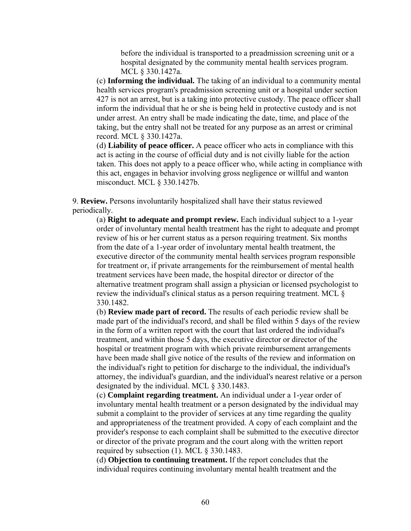before the individual is transported to a preadmission screening unit or a hospital designated by the community mental health services program. MCL § 330.1427a.

(c) **Informing the individual.** The taking of an individual to a community mental health services program's preadmission screening unit or a hospital under section 427 is not an arrest, but is a taking into protective custody. The peace officer shall inform the individual that he or she is being held in protective custody and is not under arrest. An entry shall be made indicating the date, time, and place of the taking, but the entry shall not be treated for any purpose as an arrest or criminal record. MCL § 330.1427a.

(d) **Liability of peace officer.** A peace officer who acts in compliance with this act is acting in the course of official duty and is not civilly liable for the action taken. This does not apply to a peace officer who, while acting in compliance with this act, engages in behavior involving gross negligence or willful and wanton misconduct. MCL § 330.1427b.

9. **Review.** Persons involuntarily hospitalized shall have their status reviewed periodically.

(a) **Right to adequate and prompt review.** Each individual subject to a 1-year order of involuntary mental health treatment has the right to adequate and prompt review of his or her current status as a person requiring treatment. Six months from the date of a 1-year order of involuntary mental health treatment, the executive director of the community mental health services program responsible for treatment or, if private arrangements for the reimbursement of mental health treatment services have been made, the hospital director or director of the alternative treatment program shall assign a physician or licensed psychologist to review the individual's clinical status as a person requiring treatment. MCL § 330.1482.

(b) **Review made part of record.** The results of each periodic review shall be made part of the individual's record, and shall be filed within 5 days of the review in the form of a written report with the court that last ordered the individual's treatment, and within those 5 days, the executive director or director of the hospital or treatment program with which private reimbursement arrangements have been made shall give notice of the results of the review and information on the individual's right to petition for discharge to the individual, the individual's attorney, the individual's guardian, and the individual's nearest relative or a person designated by the individual. MCL § 330.1483.

(c) **Complaint regarding treatment.** An individual under a 1-year order of involuntary mental health treatment or a person designated by the individual may submit a complaint to the provider of services at any time regarding the quality and appropriateness of the treatment provided. A copy of each complaint and the provider's response to each complaint shall be submitted to the executive director or director of the private program and the court along with the written report required by subsection (1). MCL § 330.1483.

(d) **Objection to continuing treatment.** If the report concludes that the individual requires continuing involuntary mental health treatment and the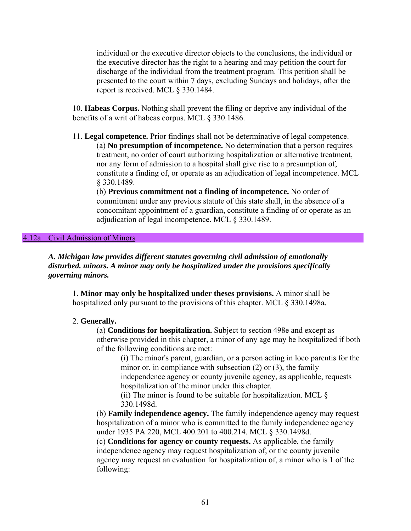individual or the executive director objects to the conclusions, the individual or the executive director has the right to a hearing and may petition the court for discharge of the individual from the treatment program. This petition shall be presented to the court within 7 days, excluding Sundays and holidays, after the report is received. MCL § 330.1484.

10. **Habeas Corpus.** Nothing shall prevent the filing or deprive any individual of the benefits of a writ of habeas corpus. MCL § 330.1486.

11. **Legal competence.** Prior findings shall not be determinative of legal competence. (a) **No presumption of incompetence.** No determination that a person requires treatment, no order of court authorizing hospitalization or alternative treatment, nor any form of admission to a hospital shall give rise to a presumption of, constitute a finding of, or operate as an adjudication of legal incompetence. MCL § 330.1489.

(b) **Previous commitment not a finding of incompetence.** No order of commitment under any previous statute of this state shall, in the absence of a concomitant appointment of a guardian, constitute a finding of or operate as an adjudication of legal incompetence. MCL § 330.1489.

## 4.12a Civil Admission of Minors

*A. Michigan law provides different statutes governing civil admission of emotionally disturbed. minors. A minor may only be hospitalized under the provisions specifically governing minors.* 

1. **Minor may only be hospitalized under theses provisions.** A minor shall be hospitalized only pursuant to the provisions of this chapter. MCL § 330.1498a.

## 2. **Generally.**

(a) **Conditions for hospitalization.** Subject to section 498e and except as otherwise provided in this chapter, a minor of any age may be hospitalized if both of the following conditions are met:

(i) The minor's parent, guardian, or a person acting in loco parentis for the minor or, in compliance with subsection (2) or (3), the family independence agency or county juvenile agency, as applicable, requests hospitalization of the minor under this chapter.

(ii) The minor is found to be suitable for hospitalization. MCL  $\S$ 330.1498d.

(b) **Family independence agency.** The family independence agency may request hospitalization of a minor who is committed to the family independence agency under 1935 PA 220, [MCL 400.201](http://www.lexis.com/research/buttonTFLink?_m=fc2352b628e2f83e0a935371973b6420&_xfercite=%3ccite%20cc%3d%22USA%22%3e%3c%21%5bCDATA%5bMCLS%20%a7%20330.1498d%5d%5d%3e%3c%2fcite%3e&_butType=4&_butStat=0&_butNum=3&_butInline=1&_butinfo=MICODE%20400.201&_fmtstr=FULL&docnum=1&_startdoc=1&wchp=dGLbVzz-zSkAk&_md5=54027bc9233169860edf7605fa201bd4) to [400.214](http://www.lexis.com/research/buttonTFLink?_m=fc2352b628e2f83e0a935371973b6420&_xfercite=%3ccite%20cc%3d%22USA%22%3e%3c%21%5bCDATA%5bMCLS%20%a7%20330.1498d%5d%5d%3e%3c%2fcite%3e&_butType=4&_butStat=0&_butNum=4&_butInline=1&_butinfo=MICODE%20400.214&_fmtstr=FULL&docnum=1&_startdoc=1&wchp=dGLbVzz-zSkAk&_md5=8f72cc360dc1a24a036305ffe4da0180). MCL § 330.1498d.

(c) **Conditions for agency or county requests.** As applicable, the family independence agency may request hospitalization of, or the county juvenile agency may request an evaluation for hospitalization of, a minor who is 1 of the following: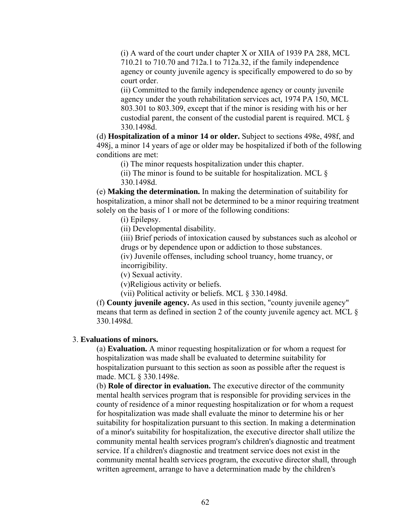(i) A ward of the court under chapter X or XIIA of 1939 PA 288, [MCL](http://www.lexis.com/research/buttonTFLink?_m=fc2352b628e2f83e0a935371973b6420&_xfercite=%3ccite%20cc%3d%22USA%22%3e%3c%21%5bCDATA%5bMCLS%20%a7%20330.1498d%5d%5d%3e%3c%2fcite%3e&_butType=4&_butStat=0&_butNum=6&_butInline=1&_butinfo=MICODE%20710.21&_fmtstr=FULL&docnum=1&_startdoc=1&wchp=dGLbVzz-zSkAk&_md5=60618f141f13a3b1042f755999c2068a)  [710.21](http://www.lexis.com/research/buttonTFLink?_m=fc2352b628e2f83e0a935371973b6420&_xfercite=%3ccite%20cc%3d%22USA%22%3e%3c%21%5bCDATA%5bMCLS%20%a7%20330.1498d%5d%5d%3e%3c%2fcite%3e&_butType=4&_butStat=0&_butNum=6&_butInline=1&_butinfo=MICODE%20710.21&_fmtstr=FULL&docnum=1&_startdoc=1&wchp=dGLbVzz-zSkAk&_md5=60618f141f13a3b1042f755999c2068a) to [710.70](http://www.lexis.com/research/buttonTFLink?_m=fc2352b628e2f83e0a935371973b6420&_xfercite=%3ccite%20cc%3d%22USA%22%3e%3c%21%5bCDATA%5bMCLS%20%a7%20330.1498d%5d%5d%3e%3c%2fcite%3e&_butType=4&_butStat=0&_butNum=7&_butInline=1&_butinfo=MICODE%20710.70&_fmtstr=FULL&docnum=1&_startdoc=1&wchp=dGLbVzz-zSkAk&_md5=a5b60a31516381da14da3e99384bdfae) and [712a.1](http://www.lexis.com/research/buttonTFLink?_m=fc2352b628e2f83e0a935371973b6420&_xfercite=%3ccite%20cc%3d%22USA%22%3e%3c%21%5bCDATA%5bMCLS%20%a7%20330.1498d%5d%5d%3e%3c%2fcite%3e&_butType=4&_butStat=0&_butNum=8&_butInline=1&_butinfo=MICODE%20712A.1&_fmtstr=FULL&docnum=1&_startdoc=1&wchp=dGLbVzz-zSkAk&_md5=df1727a2a466994679badc9c4d10ad86) to [712a.32,](http://www.lexis.com/research/buttonTFLink?_m=fc2352b628e2f83e0a935371973b6420&_xfercite=%3ccite%20cc%3d%22USA%22%3e%3c%21%5bCDATA%5bMCLS%20%a7%20330.1498d%5d%5d%3e%3c%2fcite%3e&_butType=4&_butStat=0&_butNum=9&_butInline=1&_butinfo=MICODE%20712A.32&_fmtstr=FULL&docnum=1&_startdoc=1&wchp=dGLbVzz-zSkAk&_md5=9a4b5bf37b70de7f24b6de8a94cf70b7) if the family independence agency or county juvenile agency is specifically empowered to do so by court order.

(ii) Committed to the family independence agency or county juvenile agency under the youth rehabilitation services act, 1974 PA 150, [MCL](http://www.lexis.com/research/buttonTFLink?_m=fc2352b628e2f83e0a935371973b6420&_xfercite=%3ccite%20cc%3d%22USA%22%3e%3c%21%5bCDATA%5bMCLS%20%a7%20330.1498d%5d%5d%3e%3c%2fcite%3e&_butType=4&_butStat=0&_butNum=11&_butInline=1&_butinfo=MICODE%20803.301&_fmtstr=FULL&docnum=1&_startdoc=1&wchp=dGLbVzz-zSkAk&_md5=a6c68eb41e3d2d6353a9edfd7292e0fd)  [803.301](http://www.lexis.com/research/buttonTFLink?_m=fc2352b628e2f83e0a935371973b6420&_xfercite=%3ccite%20cc%3d%22USA%22%3e%3c%21%5bCDATA%5bMCLS%20%a7%20330.1498d%5d%5d%3e%3c%2fcite%3e&_butType=4&_butStat=0&_butNum=11&_butInline=1&_butinfo=MICODE%20803.301&_fmtstr=FULL&docnum=1&_startdoc=1&wchp=dGLbVzz-zSkAk&_md5=a6c68eb41e3d2d6353a9edfd7292e0fd) to [803.309](http://www.lexis.com/research/buttonTFLink?_m=fc2352b628e2f83e0a935371973b6420&_xfercite=%3ccite%20cc%3d%22USA%22%3e%3c%21%5bCDATA%5bMCLS%20%a7%20330.1498d%5d%5d%3e%3c%2fcite%3e&_butType=4&_butStat=0&_butNum=12&_butInline=1&_butinfo=MICODE%20803.309&_fmtstr=FULL&docnum=1&_startdoc=1&wchp=dGLbVzz-zSkAk&_md5=804491fe96137e17057fcecf3a18a815), except that if the minor is residing with his or her custodial parent, the consent of the custodial parent is required. MCL § 330.1498d.

(d) **Hospitalization of a minor 14 or older.** Subject to sections 498e, 498f, and 498j, a minor 14 years of age or older may be hospitalized if both of the following conditions are met:

(i) The minor requests hospitalization under this chapter.

(ii) The minor is found to be suitable for hospitalization. MCL  $\S$ 330.1498d.

(e) **Making the determination.** In making the determination of suitability for hospitalization, a minor shall not be determined to be a minor requiring treatment solely on the basis of 1 or more of the following conditions:

(i) Epilepsy.

(ii) Developmental disability.

(iii) Brief periods of intoxication caused by substances such as alcohol or drugs or by dependence upon or addiction to those substances.

(iv) Juvenile offenses, including school truancy, home truancy, or incorrigibility.

(v) Sexual activity.

(v)Religious activity or beliefs.

(vii) Political activity or beliefs. MCL § 330.1498d.

(f) **County juvenile agency.** As used in this section, "county juvenile agency" means that term as defined in section 2 of the county juvenile agency act. MCL § 330.1498d.

#### 3. **Evaluations of minors.**

(a) **Evaluation.** A minor requesting hospitalization or for whom a request for hospitalization was made shall be evaluated to determine suitability for hospitalization pursuant to this section as soon as possible after the request is made. MCL § 330.1498e.

(b) **Role of director in evaluation.** The executive director of the community mental health services program that is responsible for providing services in the county of residence of a minor requesting hospitalization or for whom a request for hospitalization was made shall evaluate the minor to determine his or her suitability for hospitalization pursuant to this section. In making a determination of a minor's suitability for hospitalization, the executive director shall utilize the community mental health services program's children's diagnostic and treatment service. If a children's diagnostic and treatment service does not exist in the community mental health services program, the executive director shall, through written agreement, arrange to have a determination made by the children's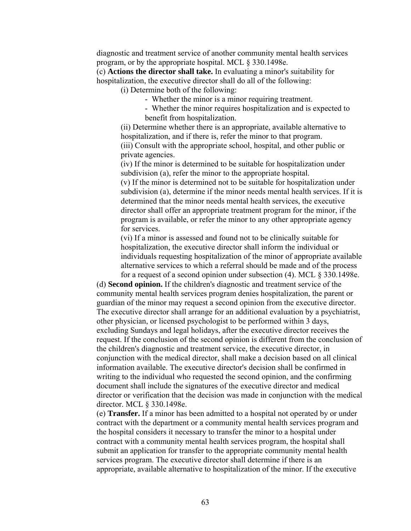diagnostic and treatment service of another community mental health services program, or by the appropriate hospital. MCL § 330.1498e.

(c) **Actions the director shall take.** In evaluating a minor's suitability for hospitalization, the executive director shall do all of the following:

(i) Determine both of the following:

- Whether the minor is a minor requiring treatment.
- Whether the minor requires hospitalization and is expected to benefit from hospitalization.

(ii) Determine whether there is an appropriate, available alternative to hospitalization, and if there is, refer the minor to that program. (iii) Consult with the appropriate school, hospital, and other public or private agencies.

(iv) If the minor is determined to be suitable for hospitalization under subdivision (a), refer the minor to the appropriate hospital.

(v) If the minor is determined not to be suitable for hospitalization under subdivision (a), determine if the minor needs mental health services. If it is determined that the minor needs mental health services, the executive director shall offer an appropriate treatment program for the minor, if the program is available, or refer the minor to any other appropriate agency for services.

(vi) If a minor is assessed and found not to be clinically suitable for hospitalization, the executive director shall inform the individual or individuals requesting hospitalization of the minor of appropriate available alternative services to which a referral should be made and of the process for a request of a second opinion under subsection (4). MCL § 330.1498e.

(d) **Second opinion.** If the children's diagnostic and treatment service of the community mental health services program denies hospitalization, the parent or guardian of the minor may request a second opinion from the executive director. The executive director shall arrange for an additional evaluation by a psychiatrist, other physician, or licensed psychologist to be performed within 3 days, excluding Sundays and legal holidays, after the executive director receives the request. If the conclusion of the second opinion is different from the conclusion of the children's diagnostic and treatment service, the executive director, in conjunction with the medical director, shall make a decision based on all clinical information available. The executive director's decision shall be confirmed in writing to the individual who requested the second opinion, and the confirming document shall include the signatures of the executive director and medical director or verification that the decision was made in conjunction with the medical director. MCL § 330.1498e.

(e) **Transfer.** If a minor has been admitted to a hospital not operated by or under contract with the department or a community mental health services program and the hospital considers it necessary to transfer the minor to a hospital under contract with a community mental health services program, the hospital shall submit an application for transfer to the appropriate community mental health services program. The executive director shall determine if there is an appropriate, available alternative to hospitalization of the minor. If the executive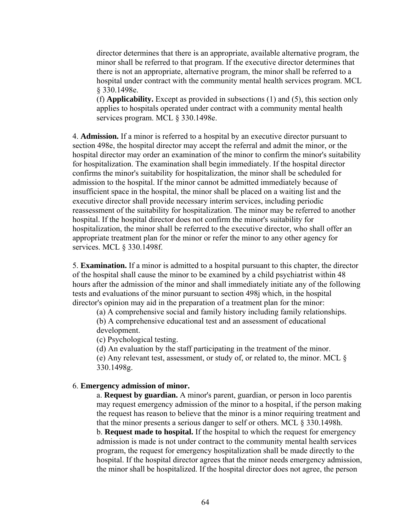director determines that there is an appropriate, available alternative program, the minor shall be referred to that program. If the executive director determines that there is not an appropriate, alternative program, the minor shall be referred to a hospital under contract with the community mental health services program. MCL § 330.1498e.

(f) **Applicability.** Except as provided in subsections (1) and (5), this section only applies to hospitals operated under contract with a community mental health services program. MCL § 330.1498e.

4. **Admission.** If a minor is referred to a hospital by an executive director pursuant to section 498e, the hospital director may accept the referral and admit the minor, or the hospital director may order an examination of the minor to confirm the minor's suitability for hospitalization. The examination shall begin immediately. If the hospital director confirms the minor's suitability for hospitalization, the minor shall be scheduled for admission to the hospital. If the minor cannot be admitted immediately because of insufficient space in the hospital, the minor shall be placed on a waiting list and the executive director shall provide necessary interim services, including periodic reassessment of the suitability for hospitalization. The minor may be referred to another hospital. If the hospital director does not confirm the minor's suitability for hospitalization, the minor shall be referred to the executive director, who shall offer an appropriate treatment plan for the minor or refer the minor to any other agency for services. MCL § 330.1498f.

5. **Examination.** If a minor is admitted to a hospital pursuant to this chapter, the director of the hospital shall cause the minor to be examined by a child psychiatrist within 48 hours after the admission of the minor and shall immediately initiate any of the following tests and evaluations of the minor pursuant to section 498j which, in the hospital director's opinion may aid in the preparation of a treatment plan for the minor:

(a) A comprehensive social and family history including family relationships.

(b) A comprehensive educational test and an assessment of educational development.

(c) Psychological testing.

(d) An evaluation by the staff participating in the treatment of the minor. (e) Any relevant test, assessment, or study of, or related to, the minor. MCL § 330.1498g.

#### 6. **Emergency admission of minor.**

a. **Request by guardian.** A minor's parent, guardian, or person in loco parentis may request emergency admission of the minor to a hospital, if the person making the request has reason to believe that the minor is a minor requiring treatment and that the minor presents a serious danger to self or others. MCL § 330.1498h.

b. **Request made to hospital.** If the hospital to which the request for emergency admission is made is not under contract to the community mental health services program, the request for emergency hospitalization shall be made directly to the hospital. If the hospital director agrees that the minor needs emergency admission, the minor shall be hospitalized. If the hospital director does not agree, the person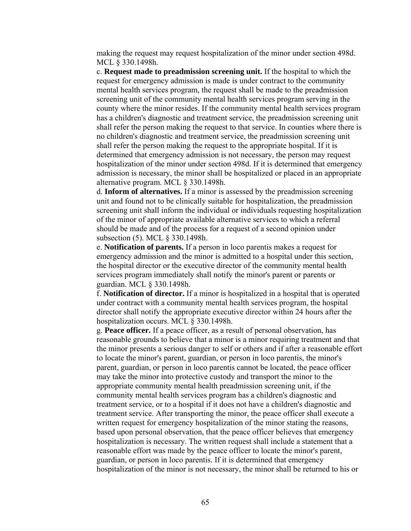making the request may request hospitalization of the minor under section 498d. MCL § 330.1498h.

c. **Request made to preadmission screening unit.** If the hospital to which the request for emergency admission is made is under contract to the community mental health services program, the request shall be made to the preadmission screening unit of the community mental health services program serving in the county where the minor resides. If the community mental health services program has a children's diagnostic and treatment service, the preadmission screening unit shall refer the person making the request to that service. In counties where there is no children's diagnostic and treatment service, the preadmission screening unit shall refer the person making the request to the appropriate hospital. If it is determined that emergency admission is not necessary, the person may request hospitalization of the minor under section 498d. If it is determined that emergency admission is necessary, the minor shall be hospitalized or placed in an appropriate alternative program. MCL § 330.1498h.

d. **Inform of alternatives.** If a minor is assessed by the preadmission screening unit and found not to be clinically suitable for hospitalization, the preadmission screening unit shall inform the individual or individuals requesting hospitalization of the minor of appropriate available alternative services to which a referral should be made and of the process for a request of a second opinion under subsection (5). MCL § 330.1498h.

e. **Notification of parents.** If a person in loco parentis makes a request for emergency admission and the minor is admitted to a hospital under this section, the hospital director or the executive director of the community mental health services program immediately shall notify the minor's parent or parents or guardian. MCL § 330.1498h.

f. **Notification of director.** If a minor is hospitalized in a hospital that is operated under contract with a community mental health services program, the hospital director shall notify the appropriate executive director within 24 hours after the hospitalization occurs. MCL § 330.1498h.

g. **Peace officer.** If a peace officer, as a result of personal observation, has reasonable grounds to believe that a minor is a minor requiring treatment and that the minor presents a serious danger to self or others and if after a reasonable effort to locate the minor's parent, guardian, or person in loco parentis, the minor's parent, guardian, or person in loco parentis cannot be located, the peace officer may take the minor into protective custody and transport the minor to the appropriate community mental health preadmission screening unit, if the community mental health services program has a children's diagnostic and treatment service, or to a hospital if it does not have a children's diagnostic and treatment service. After transporting the minor, the peace officer shall execute a written request for emergency hospitalization of the minor stating the reasons, based upon personal observation, that the peace officer believes that emergency hospitalization is necessary. The written request shall include a statement that a reasonable effort was made by the peace officer to locate the minor's parent, guardian, or person in loco parentis. If it is determined that emergency hospitalization of the minor is not necessary, the minor shall be returned to his or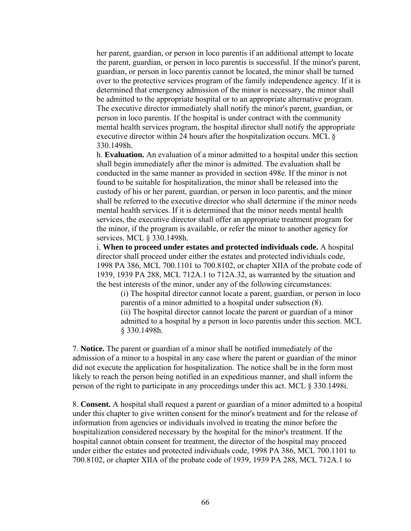her parent, guardian, or person in loco parentis if an additional attempt to locate the parent, guardian, or person in loco parentis is successful. If the minor's parent, guardian, or person in loco parentis cannot be located, the minor shall be turned over to the protective services program of the family independence agency. If it is determined that emergency admission of the minor is necessary, the minor shall be admitted to the appropriate hospital or to an appropriate alternative program. The executive director immediately shall notify the minor's parent, guardian, or person in loco parentis. If the hospital is under contract with the community mental health services program, the hospital director shall notify the appropriate executive director within 24 hours after the hospitalization occurs. MCL § 330.1498h.

h. **Evaluation.** An evaluation of a minor admitted to a hospital under this section shall begin immediately after the minor is admitted. The evaluation shall be conducted in the same manner as provided in section 498e. If the minor is not found to be suitable for hospitalization, the minor shall be released into the custody of his or her parent, guardian, or person in loco parentis, and the minor shall be referred to the executive director who shall determine if the minor needs mental health services. If it is determined that the minor needs mental health services, the executive director shall offer an appropriate treatment program for the minor, if the program is available, or refer the minor to another agency for services. MCL § 330.1498h.

i. **When to proceed under estates and protected individuals code.** A hospital director shall proceed under either the estates and protected individuals code, 1998 PA 386, [MCL 700.1101](http://www.lexis.com/research/buttonTFLink?_m=13c99a73b0c61f9a58d173fee5f2d740&_xfercite=%3ccite%20cc%3d%22USA%22%3e%3c%21%5bCDATA%5bMCLS%20%a7%20330.1498h%5d%5d%3e%3c%2fcite%3e&_butType=4&_butStat=0&_butNum=3&_butInline=1&_butinfo=MICODE%20700.1101&_fmtstr=FULL&docnum=1&_startdoc=1&wchp=dGLbVzz-zSkAk&_md5=9f4bc4e799f3ed09b37bbbad64961a98) to [700.8102,](http://www.lexis.com/research/buttonTFLink?_m=13c99a73b0c61f9a58d173fee5f2d740&_xfercite=%3ccite%20cc%3d%22USA%22%3e%3c%21%5bCDATA%5bMCLS%20%a7%20330.1498h%5d%5d%3e%3c%2fcite%3e&_butType=4&_butStat=0&_butNum=4&_butInline=1&_butinfo=MICODE%20700.8102&_fmtstr=FULL&docnum=1&_startdoc=1&wchp=dGLbVzz-zSkAk&_md5=920f94915971bd1b82f8fe7529ad9508) or chapter XIIA of the probate code of 1939, 1939 PA 288, [MCL 712A.1](http://www.lexis.com/research/buttonTFLink?_m=13c99a73b0c61f9a58d173fee5f2d740&_xfercite=%3ccite%20cc%3d%22USA%22%3e%3c%21%5bCDATA%5bMCLS%20%a7%20330.1498h%5d%5d%3e%3c%2fcite%3e&_butType=4&_butStat=0&_butNum=6&_butInline=1&_butinfo=MICODE%20712A.1&_fmtstr=FULL&docnum=1&_startdoc=1&wchp=dGLbVzz-zSkAk&_md5=413f65128c50860dfa79e5b9f49d9c5a) to [712A.32,](http://www.lexis.com/research/buttonTFLink?_m=13c99a73b0c61f9a58d173fee5f2d740&_xfercite=%3ccite%20cc%3d%22USA%22%3e%3c%21%5bCDATA%5bMCLS%20%a7%20330.1498h%5d%5d%3e%3c%2fcite%3e&_butType=4&_butStat=0&_butNum=7&_butInline=1&_butinfo=MICODE%20712A.32&_fmtstr=FULL&docnum=1&_startdoc=1&wchp=dGLbVzz-zSkAk&_md5=9ae609739bb9f30461817547c88f83d8) as warranted by the situation and the best interests of the minor, under any of the following circumstances:

(i) The hospital director cannot locate a parent, guardian, or person in loco parentis of a minor admitted to a hospital under subsection (8). (ii) The hospital director cannot locate the parent or guardian of a minor admitted to a hospital by a person in loco parentis under this section. MCL § 330.1498h.

7. **Notice.** The parent or guardian of a minor shall be notified immediately of the admission of a minor to a hospital in any case where the parent or guardian of the minor did not execute the application for hospitalization. The notice shall be in the form most likely to reach the person being notified in an expeditious manner, and shall inform the person of the right to participate in any proceedings under this act. MCL § 330.1498i.

8. **Consent.** A hospital shall request a parent or guardian of a minor admitted to a hospital under this chapter to give written consent for the minor's treatment and for the release of information from agencies or individuals involved in treating the minor before the hospitalization considered necessary by the hospital for the minor's treatment. If the hospital cannot obtain consent for treatment, the director of the hospital may proceed under either the estates and protected individuals code, 1998 PA 386, [MCL 700.1101](http://www.lexis.com/research/buttonTFLink?_m=4584b9d7fc549553096dc9a10dbbb9a3&_xfercite=%3ccite%20cc%3d%22USA%22%3e%3c%21%5bCDATA%5bMCLS%20%a7%20330.1498j%5d%5d%3e%3c%2fcite%3e&_butType=4&_butStat=0&_butNum=3&_butInline=1&_butinfo=MICODE%20700.1101&_fmtstr=FULL&docnum=1&_startdoc=1&wchp=dGLbVzz-zSkAk&_md5=d8e021f27cbd85c629c23b16e190b821) to [700.8102](http://www.lexis.com/research/buttonTFLink?_m=4584b9d7fc549553096dc9a10dbbb9a3&_xfercite=%3ccite%20cc%3d%22USA%22%3e%3c%21%5bCDATA%5bMCLS%20%a7%20330.1498j%5d%5d%3e%3c%2fcite%3e&_butType=4&_butStat=0&_butNum=4&_butInline=1&_butinfo=MICODE%20700.8102&_fmtstr=FULL&docnum=1&_startdoc=1&wchp=dGLbVzz-zSkAk&_md5=341c51645ad95263107618f8c67dd5fc), or chapter XIIA of the probate code of 1939, 1939 PA 288, [MCL 712A.1](http://www.lexis.com/research/buttonTFLink?_m=4584b9d7fc549553096dc9a10dbbb9a3&_xfercite=%3ccite%20cc%3d%22USA%22%3e%3c%21%5bCDATA%5bMCLS%20%a7%20330.1498j%5d%5d%3e%3c%2fcite%3e&_butType=4&_butStat=0&_butNum=6&_butInline=1&_butinfo=MICODE%20712A.1&_fmtstr=FULL&docnum=1&_startdoc=1&wchp=dGLbVzz-zSkAk&_md5=a59e6fd151c3d189eee1f5c648a9a407) to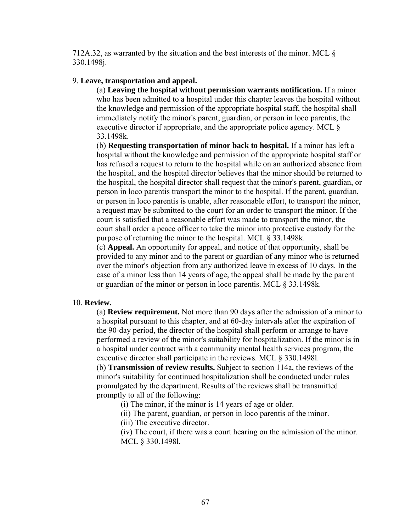[712A.32,](http://www.lexis.com/research/buttonTFLink?_m=4584b9d7fc549553096dc9a10dbbb9a3&_xfercite=%3ccite%20cc%3d%22USA%22%3e%3c%21%5bCDATA%5bMCLS%20%a7%20330.1498j%5d%5d%3e%3c%2fcite%3e&_butType=4&_butStat=0&_butNum=7&_butInline=1&_butinfo=MICODE%20712A.32&_fmtstr=FULL&docnum=1&_startdoc=1&wchp=dGLbVzz-zSkAk&_md5=34addbaa9c30d1c31e05e7e6573acb0f) as warranted by the situation and the best interests of the minor. MCL § 330.1498j.

## 9. **Leave, transportation and appeal.**

(a) **Leaving the hospital without permission warrants notification.** If a minor who has been admitted to a hospital under this chapter leaves the hospital without the knowledge and permission of the appropriate hospital staff, the hospital shall immediately notify the minor's parent, guardian, or person in loco parentis, the executive director if appropriate, and the appropriate police agency. MCL § 33.1498k.

(b) **Requesting transportation of minor back to hospital.** If a minor has left a hospital without the knowledge and permission of the appropriate hospital staff or has refused a request to return to the hospital while on an authorized absence from the hospital, and the hospital director believes that the minor should be returned to the hospital, the hospital director shall request that the minor's parent, guardian, or person in loco parentis transport the minor to the hospital. If the parent, guardian, or person in loco parentis is unable, after reasonable effort, to transport the minor, a request may be submitted to the court for an order to transport the minor. If the court is satisfied that a reasonable effort was made to transport the minor, the court shall order a peace officer to take the minor into protective custody for the purpose of returning the minor to the hospital. MCL § 33.1498k.

(c) **Appeal.** An opportunity for appeal, and notice of that opportunity, shall be provided to any minor and to the parent or guardian of any minor who is returned over the minor's objection from any authorized leave in excess of 10 days. In the case of a minor less than 14 years of age, the appeal shall be made by the parent or guardian of the minor or person in loco parentis. MCL § 33.1498k.

#### 10. **Review.**

(a) **Review requirement.** Not more than 90 days after the admission of a minor to a hospital pursuant to this chapter, and at 60-day intervals after the expiration of the 90-day period, the director of the hospital shall perform or arrange to have performed a review of the minor's suitability for hospitalization. If the minor is in a hospital under contract with a community mental health services program, the executive director shall participate in the reviews. MCL § 330.1498l.

(b) **Transmission of review results.** Subject to section 114a, the reviews of the minor's suitability for continued hospitalization shall be conducted under rules promulgated by the department. Results of the reviews shall be transmitted promptly to all of the following:

(i) The minor, if the minor is 14 years of age or older.

(ii) The parent, guardian, or person in loco parentis of the minor.

(iii) The executive director.

(iv) The court, if there was a court hearing on the admission of the minor. MCL § 330.1498l.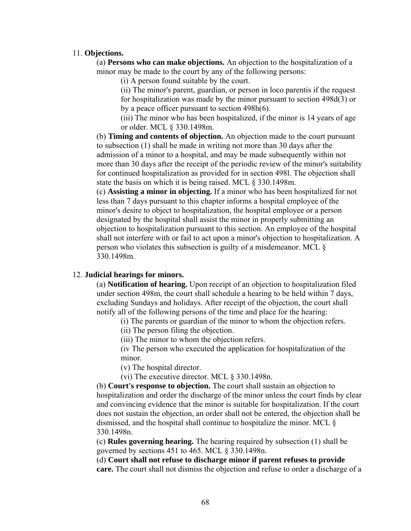## 11. **Objections.**

(a) **Persons who can make objections.** An objection to the hospitalization of a minor may be made to the court by any of the following persons:

(i) A person found suitable by the court.

(ii) The minor's parent, guardian, or person in loco parentis if the request for hospitalization was made by the minor pursuant to section 498d(3) or by a peace officer pursuant to section 498h(6).

(iii) The minor who has been hospitalized, if the minor is 14 years of age or older. MCL § 330.1498m.

(b) **Timing and contents of objection.** An objection made to the court pursuant to subsection (1) shall be made in writing not more than 30 days after the admission of a minor to a hospital, and may be made subsequently within not more than 30 days after the receipt of the periodic review of the minor's suitability for continued hospitalization as provided for in section 498l. The objection shall state the basis on which it is being raised. MCL § 330.1498m.

(c) **Assisting a minor in objecting.** If a minor who has been hospitalized for not less than 7 days pursuant to this chapter informs a hospital employee of the minor's desire to object to hospitalization, the hospital employee or a person designated by the hospital shall assist the minor in properly submitting an objection to hospitalization pursuant to this section. An employee of the hospital shall not interfere with or fail to act upon a minor's objection to hospitalization. A person who violates this subsection is guilty of a misdemeanor. MCL § 330.1498m.

## 12. **Judicial hearings for minors.**

(a) **Notification of hearing.** Upon receipt of an objection to hospitalization filed under section 498m, the court shall schedule a hearing to be held within 7 days, excluding Sundays and holidays. After receipt of the objection, the court shall notify all of the following persons of the time and place for the hearing:

(i) The parents or guardian of the minor to whom the objection refers.

(ii) The person filing the objection.

(iii) The minor to whom the objection refers.

(iv The person who executed the application for hospitalization of the minor.

(v) The hospital director.

(vi) The executive director. MCL § 330.1498n.

(b) **Court's response to objection.** The court shall sustain an objection to hospitalization and order the discharge of the minor unless the court finds by clear and convincing evidence that the minor is suitable for hospitalization. If the court does not sustain the objection, an order shall not be entered, the objection shall be dismissed, and the hospital shall continue to hospitalize the minor. MCL § 330.1498n.

(c) **Rules governing hearing.** The hearing required by subsection (1) shall be governed by sections 451 to 465. MCL § 330.1498n.

(d) **Court shall not refuse to discharge minor if parent refuses to provide care.** The court shall not dismiss the objection and refuse to order a discharge of a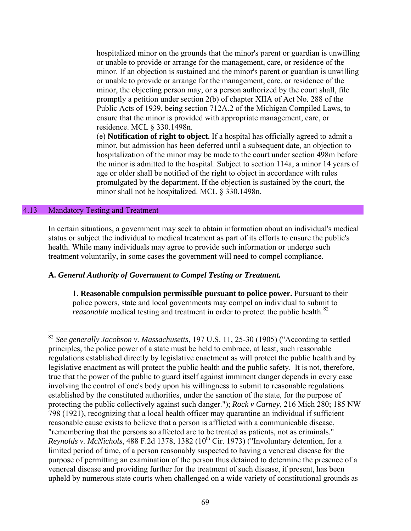hospitalized minor on the grounds that the minor's parent or guardian is unwilling or unable to provide or arrange for the management, care, or residence of the minor. If an objection is sustained and the minor's parent or guardian is unwilling or unable to provide or arrange for the management, care, or residence of the minor, the objecting person may, or a person authorized by the court shall, file promptly a petition under section 2(b) of chapter XIIA of Act No. 288 of the Public Acts of 1939, being [section 712A.2 of the Michigan Compiled Laws,](http://www.lexis.com/research/buttonTFLink?_m=3e2d195e592cfb91c20797acd8644848&_xfercite=%3ccite%20cc%3d%22USA%22%3e%3c%21%5bCDATA%5bMCLS%20%a7%20330.1498n%5d%5d%3e%3c%2fcite%3e&_butType=4&_butStat=0&_butNum=2&_butInline=1&_butinfo=MICODE%20712A.2&_fmtstr=FULL&docnum=1&_startdoc=1&wchp=dGLbVzz-zSkAk&_md5=6c3a83aa1c7451597727918f55b9bf2d) to ensure that the minor is provided with appropriate management, care, or residence. MCL § 330.1498n.

(e) **Notification of right to object.** If a hospital has officially agreed to admit a minor, but admission has been deferred until a subsequent date, an objection to hospitalization of the minor may be made to the court under section 498m before the minor is admitted to the hospital. Subject to section 114a, a minor 14 years of age or older shall be notified of the right to object in accordance with rules promulgated by the department. If the objection is sustained by the court, the minor shall not be hospitalized. MCL § 330.1498n.

## 4.13 Mandatory Testing and Treatment

 $\overline{a}$ 

In certain situations, a government may seek to obtain information about an individual's medical status or subject the individual to medical treatment as part of its efforts to ensure the public's health. While many individuals may agree to provide such information or undergo such treatment voluntarily, in some cases the government will need to compel compliance.

## **A.** *General Authority of Government to Compel Testing or Treatment.*

1. **Reasonable compulsion permissible pursuant to police power.** Pursuant to their police powers, state and local governments may compel an individual to submit to *reasonable* medical testing and treatment in order to protect the public health.<sup>[82](#page-79-0)</sup>

<span id="page-79-0"></span><sup>82</sup> *See generally Jacobson v. Massachusetts*, 197 U.S. 11, 25-30 (1905) ("According to settled principles, the police power of a state must be held to embrace, at least, such reasonable regulations established directly by legislative enactment as will protect the public health and by legislative enactment as will protect the public health and the public safety. It is not, therefore, true that the power of the public to guard itself against imminent danger depends in every case involving the control of one's body upon his willingness to submit to reasonable regulations established by the constituted authorities, under the sanction of the state, for the purpose of protecting the public collectively against such danger."); *Rock v Carney*, 216 Mich 280; 185 NW 798 (1921), recognizing that a local health officer may quarantine an individual if sufficient reasonable cause exists to believe that a person is afflicted with a communicable disease, "remembering that the persons so affected are to be treated as patients, not as criminals." *Reynolds v. McNichols*, 488 F.2d 1378, 1382 (10<sup>th</sup> Cir. 1973) ("Involuntary detention, for a limited period of time, of a person reasonably suspected to having a venereal disease for the purpose of permitting an examination of the person thus detained to determine the presence of a venereal disease and providing further for the treatment of such disease, if present, has been upheld by numerous state courts when challenged on a wide variety of constitutional grounds as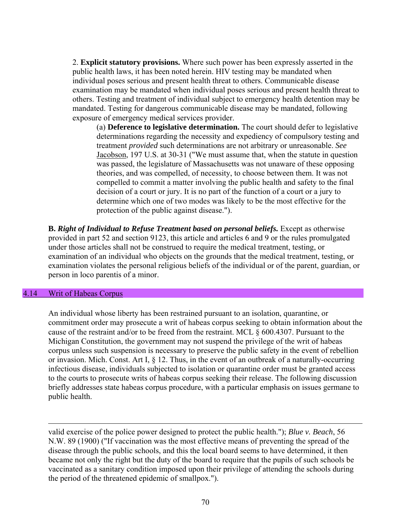2. **Explicit statutory provisions.** Where such power has been expressly asserted in the public health laws, it has been noted herein. HIV testing may be mandated when individual poses serious and present health threat to others. Communicable disease examination may be mandated when individual poses serious and present health threat to others. Testing and treatment of individual subject to emergency health detention may be mandated. Testing for dangerous communicable disease may be mandated, following exposure of emergency medical services provider.

(a) **Deference to legislative determination.** The court should defer to legislative determinations regarding the necessity and expediency of compulsory testing and treatment *provided* such determinations are not arbitrary or unreasonable. *See* Jacobson, 197 U.S. at 30-31 ("We must assume that, when the statute in question was passed, the legislature of Massachusetts was not unaware of these opposing theories, and was compelled, of necessity, to choose between them. It was not compelled to commit a matter involving the public health and safety to the final decision of a court or jury. It is no part of the function of a court or a jury to determine which one of two modes was likely to be the most effective for the protection of the public against disease.").

**B.** *Right of Individual to Refuse Treatment based on personal beliefs.* Except as otherwise provided in part 52 and section 9123, this article and articles 6 and 9 or the rules promulgated under those articles shall not be construed to require the medical treatment, testing, or examination of an individual who objects on the grounds that the medical treatment, testing, or examination violates the personal religious beliefs of the individual or of the parent, guardian, or person in loco parentis of a minor.

#### 4.14 Writ of Habeas Corpus

 $\overline{a}$ 

An individual whose liberty has been restrained pursuant to an isolation, quarantine, or commitment order may prosecute a writ of habeas corpus seeking to obtain information about the cause of the restraint and/or to be freed from the restraint. MCL § 600.4307. Pursuant to the Michigan Constitution, the government may not suspend the privilege of the writ of habeas corpus unless such suspension is necessary to preserve the public safety in the event of rebellion or invasion. Mich. Const. Art I, § 12. Thus, in the event of an outbreak of a naturally-occurring infectious disease, individuals subjected to isolation or quarantine order must be granted access to the courts to prosecute writs of habeas corpus seeking their release. The following discussion briefly addresses state habeas corpus procedure, with a particular emphasis on issues germane to public health.

valid exercise of the police power designed to protect the public health."); *Blue v. Beach*, 56 N.W. 89 (1900) ("If vaccination was the most effective means of preventing the spread of the disease through the public schools, and this the local board seems to have determined, it then became not only the right but the duty of the board to require that the pupils of such schools be vaccinated as a sanitary condition imposed upon their privilege of attending the schools during the period of the threatened epidemic of smallpox.").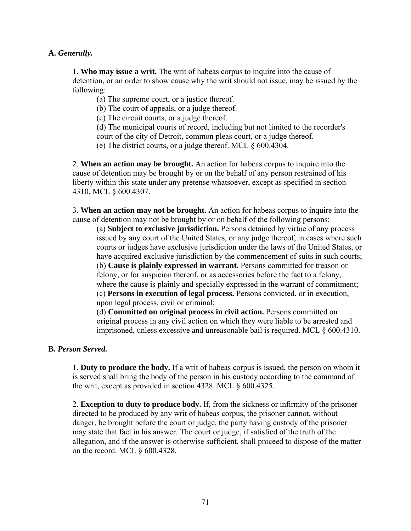# **A.** *Generally.*

1. **Who may issue a writ.** The writ of habeas corpus to inquire into the cause of detention, or an order to show cause why the writ should not issue, may be issued by the following:

(a) The supreme court, or a justice thereof.

(b) The court of appeals, or a judge thereof.

(c) The circuit courts, or a judge thereof.

(d) The municipal courts of record, including but not limited to the recorder's court of the city of Detroit, common pleas court, or a judge thereof.

(e) The district courts, or a judge thereof. MCL § 600.4304.

2. **When an action may be brought.** An action for habeas corpus to inquire into the cause of detention may be brought by or on the behalf of any person restrained of his liberty within this state under any pretense whatsoever, except as specified in section 4310. MCL § 600.4307.

3. **When an action may not be brought.** An action for habeas corpus to inquire into the cause of detention may not be brought by or on behalf of the following persons:

(a) **Subject to exclusive jurisdiction.** Persons detained by virtue of any process issued by any court of the United States, or any judge thereof, in cases where such courts or judges have exclusive jurisdiction under the laws of the United States, or have acquired exclusive jurisdiction by the commencement of suits in such courts; (b) **Cause is plainly expressed in warrant.** Persons committed for treason or felony, or for suspicion thereof, or as accessories before the fact to a felony, where the cause is plainly and specially expressed in the warrant of commitment; (c) **Persons in execution of legal process.** Persons convicted, or in execution, upon legal process, civil or criminal;

(d) **Committed on original process in civil action.** Persons committed on original process in any civil action on which they were liable to be arrested and imprisoned, unless excessive and unreasonable bail is required. MCL § 600.4310.

## **B.** *Person Served.*

1. **Duty to produce the body.** If a writ of habeas corpus is issued, the person on whom it is served shall bring the body of the person in his custody according to the command of the writ, except as provided in section 4328. MCL § 600.4325.

2. **Exception to duty to produce body.** If, from the sickness or infirmity of the prisoner directed to be produced by any writ of habeas corpus, the prisoner cannot, without danger, be brought before the court or judge, the party having custody of the prisoner may state that fact in his answer. The court or judge, if satisfied of the truth of the allegation, and if the answer is otherwise sufficient, shall proceed to dispose of the matter on the record. MCL § 600.4328.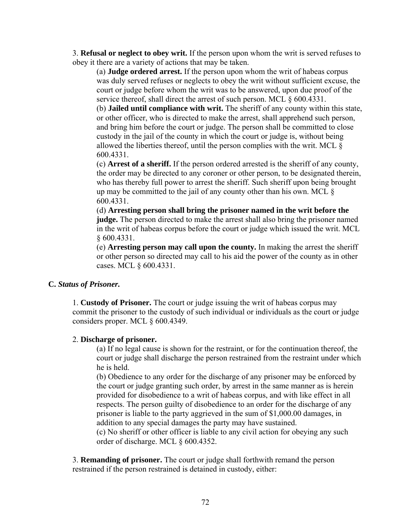3. **Refusal or neglect to obey writ.** If the person upon whom the writ is served refuses to obey it there are a variety of actions that may be taken.

(a) **Judge ordered arrest.** If the person upon whom the writ of habeas corpus was duly served refuses or neglects to obey the writ without sufficient excuse, the court or judge before whom the writ was to be answered, upon due proof of the service thereof, shall direct the arrest of such person. MCL § 600.4331.

(b) **Jailed until compliance with writ.** The sheriff of any county within this state, or other officer, who is directed to make the arrest, shall apprehend such person, and bring him before the court or judge. The person shall be committed to close custody in the jail of the county in which the court or judge is, without being allowed the liberties thereof, until the person complies with the writ. MCL § 600.4331.

(c) **Arrest of a sheriff.** If the person ordered arrested is the sheriff of any county, the order may be directed to any coroner or other person, to be designated therein, who has thereby full power to arrest the sheriff. Such sheriff upon being brought up may be committed to the jail of any county other than his own. MCL  $\S$ 600.4331.

(d) **Arresting person shall bring the prisoner named in the writ before the judge.** The person directed to make the arrest shall also bring the prisoner named in the writ of habeas corpus before the court or judge which issued the writ. MCL § 600.4331.

(e) **Arresting person may call upon the county.** In making the arrest the sheriff or other person so directed may call to his aid the power of the county as in other cases. MCL § 600.4331.

#### **C.** *Status of Prisoner.*

1. **Custody of Prisoner.** The court or judge issuing the writ of habeas corpus may commit the prisoner to the custody of such individual or individuals as the court or judge considers proper. MCL § 600.4349.

#### 2. **Discharge of prisoner.**

(a) If no legal cause is shown for the restraint, or for the continuation thereof, the court or judge shall discharge the person restrained from the restraint under which he is held.

(b) Obedience to any order for the discharge of any prisoner may be enforced by the court or judge granting such order, by arrest in the same manner as is herein provided for disobedience to a writ of habeas corpus, and with like effect in all respects. The person guilty of disobedience to an order for the discharge of any prisoner is liable to the party aggrieved in the sum of \$1,000.00 damages, in addition to any special damages the party may have sustained.

(c) No sheriff or other officer is liable to any civil action for obeying any such order of discharge. MCL § 600.4352.

3. **Remanding of prisoner.** The court or judge shall forthwith remand the person restrained if the person restrained is detained in custody, either: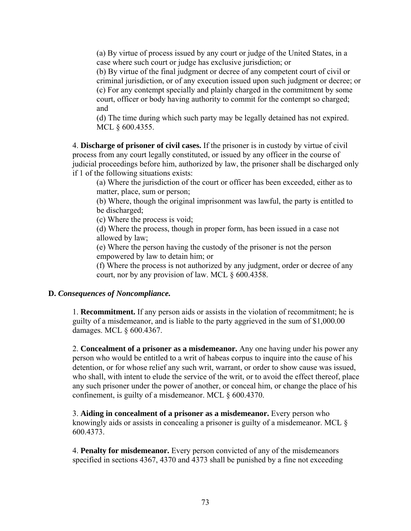(a) By virtue of process issued by any court or judge of the United States, in a case where such court or judge has exclusive jurisdiction; or

(b) By virtue of the final judgment or decree of any competent court of civil or criminal jurisdiction, or of any execution issued upon such judgment or decree; or (c) For any contempt specially and plainly charged in the commitment by some court, officer or body having authority to commit for the contempt so charged; and

(d) The time during which such party may be legally detained has not expired. MCL § 600.4355.

4. **Discharge of prisoner of civil cases.** If the prisoner is in custody by virtue of civil process from any court legally constituted, or issued by any officer in the course of judicial proceedings before him, authorized by law, the prisoner shall be discharged only if 1 of the following situations exists:

(a) Where the jurisdiction of the court or officer has been exceeded, either as to matter, place, sum or person;

(b) Where, though the original imprisonment was lawful, the party is entitled to be discharged;

(c) Where the process is void;

(d) Where the process, though in proper form, has been issued in a case not allowed by law;

(e) Where the person having the custody of the prisoner is not the person empowered by law to detain him; or

(f) Where the process is not authorized by any judgment, order or decree of any court, nor by any provision of law. MCL § 600.4358.

## **D.** *Consequences of Noncompliance.*

1. **Recommitment.** If any person aids or assists in the violation of recommitment; he is guilty of a misdemeanor, and is liable to the party aggrieved in the sum of \$1,000.00 damages. MCL § 600.4367.

2. **Concealment of a prisoner as a misdemeanor.** Any one having under his power any person who would be entitled to a writ of habeas corpus to inquire into the cause of his detention, or for whose relief any such writ, warrant, or order to show cause was issued, who shall, with intent to elude the service of the writ, or to avoid the effect thereof, place any such prisoner under the power of another, or conceal him, or change the place of his confinement, is guilty of a misdemeanor. MCL § 600.4370.

3. **Aiding in concealment of a prisoner as a misdemeanor.** Every person who knowingly aids or assists in concealing a prisoner is guilty of a misdemeanor. MCL § 600.4373.

4. **Penalty for misdemeanor.** Every person convicted of any of the misdemeanors specified in sections 4367, 4370 and 4373 shall be punished by a fine not exceeding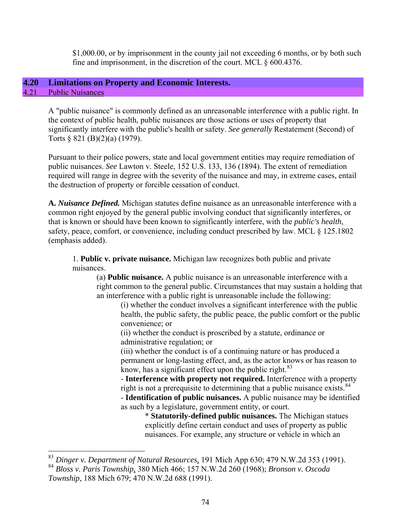\$1,000.00, or by imprisonment in the county jail not exceeding 6 months, or by both such fine and imprisonment, in the discretion of the court. MCL § 600.4376.

# **4.20 Limitations on Property and Economic Interests.**

# 4.21 Public Nuisances

 $\overline{a}$ 

A "public nuisance" is commonly defined as an unreasonable interference with a public right. In the context of public health, public nuisances are those actions or uses of property that significantly interfere with the public's health or safety. *See generally* Restatement (Second) of Torts § 821 (B)(2)(a) (1979).

Pursuant to their police powers, state and local government entities may require remediation of public nuisances. *See* Lawton v. Steele, 152 U.S. 133, 136 (1894). The extent of remediation required will range in degree with the severity of the nuisance and may, in extreme cases, entail the destruction of property or forcible cessation of conduct.

**A.** *Nuisance Defined.* Michigan statutes define nuisance as an unreasonable interference with a common right enjoyed by the general public involving conduct that significantly interferes, or that is known or should have been known to significantly interfere, with the *public's health*, safety, peace, comfort, or convenience, including conduct prescribed by law. MCL § 125.1802 (emphasis added).

1. **Public v. private nuisance.** Michigan law recognizes both public and private nuisances.

(a) **Public nuisance.** A public nuisance is an unreasonable interference with a right common to the general public. Circumstances that may sustain a holding that an interference with a public right is unreasonable include the following:

(i) whether the conduct involves a significant interference with the public health, the public safety, the public peace, the public comfort or the public convenience; or

(ii) whether the conduct is proscribed by a statute, ordinance or administrative regulation; or

(iii) whether the conduct is of a continuing nature or has produced a permanent or long-lasting effect, and, as the actor knows or has reason to know, has a significant effect upon the public right. $83$ 

- **Interference with property not required.** Interference with a property right is not a prerequisite to determining that a public nuisance exists. $84$ - **Identification of public nuisances.** A public nuisance may be identified as such by a legislature, government entity, or court.

\* **Statutorily-defined public nuisances.** The Michigan statues explicitly define certain conduct and uses of property as public nuisances. For example, any structure or vehicle in which an

<sup>83</sup> *[Dinger v. Department of Natural Resources,](http://www.lexis.com/research/retrieve?_m=0e12813b2c99f8465a977baf24c58193&docnum=3&_fmtstr=FULL&_startdoc=1&wchp=dGLbVtz-zSkAl&_md5=a0d943e9e24c29b8b23cbc039fabff0a)* 191 Mich App 630; 479 N.W.2d 353 (1991).

<span id="page-84-1"></span><span id="page-84-0"></span><sup>84</sup> *[Bloss v. Paris Township](http://www.lexis.com/research/retrieve?_m=0b79db2a28ee4b25404bb91dcbe59233&docnum=2&_fmtstr=FULL&_startdoc=1&wchp=dGLbVtz-zSkAl&_md5=455c870a30e73f25e55bf928f35e387d),* 380 Mich 466; 157 N.W.2d 260 (1968); *[Bronson v. Oscoda](http://www.lexis.com/research/retrieve?_m=0b79db2a28ee4b25404bb91dcbe59233&docnum=1&_fmtstr=FULL&_startdoc=1&wchp=dGLbVtz-zSkAl&_md5=455c870a30e73f25e55bf928f35e387d)*  , 188 Mich 679; 470 N.W.2d 688 (1991). *[Township](http://www.lexis.com/research/retrieve?_m=0b79db2a28ee4b25404bb91dcbe59233&docnum=1&_fmtstr=FULL&_startdoc=1&wchp=dGLbVtz-zSkAl&_md5=455c870a30e73f25e55bf928f35e387d)*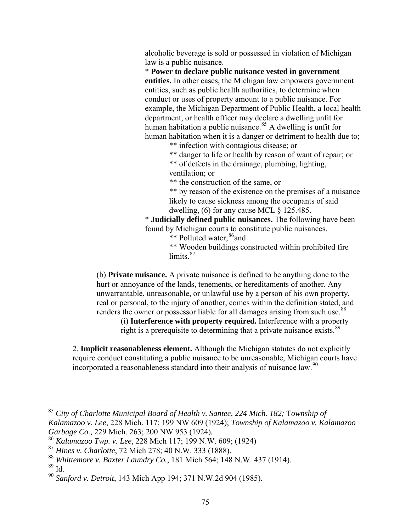alcoholic beverage is sold or possessed in violation of Michigan law is a public nuisance.

\* **Power to declare public nuisance vested in government entities.** In other cases, the Michigan law empowers government entities, such as public health authorities, to determine when conduct or uses of property amount to a public nuisance. For example, the Michigan Department of Public Health, a local health department, or health officer may declare a dwelling unfit for human habitation a public nuisance.<sup>[85](#page-85-0)</sup> A dwelling is unfit for human habitation when it is a danger or detriment to health due to;

\*\* infection with contagious disease; or

\*\* danger to life or health by reason of want of repair; or

\*\* of defects in the drainage, plumbing, lighting, ventilation; or

\*\* the construction of the same, or

\*\* by reason of the existence on the premises of a nuisance likely to cause sickness among the occupants of said dwelling, (6) for any cause MCL § 125.485.

\* **Judicially defined public nuisances.** The following have been found by Michigan courts to constitute public nuisances.

 $**$  Polluted water;  $86$  and

\*\* Wooden buildings constructed within prohibited fire limits<sup>[87](#page-85-2)</sup>

(b) **Private nuisance.** A private nuisance is defined to be anything done to the hurt or annoyance of the lands, tenements, or hereditaments of another. Any unwarrantable, unreasonable, or unlawful use by a person of his own property, real or personal, to the injury of another, comes within the definition stated, and renders the owner or possessor liable for all damages arising from such use.<sup>[88](#page-85-3)</sup>

(i) **Interference with property required.** Interference with a property right is a prerequisite to determining that a private nuisance exists.<sup>[89](#page-85-4)</sup>

2. **Implicit reasonableness element.** Although the Michigan statutes do not explicitly require conduct constituting a public nuisance to be unreasonable, Michigan courts have incorporated a reasonableness standard into their analysis of nuisance law.<sup>[90](#page-85-5)</sup>

 $\overline{a}$ 

<span id="page-85-0"></span><sup>85</sup> *[City of Charlotte Municipal Board of Health v. Santee, 224 Mich. 182;](http://www.lexis.com/research/buttonTFLink?_m=644fd160b955f03906a86cbd121fde96&_xfercite=%3ccite%20cc%3d%22USA%22%3e%3c%21%5bCDATA%5bMCLS%20%a7%20333.2411%5d%5d%3e%3c%2fcite%3e&_butType=3&_butStat=2&_butNum=4&_butInline=1&_butinfo=%3ccite%20cc%3d%22USA%22%3e%3c%21%5bCDATA%5b224%20Mich.%20182%5d%5d%3e%3c%2fcite%3e&_fmtstr=FULL&docnum=2&_startdoc=1&wchp=dGLbVzz-zSkAA&_md5=dd06e1ad3c3f73535e1c1a1f4a8b2d68)* T*[ownship of](http://www.lexis.com/research/buttonTFLink?_m=644fd160b955f03906a86cbd121fde96&_xfercite=%3ccite%20cc%3d%22USA%22%3e%3c%21%5bCDATA%5bMCLS%20%a7%20333.2411%5d%5d%3e%3c%2fcite%3e&_butType=3&_butStat=2&_butNum=5&_butInline=1&_butinfo=%3ccite%20cc%3d%22USA%22%3e%3c%21%5bCDATA%5b228%20Mich.%20117%5d%5d%3e%3c%2fcite%3e&_fmtstr=FULL&docnum=2&_startdoc=1&wchp=dGLbVzz-zSkAA&_md5=847e46c4125dfa3fb1b3f91c6eaa0c36)  Kalamazoo v. Lee*[, 228 Mich. 117; 199 NW 609 \(1924\);](http://www.lexis.com/research/buttonTFLink?_m=644fd160b955f03906a86cbd121fde96&_xfercite=%3ccite%20cc%3d%22USA%22%3e%3c%21%5bCDATA%5bMCLS%20%a7%20333.2411%5d%5d%3e%3c%2fcite%3e&_butType=3&_butStat=2&_butNum=5&_butInline=1&_butinfo=%3ccite%20cc%3d%22USA%22%3e%3c%21%5bCDATA%5b228%20Mich.%20117%5d%5d%3e%3c%2fcite%3e&_fmtstr=FULL&docnum=2&_startdoc=1&wchp=dGLbVzz-zSkAA&_md5=847e46c4125dfa3fb1b3f91c6eaa0c36) *[Township of Kalamazoo v. Kalamazoo](http://www.lexis.com/research/buttonTFLink?_m=644fd160b955f03906a86cbd121fde96&_xfercite=%3ccite%20cc%3d%22USA%22%3e%3c%21%5bCDATA%5bMCLS%20%a7%20333.2411%5d%5d%3e%3c%2fcite%3e&_butType=3&_butStat=2&_butNum=6&_butInline=1&_butinfo=%3ccite%20cc%3d%22USA%22%3e%3c%21%5bCDATA%5b229%20Mich.%20263%5d%5d%3e%3c%2fcite%3e&_fmtstr=FULL&docnum=2&_startdoc=1&wchp=dGLbVzz-zSkAA&_md5=b97f43f32452f8671d17c3b12de08758)  Garbage Co.,* [229 Mich. 263; 200 NW 953 \(1924\)](http://www.lexis.com/research/buttonTFLink?_m=644fd160b955f03906a86cbd121fde96&_xfercite=%3ccite%20cc%3d%22USA%22%3e%3c%21%5bCDATA%5bMCLS%20%a7%20333.2411%5d%5d%3e%3c%2fcite%3e&_butType=3&_butStat=2&_butNum=6&_butInline=1&_butinfo=%3ccite%20cc%3d%22USA%22%3e%3c%21%5bCDATA%5b229%20Mich.%20263%5d%5d%3e%3c%2fcite%3e&_fmtstr=FULL&docnum=2&_startdoc=1&wchp=dGLbVzz-zSkAA&_md5=b97f43f32452f8671d17c3b12de08758)*.* <sup>86</sup> *[Kalamazoo Twp. v. Lee](http://www.lexis.com/research/retrieve?_m=158ae9a991fc36989e89b255295730ff&docnum=1&_fmtstr=FULL&_startdoc=1&wchp=dGLbVtz-zSkAl&_md5=b988196cedfb27c75c4ee478efb80b02)*, 228 Mich 117; 199 N.W. 609; (1924)

<span id="page-85-2"></span><span id="page-85-1"></span><sup>87</sup> *[Hines v. Charlotte](http://www.lexis.com/research/retrieve?_m=a62ea135a4a1191342cca3499881f0d6&docnum=1&_fmtstr=FULL&_startdoc=1&wchp=dGLbVtz-zSkAl&_md5=8995dc147683012dfce1ddb330acf8c3)*, 72 Mich 278; 40 N.W. 333 (1888).

<span id="page-85-3"></span><sup>88</sup> *[Whittemore v. Baxter Laundry Co.](http://www.lexis.com/research/retrieve?_m=7a7f932663824a2c03207b18689e4598&docnum=1&_fmtstr=FULL&_startdoc=1&wchp=dGLbVtz-zSkAl&_md5=7e8ef9f0b38be145e0b307c46845a446)*, 181 Mich 564; 148 N.W. 437 (1914).

<span id="page-85-4"></span> $89$  Id.

<span id="page-85-5"></span><sup>90</sup> *[Sanford v. Detroit](http://www.lexis.com/research/retrieve?_m=2b2f6a1ba3e6f64abfe359b9f96c0889&docnum=3&_fmtstr=FULL&_startdoc=1&wchp=dGLbVtz-zSkAl&_md5=ef57c390ddbe3440c49c367b974ad3f4)*, 143 Mich App 194; 371 N.W.2d 904 (1985).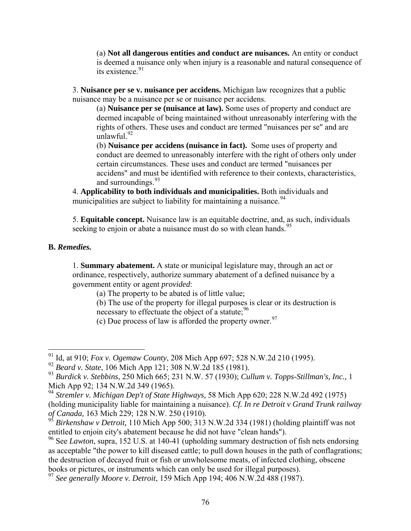(a) **Not all dangerous entities and conduct are nuisances.** An entity or conduct is deemed a nuisance only when injury is a reasonable and natural consequence of its existence.<sup>[91](#page-86-0)</sup>

3. **Nuisance per se v. nuisance per accidens.** Michigan law recognizes that a public nuisance may be a nuisance per se or nuisance per accidens.

(a) **Nuisance per se (nuisance at law).** Some uses of property and conduct are deemed incapable of being maintained without unreasonably interfering with the rights of others. These uses and conduct are termed "nuisances per se" and are unlawful. $92$ 

(b) **Nuisance per accidens (nuisance in fact).** Some uses of property and conduct are deemed to unreasonably interfere with the right of others only under certain circumstances. These uses and conduct are termed "nuisances per accidens" and must be identified with reference to their contexts, characteristics, and surroundings.<sup>[93](#page-86-2)</sup>

4. **Applicability to both individuals and municipalities.** Both individuals and municipalities are subject to liability for maintaining a nuisance.  $94$ 

5. **Equitable concept.** Nuisance law is an equitable doctrine, and, as such, individuals seeking to enjoin or abate a nuisance must do so with clean hands.<sup>[95](#page-86-4)</sup>

# **B.** *Remedies.*

 $\overline{a}$ 

1. **Summary abatement.** A state or municipal legislature may, through an act or ordinance, respectively, authorize summary abatement of a defined nuisance by a government entity or agent *provided*:

(a) The property to be abated is of little value;

(b) The use of the property for illegal purposes is clear or its destruction is necessary to effectuate the object of a statute;  $96$ 

(c) Due process of law is afforded the property owner.<sup>[97](#page-86-6)</sup>

<sup>91</sup> Id, at 910; *[Fox v. Ogemaw County](http://www.lexis.com/research/retrieve?_m=819b53f4ebcb2d3863229f2524ceb9af&docnum=5&_fmtstr=FULL&_startdoc=1&wchp=dGLbVtz-zSkAl&_md5=bf8e84f067f8491479a90812c53e4791)*, 208 Mich App 697; 528 N.W.2d 210 (1995).

<span id="page-86-1"></span><span id="page-86-0"></span><sup>92</sup> *[Beard v. State](http://www.lexis.com/research/retrieve?_m=3cad9afc37c1b3a3eb049f3884362d68&docnum=8&_fmtstr=FULL&_startdoc=1&wchp=dGLbVtz-zSkAl&_md5=5f35326951ce200d07ff39cc6d57f129)*, 106 Mich App 121; 308 N.W.2d 185 (1981).

<span id="page-86-2"></span><sup>93</sup> *[Burdick v. Stebbins](http://www.lexis.com/research/retrieve?_m=8395ece2d37ac65073229cc167f668be&docnum=1&_fmtstr=FULL&_startdoc=1&wchp=dGLbVtz-zSkAl&_md5=5616aa13a76e87cde66f97ff47d2c2e4)*, 250 Mich 665; 231 N.W. 57 (1930); *[Cullum v. Topps-Stillman's, Inc.,](http://www.lexis.com/research/retrieve?_m=8395ece2d37ac65073229cc167f668be&docnum=2&_fmtstr=FULL&_startdoc=1&wchp=dGLbVtz-zSkAl&_md5=5616aa13a76e87cde66f97ff47d2c2e4)* 1 Mich App 92; 134 N.W.2d 349 (1965).

<span id="page-86-3"></span><sup>94</sup> *[Stremler v. Michigan Dep't of State Highways,](http://www.lexis.com/research/retrieve?_m=57e7a664935077d367da97a440cdc00b&docnum=1&_fmtstr=FULL&_startdoc=1&wchp=dGLbVtz-zSkAl&_md5=4aeeb51ca57fac8e77dc99b3ef8aa370)* 58 Mich App 620; 228 N.W.2d 492 (1975) (holding municipality liable for maintaining a nuisance). *Cf. [In re Detroit](http://www.lexis.com/research/retrieve?_m=0e25dadf5f915fe7365e99133d34cc9e&docnum=1&_fmtstr=FULL&_startdoc=1&wchp=dGLbVtz-zSkAl&_md5=a0a84380a6ffefbd91e5edee8c6facf7) v Grand Trunk railway of Canada,* 163 Mich 229; 128 N.W. 250 (1910).

<span id="page-86-4"></span><sup>&</sup>lt;sup>95</sup> Birkenshaw v Detroit, 110 Mich App 500; 313 N.W.2d 334 (1981) (holding plaintiff was not entitled to enjoin city's abatement because he did not have "clean hands").

<span id="page-86-5"></span><sup>&</sup>lt;sup>96</sup> See *Lawton*, supra, 152 U.S. at 140-41 (upholding summary destruction of fish nets endorsing as acceptable "the power to kill diseased cattle; to pull down houses in the path of conflagrations; the destruction of decayed fruit or fish or unwholesome meats, of infected clothing, obscene books or pictures, or instruments which can only be used for illegal purposes).

<span id="page-86-6"></span><sup>97</sup> *See generally [Moore v. Detroit](http://www.lexis.com/research/retrieve?_m=1a1accc616f3803244d1f73f3d488367&docnum=1&_fmtstr=FULL&_startdoc=1&wchp=dGLzVlz-zSkAb&_md5=a8a95dfcf2c6217421f4fca83dc7257c)*, 159 Mich App 194; 406 N.W.2d 488 (1987).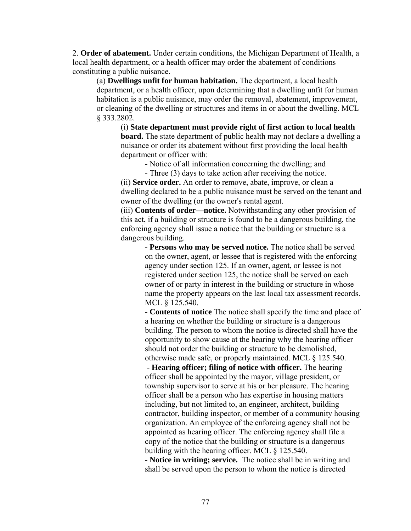2. **Order of abatement.** Under certain conditions, the Michigan Department of Health, a local health department, or a health officer may order the abatement of conditions constituting a public nuisance.

(a) **Dwellings unfit for human habitation.** The department, a local health department, or a health officer, upon determining that a dwelling unfit for human habitation is a public nuisance, may order the removal, abatement, improvement, or cleaning of the dwelling or structures and items in or about the dwelling. MCL § 333.2802.

(i) **State department must provide right of first action to local health board.** The state department of public health may not declare a dwelling a nuisance or order its abatement without first providing the local health department or officer with:

- Notice of all information concerning the dwelling; and

- Three (3) days to take action after receiving the notice. (ii) **Service order.** An order to remove, abate, improve, or clean a dwelling declared to be a public nuisance must be served on the tenant and owner of the dwelling (or the owner's rental agent.

(iii) **Contents of order—notice.** Notwithstanding any other provision of this act, if a building or structure is found to be a dangerous building, the enforcing agency shall issue a notice that the building or structure is a dangerous building.

- **Persons who may be served notice.** The notice shall be served on the owner, agent, or lessee that is registered with the enforcing agency under section 125. If an owner, agent, or lessee is not registered under section 125, the notice shall be served on each owner of or party in interest in the building or structure in whose name the property appears on the last local tax assessment records. MCL § 125.540.

- **Contents of notice** The notice shall specify the time and place of a hearing on whether the building or structure is a dangerous building. The person to whom the notice is directed shall have the opportunity to show cause at the hearing why the hearing officer should not order the building or structure to be demolished, otherwise made safe, or properly maintained. MCL § 125.540.

 - **Hearing officer; filing of notice with officer.** The hearing officer shall be appointed by the mayor, village president, or township supervisor to serve at his or her pleasure. The hearing officer shall be a person who has expertise in housing matters including, but not limited to, an engineer, architect, building contractor, building inspector, or member of a community housing organization. An employee of the enforcing agency shall not be appointed as hearing officer. The enforcing agency shall file a copy of the notice that the building or structure is a dangerous building with the hearing officer. MCL § 125.540.

- **Notice in writing; service.** The notice shall be in writing and shall be served upon the person to whom the notice is directed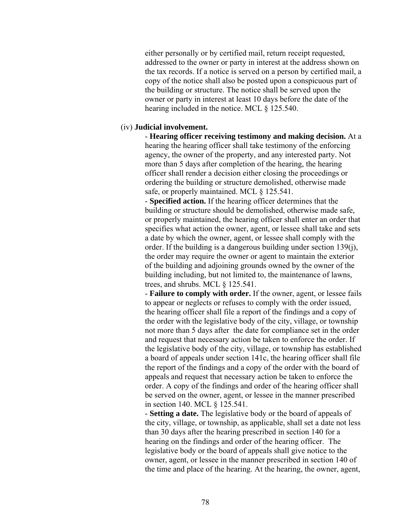either personally or by certified mail, return receipt requested, addressed to the owner or party in interest at the address shown on the tax records. If a notice is served on a person by certified mail, a copy of the notice shall also be posted upon a conspicuous part of the building or structure. The notice shall be served upon the owner or party in interest at least 10 days before the date of the hearing included in the notice. MCL § 125.540.

#### (iv) **Judicial involvement.**

- **Hearing officer receiving testimony and making decision.** At a hearing the hearing officer shall take testimony of the enforcing agency, the owner of the property, and any interested party. Not more than 5 days after completion of the hearing, the hearing officer shall render a decision either closing the proceedings or ordering the building or structure demolished, otherwise made safe, or properly maintained. MCL § 125.541.

- **Specified action.** If the hearing officer determines that the building or structure should be demolished, otherwise made safe, or properly maintained, the hearing officer shall enter an order that specifies what action the owner, agent, or lessee shall take and sets a date by which the owner, agent, or lessee shall comply with the order. If the building is a dangerous building under section 139(j), the order may require the owner or agent to maintain the exterior of the building and adjoining grounds owned by the owner of the building including, but not limited to, the maintenance of lawns, trees, and shrubs. MCL § 125.541.

- **Failure to comply with order.** If the owner, agent, or lessee fails to appear or neglects or refuses to comply with the order issued, the hearing officer shall file a report of the findings and a copy of the order with the legislative body of the city, village, or township not more than 5 days after the date for compliance set in the order and request that necessary action be taken to enforce the order. If the legislative body of the city, village, or township has established a board of appeals under section 141c, the hearing officer shall file the report of the findings and a copy of the order with the board of appeals and request that necessary action be taken to enforce the order. A copy of the findings and order of the hearing officer shall be served on the owner, agent, or lessee in the manner prescribed in section 140. MCL § 125.541.

- **Setting a date.** The legislative body or the board of appeals of the city, village, or township, as applicable, shall set a date not less than 30 days after the hearing prescribed in section 140 for a hearing on the findings and order of the hearing officer. The legislative body or the board of appeals shall give notice to the owner, agent, or lessee in the manner prescribed in section 140 of the time and place of the hearing. At the hearing, the owner, agent,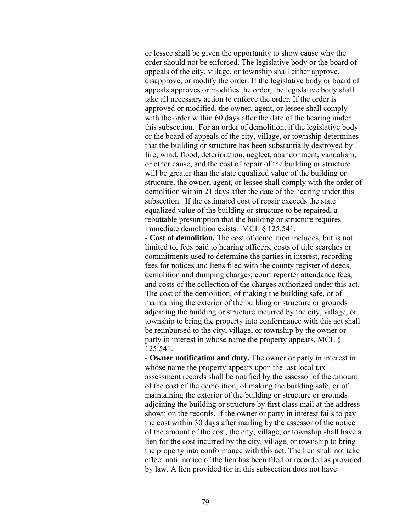or lessee shall be given the opportunity to show cause why the order should not be enforced. The legislative body or the board of appeals of the city, village, or township shall either approve, disapprove, or modify the order. If the legislative body or board of appeals approves or modifies the order, the legislative body shall take all necessary action to enforce the order. If the order is approved or modified, the owner, agent, or lessee shall comply with the order within 60 days after the date of the hearing under this subsection. For an order of demolition, if the legislative body or the board of appeals of the city, village, or township determines that the building or structure has been substantially destroyed by fire, wind, flood, deterioration, neglect, abandonment, vandalism, or other cause, and the cost of repair of the building or structure will be greater than the state equalized value of the building or structure, the owner, agent, or lessee shall comply with the order of demolition within 21 days after the date of the hearing under this subsection. If the estimated cost of repair exceeds the state equalized value of the building or structure to be repaired, a rebuttable presumption that the building or structure requires immediate demolition exists. MCL § 125.541.

- **Cost of demolition.** The cost of demolition includes, but is not limited to, fees paid to hearing officers, costs of title searches or commitments used to determine the parties in interest, recording fees for notices and liens filed with the county register of deeds, demolition and dumping charges, court reporter attendance fees, and costs of the collection of the charges authorized under this act. The cost of the demolition, of making the building safe, or of maintaining the exterior of the building or structure or grounds adjoining the building or structure incurred by the city, village, or township to bring the property into conformance with this act shall be reimbursed to the city, village, or township by the owner or party in interest in whose name the property appears. MCL § 125.541.

- **Owner notification and duty.** The owner or party in interest in whose name the property appears upon the last local tax assessment records shall be notified by the assessor of the amount of the cost of the demolition, of making the building safe, or of maintaining the exterior of the building or structure or grounds adjoining the building or structure by first class mail at the address shown on the records. If the owner or party in interest fails to pay the cost within 30 days after mailing by the assessor of the notice of the amount of the cost, the city, village, or township shall have a lien for the cost incurred by the city, village, or township to bring the property into conformance with this act. The lien shall not take effect until notice of the lien has been filed or recorded as provided by law. A lien provided for in this subsection does not have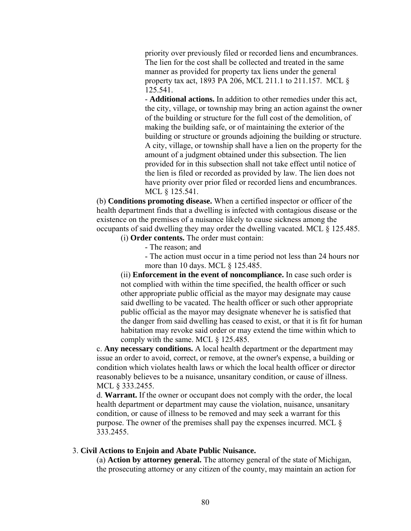priority over previously filed or recorded liens and encumbrances. The lien for the cost shall be collected and treated in the same manner as provided for property tax liens under the general property tax act, 1893 PA 206, [MCL 211.1](http://www.lexis.com/research/buttonTFLink?_m=8eb53826b577d20efde4ce59853acc7b&_xfercite=%3ccite%20cc%3d%22USA%22%3e%3c%21%5bCDATA%5bMCLS%20%a7%20125.541%5d%5d%3e%3c%2fcite%3e&_butType=4&_butStat=0&_butNum=3&_butInline=1&_butinfo=MICODE%20211.1&_fmtstr=FULL&docnum=1&_startdoc=1&wchp=dGLbVzb-zSkAt&_md5=ccab2de6ecfebb29fae0b56f36b9cf26) to [211.157](http://www.lexis.com/research/buttonTFLink?_m=8eb53826b577d20efde4ce59853acc7b&_xfercite=%3ccite%20cc%3d%22USA%22%3e%3c%21%5bCDATA%5bMCLS%20%a7%20125.541%5d%5d%3e%3c%2fcite%3e&_butType=4&_butStat=0&_butNum=4&_butInline=1&_butinfo=MICODE%20211.157&_fmtstr=FULL&docnum=1&_startdoc=1&wchp=dGLbVzb-zSkAt&_md5=739b35176563db647bf433be8d4d36e7). MCL § 125.541.

- **Additional actions.** In addition to other remedies under this act, the city, village, or township may bring an action against the owner of the building or structure for the full cost of the demolition, of making the building safe, or of maintaining the exterior of the building or structure or grounds adjoining the building or structure. A city, village, or township shall have a lien on the property for the amount of a judgment obtained under this subsection. The lien provided for in this subsection shall not take effect until notice of the lien is filed or recorded as provided by law. The lien does not have priority over prior filed or recorded liens and encumbrances. MCL § 125.541.

(b) **Conditions promoting disease.** When a certified inspector or officer of the health department finds that a dwelling is infected with contagious disease or the existence on the premises of a nuisance likely to cause sickness among the occupants of said dwelling they may order the dwelling vacated. MCL § 125.485.

(i) **Order contents.** The order must contain:

- The reason; and

- The action must occur in a time period not less than 24 hours nor more than 10 days. MCL § 125.485.

(ii) **Enforcement in the event of noncompliance.** In case such order is not complied with within the time specified, the health officer or such other appropriate public official as the mayor may designate may cause said dwelling to be vacated. The health officer or such other appropriate public official as the mayor may designate whenever he is satisfied that the danger from said dwelling has ceased to exist, or that it is fit for human habitation may revoke said order or may extend the time within which to comply with the same. MCL § 125.485.

c. **Any necessary conditions.** A local health department or the department may issue an order to avoid, correct, or remove, at the owner's expense, a building or condition which violates health laws or which the local health officer or director reasonably believes to be a nuisance, unsanitary condition, or cause of illness. MCL § 333.2455.

d. **Warrant.** If the owner or occupant does not comply with the order, the local health department or department may cause the violation, nuisance, unsanitary condition, or cause of illness to be removed and may seek a warrant for this purpose. The owner of the premises shall pay the expenses incurred. MCL § 333.2455.

#### 3. **Civil Actions to Enjoin and Abate Public Nuisance.**

(a) **Action by attorney general.** The attorney general of the state of Michigan, the prosecuting attorney or any citizen of the county, may maintain an action for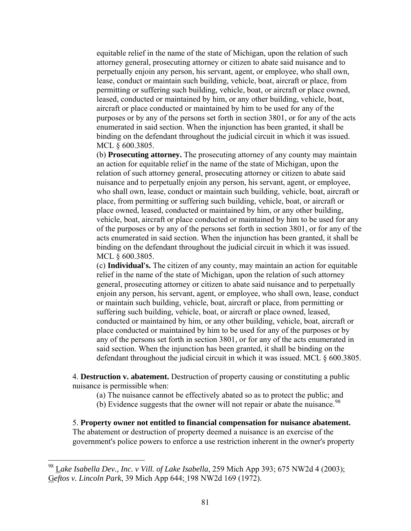equitable relief in the name of the state of Michigan, upon the relation of such attorney general, prosecuting attorney or citizen to abate said nuisance and to perpetually enjoin any person, his servant, agent, or employee, who shall own, lease, conduct or maintain such building, vehicle, boat, aircraft or place, from permitting or suffering such building, vehicle, boat, or aircraft or place owned, leased, conducted or maintained by him, or any other building, vehicle, boat, aircraft or place conducted or maintained by him to be used for any of the purposes or by any of the persons set forth in section 3801, or for any of the acts enumerated in said section. When the injunction has been granted, it shall be binding on the defendant throughout the judicial circuit in which it was issued. MCL § 600.3805.

(b) **Prosecuting attorney.** The prosecuting attorney of any county may maintain an action for equitable relief in the name of the state of Michigan, upon the relation of such attorney general, prosecuting attorney or citizen to abate said nuisance and to perpetually enjoin any person, his servant, agent, or employee, who shall own, lease, conduct or maintain such building, vehicle, boat, aircraft or place, from permitting or suffering such building, vehicle, boat, or aircraft or place owned, leased, conducted or maintained by him, or any other building, vehicle, boat, aircraft or place conducted or maintained by him to be used for any of the purposes or by any of the persons set forth in section 3801, or for any of the acts enumerated in said section. When the injunction has been granted, it shall be binding on the defendant throughout the judicial circuit in which it was issued. MCL § 600.3805.

(c) **Individual's.** The citizen of any county, may maintain an action for equitable relief in the name of the state of Michigan, upon the relation of such attorney general, prosecuting attorney or citizen to abate said nuisance and to perpetually enjoin any person, his servant, agent, or employee, who shall own, lease, conduct or maintain such building, vehicle, boat, aircraft or place, from permitting or suffering such building, vehicle, boat, or aircraft or place owned, leased, conducted or maintained by him, or any other building, vehicle, boat, aircraft or place conducted or maintained by him to be used for any of the purposes or by any of the persons set forth in section 3801, or for any of the acts enumerated in said section. When the injunction has been granted, it shall be binding on the defendant throughout the judicial circuit in which it was issued. MCL § 600.3805.

4. **Destruction v. abatement.** Destruction of property causing or constituting a public nuisance is permissible when:

(a) The nuisance cannot be effectively abated so as to protect the public; and

(b) Evidence suggests that the owner will not repair or abate the nuisance.<sup>[98](#page-91-0)</sup>

5. **Property owner not entitled to financial compensation for nuisance abatement.**  The abatement or destruction of property deemed a nuisance is an exercise of the government's police powers to enforce a use restriction inherent in the owner's property

 $\overline{a}$ 

<span id="page-91-0"></span><sup>98</sup> L*[ake Isabella Dev., Inc. v Vill. of Lake Isabella](http://www.lexis.com/research/buttonTFLink?_m=d11aaf9e2a8559b400163b13965cda19&_xfercite=%3ccite%20cc%3d%22USA%22%3e%3c%21%5bCDATA%5bMCLS%20%a7%20333.2455%5d%5d%3e%3c%2fcite%3e&_butType=3&_butStat=2&_butNum=23&_butInline=1&_butinfo=%3ccite%20cc%3d%22USA%22%3e%3c%21%5bCDATA%5b259%20Mich.%20App.%20393%5d%5d%3e%3c%2fcite%3e&_fmtstr=FULL&docnum=1&_startdoc=1&wchp=dGLbVtz-zSkAV&_md5=b6b826ed474edb68d4dcd74c7c96f256)*, 259 Mich App 393; 675 NW2d 4 (2003); G*eftos v. Lincoln Park,* [39 Mich App 644; 198 NW2d 169 \(1972\).](http://www.lexis.com/research/buttonTFLink?_m=d11aaf9e2a8559b400163b13965cda19&_xfercite=%3ccite%20cc%3d%22USA%22%3e%3c%21%5bCDATA%5bMCLS%20%a7%20333.2455%5d%5d%3e%3c%2fcite%3e&_butType=3&_butStat=2&_butNum=24&_butInline=1&_butinfo=%3ccite%20cc%3d%22USA%22%3e%3c%21%5bCDATA%5b39%20Mich.%20App.%20644%5d%5d%3e%3c%2fcite%3e&_fmtstr=FULL&docnum=1&_startdoc=1&wchp=dGLbVtz-zSkAV&_md5=90fdc0737c411071ead86b75838b0540)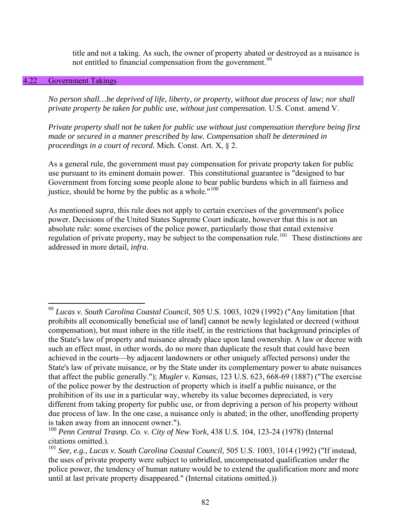title and not a taking. As such, the owner of property abated or destroyed as a nuisance is not entitled to financial compensation from the government.<sup>[99](#page-92-0)</sup>

#### 4.22 Government Takings

 $\overline{a}$ 

*No person shall…be deprived of life, liberty, or property, without due process of law; nor shall private property be taken for public use, without just compensation.* U.S. Const. amend V.

*Private property shall not be taken for public use without just compensation therefore being first made or secured in a manner prescribed by law. Compensation shall be determined in proceedings in a court of record.* Mich. Const. Art. X, § 2.

As a general rule, the government must pay compensation for private property taken for public use pursuant to its eminent domain power. This constitutional guarantee is "designed to bar Government from forcing some people alone to bear public burdens which in all fairness and justice, should be borne by the public as a whole." $100$ 

As mentioned *supra*, this rule does not apply to certain exercises of the government's police power. Decisions of the United States Supreme Court indicate, however that this is not an absolute rule: some exercises of the police power, particularly those that entail extensive regulation of private property, may be subject to the compensation rule.<sup>[101](#page-92-2)</sup> These distinctions are addressed in more detail, *infra*.

<span id="page-92-0"></span><sup>99</sup> *Lucas v. South Carolina Coastal Council*, 505 U.S. 1003, 1029 (1992) ("Any limitation [that prohibits all economically beneficial use of land] cannot be newly legislated or decreed (without compensation), but must inhere in the title itself, in the restrictions that background principles of the State's law of property and nuisance already place upon land ownership. A law or decree with such an effect must, in other words, do no more than duplicate the result that could have been achieved in the courts—by adjacent landowners or other uniquely affected persons) under the State's law of private nuisance, or by the State under its complementary power to abate nuisances that affect the public generally."); *Mugler v. Kansas,* 123 U.S. 623, 668-69 (1887) ("The exercise of the police power by the destruction of property which is itself a public nuisance, or the prohibition of its use in a particular way, whereby its value becomes depreciated, is very different from taking property for public use, or from depriving a person of his property without due process of law. In the one case, a nuisance only is abated; in the other, unoffending property is taken away from an innocent owner.").

<span id="page-92-1"></span><sup>100</sup> *Penn Central Trasnp. Co. v. City of New York*, 438 U.S. 104, 123-24 (1978) (Internal citations omitted.).

<span id="page-92-2"></span><sup>101</sup> *See*, *e.g., Lucas v. South Carolina Coastal Council,* 505 U.S. 1003, 1014 (1992) ("If instead, the uses of private property were subject to unbridled, uncompensated qualification under the police power, the tendency of human nature would be to extend the qualification more and more until at last private property disappeared." (Internal citations omitted.))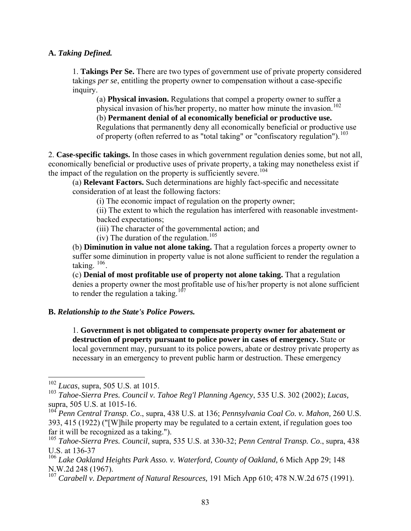# **A.** *Taking Defined.*

1. **Takings Per Se.** There are two types of government use of private property considered takings *per se*, entitling the property owner to compensation without a case-specific inquiry.

(a) **Physical invasion.** Regulations that compel a property owner to suffer a physical invasion of his/her property, no matter how minute the invasion.<sup>[102](#page-93-0)</sup> (b) **Permanent denial of al economically beneficial or productive use.**  Regulations that permanently deny all economically beneficial or productive use of property (often referred to as "total taking" or "confiscatory regulation").<sup>[103](#page-93-1)</sup>

2. **Case-specific takings.** In those cases in which government regulation denies some, but not all, economically beneficial or productive uses of private property, a taking may nonetheless exist if the impact of the regulation on the property is sufficiently severe.<sup>[104](#page-93-2)</sup>

(a) **Relevant Factors.** Such determinations are highly fact-specific and necessitate consideration of at least the following factors:

(i) The economic impact of regulation on the property owner;

(ii) The extent to which the regulation has interfered with reasonable investmentbacked expectations;

(iii) The character of the governmental action; and

(iv) The duration of the regulation.<sup>[105](#page-93-3)</sup>

(b) **Diminution in value not alone taking.** That a regulation forces a property owner to suffer some diminution in property value is not alone sufficient to render the regulation a taking.  $106$ .

(c) **Denial of most profitable use of property not alone taking.** That a regulation denies a property owner the most profitable use of his/her property is not alone sufficient to render the regulation a taking.<sup>[107](#page-93-5)</sup>

# **B.** *Relationship to the State's Police Powers.*

1. **Government is not obligated to compensate property owner for abatement or destruction of property pursuant to police power in cases of emergency.** State or local government may, pursuant to its police powers, abate or destroy private property as necessary in an emergency to prevent public harm or destruction. These emergency

 $\overline{a}$ 

<sup>102</sup> *Lucas*, supra, 505 U.S. at 1015.

<span id="page-93-1"></span><span id="page-93-0"></span><sup>103</sup> *Tahoe-Sierra Pres. Council v. Tahoe Reg'l Planning Agency*, 535 U.S. 302 (2002); *Lucas,* supra, 505 U.S. at 1015-16.

<span id="page-93-2"></span><sup>104</sup> *Penn Central Transp. Co*., supra, 438 U.S. at 136; *Pennsylvania Coal Co. v. Mahon,* 260 U.S. 393, 415 (1922) ("[W]hile property may be regulated to a certain extent, if regulation goes too far it will be recognized as a taking.").

<span id="page-93-3"></span><sup>105</sup> *Tahoe-Sierra Pres. Council*, supra, 535 U.S. at 330-32; *Penn Central Transp. Co*., supra, 438 U.S. at 136-37

<span id="page-93-4"></span><sup>106</sup> *[Lake Oakland Heights Park Asso. v. Waterford, County of Oakland](http://www.lexis.com/research/retrieve?_m=d5222b82d8c3afa78c7c3315226e4761&docnum=3&_fmtstr=FULL&_startdoc=1&wchp=dGLbVtz-zSkAV&_md5=7d7ba8ba723f2d1e9eb998cd1fd0fc28),* 6 Mich App 29; 148 N.W.2d 248 (1967).

<span id="page-93-5"></span><sup>107</sup> *[Carabell v. Department of Natural Resources](http://www.lexis.com/research/retrieve?_m=88df65972734dfe22d074148f7f448b6&docnum=1&_fmtstr=FULL&_startdoc=1&wchp=dGLbVtz-zSkAV&_md5=dcc7b0b9d6d0b6acc45d5a6567a7d6fb),* 191 Mich App 610; 478 N.W.2d 675 (1991).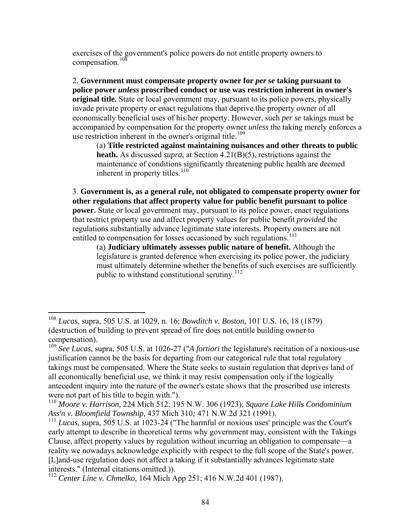exercises of the government's police powers do not entitle property owners to compensation.<sup>[108](#page-94-0)</sup>

2. **Government must compensate property owner for** *per se* **taking pursuant to police power** *unless* **proscribed conduct or use was restriction inherent in owner's original title.** State or local government may, pursuant to its police powers, physically invade private property or enact regulations that deprive the property owner of all economically beneficial uses of his/her property. However, such *per se* takings must be accompanied by compensation for the property owner *unless* the taking merely enforces a use restriction inherent in the owner's original title.<sup>[109](#page-94-1)</sup>

(a) **Title restricted against maintaining nuisances and other threats to public heath.** As discussed *supra*, at Section 4.21(B)(5), restrictions against the maintenance of conditions significantly threatening public health are deemed inherent in property titles. $110^{\circ}$  $110^{\circ}$ 

3. **Government is, as a general rule, not obligated to compensate property owner for other regulations that affect property value for public benefit pursuant to police power.** State or local government may, pursuant to its police power, enact regulations that restrict property use and affect property values for public benefit *provided* the regulations substantially advance legitimate state interests. Property owners are not entitled to compensation for losses occasioned by such regulations.<sup>[111](#page-94-3)</sup>

(a) **Judiciary ultimately assesses public nature of benefit.** Although the legislature is granted deference when exercising its police power, the judiciary must ultimately determine whether the benefits of such exercises are sufficiently public to withstand constitutional scrutiny.<sup>[112](#page-94-4)</sup>

<span id="page-94-0"></span> $\overline{a}$ <sup>108</sup> *Lucas*, supra, 505 U.S. at 1029, n. 16; *Bowditch v. Boston*, 101 U.S. 16, 18 (1879) (destruction of building to prevent spread of fire does not entitle building owner to compensation).

<span id="page-94-1"></span><sup>109</sup> *See Lucas,* supra, 505 U.S. at 1026-27 ("*A fortiori* the legislature's recitation of a noxious-use justification cannot be the basis for departing from our categorical rule that total regulatory takings must be compensated. Where the State seeks to sustain regulation that deprives land of all economically beneficial use, we think it may resist compensation only if the logically antecedent inquiry into the nature of the owner's estate shows that the proscribed use interests were not part of his title to begin with.").

<span id="page-94-2"></span><sup>110</sup> *[Moore v. Harrison](http://www.lexis.com/research/retrieve?_m=f2562fd34053762649c7cc2f82caca48&docnum=2&_fmtstr=FULL&_startdoc=1&wchp=dGLbVtz-zSkAV&_md5=2c76f0dc1a27bee47d0bf35427b226f8),* 224 Mich 512; 195 N.W. 306 (1923); *[Square Lake Hills Condominium](http://www.lexis.com/research/retrieve?_m=f2562fd34053762649c7cc2f82caca48&docnum=3&_fmtstr=FULL&_startdoc=1&wchp=dGLbVtz-zSkAV&_md5=2c76f0dc1a27bee47d0bf35427b226f8)  [Ass'n v. Bloomfield Township,](http://www.lexis.com/research/retrieve?_m=f2562fd34053762649c7cc2f82caca48&docnum=3&_fmtstr=FULL&_startdoc=1&wchp=dGLbVtz-zSkAV&_md5=2c76f0dc1a27bee47d0bf35427b226f8)* 437 Mich 310*;* 471 N.W.2d 321 (1991).

<span id="page-94-3"></span><sup>111</sup> *Lucas,* supra, 505 U.S. at 1023-24 ("The harmful or noxious uses' principle was the Court's early attempt to describe in theoretical terms why government may, consistent with the Takings Clause, affect property values by regulation without incurring an obligation to compensate—a reality we nowadays acknowledge explicitly with respect to the full scope of the State's power. [L]and-use regulation does not affect a taking if it substantially advances legitimate state interests." (Internal citations omitted.)).

<span id="page-94-4"></span><sup>112</sup> *[Center Line v. Chmelko](http://www.lexis.com/research/retrieve?_m=66479bf687a603d06967cd5a189a0cc1&docnum=2&_fmtstr=FULL&_startdoc=1&wchp=dGLbVtz-zSkAV&_md5=510633976530cba54c28c86e942de1ea)*, 164 Mich App 251; 416 N.W.2d 401 (1987).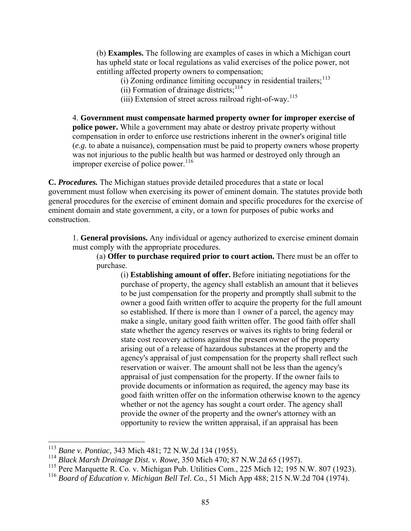(b) **Examples.** The following are examples of cases in which a Michigan court has upheld state or local regulations as valid exercises of the police power, not entitling affected property owners to compensation;

(i) Zoning ordinance limiting occupancy in residential trailers:  $^{113}$  $^{113}$  $^{113}$ 

(ii) Formation of drainage districts; $^{114}$  $^{114}$  $^{114}$ 

(iii) Extension of street across railroad right-of-way.<sup>[115](#page-95-2)</sup>

4. **Government must compensate harmed property owner for improper exercise of police power.** While a government may abate or destroy private property without compensation in order to enforce use restrictions inherent in the owner's original title (*e.g.* to abate a nuisance), compensation must be paid to property owners whose property was not injurious to the public health but was harmed or destroyed only through an improper exercise of police power.<sup>[116](#page-95-3)</sup>

**C.** *Procedures.* The Michigan statues provide detailed procedures that a state or local government must follow when exercising its power of eminent domain. The statutes provide both general procedures for the exercise of eminent domain and specific procedures for the exercise of eminent domain and state government, a city, or a town for purposes of pubic works and construction.

1. **General provisions.** Any individual or agency authorized to exercise eminent domain must comply with the appropriate procedures.

(a) **Offer to purchase required prior to court action.** There must be an offer to purchase.

(i) **Establishing amount of offer.** Before initiating negotiations for the purchase of property, the agency shall establish an amount that it believes to be just compensation for the property and promptly shall submit to the owner a good faith written offer to acquire the property for the full amount so established. If there is more than 1 owner of a parcel, the agency may make a single, unitary good faith written offer. The good faith offer shall state whether the agency reserves or waives its rights to bring federal or state cost recovery actions against the present owner of the property arising out of a release of hazardous substances at the property and the agency's appraisal of just compensation for the property shall reflect such reservation or waiver. The amount shall not be less than the agency's appraisal of just compensation for the property. If the owner fails to provide documents or information as required, the agency may base its good faith written offer on the information otherwise known to the agency whether or not the agency has sought a court order. The agency shall provide the owner of the property and the owner's attorney with an opportunity to review the written appraisal, if an appraisal has been

 $\overline{a}$ 

<sup>113</sup> *[Bane v. Pontiac](http://www.lexis.com/research/retrieve?_m=7fdbe42064280a53ff55cf4fb705b816&docnum=1&_fmtstr=FULL&_startdoc=1&wchp=dGLbVtz-zSkAV&_md5=2e790201dc03f6b979d2462c94446e4c),* 343 Mich 481; 72 N.W.2d 134 (1955).

<span id="page-95-1"></span><span id="page-95-0"></span><sup>114</sup> *[Black Marsh Drainage Dist. v. Rowe,](http://www.lexis.com/research/retrieve?_m=daebcd4cadfab18cd6324a33177768cb&docnum=1&_fmtstr=FULL&_startdoc=1&wchp=dGLbVtz-zSkAV&_md5=1815ed2b6f43becb1bf5608c05501733)* 350 Mich 470; 87 N.W.2d 65 (1957).

<span id="page-95-2"></span><sup>&</sup>lt;sup>115</sup> [Pere Marquette R. Co. v. Michigan Pub. Utilities Com.](http://www.lexis.com/research/retrieve?_m=dceb0a0153f4d266c2ba794d35582e45&docnum=1&_fmtstr=FULL&_startdoc=1&wchp=dGLbVtz-zSkAV&_md5=7ee2588497e7639a4e61a6da5fd89a53), 225 Mich 12: 195 N.W. 807 (1923).

<span id="page-95-3"></span><sup>116</sup> *[Board of Education v. Michigan Bell Tel. Co.](http://www.lexis.com/research/retrieve?_m=22505873431654eab8cf03a833a6cf45&docnum=4&_fmtstr=FULL&_startdoc=1&wchp=dGLbVtz-zSkAV&_md5=2f075b297b7a5c13c3b498d0a188cdf6)*, 51 Mich App 488; 215 N.W.2d 704 (1974).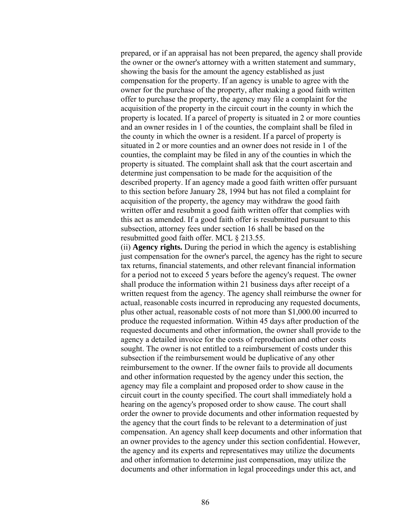prepared, or if an appraisal has not been prepared, the agency shall provide the owner or the owner's attorney with a written statement and summary, showing the basis for the amount the agency established as just compensation for the property. If an agency is unable to agree with the owner for the purchase of the property, after making a good faith written offer to purchase the property, the agency may file a complaint for the acquisition of the property in the circuit court in the county in which the property is located. If a parcel of property is situated in 2 or more counties and an owner resides in 1 of the counties, the complaint shall be filed in the county in which the owner is a resident. If a parcel of property is situated in 2 or more counties and an owner does not reside in 1 of the counties, the complaint may be filed in any of the counties in which the property is situated. The complaint shall ask that the court ascertain and determine just compensation to be made for the acquisition of the described property. If an agency made a good faith written offer pursuant to this section before January 28, 1994 but has not filed a complaint for acquisition of the property, the agency may withdraw the good faith written offer and resubmit a good faith written offer that complies with this act as amended. If a good faith offer is resubmitted pursuant to this subsection, attorney fees under section 16 shall be based on the resubmitted good faith offer. MCL § 213.55.

(ii) **Agency rights.** During the period in which the agency is establishing just compensation for the owner's parcel, the agency has the right to secure tax returns, financial statements, and other relevant financial information for a period not to exceed 5 years before the agency's request. The owner shall produce the information within 21 business days after receipt of a written request from the agency. The agency shall reimburse the owner for actual, reasonable costs incurred in reproducing any requested documents, plus other actual, reasonable costs of not more than \$1,000.00 incurred to produce the requested information. Within 45 days after production of the requested documents and other information, the owner shall provide to the agency a detailed invoice for the costs of reproduction and other costs sought. The owner is not entitled to a reimbursement of costs under this subsection if the reimbursement would be duplicative of any other reimbursement to the owner. If the owner fails to provide all documents and other information requested by the agency under this section, the agency may file a complaint and proposed order to show cause in the circuit court in the county specified. The court shall immediately hold a hearing on the agency's proposed order to show cause. The court shall order the owner to provide documents and other information requested by the agency that the court finds to be relevant to a determination of just compensation. An agency shall keep documents and other information that an owner provides to the agency under this section confidential. However, the agency and its experts and representatives may utilize the documents and other information to determine just compensation, may utilize the documents and other information in legal proceedings under this act, and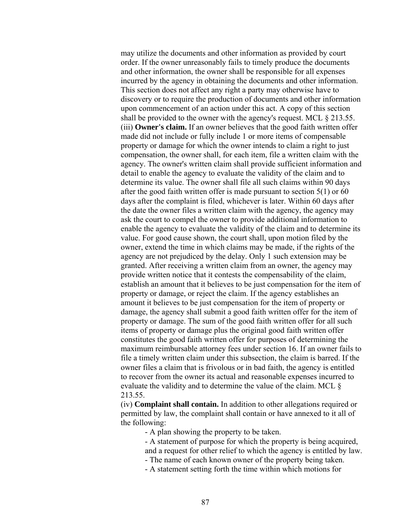may utilize the documents and other information as provided by court order. If the owner unreasonably fails to timely produce the documents and other information, the owner shall be responsible for all expenses incurred by the agency in obtaining the documents and other information. This section does not affect any right a party may otherwise have to discovery or to require the production of documents and other information upon commencement of an action under this act. A copy of this section shall be provided to the owner with the agency's request. MCL § 213.55. (iii) **Owner's claim.** If an owner believes that the good faith written offer made did not include or fully include 1 or more items of compensable property or damage for which the owner intends to claim a right to just compensation, the owner shall, for each item, file a written claim with the agency. The owner's written claim shall provide sufficient information and detail to enable the agency to evaluate the validity of the claim and to determine its value. The owner shall file all such claims within 90 days after the good faith written offer is made pursuant to section 5(1) or 60 days after the complaint is filed, whichever is later. Within 60 days after the date the owner files a written claim with the agency, the agency may ask the court to compel the owner to provide additional information to enable the agency to evaluate the validity of the claim and to determine its value. For good cause shown, the court shall, upon motion filed by the owner, extend the time in which claims may be made, if the rights of the agency are not prejudiced by the delay. Only 1 such extension may be granted. After receiving a written claim from an owner, the agency may provide written notice that it contests the compensability of the claim, establish an amount that it believes to be just compensation for the item of property or damage, or reject the claim. If the agency establishes an amount it believes to be just compensation for the item of property or damage, the agency shall submit a good faith written offer for the item of property or damage. The sum of the good faith written offer for all such items of property or damage plus the original good faith written offer constitutes the good faith written offer for purposes of determining the maximum reimbursable attorney fees under section 16. If an owner fails to file a timely written claim under this subsection, the claim is barred. If the owner files a claim that is frivolous or in bad faith, the agency is entitled to recover from the owner its actual and reasonable expenses incurred to evaluate the validity and to determine the value of the claim. MCL § 213.55.

(iv) **Complaint shall contain.** In addition to other allegations required or permitted by law, the complaint shall contain or have annexed to it all of the following:

- A plan showing the property to be taken.

- A statement of purpose for which the property is being acquired, and a request for other relief to which the agency is entitled by law.
- The name of each known owner of the property being taken.
- A statement setting forth the time within which motions for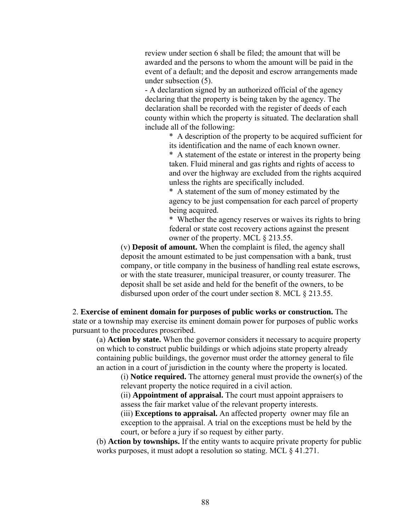review under section 6 shall be filed; the amount that will be awarded and the persons to whom the amount will be paid in the event of a default; and the deposit and escrow arrangements made under subsection (5).

- A declaration signed by an authorized official of the agency declaring that the property is being taken by the agency. The declaration shall be recorded with the register of deeds of each county within which the property is situated. The declaration shall include all of the following:

> \* A description of the property to be acquired sufficient for its identification and the name of each known owner.

> \* A statement of the estate or interest in the property being taken. Fluid mineral and gas rights and rights of access to and over the highway are excluded from the rights acquired unless the rights are specifically included.

\* A statement of the sum of money estimated by the agency to be just compensation for each parcel of property being acquired.

\* Whether the agency reserves or waives its rights to bring federal or state cost recovery actions against the present owner of the property. MCL § 213.55.

(v) **Deposit of amount.** When the complaint is filed, the agency shall deposit the amount estimated to be just compensation with a bank, trust company, or title company in the business of handling real estate escrows, or with the state treasurer, municipal treasurer, or county treasurer. The deposit shall be set aside and held for the benefit of the owners, to be disbursed upon order of the court under section 8. MCL § 213.55.

2. **Exercise of eminent domain for purposes of public works or construction.** The state or a township may exercise its eminent domain power for purposes of public works pursuant to the procedures proscribed.

(a) **Action by state.** When the governor considers it necessary to acquire property on which to construct public buildings or which adjoins state property already containing public buildings, the governor must order the attorney general to file an action in a court of jurisdiction in the county where the property is located.

(i) **Notice required.** The attorney general must provide the owner(s) of the relevant property the notice required in a civil action.

(ii) **Appointment of appraisal.** The court must appoint appraisers to assess the fair market value of the relevant property interests.

(iii) **Exceptions to appraisal.** An affected property owner may file an exception to the appraisal. A trial on the exceptions must be held by the court, or before a jury if so request by either party.

(b) **Action by townships.** If the entity wants to acquire private property for public works purposes, it must adopt a resolution so stating. MCL § 41.271.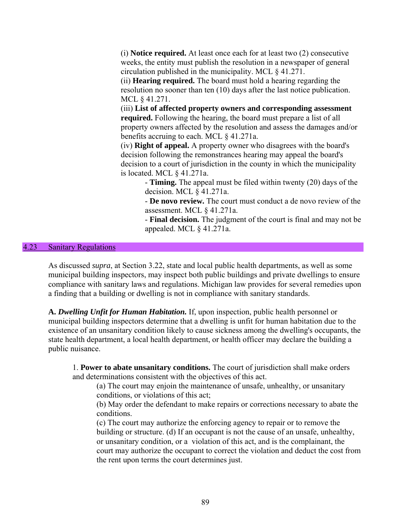(i) **Notice required.** At least once each for at least two (2) consecutive weeks, the entity must publish the resolution in a newspaper of general circulation published in the municipality. MCL § 41.271.

(ii) **Hearing required.** The board must hold a hearing regarding the resolution no sooner than ten (10) days after the last notice publication. MCL § 41.271.

(iii) **List of affected property owners and corresponding assessment required.** Following the hearing, the board must prepare a list of all property owners affected by the resolution and assess the damages and/or benefits accruing to each. MCL § 41.271a.

(iv) **Right of appeal.** A property owner who disagrees with the board's decision following the remonstrances hearing may appeal the board's decision to a court of jurisdiction in the county in which the municipality is located. MCL § 41.271a.

> - **Timing.** The appeal must be filed within twenty (20) days of the decision. MCL § 41.271a.

- **De novo review.** The court must conduct a de novo review of the assessment. MCL § 41.271a.

- **Final decision.** The judgment of the court is final and may not be appealed. MCL § 41.271a.

## 4.23 Sanitary Regulations

As discussed *supra*, at Section 3.22, state and local public health departments, as well as some municipal building inspectors, may inspect both public buildings and private dwellings to ensure compliance with sanitary laws and regulations. Michigan law provides for several remedies upon a finding that a building or dwelling is not in compliance with sanitary standards.

**A.** *Dwelling Unfit for Human Habitation.* If, upon inspection, public health personnel or municipal building inspectors determine that a dwelling is unfit for human habitation due to the existence of an unsanitary condition likely to cause sickness among the dwelling's occupants, the state health department, a local health department, or health officer may declare the building a public nuisance.

1. **Power to abate unsanitary conditions.** The court of jurisdiction shall make orders and determinations consistent with the objectives of this act.

(a) The court may enjoin the maintenance of unsafe, unhealthy, or unsanitary conditions, or violations of this act;

(b) May order the defendant to make repairs or corrections necessary to abate the conditions.

(c) The court may authorize the enforcing agency to repair or to remove the building or structure. (d) If an occupant is not the cause of an unsafe, unhealthy, or unsanitary condition, or a violation of this act, and is the complainant, the court may authorize the occupant to correct the violation and deduct the cost from the rent upon terms the court determines just.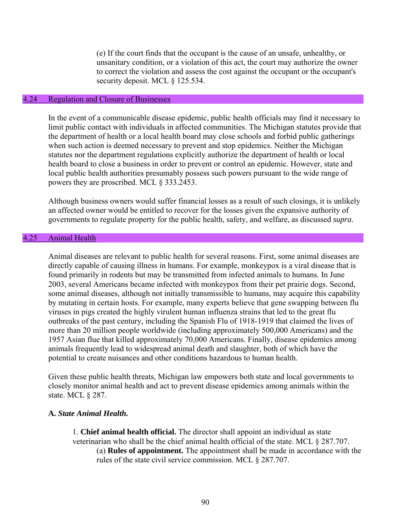(e) If the court finds that the occupant is the cause of an unsafe, unhealthy, or unsanitary condition, or a violation of this act, the court may authorize the owner to correct the violation and assess the cost against the occupant or the occupant's security deposit. MCL § 125.534.

#### 4.24 Regulation and Closure of Businesses

In the event of a communicable disease epidemic, public health officials may find it necessary to limit public contact with individuals in affected communities. The Michigan statutes provide that the department of health or a local health board may close schools and forbid public gatherings when such action is deemed necessary to prevent and stop epidemics. Neither the Michigan statutes nor the department regulations explicitly authorize the department of health or local health board to close a business in order to prevent or control an epidemic. However, state and local public health authorities presumably possess such powers pursuant to the wide range of powers they are proscribed. MCL § 333.2453.

Although business owners would suffer financial losses as a result of such closings, it is unlikely an affected owner would be entitled to recover for the losses given the expansive authority of governments to regulate property for the public health, safety, and welfare, as discussed *supra*.

#### 4.25 Animal Health

Animal diseases are relevant to public health for several reasons. First, some animal diseases are directly capable of causing illness in humans. For example, monkeypox is a viral disease that is found primarily in rodents but may be transmitted from infected animals to humans. In June 2003, several Americans became infected with monkeypox from their pet prairie dogs. Second, some animal diseases, although not initially transmissible to humans, may acquire this capability by mutating in certain hosts. For example, many experts believe that gene swapping between flu viruses in pigs created the highly virulent human influenza strains that led to the great flu outbreaks of the past century, including the Spanish Flu of 1918-1919 that claimed the lives of more than 20 million people worldwide (including approximately 500,000 Americans) and the 1957 Asian flue that killed approximately 70,000 Americans. Finally, disease epidemics among animals frequently lead to widespread animal death and slaughter, both of which have the potential to create nuisances and other conditions hazardous to human health.

Given these public health threats, Michigan law empowers both state and local governments to closely monitor animal health and act to prevent disease epidemics among animals within the state. MCL § 287.

#### **A.** *State Animal Health.*

1. **Chief animal health official.** The director shall appoint an individual as state veterinarian who shall be the chief animal health official of the state. MCL § 287.707. (a) **Rules of appointment.** The appointment shall be made in accordance with the rules of the state civil service commission. MCL § 287.707.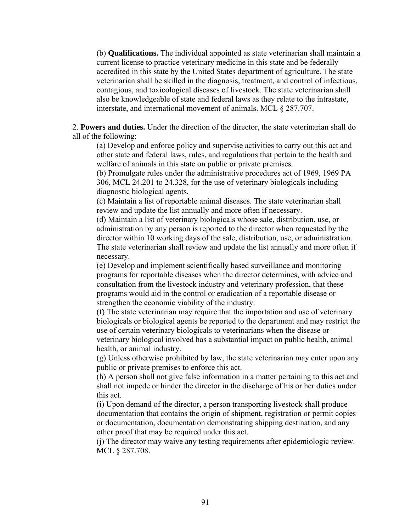(b) **Qualifications.** The individual appointed as state veterinarian shall maintain a current license to practice veterinary medicine in this state and be federally accredited in this state by the United States department of agriculture. The state veterinarian shall be skilled in the diagnosis, treatment, and control of infectious, contagious, and toxicological diseases of livestock. The state veterinarian shall also be knowledgeable of state and federal laws as they relate to the intrastate, interstate, and international movement of animals. MCL § 287.707.

2. **Powers and duties.** Under the direction of the director, the state veterinarian shall do all of the following:

(a) Develop and enforce policy and supervise activities to carry out this act and other state and federal laws, rules, and regulations that pertain to the health and welfare of animals in this state on public or private premises.

(b) Promulgate rules under the administrative procedures act of 1969, 1969 PA 306, [MCL 24.201](http://www.lexis.com/research/buttonTFLink?_m=9584f756522f5e2c10fdc811c4bc3fbb&_xfercite=%3ccite%20cc%3d%22USA%22%3e%3c%21%5bCDATA%5bMCLS%20%a7%20287.708%5d%5d%3e%3c%2fcite%3e&_butType=4&_butStat=0&_butNum=3&_butInline=1&_butinfo=MICODE%2024.201&_fmtstr=FULL&docnum=1&_startdoc=1&wchp=dGLbVzb-zSkAA&_md5=c730fcb7361e38b25830a6e609d0ac57) to [24.328](http://www.lexis.com/research/buttonTFLink?_m=9584f756522f5e2c10fdc811c4bc3fbb&_xfercite=%3ccite%20cc%3d%22USA%22%3e%3c%21%5bCDATA%5bMCLS%20%a7%20287.708%5d%5d%3e%3c%2fcite%3e&_butType=4&_butStat=0&_butNum=4&_butInline=1&_butinfo=MICODE%2024.328&_fmtstr=FULL&docnum=1&_startdoc=1&wchp=dGLbVzb-zSkAA&_md5=9ebbcb317aca20e34ba66684d2fdfd72), for the use of veterinary biologicals including diagnostic biological agents.

(c) Maintain a list of reportable animal diseases. The state veterinarian shall review and update the list annually and more often if necessary.

(d) Maintain a list of veterinary biologicals whose sale, distribution, use, or administration by any person is reported to the director when requested by the director within 10 working days of the sale, distribution, use, or administration. The state veterinarian shall review and update the list annually and more often if necessary.

(e) Develop and implement scientifically based surveillance and monitoring programs for reportable diseases when the director determines, with advice and consultation from the livestock industry and veterinary profession, that these programs would aid in the control or eradication of a reportable disease or strengthen the economic viability of the industry.

(f) The state veterinarian may require that the importation and use of veterinary biologicals or biological agents be reported to the department and may restrict the use of certain veterinary biologicals to veterinarians when the disease or veterinary biological involved has a substantial impact on public health, animal health, or animal industry.

(g) Unless otherwise prohibited by law, the state veterinarian may enter upon any public or private premises to enforce this act.

(h) A person shall not give false information in a matter pertaining to this act and shall not impede or hinder the director in the discharge of his or her duties under this act.

(i) Upon demand of the director, a person transporting livestock shall produce documentation that contains the origin of shipment, registration or permit copies or documentation, documentation demonstrating shipping destination, and any other proof that may be required under this act.

(j) The director may waive any testing requirements after epidemiologic review. MCL § 287.708.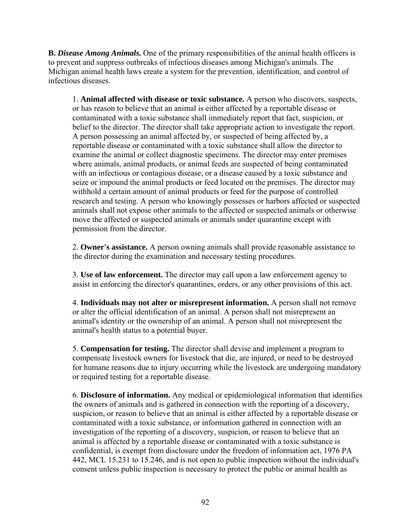**B.** *Disease Among Animals.* One of the primary responsibilities of the animal health officers is to prevent and suppress outbreaks of infectious diseases among Michigan's animals. The Michigan animal health laws create a system for the prevention, identification, and control of infectious diseases.

1. **Animal affected with disease or toxic substance.** A person who discovers, suspects, or has reason to believe that an animal is either affected by a reportable disease or contaminated with a toxic substance shall immediately report that fact, suspicion, or belief to the director. The director shall take appropriate action to investigate the report. A person possessing an animal affected by, or suspected of being affected by, a reportable disease or contaminated with a toxic substance shall allow the director to examine the animal or collect diagnostic specimens. The director may enter premises where animals, animal products, or animal feeds are suspected of being contaminated with an infectious or contagious disease, or a disease caused by a toxic substance and seize or impound the animal products or feed located on the premises. The director may withhold a certain amount of animal products or feed for the purpose of controlled research and testing. A person who knowingly possesses or harbors affected or suspected animals shall not expose other animals to the affected or suspected animals or otherwise move the affected or suspected animals or animals under quarantine except with permission from the director.

2. **Owner's assistance.** A person owning animals shall provide reasonable assistance to the director during the examination and necessary testing procedures.

3. **Use of law enforcement.** The director may call upon a law enforcement agency to assist in enforcing the director's quarantines, orders, or any other provisions of this act.

4. **Individuals may not alter or misrepresent information.** A person shall not remove or alter the official identification of an animal. A person shall not misrepresent an animal's identity or the ownership of an animal. A person shall not misrepresent the animal's health status to a potential buyer.

5. **Compensation for testing.** The director shall devise and implement a program to compensate livestock owners for livestock that die, are injured, or need to be destroyed for humane reasons due to injury occurring while the livestock are undergoing mandatory or required testing for a reportable disease.

6. **Disclosure of information.** Any medical or epidemiological information that identifies the owners of animals and is gathered in connection with the reporting of a discovery, suspicion, or reason to believe that an animal is either affected by a reportable disease or contaminated with a toxic substance, or information gathered in connection with an investigation of the reporting of a discovery, suspicion, or reason to believe that an animal is affected by a reportable disease or contaminated with a toxic substance is confidential, is exempt from disclosure under the freedom of information act, 1976 PA 442, [MCL 15.231](http://www.lexis.com/research/buttonTFLink?_m=827a4690a1506d611a4364f78db18bc6&_xfercite=%3ccite%20cc%3d%22USA%22%3e%3c%21%5bCDATA%5bMCLS%20%a7%20287.709%5d%5d%3e%3c%2fcite%3e&_butType=4&_butStat=0&_butNum=3&_butInline=1&_butinfo=MICODE%2015.231&_fmtstr=FULL&docnum=1&_startdoc=1&wchp=dGLbVzb-zSkAA&_md5=6eeb8747ecd36dbe856e9925dbcab024) to [15.246](http://www.lexis.com/research/buttonTFLink?_m=827a4690a1506d611a4364f78db18bc6&_xfercite=%3ccite%20cc%3d%22USA%22%3e%3c%21%5bCDATA%5bMCLS%20%a7%20287.709%5d%5d%3e%3c%2fcite%3e&_butType=4&_butStat=0&_butNum=4&_butInline=1&_butinfo=MICODE%2015.246&_fmtstr=FULL&docnum=1&_startdoc=1&wchp=dGLbVzb-zSkAA&_md5=281190530ad79440091f8d8ae816c04c), and is not open to public inspection without the individual's consent unless public inspection is necessary to protect the public or animal health as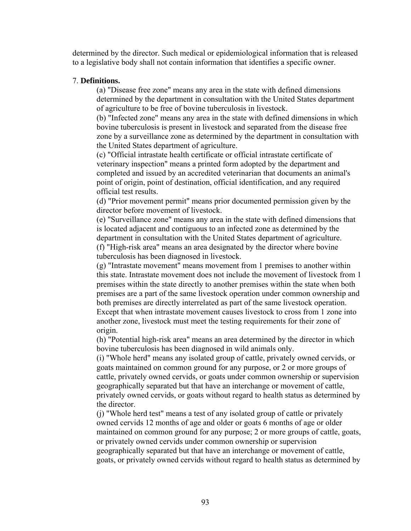determined by the director. Such medical or epidemiological information that is released to a legislative body shall not contain information that identifies a specific owner.

#### 7. **Definitions.**

(a) "Disease free zone" means any area in the state with defined dimensions determined by the department in consultation with the United States department of agriculture to be free of bovine tuberculosis in livestock.

(b) "Infected zone" means any area in the state with defined dimensions in which bovine tuberculosis is present in livestock and separated from the disease free zone by a surveillance zone as determined by the department in consultation with the United States department of agriculture.

(c) "Official intrastate health certificate or official intrastate certificate of veterinary inspection" means a printed form adopted by the department and completed and issued by an accredited veterinarian that documents an animal's point of origin, point of destination, official identification, and any required official test results.

(d) "Prior movement permit" means prior documented permission given by the director before movement of livestock.

(e) "Surveillance zone" means any area in the state with defined dimensions that is located adjacent and contiguous to an infected zone as determined by the department in consultation with the United States department of agriculture. (f) "High-risk area" means an area designated by the director where bovine tuberculosis has been diagnosed in livestock.

(g) "Intrastate movement" means movement from 1 premises to another within this state. Intrastate movement does not include the movement of livestock from 1 premises within the state directly to another premises within the state when both premises are a part of the same livestock operation under common ownership and both premises are directly interrelated as part of the same livestock operation. Except that when intrastate movement causes livestock to cross from 1 zone into another zone, livestock must meet the testing requirements for their zone of origin.

(h) "Potential high-risk area" means an area determined by the director in which bovine tuberculosis has been diagnosed in wild animals only.

(i) "Whole herd" means any isolated group of cattle, privately owned cervids, or goats maintained on common ground for any purpose, or 2 or more groups of cattle, privately owned cervids, or goats under common ownership or supervision geographically separated but that have an interchange or movement of cattle, privately owned cervids, or goats without regard to health status as determined by the director.

(j) "Whole herd test" means a test of any isolated group of cattle or privately owned cervids 12 months of age and older or goats 6 months of age or older maintained on common ground for any purpose; 2 or more groups of cattle, goats, or privately owned cervids under common ownership or supervision geographically separated but that have an interchange or movement of cattle,

goats, or privately owned cervids without regard to health status as determined by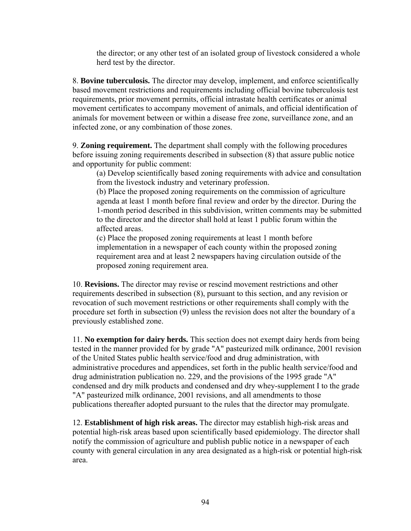the director; or any other test of an isolated group of livestock considered a whole herd test by the director.

8. **Bovine tuberculosis.** The director may develop, implement, and enforce scientifically based movement restrictions and requirements including official bovine tuberculosis test requirements, prior movement permits, official intrastate health certificates or animal movement certificates to accompany movement of animals, and official identification of animals for movement between or within a disease free zone, surveillance zone, and an infected zone, or any combination of those zones.

9. **Zoning requirement.** The department shall comply with the following procedures before issuing zoning requirements described in subsection (8) that assure public notice and opportunity for public comment:

(a) Develop scientifically based zoning requirements with advice and consultation from the livestock industry and veterinary profession.

(b) Place the proposed zoning requirements on the commission of agriculture agenda at least 1 month before final review and order by the director. During the 1-month period described in this subdivision, written comments may be submitted to the director and the director shall hold at least 1 public forum within the affected areas.

(c) Place the proposed zoning requirements at least 1 month before implementation in a newspaper of each county within the proposed zoning requirement area and at least 2 newspapers having circulation outside of the proposed zoning requirement area.

10. **Revisions.** The director may revise or rescind movement restrictions and other requirements described in subsection (8), pursuant to this section, and any revision or revocation of such movement restrictions or other requirements shall comply with the procedure set forth in subsection (9) unless the revision does not alter the boundary of a previously established zone.

11. **No exemption for dairy herds.** This section does not exempt dairy herds from being tested in the manner provided for by grade "A" pasteurized milk ordinance, 2001 revision of the United States public health service/food and drug administration, with administrative procedures and appendices, set forth in the public health service/food and drug administration publication no. 229, and the provisions of the 1995 grade "A" condensed and dry milk products and condensed and dry whey-supplement I to the grade "A" pasteurized milk ordinance, 2001 revisions, and all amendments to those publications thereafter adopted pursuant to the rules that the director may promulgate.

12. **Establishment of high risk areas.** The director may establish high-risk areas and potential high-risk areas based upon scientifically based epidemiology. The director shall notify the commission of agriculture and publish public notice in a newspaper of each county with general circulation in any area designated as a high-risk or potential high-risk area.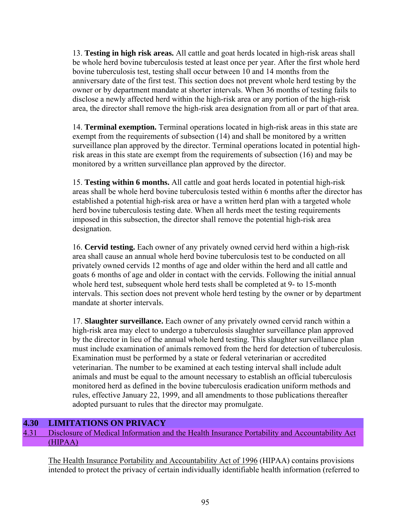13. **Testing in high risk areas.** All cattle and goat herds located in high-risk areas shall be whole herd bovine tuberculosis tested at least once per year. After the first whole herd bovine tuberculosis test, testing shall occur between 10 and 14 months from the anniversary date of the first test. This section does not prevent whole herd testing by the owner or by department mandate at shorter intervals. When 36 months of testing fails to disclose a newly affected herd within the high-risk area or any portion of the high-risk area, the director shall remove the high-risk area designation from all or part of that area.

14. **Terminal exemption.** Terminal operations located in high-risk areas in this state are exempt from the requirements of subsection (14) and shall be monitored by a written surveillance plan approved by the director. Terminal operations located in potential highrisk areas in this state are exempt from the requirements of subsection (16) and may be monitored by a written surveillance plan approved by the director.

15. **Testing within 6 months.** All cattle and goat herds located in potential high-risk areas shall be whole herd bovine tuberculosis tested within 6 months after the director has established a potential high-risk area or have a written herd plan with a targeted whole herd bovine tuberculosis testing date. When all herds meet the testing requirements imposed in this subsection, the director shall remove the potential high-risk area designation.

16. **Cervid testing.** Each owner of any privately owned cervid herd within a high-risk area shall cause an annual whole herd bovine tuberculosis test to be conducted on all privately owned cervids 12 months of age and older within the herd and all cattle and goats 6 months of age and older in contact with the cervids. Following the initial annual whole herd test, subsequent whole herd tests shall be completed at 9- to 15-month intervals. This section does not prevent whole herd testing by the owner or by department mandate at shorter intervals.

17. **Slaughter surveillance.** Each owner of any privately owned cervid ranch within a high-risk area may elect to undergo a tuberculosis slaughter surveillance plan approved by the director in lieu of the annual whole herd testing. This slaughter surveillance plan must include examination of animals removed from the herd for detection of tuberculosis. Examination must be performed by a state or federal veterinarian or accredited veterinarian. The number to be examined at each testing interval shall include adult animals and must be equal to the amount necessary to establish an official tuberculosis monitored herd as defined in the bovine tuberculosis eradication uniform methods and rules, effective January 22, 1999, and all amendments to those publications thereafter adopted pursuant to rules that the director may promulgate.

# **4.30 LIMITATIONS ON PRIVACY**

4.31 Disclosure of Medical Information and the Health Insurance Portability and Accountability Act (HIPAA)

The Health Insurance Portability and Accountability Act of 1996 (HIPAA) contains provisions intended to protect the privacy of certain individually identifiable health information (referred to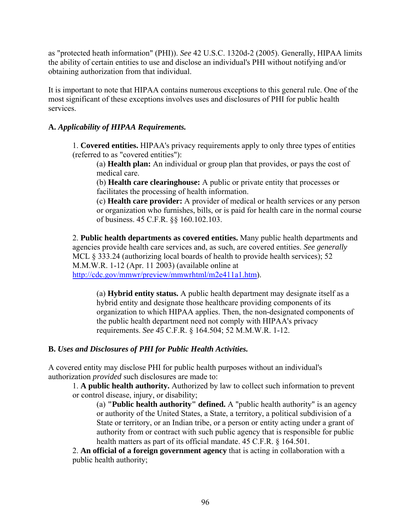as "protected heath information" (PHI)). *See* 42 U.S.C. 1320d-2 (2005). Generally, HIPAA limits the ability of certain entities to use and disclose an individual's PHI without notifying and/or obtaining authorization from that individual.

It is important to note that HIPAA contains numerous exceptions to this general rule. One of the most significant of these exceptions involves uses and disclosures of PHI for public health services.

# **A.** *Applicability of HIPAA Requirements.*

1. **Covered entities.** HIPAA's privacy requirements apply to only three types of entities (referred to as "covered entities"):

(a) **Health plan:** An individual or group plan that provides, or pays the cost of medical care.

(b) **Health care clearinghouse:** A public or private entity that processes or facilitates the processing of health information.

(c) **Health care provider:** A provider of medical or health services or any person or organization who furnishes, bills, or is paid for health care in the normal course of business. 45 C.F.R. §§ 160.102.103.

2. **Public health departments as covered entities.** Many public health departments and agencies provide health care services and, as such, are covered entities. *See generally* MCL § 333.24 (authorizing local boards of health to provide health services); 52 M.M.W.R. 1-12 (Apr. 11 2003) (available online at [http://cdc.gov/mmwr/preview/mmwrhtml/m2e411a1.htm\)](http://cdc.gov/mmwr/preview/mmwrhtml/m2e411a1.htm).

(a) **Hybrid entity status.** A public health department may designate itself as a hybrid entity and designate those healthcare providing components of its organization to which HIPAA applies. Then, the non-designated components of the public health department need not comply with HIPAA's privacy requirements. *See 45* C.F.R. § 164.504; 52 M.M.W.R. 1-12.

# **B.** *Uses and Disclosures of PHI for Public Health Activities.*

A covered entity may disclose PHI for public health purposes without an individual's authorization *provided* such disclosures are made to:

1. **A public health authority.** Authorized by law to collect such information to prevent or control disease, injury, or disability;

(a) **"Public health authority" defined.** A "public health authority" is an agency or authority of the United States, a State, a territory, a political subdivision of a State or territory, or an Indian tribe, or a person or entity acting under a grant of authority from or contract with such public agency that is responsible for public health matters as part of its official mandate. 45 C.F.R. § 164.501.

2. **An official of a foreign government agency** that is acting in collaboration with a public health authority;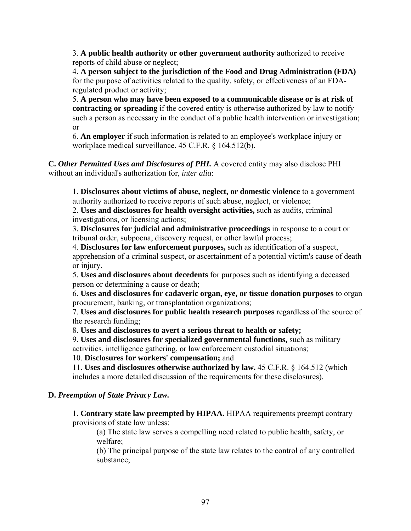3. **A public health authority or other government authority** authorized to receive reports of child abuse or neglect;

4. **A person subject to the jurisdiction of the Food and Drug Administration (FDA)** for the purpose of activities related to the quality, safety, or effectiveness of an FDAregulated product or activity;

5. **A person who may have been exposed to a communicable disease or is at risk of contracting or spreading** if the covered entity is otherwise authorized by law to notify such a person as necessary in the conduct of a public health intervention or investigation; or

6. **An employer** if such information is related to an employee's workplace injury or workplace medical surveillance. 45 C.F.R. § 164.512(b).

**C.** *Other Permitted Uses and Disclosures of PHI.* A covered entity may also disclose PHI without an individual's authorization for, *inter alia*:

1. **Disclosures about victims of abuse, neglect, or domestic violence** to a government authority authorized to receive reports of such abuse, neglect, or violence;

2. **Uses and disclosures for health oversight activities,** such as audits, criminal investigations, or licensing actions;

3. **Disclosures for judicial and administrative proceedings** in response to a court or tribunal order, subpoena, discovery request, or other lawful process;

4. **Disclosures for law enforcement purposes,** such as identification of a suspect, apprehension of a criminal suspect, or ascertainment of a potential victim's cause of death or injury.

5. **Uses and disclosures about decedents** for purposes such as identifying a deceased person or determining a cause or death;

6. **Uses and disclosures for cadaveric organ, eye, or tissue donation purposes** to organ procurement, banking, or transplantation organizations;

7. **Uses and disclosures for public health research purposes** regardless of the source of the research funding;

8. **Uses and disclosures to avert a serious threat to health or safety;** 

9. **Uses and disclosures for specialized governmental functions,** such as military activities, intelligence gathering, or law enforcement custodial situations;

10. **Disclosures for workers' compensation;** and

11. **Uses and disclosures otherwise authorized by law.** 45 C.F.R. § 164.512 (which includes a more detailed discussion of the requirements for these disclosures).

# **D.** *Preemption of State Privacy Law.*

1. **Contrary state law preempted by HIPAA.** HIPAA requirements preempt contrary provisions of state law unless:

(a) The state law serves a compelling need related to public health, safety, or welfare;

(b) The principal purpose of the state law relates to the control of any controlled substance;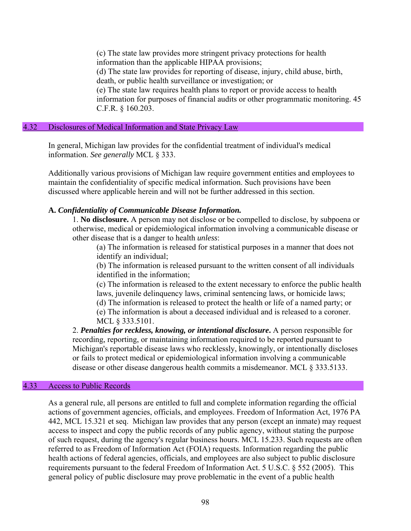(c) The state law provides more stringent privacy protections for health information than the applicable HIPAA provisions;

(d) The state law provides for reporting of disease, injury, child abuse, birth, death, or public health surveillance or investigation; or

(e) The state law requires health plans to report or provide access to health information for purposes of financial audits or other programmatic monitoring. 45 C.F.R. § 160.203.

#### 4.32 Disclosures of Medical Information and State Privacy Law

In general, Michigan law provides for the confidential treatment of individual's medical information. *See generally* MCL § 333.

Additionally various provisions of Michigan law require government entities and employees to maintain the confidentiality of specific medical information. Such provisions have been discussed where applicable herein and will not be further addressed in this section.

## **A.** *Confidentiality of Communicable Disease Information.*

1. **No disclosure.** A person may not disclose or be compelled to disclose, by subpoena or otherwise, medical or epidemiological information involving a communicable disease or other disease that is a danger to health *unless*:

(a) The information is released for statistical purposes in a manner that does not identify an individual;

(b) The information is released pursuant to the written consent of all individuals identified in the information;

(c) The information is released to the extent necessary to enforce the public health laws, juvenile delinquency laws, criminal sentencing laws, or homicide laws;

(d) The information is released to protect the health or life of a named party; or (e) The information is about a deceased individual and is released to a coroner. MCL § 333.5101.

2. *Penalties for reckless, knowing, or intentional disclosure***.** A person responsible for recording, reporting, or maintaining information required to be reported pursuant to Michigan's reportable disease laws who recklessly, knowingly, or intentionally discloses or fails to protect medical or epidemiological information involving a communicable disease or other disease dangerous health commits a misdemeanor. MCL § 333.5133.

#### 4.33 Access to Public Records

As a general rule, all persons are entitled to full and complete information regarding the official actions of government agencies, officials, and employees. Freedom of Information Act, 1976 PA 442, MCL 15.321 et seq. Michigan law provides that any person (except an inmate) may request access to inspect and copy the public records of any public agency, without stating the purpose of such request, during the agency's regular business hours. MCL 15.233. Such requests are often referred to as Freedom of Information Act (FOIA) requests. Information regarding the public health actions of federal agencies, officials, and employees are also subject to public disclosure requirements pursuant to the federal Freedom of Information Act. 5 U.S.C. § 552 (2005). This general policy of public disclosure may prove problematic in the event of a public health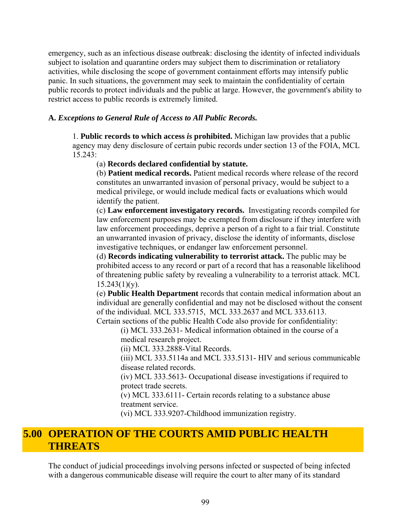emergency, such as an infectious disease outbreak: disclosing the identity of infected individuals subject to isolation and quarantine orders may subject them to discrimination or retaliatory activities, while disclosing the scope of government containment efforts may intensify public panic. In such situations, the government may seek to maintain the confidentiality of certain public records to protect individuals and the public at large. However, the government's ability to restrict access to public records is extremely limited.

# **A.** *Exceptions to General Rule of Access to All Public Records.*

1. **Public records to which access** *is* **prohibited.** Michigan law provides that a public agency may deny disclosure of certain pubic records under section 13 of the FOIA, MCL 15.243:

## (a) **Records declared confidential by statute.**

(b) **Patient medical records.** Patient medical records where release of the record constitutes an unwarranted invasion of personal privacy, would be subject to a medical privilege, or would include medical facts or evaluations which would identify the patient.

(c) **Law enforcement investigatory records.** Investigating records compiled for law enforcement purposes may be exempted from disclosure if they interfere with law enforcement proceedings, deprive a person of a right to a fair trial. Constitute an unwarranted invasion of privacy, disclose the identity of informants, disclose investigative techniques, or endanger law enforcement personnel.

(d) **Records indicating vulnerability to terrorist attack.** The public may be prohibited access to any record or part of a record that has a reasonable likelihood of threatening public safety by revealing a vulnerability to a terrorist attack. MCL  $15.243(1)(v)$ .

(e) **Public Health Department** records that contain medical information about an individual are generally confidential and may not be disclosed without the consent of the individual. MCL 333.5715, MCL 333.2637 and MCL 333.6113.

Certain sections of the public Health Code also provide for confidentiality:

(i) MCL 333.2631- Medical information obtained in the course of a medical research project.

(ii) MCL 333.2888-Vital Records.

(iii) MCL 333.5114a and MCL 333.5131- HIV and serious communicable disease related records.

(iv) MCL 333.5613- Occupational disease investigations if required to protect trade secrets.

(v) MCL 333.6111- Certain records relating to a substance abuse treatment service.

(vi) MCL 333.9207-Childhood immunization registry.

# **5.00 OPERATION OF THE COURTS AMID PUBLIC HEALTH THREATS**

The conduct of judicial proceedings involving persons infected or suspected of being infected with a dangerous communicable disease will require the court to alter many of its standard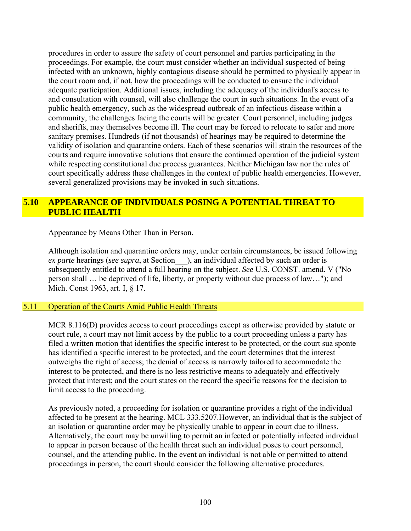procedures in order to assure the safety of court personnel and parties participating in the proceedings. For example, the court must consider whether an individual suspected of being infected with an unknown, highly contagious disease should be permitted to physically appear in the court room and, if not, how the proceedings will be conducted to ensure the individual adequate participation. Additional issues, including the adequacy of the individual's access to and consultation with counsel, will also challenge the court in such situations. In the event of a public health emergency, such as the widespread outbreak of an infectious disease within a community, the challenges facing the courts will be greater. Court personnel, including judges and sheriffs, may themselves become ill. The court may be forced to relocate to safer and more sanitary premises. Hundreds (if not thousands) of hearings may be required to determine the validity of isolation and quarantine orders. Each of these scenarios will strain the resources of the courts and require innovative solutions that ensure the continued operation of the judicial system while respecting constitutional due process guarantees. Neither Michigan law nor the rules of court specifically address these challenges in the context of public health emergencies. However, several generalized provisions may be invoked in such situations.

# **5.10 APPEARANCE OF INDIVIDUALS POSING A POTENTIAL THREAT TO PUBLIC HEALTH**

Appearance by Means Other Than in Person.

Although isolation and quarantine orders may, under certain circumstances, be issued following *ex parte hearings (see supra, at Section*), an individual affected by such an order is subsequently entitled to attend a full hearing on the subject. *See* U.S. CONST. amend. V ("No person shall … be deprived of life, liberty, or property without due process of law…"); and Mich. Const 1963, art. I, § 17.

#### 5.11 Operation of the Courts Amid Public Health Threats

MCR 8.116(D) provides access to court proceedings except as otherwise provided by statute or court rule, a court may not limit access by the public to a court proceeding unless a party has filed a written motion that identifies the specific interest to be protected, or the court sua sponte has identified a specific interest to be protected, and the court determines that the interest outweighs the right of access; the denial of access is narrowly tailored to accommodate the interest to be protected, and there is no less restrictive means to adequately and effectively protect that interest; and the court states on the record the specific reasons for the decision to limit access to the proceeding.

As previously noted, a proceeding for isolation or quarantine provides a right of the individual affected to be present at the hearing. MCL 333.5207.However, an individual that is the subject of an isolation or quarantine order may be physically unable to appear in court due to illness. Alternatively, the court may be unwilling to permit an infected or potentially infected individual to appear in person because of the health threat such an individual poses to court personnel, counsel, and the attending public. In the event an individual is not able or permitted to attend proceedings in person, the court should consider the following alternative procedures.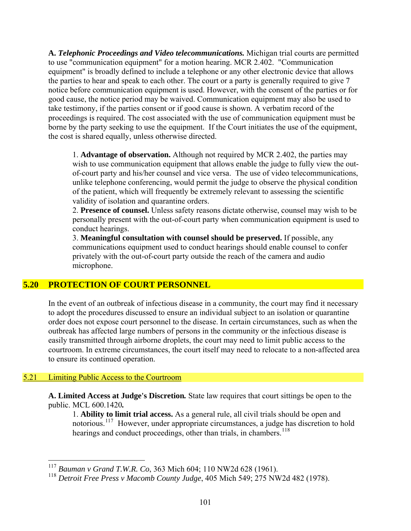**A.** *Telephonic Proceedings and Video telecommunications.* Michigan trial courts are permitted to use "communication equipment" for a motion hearing. MCR 2.402. "Communication equipment" is broadly defined to include a telephone or any other electronic device that allows the parties to hear and speak to each other. The court or a party is generally required to give 7 notice before communication equipment is used. However, with the consent of the parties or for good cause, the notice period may be waived. Communication equipment may also be used to take testimony, if the parties consent or if good cause is shown. A verbatim record of the proceedings is required. The cost associated with the use of communication equipment must be borne by the party seeking to use the equipment. If the Court initiates the use of the equipment, the cost is shared equally, unless otherwise directed.

1. **Advantage of observation.** Although not required by MCR 2.402, the parties may wish to use communication equipment that allows enable the judge to fully view the outof-court party and his/her counsel and vice versa. The use of video telecommunications, unlike telephone conferencing, would permit the judge to observe the physical condition of the patient, which will frequently be extremely relevant to assessing the scientific validity of isolation and quarantine orders.

2. **Presence of counsel.** Unless safety reasons dictate otherwise, counsel may wish to be personally present with the out-of-court party when communication equipment is used to conduct hearings.

3. **Meaningful consultation with counsel should be preserved.** If possible, any communications equipment used to conduct hearings should enable counsel to confer privately with the out-of-court party outside the reach of the camera and audio microphone.

# **5.20 PROTECTION OF COURT PERSONNEL**

In the event of an outbreak of infectious disease in a community, the court may find it necessary to adopt the procedures discussed to ensure an individual subject to an isolation or quarantine order does not expose court personnel to the disease. In certain circumstances, such as when the outbreak has affected large numbers of persons in the community or the infectious disease is easily transmitted through airborne droplets, the court may need to limit public access to the courtroom. In extreme circumstances, the court itself may need to relocate to a non-affected area to ensure its continued operation.

# 5.21 Limiting Public Access to the Courtroom

 $\overline{a}$ 

**A. Limited Access at Judge's Discretion***.* State law requires that court sittings be open to the public. MCL 600.1420*.* 

1. **Ability to limit trial access.** As a general rule, all civil trials should be open and notorious.[117](#page-111-0) However, under appropriate circumstances, a judge has discretion to hold hearings and conduct proceedings, other than trials, in chambers.<sup>[118](#page-111-1)</sup>

<sup>117</sup> *Bauman v Grand T.W.R. Co*, 363 Mich 604; 110 NW2d 628 (1961).

<span id="page-111-1"></span><span id="page-111-0"></span><sup>118</sup> *Detroit Free Press v Macomb County Judge*, 405 Mich 549; 275 NW2d 482 (1978).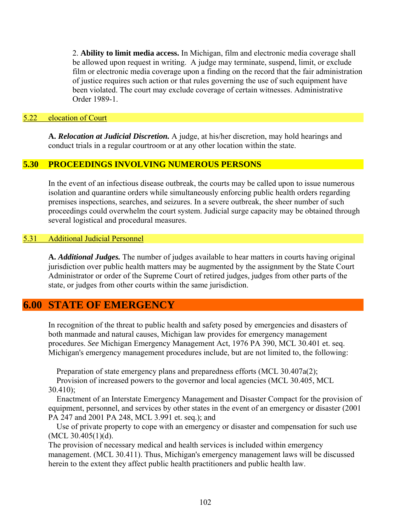2. **Ability to limit media access.** In Michigan, film and electronic media coverage shall be allowed upon request in writing. A judge may terminate, suspend, limit, or exclude film or electronic media coverage upon a finding on the record that the fair administration of justice requires such action or that rules governing the use of such equipment have been violated. The court may exclude coverage of certain witnesses. Administrative Order 1989-1.

#### 5.22 elocation of Court

**A.** *Relocation at Judicial Discretion.* A judge, at his/her discretion, may hold hearings and conduct trials in a regular courtroom or at any other location within the state.

# **5.30 PROCEEDINGS INVOLVING NUMEROUS PERSONS**

In the event of an infectious disease outbreak, the courts may be called upon to issue numerous isolation and quarantine orders while simultaneously enforcing public health orders regarding premises inspections, searches, and seizures. In a severe outbreak, the sheer number of such proceedings could overwhelm the court system. Judicial surge capacity may be obtained through several logistical and procedural measures.

#### 5.31 Additional Judicial Personnel

**A.** *Additional Judges.* The number of judges available to hear matters in courts having original jurisdiction over public health matters may be augmented by the assignment by the State Court Administrator or order of the Supreme Court of retired judges, judges from other parts of the state, or judges from other courts within the same jurisdiction.

# **6.00 STATE OF EMERGENCY**

In recognition of the threat to public health and safety posed by emergencies and disasters of both manmade and natural causes, Michigan law provides for emergency management procedures. *See* Michigan Emergency Management Act, 1976 PA 390, MCL 30.401 et. seq. Michigan's emergency management procedures include, but are not limited to, the following:

Preparation of state emergency plans and preparedness efforts (MCL 30.407a(2);

 Provision of increased powers to the governor and local agencies (MCL 30.405, MCL 30.410);

 Enactment of an Interstate Emergency Management and Disaster Compact for the provision of equipment, personnel, and services by other states in the event of an emergency or disaster (2001 PA 247 and 2001 PA 248, MCL 3.991 et. seq.); and

 Use of private property to cope with an emergency or disaster and compensation for such use  $(MCL 30.405(1)(d))$ .

The provision of necessary medical and health services is included within emergency management. (MCL 30.411). Thus, Michigan's emergency management laws will be discussed herein to the extent they affect public health practitioners and public health law.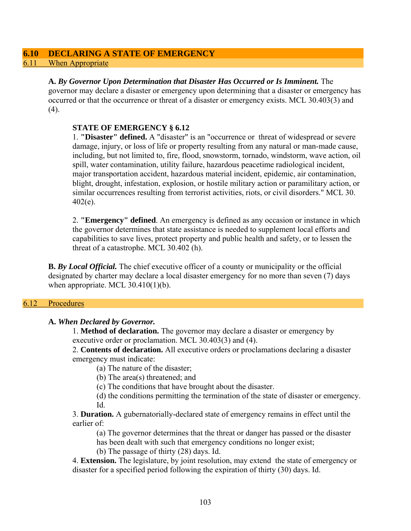# **6.10 DECLARING A STATE OF EMERGENCY**

6.11 When Appropriate

## **A.** *By Governor Upon Determination that Disaster Has Occurred or Is Imminent.* The governor may declare a disaster or emergency upon determining that a disaster or emergency has occurred or that the occurrence or threat of a disaster or emergency exists. MCL 30.403(3) and (4).

# **STATE OF EMERGENCY § 6.12**

1. **"Disaster" defined.** A "disaster" is an "occurrence or threat of widespread or severe damage, injury, or loss of life or property resulting from any natural or man-made cause, including, but not limited to, fire, flood, snowstorm, tornado, windstorm, wave action, oil spill, water contamination, utility failure, hazardous peacetime radiological incident, major transportation accident, hazardous material incident, epidemic, air contamination, blight, drought, infestation, explosion, or hostile military action or paramilitary action, or similar occurrences resulting from terrorist activities, riots, or civil disorders." MCL 30. 402(e).

2. **"Emergency" defined**. An emergency is defined as any occasion or instance in which the governor determines that state assistance is needed to supplement local efforts and capabilities to save lives, protect property and public health and safety, or to lessen the threat of a catastrophe. MCL 30.402 (h).

**B.** By Local Official. The chief executive officer of a county or municipality or the official designated by charter may declare a local disaster emergency for no more than seven (7) days when appropriate. MCL  $30.410(1)(b)$ .

#### 6.12 Procedures

#### **A.** *When Declared by Governor.*

1. **Method of declaration.** The governor may declare a disaster or emergency by executive order or proclamation. MCL 30.403(3) and (4).

2. **Contents of declaration.** All executive orders or proclamations declaring a disaster emergency must indicate:

(a) The nature of the disaster;

(b) The area(s) threatened; and

(c) The conditions that have brought about the disaster.

(d) the conditions permitting the termination of the state of disaster or emergency. Id.

3. **Duration.** A gubernatorially-declared state of emergency remains in effect until the earlier of:

(a) The governor determines that the threat or danger has passed or the disaster

has been dealt with such that emergency conditions no longer exist;

(b) The passage of thirty (28) days. Id.

4. **Extension.** The legislature, by joint resolution, may extend the state of emergency or disaster for a specified period following the expiration of thirty (30) days. Id.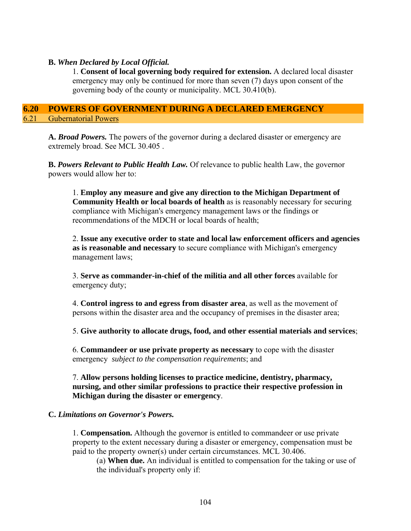#### **B.** *When Declared by Local Official.*

1. **Consent of local governing body required for extension.** A declared local disaster emergency may only be continued for more than seven (7) days upon consent of the governing body of the county or municipality. MCL 30.410(b).

# **6.20 POWERS OF GOVERNMENT DURING A DECLARED EMERGENCY** 6.21 Gubernatorial Powers

**A.** *Broad Powers.* The powers of the governor during a declared disaster or emergency are extremely broad. See MCL 30.405 .

**B.** *Powers Relevant to Public Health Law.* Of relevance to public health Law, the governor powers would allow her to:

1. **Employ any measure and give any direction to the Michigan Department of Community Health or local boards of health** as is reasonably necessary for securing compliance with Michigan's emergency management laws or the findings or recommendations of the MDCH or local boards of health;

2. **Issue any executive order to state and local law enforcement officers and agencies as is reasonable and necessary** to secure compliance with Michigan's emergency management laws;

3. **Serve as commander-in-chief of the militia and all other forces** available for emergency duty;

4. **Control ingress to and egress from disaster area**, as well as the movement of persons within the disaster area and the occupancy of premises in the disaster area;

5. **Give authority to allocate drugs, food, and other essential materials and services**;

6. **Commandeer or use private property as necessary** to cope with the disaster emergency *subject to the compensation requirements*; and

7. **Allow persons holding licenses to practice medicine, dentistry, pharmacy, nursing, and other similar professions to practice their respective profession in Michigan during the disaster or emergency**.

#### **C.** *Limitations on Governor's Powers.*

1. **Compensation.** Although the governor is entitled to commandeer or use private property to the extent necessary during a disaster or emergency, compensation must be paid to the property owner(s) under certain circumstances. MCL 30.406.

(a) **When due.** An individual is entitled to compensation for the taking or use of the individual's property only if: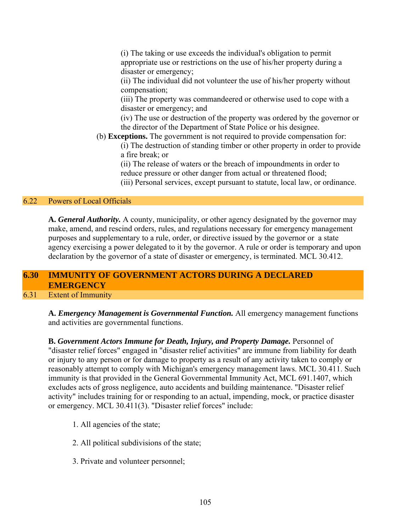(i) The taking or use exceeds the individual's obligation to permit appropriate use or restrictions on the use of his/her property during a disaster or emergency;

(ii) The individual did not volunteer the use of his/her property without compensation;

(iii) The property was commandeered or otherwise used to cope with a disaster or emergency; and

(iv) The use or destruction of the property was ordered by the governor or the director of the Department of State Police or his designee.

(b) **Exceptions.** The government is not required to provide compensation for:

(i) The destruction of standing timber or other property in order to provide a fire break; or

(ii) The release of waters or the breach of impoundments in order to reduce pressure or other danger from actual or threatened flood;

(iii) Personal services, except pursuant to statute, local law, or ordinance.

# 6.22 Powers of Local Officials

**A.** *General Authority.* A county, municipality, or other agency designated by the governor may make, amend, and rescind orders, rules, and regulations necessary for emergency management purposes and supplementary to a rule, order, or directive issued by the governor or a state agency exercising a power delegated to it by the governor. A rule or order is temporary and upon declaration by the governor of a state of disaster or emergency, is terminated. MCL 30.412.

#### **6.30 IMMUNITY OF GOVERNMENT ACTORS DURING A DECLARED EMERGENCY**

# 6.31 Extent of Immunity

**A.** *Emergency Management is Governmental Function.* All emergency management functions and activities are governmental functions.

**B.** *Government Actors Immune for Death, Injury, and Property Damage.* Personnel of "disaster relief forces" engaged in "disaster relief activities" are immune from liability for death or injury to any person or for damage to property as a result of any activity taken to comply or reasonably attempt to comply with Michigan's emergency management laws. MCL 30.411. Such immunity is that provided in the General Governmental Immunity Act, MCL 691.1407, which excludes acts of gross negligence, auto accidents and building maintenance. "Disaster relief activity" includes training for or responding to an actual, impending, mock, or practice disaster or emergency. MCL 30.411(3). "Disaster relief forces" include:

- 1. All agencies of the state;
- 2. All political subdivisions of the state;
- 3. Private and volunteer personnel;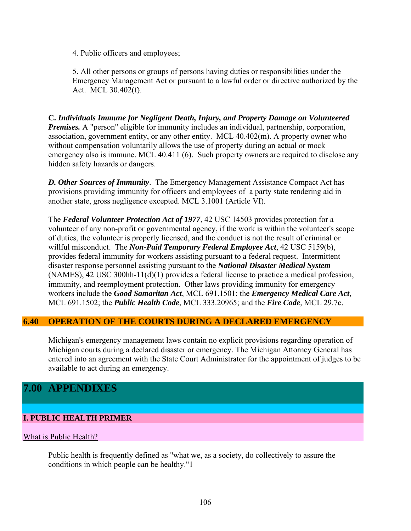4. Public officers and employees;

5. All other persons or groups of persons having duties or responsibilities under the Emergency Management Act or pursuant to a lawful order or directive authorized by the Act. MCL 30.402(f).

**C.** *Individuals Immune for Negligent Death, Injury, and Property Damage on Volunteered Premises.* A "person" eligible for immunity includes an individual, partnership, corporation, association, government entity, or any other entity. MCL 40.402(m). A property owner who without compensation voluntarily allows the use of property during an actual or mock emergency also is immune. MCL 40.411 (6). Such property owners are required to disclose any hidden safety hazards or dangers.

*D. Other Sources of Immunity*. The Emergency Management Assistance Compact Act has provisions providing immunity for officers and employees of a party state rendering aid in another state, gross negligence excepted. MCL 3.1001 (Article VI).

The *Federal Volunteer Protection Act of 1977*, 42 USC 14503 provides protection for a volunteer of any non-profit or governmental agency, if the work is within the volunteer's scope of duties, the volunteer is properly licensed, and the conduct is not the result of criminal or willful misconduct. The *Non-Paid Temporary Federal Employee Act*, 42 USC 5159(b), provides federal immunity for workers assisting pursuant to a federal request. Intermittent disaster response personnel assisting pursuant to the *National Disaster Medical System* (NAMES), 42 USC 300hh-11(d)(1) provides a federal license to practice a medical profession, immunity, and reemployment protection. Other laws providing immunity for emergency workers include the *Good Samaritan Act*, MCL 691.1501; the *Emergency Medical Care Act*, MCL 691.1502; the *Public Health Code*, MCL 333.20965; and the *Fire Code*, MCL 29.7c.

# **6.40 OPERATION OF THE COURTS DURING A DECLARED EMERGENCY**

Michigan's emergency management laws contain no explicit provisions regarding operation of Michigan courts during a declared disaster or emergency. The Michigan Attorney General has entered into an agreement with the State Court Administrator for the appointment of judges to be available to act during an emergency.

# **7.00 APPENDIXES**

# **I. PUBLIC HEALTH PRIMER**

# What is Public Health?

Public health is frequently defined as "what we, as a society, do collectively to assure the conditions in which people can be healthy."1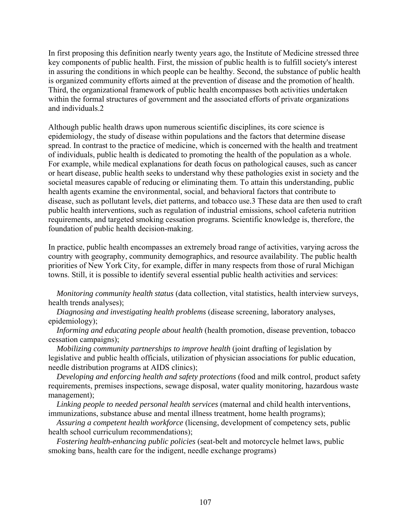In first proposing this definition nearly twenty years ago, the Institute of Medicine stressed three key components of public health. First, the mission of public health is to fulfill society's interest in assuring the conditions in which people can be healthy. Second, the substance of public health is organized community efforts aimed at the prevention of disease and the promotion of health. Third, the organizational framework of public health encompasses both activities undertaken within the formal structures of government and the associated efforts of private organizations and individuals.2

Although public health draws upon numerous scientific disciplines, its core science is epidemiology, the study of disease within populations and the factors that determine disease spread. In contrast to the practice of medicine, which is concerned with the health and treatment of individuals, public health is dedicated to promoting the health of the population as a whole. For example, while medical explanations for death focus on pathological causes, such as cancer or heart disease, public health seeks to understand why these pathologies exist in society and the societal measures capable of reducing or eliminating them. To attain this understanding, public health agents examine the environmental, social, and behavioral factors that contribute to disease, such as pollutant levels, diet patterns, and tobacco use.3 These data are then used to craft public health interventions, such as regulation of industrial emissions, school cafeteria nutrition requirements, and targeted smoking cessation programs. Scientific knowledge is, therefore, the foundation of public health decision-making.

In practice, public health encompasses an extremely broad range of activities, varying across the country with geography, community demographics, and resource availability. The public health priorities of New York City, for example, differ in many respects from those of rural Michigan towns. Still, it is possible to identify several essential public health activities and services:

 *Monitoring community health status* (data collection, vital statistics, health interview surveys, health trends analyses);

 *Diagnosing and investigating health problems* (disease screening, laboratory analyses, epidemiology);

*Informing and educating people about health* (health promotion, disease prevention, tobacco cessation campaigns);

*Mobilizing community partnerships to improve health* (joint drafting of legislation by legislative and public health officials, utilization of physician associations for public education, needle distribution programs at AIDS clinics);

 *Developing and enforcing health and safety protections* (food and milk control, product safety requirements, premises inspections, sewage disposal, water quality monitoring, hazardous waste management);

 *Linking people to needed personal health services* (maternal and child health interventions, immunizations, substance abuse and mental illness treatment, home health programs);

 *Assuring a competent health workforce* (licensing, development of competency sets, public health school curriculum recommendations);

 *Fostering health-enhancing public policies* (seat-belt and motorcycle helmet laws, public smoking bans, health care for the indigent, needle exchange programs)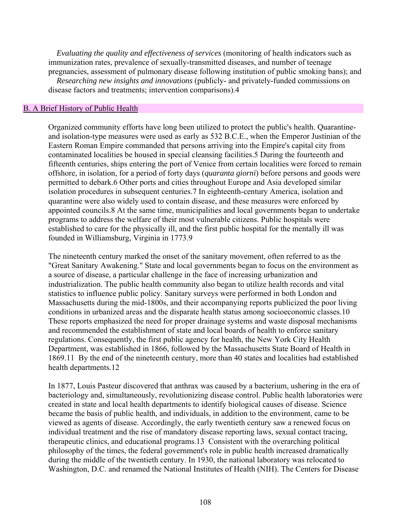*Evaluating the quality and effectiveness of services* (monitoring of health indicators such as immunization rates, prevalence of sexually-transmitted diseases, and number of teenage pregnancies, assessment of pulmonary disease following institution of public smoking bans); and *Researching new insights and innovations* (publicly- and privately-funded commissions on disease factors and treatments; intervention comparisons).4

#### B. A Brief History of Public Health

Organized community efforts have long been utilized to protect the public's health. Quarantineand isolation-type measures were used as early as 532 B.C.E., when the Emperor Justinian of the Eastern Roman Empire commanded that persons arriving into the Empire's capital city from contaminated localities be housed in special cleansing facilities.5 During the fourteenth and fifteenth centuries, ships entering the port of Venice from certain localities were forced to remain offshore, in isolation, for a period of forty days (*quaranta giorni*) before persons and goods were permitted to debark.6 Other ports and cities throughout Europe and Asia developed similar isolation procedures in subsequent centuries.7 In eighteenth-century America, isolation and quarantine were also widely used to contain disease, and these measures were enforced by appointed councils.8 At the same time, municipalities and local governments began to undertake programs to address the welfare of their most vulnerable citizens. Public hospitals were established to care for the physically ill, and the first public hospital for the mentally ill was founded in Williamsburg, Virginia in 1773.9

The nineteenth century marked the onset of the sanitary movement, often referred to as the "Great Sanitary Awakening." State and local governments began to focus on the environment as a source of disease, a particular challenge in the face of increasing urbanization and industrialization. The public health community also began to utilize health records and vital statistics to influence public policy. Sanitary surveys were performed in both London and Massachusetts during the mid-1800s, and their accompanying reports publicized the poor living conditions in urbanized areas and the disparate health status among socioeconomic classes.10 These reports emphasized the need for proper drainage systems and waste disposal mechanisms and recommended the establishment of state and local boards of health to enforce sanitary regulations. Consequently, the first public agency for health, the New York City Health Department, was established in 1866, followed by the Massachusetts State Board of Health in 1869.11 By the end of the nineteenth century, more than 40 states and localities had established health departments.12

In 1877, Louis Pasteur discovered that anthrax was caused by a bacterium, ushering in the era of bacteriology and, simultaneously, revolutionizing disease control. Public health laboratories were created in state and local health departments to identify biological causes of disease. Science became the basis of public health, and individuals, in addition to the environment, came to be viewed as agents of disease. Accordingly, the early twentieth century saw a renewed focus on individual treatment and the rise of mandatory disease reporting laws, sexual contact tracing, therapeutic clinics, and educational programs.13 Consistent with the overarching political philosophy of the times, the federal government's role in public health increased dramatically during the middle of the twentieth century. In 1930, the national laboratory was relocated to Washington, D.C. and renamed the National Institutes of Health (NIH). The Centers for Disease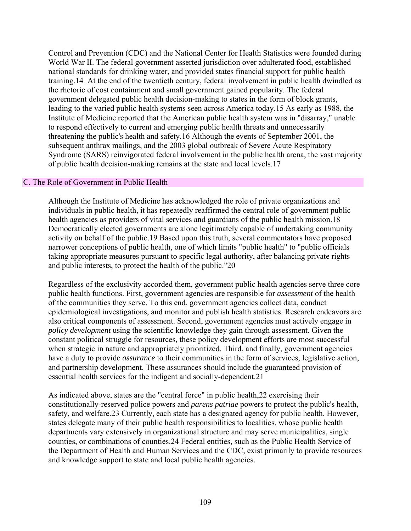Control and Prevention (CDC) and the National Center for Health Statistics were founded during World War II. The federal government asserted jurisdiction over adulterated food, established national standards for drinking water, and provided states financial support for public health training.14 At the end of the twentieth century, federal involvement in public health dwindled as the rhetoric of cost containment and small government gained popularity. The federal government delegated public health decision-making to states in the form of block grants, leading to the varied public health systems seen across America today.15 As early as 1988, the Institute of Medicine reported that the American public health system was in "disarray," unable to respond effectively to current and emerging public health threats and unnecessarily threatening the public's health and safety.16 Although the events of September 2001, the subsequent anthrax mailings, and the 2003 global outbreak of Severe Acute Respiratory Syndrome (SARS) reinvigorated federal involvement in the public health arena, the vast majority of public health decision-making remains at the state and local levels.17

#### C. The Role of Government in Public Health

Although the Institute of Medicine has acknowledged the role of private organizations and individuals in public health, it has repeatedly reaffirmed the central role of government public health agencies as providers of vital services and guardians of the public health mission.18 Democratically elected governments are alone legitimately capable of undertaking community activity on behalf of the public.19 Based upon this truth, several commentators have proposed narrower conceptions of public health, one of which limits "public health" to "public officials taking appropriate measures pursuant to specific legal authority, after balancing private rights and public interests, to protect the health of the public."20

Regardless of the exclusivity accorded them, government public health agencies serve three core public health functions. First, government agencies are responsible for *assessment* of the health of the communities they serve. To this end, government agencies collect data, conduct epidemiological investigations, and monitor and publish health statistics. Research endeavors are also critical components of assessment. Second, government agencies must actively engage in *policy development* using the scientific knowledge they gain through assessment. Given the constant political struggle for resources, these policy development efforts are most successful when strategic in nature and appropriately prioritized. Third, and finally, government agencies have a duty to provide *assurance* to their communities in the form of services, legislative action, and partnership development. These assurances should include the guaranteed provision of essential health services for the indigent and socially-dependent.21

As indicated above, states are the "central force" in public health,22 exercising their constitutionally-reserved police powers and *parens patriae* powers to protect the public's health, safety, and welfare.23 Currently, each state has a designated agency for public health. However, states delegate many of their public health responsibilities to localities, whose public health departments vary extensively in organizational structure and may serve municipalities, single counties, or combinations of counties.24 Federal entities, such as the Public Health Service of the Department of Health and Human Services and the CDC, exist primarily to provide resources and knowledge support to state and local public health agencies.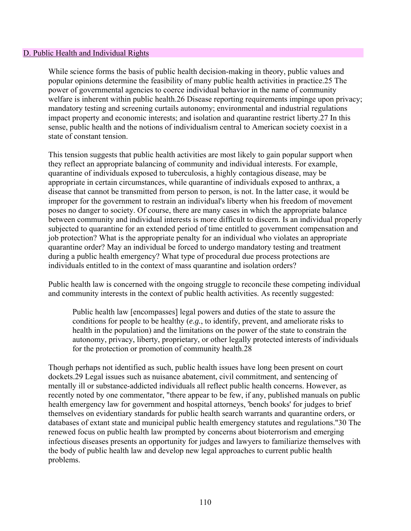#### D. Public Health and Individual Rights

While science forms the basis of public health decision-making in theory, public values and popular opinions determine the feasibility of many public health activities in practice.25 The power of governmental agencies to coerce individual behavior in the name of community welfare is inherent within public health.26 Disease reporting requirements impinge upon privacy; mandatory testing and screening curtails autonomy; environmental and industrial regulations impact property and economic interests; and isolation and quarantine restrict liberty.27 In this sense, public health and the notions of individualism central to American society coexist in a state of constant tension.

This tension suggests that public health activities are most likely to gain popular support when they reflect an appropriate balancing of community and individual interests. For example, quarantine of individuals exposed to tuberculosis, a highly contagious disease, may be appropriate in certain circumstances, while quarantine of individuals exposed to anthrax, a disease that cannot be transmitted from person to person, is not. In the latter case, it would be improper for the government to restrain an individual's liberty when his freedom of movement poses no danger to society. Of course, there are many cases in which the appropriate balance between community and individual interests is more difficult to discern. Is an individual properly subjected to quarantine for an extended period of time entitled to government compensation and job protection? What is the appropriate penalty for an individual who violates an appropriate quarantine order? May an individual be forced to undergo mandatory testing and treatment during a public health emergency? What type of procedural due process protections are individuals entitled to in the context of mass quarantine and isolation orders?

Public health law is concerned with the ongoing struggle to reconcile these competing individual and community interests in the context of public health activities. As recently suggested:

Public health law [encompasses] legal powers and duties of the state to assure the conditions for people to be healthy (*e.g.*, to identify, prevent, and ameliorate risks to health in the population) and the limitations on the power of the state to constrain the autonomy, privacy, liberty, proprietary, or other legally protected interests of individuals for the protection or promotion of community health.28

Though perhaps not identified as such, public health issues have long been present on court dockets.29 Legal issues such as nuisance abatement, civil commitment, and sentencing of mentally ill or substance-addicted individuals all reflect public health concerns. However, as recently noted by one commentator, "there appear to be few, if any, published manuals on public health emergency law for government and hospital attorneys, 'bench books' for judges to brief themselves on evidentiary standards for public health search warrants and quarantine orders, or databases of extant state and municipal public health emergency statutes and regulations."30 The renewed focus on public health law prompted by concerns about bioterrorism and emerging infectious diseases presents an opportunity for judges and lawyers to familiarize themselves with the body of public health law and develop new legal approaches to current public health problems.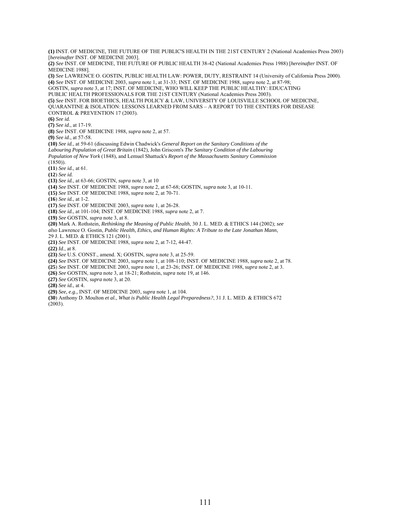**(1)** INST. OF MEDICINE, THE FUTURE OF THE PUBLIC'S HEALTH IN THE 21ST CENTURY 2 (National Academies Press 2003) [*hereinafter* INST. OF MEDICINE 2003]. **(2)** *See* INST. OF MEDICINE, THE FUTURE OF PUBLIC HEALTH 38-42 (National Academies Press 1988) [*hereinafter* INST. OF MEDICINE 1988]. **(3)** *See* LAWRENCE O. GOSTIN, PUBLIC HEALTH LAW: POWER, DUTY, RESTRAINT 14 (University of California Press 2000). **(4)** *See* INST. OF MEDICINE 2003, *supra* note 1, at 31-33; INST. OF MEDICINE 1988, *supra* note 2, at 87-98; GOSTIN, *supra* note 3, at 17; INST. OF MEDICINE, WHO WILL KEEP THE PUBLIC HEALTHY: EDUCATING PUBLIC HEALTH PROFESSIONALS FOR THE 21ST CENTURY (National Academies Press 2003). **(5)** *See* INST. FOR BIOETHICS, HEALTH POLICY & LAW, UNIVERSITY OF LOUISVILLE SCHOOL OF MEDICINE, QUARANTINE & ISOLATION: LESSONS LEARNED FROM SARS – A REPORT TO THE CENTERS FOR DISEASE CONTROL & PREVENTION 17 (2003). **(6)** *See id.*  **(7)** *See id.*, at 17-19. **(8)** *See* INST. OF MEDICINE 1988, *supra* note 2, at 57. **(9)** *See id.*, at 57-58. **(10)** *See id.*, at 59-61 (discussing Edwin Chadwick's *General Report on the Sanitary Conditions of the Labouring Population of Great Britain* (1842), John Griscom's *The Sanitary Condition of the Labouring Population of New York* (1848), and Lemuel Shattuck's *Report of the Massachusetts Sanitary Commission*   $(1850)$ ). **(11**) *See id.*, at 61. **(12**) *See id.*  **(13)** *See id.*, at 63-66; GOSTIN, *supra* note 3, at 10 **(14)** *See* INST. OF MEDICINE 1988, *supra* note 2, at 67-68; GOSTIN, *supra* note 3, at 10-11. **(15)** *See* INST. OF MEDICINE 1988, *supra* note 2, at 70-71. **(16**) *See id.*, at 1-2. **(17)** *See* INST. OF MEDICINE 2003, *supra* note 1, at 26-28. **(18)** *See id.*, at 101-104; INST. OF MEDICINE 1988, *supra* note 2, at 7. **(19)** *See* GOSTIN, *supra* note 3, at 8. **(20)** Mark A. Rothstein, *Rethinking the Meaning of Public Health*, 30 J. L. MED. & ETHICS 144 (2002); *see also* Lawrence O. Gostin, *Public Health, Ethics, and Human Rights: A Tribute to the Late Jonathan Mann*, 29 J. L. MED. & ETHICS 121 (2001). **(21)** *See* INST. OF MEDICINE 1988, *supra* note 2, at 7-12, 44-47. **(22)** *Id.*, at 8. **(23)** *See* U.S. CONST., amend. X; GOSTIN, *supra* note 3, at 25-59. **(24)** *See* INST. OF MEDICINE 2003, *supra* note 1, at 108-110; INST. OF MEDICINE 1988, *supra* note 2, at 78. **(25**) *See* INST. OF MEDICINE 2003, *supra* note 1, at 23-26; INST. OF MEDICINE 1988, *supra* note 2, at 3. **(26)** *See* GOSTIN, *supra* note 3, at 18-21; Rothstein, *supra* note 19, at 146. **(27)** *See* GOSTIN, *supra* note 3, at 20. **(28)** *See id.*, at 4. **(29)** *See, e.g.,* INST. OF MEDICINE 2003, *supra* note 1, at 104. **(30**) Anthony D. Moulton *et al.*, *What is Public Health Legal Preparedness?*, 31 J. L. MED. & ETHICS 672

(2003).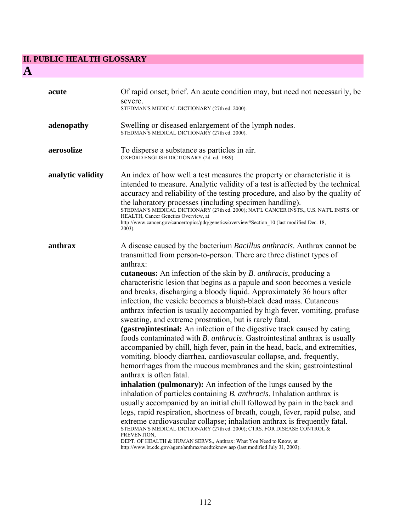# **II. PUBLIC HEALTH GLOSSARY A**

| acute             | Of rapid onset; brief. An acute condition may, but need not necessarily, be<br>severe.<br>STEDMAN'S MEDICAL DICTIONARY (27th ed. 2000).                                                                                                                                                                                                                                                                                                                                                                                                                                                                                                                                                                                                                                                                                                                                                                                                                                                                                                                                                                                                                                                                                                                                                                                                                                                                                                                                                                                                                                                                                                                                                                |
|-------------------|--------------------------------------------------------------------------------------------------------------------------------------------------------------------------------------------------------------------------------------------------------------------------------------------------------------------------------------------------------------------------------------------------------------------------------------------------------------------------------------------------------------------------------------------------------------------------------------------------------------------------------------------------------------------------------------------------------------------------------------------------------------------------------------------------------------------------------------------------------------------------------------------------------------------------------------------------------------------------------------------------------------------------------------------------------------------------------------------------------------------------------------------------------------------------------------------------------------------------------------------------------------------------------------------------------------------------------------------------------------------------------------------------------------------------------------------------------------------------------------------------------------------------------------------------------------------------------------------------------------------------------------------------------------------------------------------------------|
| adenopathy        | Swelling or diseased enlargement of the lymph nodes.<br>STEDMAN'S MEDICAL DICTIONARY (27th ed. 2000).                                                                                                                                                                                                                                                                                                                                                                                                                                                                                                                                                                                                                                                                                                                                                                                                                                                                                                                                                                                                                                                                                                                                                                                                                                                                                                                                                                                                                                                                                                                                                                                                  |
| aerosolize        | To disperse a substance as particles in air.<br>OXFORD ENGLISH DICTIONARY (2d. ed. 1989).                                                                                                                                                                                                                                                                                                                                                                                                                                                                                                                                                                                                                                                                                                                                                                                                                                                                                                                                                                                                                                                                                                                                                                                                                                                                                                                                                                                                                                                                                                                                                                                                              |
| analytic validity | An index of how well a test measures the property or characteristic it is<br>intended to measure. Analytic validity of a test is affected by the technical<br>accuracy and reliability of the testing procedure, and also by the quality of<br>the laboratory processes (including specimen handling).<br>STEDMAN'S MEDICAL DICTIONARY (27th ed. 2000); NAT'L CANCER INSTS., U.S. NAT'L INSTS. OF<br>HEALTH, Cancer Genetics Overview, at<br>http://www.cancer.gov/cancertopics/pdq/genetics/overview#Section_10 (last modified Dec. 18,<br>2003).                                                                                                                                                                                                                                                                                                                                                                                                                                                                                                                                                                                                                                                                                                                                                                                                                                                                                                                                                                                                                                                                                                                                                     |
| anthrax           | A disease caused by the bacterium Bacillus anthracis. Anthrax cannot be<br>transmitted from person-to-person. There are three distinct types of<br>anthrax:<br><b>cutaneous:</b> An infection of the skin by <i>B. anthracis</i> , producing a<br>characteristic lesion that begins as a papule and soon becomes a vesicle<br>and breaks, discharging a bloody liquid. Approximately 36 hours after<br>infection, the vesicle becomes a bluish-black dead mass. Cutaneous<br>anthrax infection is usually accompanied by high fever, vomiting, profuse<br>sweating, and extreme prostration, but is rarely fatal.<br>(gastro)intestinal: An infection of the digestive track caused by eating<br>foods contaminated with B. <i>anthracis</i> . Gastrointestinal anthrax is usually<br>accompanied by chill, high fever, pain in the head, back, and extremities,<br>vomiting, bloody diarrhea, cardiovascular collapse, and, frequently,<br>hemorrhages from the mucous membranes and the skin; gastrointestinal<br>anthrax is often fatal.<br><b>inhalation (pulmonary):</b> An infection of the lungs caused by the<br>inhalation of particles containing <i>B. anthracis</i> . Inhalation anthrax is<br>usually accompanied by an initial chill followed by pain in the back and<br>legs, rapid respiration, shortness of breath, cough, fever, rapid pulse, and<br>extreme cardiovascular collapse; inhalation anthrax is frequently fatal.<br>STEDMAN'S MEDICAL DICTIONARY (27th ed. 2000); CTRS. FOR DISEASE CONTROL &<br>PREVENTION,<br>DEPT. OF HEALTH & HUMAN SERVS., Anthrax: What You Need to Know, at<br>http://www.bt.cdc.gov/agent/anthrax/needtoknow.asp (last modified July 31, 2003). |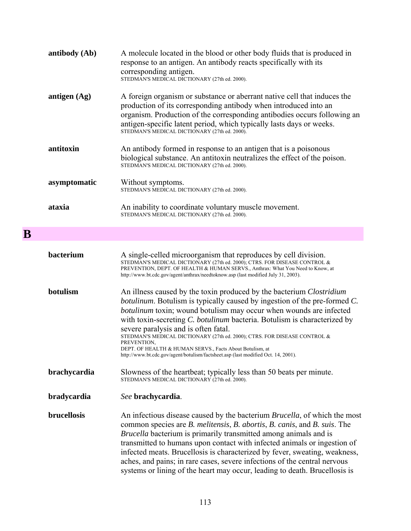| antibody (Ab)  | A molecule located in the blood or other body fluids that is produced in<br>response to an antigen. An antibody reacts specifically with its<br>corresponding antigen.<br>STEDMAN'S MEDICAL DICTIONARY (27th ed. 2000).                                                                                                                                                                                                                                                                                                                                                                                        |
|----------------|----------------------------------------------------------------------------------------------------------------------------------------------------------------------------------------------------------------------------------------------------------------------------------------------------------------------------------------------------------------------------------------------------------------------------------------------------------------------------------------------------------------------------------------------------------------------------------------------------------------|
| antigen $(Ag)$ | A foreign organism or substance or aberrant native cell that induces the<br>production of its corresponding antibody when introduced into an<br>organism. Production of the corresponding antibodies occurs following an<br>antigen-specific latent period, which typically lasts days or weeks.<br>STEDMAN'S MEDICAL DICTIONARY (27th ed. 2000).                                                                                                                                                                                                                                                              |
| antitoxin      | An antibody formed in response to an antigen that is a poisonous<br>biological substance. An antitoxin neutralizes the effect of the poison.<br>STEDMAN'S MEDICAL DICTIONARY (27th ed. 2000).                                                                                                                                                                                                                                                                                                                                                                                                                  |
| asymptomatic   | Without symptoms.<br>STEDMAN'S MEDICAL DICTIONARY (27th ed. 2000).                                                                                                                                                                                                                                                                                                                                                                                                                                                                                                                                             |
| ataxia         | An inability to coordinate voluntary muscle movement.<br>STEDMAN'S MEDICAL DICTIONARY (27th ed. 2000).                                                                                                                                                                                                                                                                                                                                                                                                                                                                                                         |
|                |                                                                                                                                                                                                                                                                                                                                                                                                                                                                                                                                                                                                                |
| bacterium      | A single-celled microorganism that reproduces by cell division.<br>STEDMAN'S MEDICAL DICTIONARY (27th ed. 2000); CTRS. FOR DISEASE CONTROL &<br>PREVENTION, DEPT. OF HEALTH & HUMAN SERVS., Anthrax: What You Need to Know, at<br>http://www.bt.cdc.gov/agent/anthrax/needtoknow.asp (last modified July 31, 2003).                                                                                                                                                                                                                                                                                            |
| botulism       | An illness caused by the toxin produced by the bacterium <i>Clostridium</i><br><i>botulinum</i> . Botulism is typically caused by ingestion of the pre-formed C.<br><i>botulinum</i> toxin; wound botulism may occur when wounds are infected<br>with toxin-secreting C. botulinum bacteria. Botulism is characterized by<br>severe paralysis and is often fatal.<br>STEDMAN'S MEDICAL DICTIONARY (27th ed. 2000); CTRS. FOR DISEASE CONTROL &<br>PREVENTION,<br>DEPT. OF HEALTH & HUMAN SERVS., Facts About Botulism, at<br>http://www.bt.cdc.gov/agent/botulism/factsheet.asp (last modified Oct. 14, 2001). |
| brachycardia   | Slowness of the heartbeat; typically less than 50 beats per minute.<br>STEDMAN'S MEDICAL DICTIONARY (27th ed. 2000).                                                                                                                                                                                                                                                                                                                                                                                                                                                                                           |
| bradycardia    | See brachycardia.                                                                                                                                                                                                                                                                                                                                                                                                                                                                                                                                                                                              |
| brucellosis    | An infectious disease caused by the bacterium <i>Brucella</i> , of which the most<br>common species are <i>B. melitensis</i> , <i>B. abortis</i> , <i>B. canis</i> , and <i>B. suis</i> . The<br><i>Brucella</i> bacterium is primarily transmitted among animals and is<br>transmitted to humans upon contact with infected animals or ingestion of<br>infected meats. Brucellosis is characterized by fever, sweating, weakness,<br>aches, and pains; in rare cases, severe infections of the central nervous<br>systems or lining of the heart may occur, leading to death. Brucellosis is                  |

113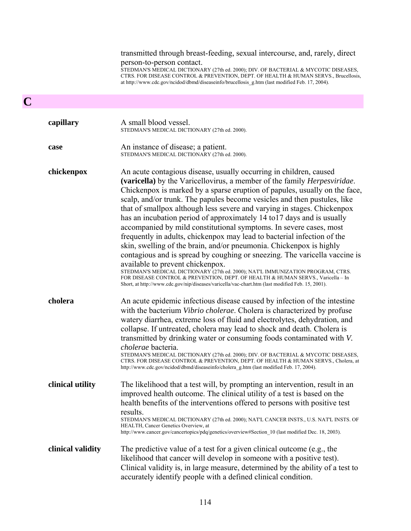transmitted through breast-feeding, sexual intercourse, and, rarely, direct person-to-person contact.

STEDMAN'S MEDICAL DICTIONARY (27th ed. 2000); DIV. OF BACTERIAL & MYCOTIC DISEASES, CTRS. FOR DISEASE CONTROL & PREVENTION, DEPT. OF HEALTH & HUMAN SERVS., Brucellosis, at http://www.cdc.gov/ncidod/dbmd/diseaseinfo/brucellosis\_g.htm (last modified Feb. 17, 2004).

# **C**

| capillary         | A small blood vessel.<br>STEDMAN'S MEDICAL DICTIONARY (27th ed. 2000).                                                                                                                                                                                                                                                                                                                                                                                                                                                                                                                                                                                                                                                                                                                                                                                                                                                                                                                                                                                                                     |
|-------------------|--------------------------------------------------------------------------------------------------------------------------------------------------------------------------------------------------------------------------------------------------------------------------------------------------------------------------------------------------------------------------------------------------------------------------------------------------------------------------------------------------------------------------------------------------------------------------------------------------------------------------------------------------------------------------------------------------------------------------------------------------------------------------------------------------------------------------------------------------------------------------------------------------------------------------------------------------------------------------------------------------------------------------------------------------------------------------------------------|
| case              | An instance of disease; a patient.<br>STEDMAN'S MEDICAL DICTIONARY (27th ed. 2000).                                                                                                                                                                                                                                                                                                                                                                                                                                                                                                                                                                                                                                                                                                                                                                                                                                                                                                                                                                                                        |
| chickenpox        | An acute contagious disease, usually occurring in children, caused<br>(varicella) by the Varicellovirus, a member of the family <i>Herpesviridae</i> .<br>Chickenpox is marked by a sparse eruption of papules, usually on the face,<br>scalp, and/or trunk. The papules become vesicles and then pustules, like<br>that of smallpox although less severe and varying in stages. Chickenpox<br>has an incubation period of approximately 14 to 17 days and is usually<br>accompanied by mild constitutional symptoms. In severe cases, most<br>frequently in adults, chickenpox may lead to bacterial infection of the<br>skin, swelling of the brain, and/or pneumonia. Chickenpox is highly<br>contagious and is spread by coughing or sneezing. The varicella vaccine is<br>available to prevent chickenpox.<br>STEDMAN'S MEDICAL DICTIONARY (27th ed. 2000); NAT'L IMMUNIZATION PROGRAM, CTRS.<br>FOR DISEASE CONTROL & PREVENTION, DEPT. OF HEALTH & HUMAN SERVS., Varicella - In<br>Short, at http://www.cdc.gov/nip/diseases/varicella/vac-chart.htm (last modified Feb. 15, 2001). |
| cholera           | An acute epidemic infectious disease caused by infection of the intestine<br>with the bacterium Vibrio cholerae. Cholera is characterized by profuse<br>watery diarrhea, extreme loss of fluid and electrolytes, dehydration, and<br>collapse. If untreated, cholera may lead to shock and death. Cholera is<br>transmitted by drinking water or consuming foods contaminated with V.<br><i>cholerae</i> bacteria.<br>STEDMAN'S MEDICAL DICTIONARY (27th ed. 2000); DIV. OF BACTERIAL & MYCOTIC DISEASES,<br>CTRS. FOR DISEASE CONTROL & PREVENTION, DEPT. OF HEALTH & HUMAN SERVS., Cholera, at<br>http://www.cdc.gov/ncidod/dbmd/diseaseinfo/cholera_g.htm (last modified Feb. 17, 2004).                                                                                                                                                                                                                                                                                                                                                                                                |
| clinical utility  | The likelihood that a test will, by prompting an intervention, result in an<br>improved health outcome. The clinical utility of a test is based on the<br>health benefits of the interventions offered to persons with positive test<br>results.<br>STEDMAN'S MEDICAL DICTIONARY (27th ed. 2000); NAT'L CANCER INSTS., U.S. NAT'L INSTS. OF<br>HEALTH, Cancer Genetics Overview, at<br>http://www.cancer.gov/cancertopics/pdq/genetics/overview#Section_10 (last modified Dec. 18, 2003).                                                                                                                                                                                                                                                                                                                                                                                                                                                                                                                                                                                                  |
| clinical validity | The predictive value of a test for a given clinical outcome (e.g., the<br>likelihood that cancer will develop in someone with a positive test).<br>Clinical validity is, in large measure, determined by the ability of a test to<br>accurately identify people with a defined clinical condition.                                                                                                                                                                                                                                                                                                                                                                                                                                                                                                                                                                                                                                                                                                                                                                                         |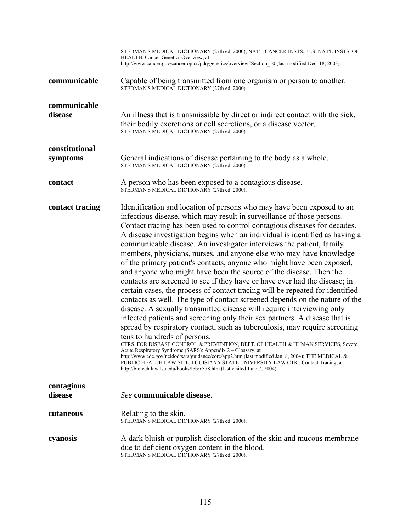|                            | STEDMAN'S MEDICAL DICTIONARY (27th ed. 2000); NAT'L CANCER INSTS., U.S. NAT'L INSTS. OF<br>HEALTH, Cancer Genetics Overview, at<br>http://www.cancer.gov/cancertopics/pdq/genetics/overview#Section_10 (last modified Dec. 18, 2003).                                                                                                                                                                                                                                                                                                                                                                                                                                                                                                                                                                                                                                                                                                                                                                                                                                                                                                                                                                                                                                                                                                                                                                                                                                                                                                                      |
|----------------------------|------------------------------------------------------------------------------------------------------------------------------------------------------------------------------------------------------------------------------------------------------------------------------------------------------------------------------------------------------------------------------------------------------------------------------------------------------------------------------------------------------------------------------------------------------------------------------------------------------------------------------------------------------------------------------------------------------------------------------------------------------------------------------------------------------------------------------------------------------------------------------------------------------------------------------------------------------------------------------------------------------------------------------------------------------------------------------------------------------------------------------------------------------------------------------------------------------------------------------------------------------------------------------------------------------------------------------------------------------------------------------------------------------------------------------------------------------------------------------------------------------------------------------------------------------------|
| communicable               | Capable of being transmitted from one organism or person to another.<br>STEDMAN'S MEDICAL DICTIONARY (27th ed. 2000).                                                                                                                                                                                                                                                                                                                                                                                                                                                                                                                                                                                                                                                                                                                                                                                                                                                                                                                                                                                                                                                                                                                                                                                                                                                                                                                                                                                                                                      |
| communicable<br>disease    | An illness that is transmissible by direct or indirect contact with the sick,<br>their bodily excretions or cell secretions, or a disease vector.<br>STEDMAN'S MEDICAL DICTIONARY (27th ed. 2000).                                                                                                                                                                                                                                                                                                                                                                                                                                                                                                                                                                                                                                                                                                                                                                                                                                                                                                                                                                                                                                                                                                                                                                                                                                                                                                                                                         |
| constitutional<br>symptoms | General indications of disease pertaining to the body as a whole.<br>STEDMAN'S MEDICAL DICTIONARY (27th ed. 2000).                                                                                                                                                                                                                                                                                                                                                                                                                                                                                                                                                                                                                                                                                                                                                                                                                                                                                                                                                                                                                                                                                                                                                                                                                                                                                                                                                                                                                                         |
| contact                    | A person who has been exposed to a contagious disease.<br>STEDMAN'S MEDICAL DICTIONARY (27th ed. 2000).                                                                                                                                                                                                                                                                                                                                                                                                                                                                                                                                                                                                                                                                                                                                                                                                                                                                                                                                                                                                                                                                                                                                                                                                                                                                                                                                                                                                                                                    |
| contact tracing            | Identification and location of persons who may have been exposed to an<br>infectious disease, which may result in surveillance of those persons.<br>Contact tracing has been used to control contagious diseases for decades.<br>A disease investigation begins when an individual is identified as having a<br>communicable disease. An investigator interviews the patient, family<br>members, physicians, nurses, and anyone else who may have knowledge<br>of the primary patient's contacts, anyone who might have been exposed,<br>and anyone who might have been the source of the disease. Then the<br>contacts are screened to see if they have or have ever had the disease; in<br>certain cases, the process of contact tracing will be repeated for identified<br>contacts as well. The type of contact screened depends on the nature of the<br>disease. A sexually transmitted disease will require interviewing only<br>infected patients and screening only their sex partners. A disease that is<br>spread by respiratory contact, such as tuberculosis, may require screening<br>tens to hundreds of persons.<br>CTRS. FOR DISEASE CONTROL & PREVENTION, DEPT. OF HEALTH & HUMAN SERVICES, Severe<br>Acute Respiratory Syndrome (SARS): Appendix 2 - Glossary, at<br>http://www.cdc.gov/ncidod/sars/guidance/core/app2.htm (last modified Jan. 8, 2004); THE MEDICAL &<br>PUBLIC HEALTH LAW SITE, LOUISIANA STATE UNIVERSITY LAW CTR., Contact Tracing, at<br>http://biotech.law.lsu.edu/books/lbb/x578.htm (last visited June 7, 2004). |
| contagious<br>disease      | See communicable disease.                                                                                                                                                                                                                                                                                                                                                                                                                                                                                                                                                                                                                                                                                                                                                                                                                                                                                                                                                                                                                                                                                                                                                                                                                                                                                                                                                                                                                                                                                                                                  |
| cutaneous                  | Relating to the skin.<br>STEDMAN'S MEDICAL DICTIONARY (27th ed. 2000).                                                                                                                                                                                                                                                                                                                                                                                                                                                                                                                                                                                                                                                                                                                                                                                                                                                                                                                                                                                                                                                                                                                                                                                                                                                                                                                                                                                                                                                                                     |
| cyanosis                   | A dark bluish or purplish discoloration of the skin and mucous membrane<br>due to deficient oxygen content in the blood.<br>STEDMAN'S MEDICAL DICTIONARY (27th ed. 2000).                                                                                                                                                                                                                                                                                                                                                                                                                                                                                                                                                                                                                                                                                                                                                                                                                                                                                                                                                                                                                                                                                                                                                                                                                                                                                                                                                                                  |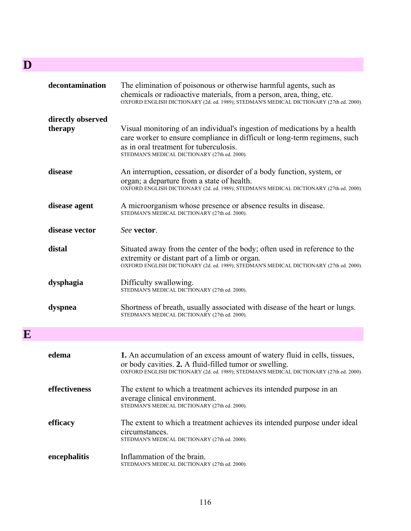# **D**

|   | decontamination              | The elimination of poisonous or otherwise harmful agents, such as<br>chemicals or radioactive materials, from a person, area, thing, etc.<br>OXFORD ENGLISH DICTIONARY (2d. ed. 1989); STEDMAN'S MEDICAL DICTIONARY (27th ed. 2000).              |
|---|------------------------------|---------------------------------------------------------------------------------------------------------------------------------------------------------------------------------------------------------------------------------------------------|
|   | directly observed<br>therapy | Visual monitoring of an individual's ingestion of medications by a health<br>care worker to ensure compliance in difficult or long-term regimens, such<br>as in oral treatment for tuberculosis.<br>STEDMAN'S MEDICAL DICTIONARY (27th ed. 2000). |
|   | disease                      | An interruption, cessation, or disorder of a body function, system, or<br>organ; a departure from a state of health.<br>OXFORD ENGLISH DICTIONARY (2d. ed. 1989); STEDMAN'S MEDICAL DICTIONARY (27th ed. 2000).                                   |
|   | disease agent                | A microorganism whose presence or absence results in disease.<br>STEDMAN'S MEDICAL DICTIONARY (27th ed. 2000).                                                                                                                                    |
|   | disease vector               | See vector.                                                                                                                                                                                                                                       |
|   | distal                       | Situated away from the center of the body; often used in reference to the<br>extremity or distant part of a limb or organ.<br>OXFORD ENGLISH DICTIONARY (2d. ed. 1989); STEDMAN'S MEDICAL DICTIONARY (27th ed. 2000).                             |
|   | dysphagia                    | Difficulty swallowing.<br>STEDMAN'S MEDICAL DICTIONARY (27th ed. 2000).                                                                                                                                                                           |
|   | dyspnea                      | Shortness of breath, usually associated with disease of the heart or lungs.<br>STEDMAN'S MEDICAL DICTIONARY (27th ed. 2000).                                                                                                                      |
| E |                              |                                                                                                                                                                                                                                                   |
|   | edema                        | 1. An accumulation of an excess amount of watery fluid in cells, tissues,<br>or body cavities. 2. A fluid-filled tumor or swelling.<br>OXFORD ENGLISH DICTIONARY (2d. ed. 1989); STEDMAN'S MEDICAL DICTIONARY (27th ed. 2000).                    |
|   | effectiveness                | The extent to which a treatment achieves its intended purpose in an<br>average clinical environment.<br>STEDMAN'S MEDICAL DICTIONARY (27th ed. 2000).                                                                                             |
|   | efficacy                     | The extent to which a treatment achieves its intended purpose under ideal<br>circumstances.<br>STEDMAN'S MEDICAL DICTIONARY (27th ed. 2000).                                                                                                      |
|   | encephalitis                 | Inflammation of the brain.<br>STEDMAN'S MEDICAL DICTIONARY (27th ed. 2000).                                                                                                                                                                       |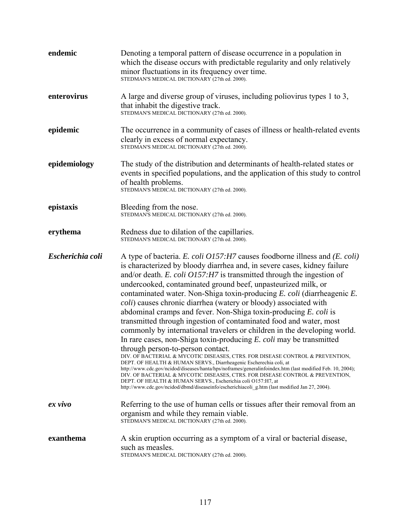| endemic          | Denoting a temporal pattern of disease occurrence in a population in<br>which the disease occurs with predictable regularity and only relatively<br>minor fluctuations in its frequency over time.<br>STEDMAN'S MEDICAL DICTIONARY (27th ed. 2000).                                                                                                                                                                                                                                                                                                                                                                                                                                                                                                                                                                                                                                                                                                                                                                                                                                                                                                                                                                                                                                                              |
|------------------|------------------------------------------------------------------------------------------------------------------------------------------------------------------------------------------------------------------------------------------------------------------------------------------------------------------------------------------------------------------------------------------------------------------------------------------------------------------------------------------------------------------------------------------------------------------------------------------------------------------------------------------------------------------------------------------------------------------------------------------------------------------------------------------------------------------------------------------------------------------------------------------------------------------------------------------------------------------------------------------------------------------------------------------------------------------------------------------------------------------------------------------------------------------------------------------------------------------------------------------------------------------------------------------------------------------|
| enterovirus      | A large and diverse group of viruses, including poliovirus types 1 to 3,<br>that inhabit the digestive track.<br>STEDMAN'S MEDICAL DICTIONARY (27th ed. 2000).                                                                                                                                                                                                                                                                                                                                                                                                                                                                                                                                                                                                                                                                                                                                                                                                                                                                                                                                                                                                                                                                                                                                                   |
| epidemic         | The occurrence in a community of cases of illness or health-related events<br>clearly in excess of normal expectancy.<br>STEDMAN'S MEDICAL DICTIONARY (27th ed. 2000).                                                                                                                                                                                                                                                                                                                                                                                                                                                                                                                                                                                                                                                                                                                                                                                                                                                                                                                                                                                                                                                                                                                                           |
| epidemiology     | The study of the distribution and determinants of health-related states or<br>events in specified populations, and the application of this study to control<br>of health problems.<br>STEDMAN'S MEDICAL DICTIONARY (27th ed. 2000).                                                                                                                                                                                                                                                                                                                                                                                                                                                                                                                                                                                                                                                                                                                                                                                                                                                                                                                                                                                                                                                                              |
| epistaxis        | Bleeding from the nose.<br>STEDMAN'S MEDICAL DICTIONARY (27th ed. 2000).                                                                                                                                                                                                                                                                                                                                                                                                                                                                                                                                                                                                                                                                                                                                                                                                                                                                                                                                                                                                                                                                                                                                                                                                                                         |
| erythema         | Redness due to dilation of the capillaries.<br>STEDMAN'S MEDICAL DICTIONARY (27th ed. 2000).                                                                                                                                                                                                                                                                                                                                                                                                                                                                                                                                                                                                                                                                                                                                                                                                                                                                                                                                                                                                                                                                                                                                                                                                                     |
| Escherichia coli | A type of bacteria. E. coli O157:H7 causes foodborne illness and (E. coli)<br>is characterized by bloody diarrhea and, in severe cases, kidney failure<br>and/or death. E. coli O157:H7 is transmitted through the ingestion of<br>undercooked, contaminated ground beef, unpasteurized milk, or<br>contaminated water. Non-Shiga toxin-producing E. coli (diarrheagenic E.<br><i>coli</i> ) causes chronic diarrhea (watery or bloody) associated with<br>abdominal cramps and fever. Non-Shiga toxin-producing E. coli is<br>transmitted through ingestion of contaminated food and water, most<br>commonly by international travelers or children in the developing world.<br>In rare cases, non-Shiga toxin-producing E. coli may be transmitted<br>through person-to-person contact.<br>DIV. OF BACTERIAL & MYCOTIC DISEASES, CTRS. FOR DISEASE CONTROL & PREVENTION,<br>DEPT. OF HEALTH & HUMAN SERVS., Diarrheagenic Escherechia coli, at<br>http://www.cdc.gov/ncidod/diseases/hanta/hps/noframes/generalinfoindex.htm (last modified Feb. 10, 2004);<br>DIV. OF BACTERIAL & MYCOTIC DISEASES, CTRS. FOR DISEASE CONTROL & PREVENTION,<br>DEPT. OF HEALTH & HUMAN SERVS., Escherichia coli O157:H7, at<br>http://www.cdc.gov/ncidod/dbmd/diseaseinfo/escherichiacoli g.htm (last modified Jan 27, 2004). |
| ex vivo          | Referring to the use of human cells or tissues after their removal from an<br>organism and while they remain viable.<br>STEDMAN'S MEDICAL DICTIONARY (27th ed. 2000).                                                                                                                                                                                                                                                                                                                                                                                                                                                                                                                                                                                                                                                                                                                                                                                                                                                                                                                                                                                                                                                                                                                                            |
| exanthema        | A skin eruption occurring as a symptom of a viral or bacterial disease,<br>such as measles.<br>STEDMAN'S MEDICAL DICTIONARY (27th ed. 2000).                                                                                                                                                                                                                                                                                                                                                                                                                                                                                                                                                                                                                                                                                                                                                                                                                                                                                                                                                                                                                                                                                                                                                                     |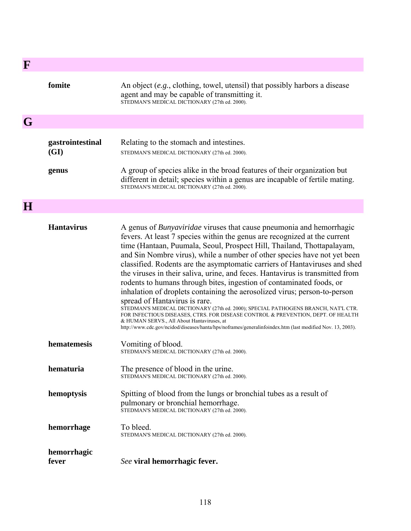**F**

|   | fomite                          | An object $(e.g., clothing, toward, utensil)$ that possibly harbors a disease<br>agent and may be capable of transmitting it.<br>STEDMAN'S MEDICAL DICTIONARY (27th ed. 2000).                                                                                                                                                                                                                                                                                                                                                                                                                                                                                                                                                                                                                                                                                                                                                                                                                           |
|---|---------------------------------|----------------------------------------------------------------------------------------------------------------------------------------------------------------------------------------------------------------------------------------------------------------------------------------------------------------------------------------------------------------------------------------------------------------------------------------------------------------------------------------------------------------------------------------------------------------------------------------------------------------------------------------------------------------------------------------------------------------------------------------------------------------------------------------------------------------------------------------------------------------------------------------------------------------------------------------------------------------------------------------------------------|
| G |                                 |                                                                                                                                                                                                                                                                                                                                                                                                                                                                                                                                                                                                                                                                                                                                                                                                                                                                                                                                                                                                          |
|   | gastrointestinal<br><b>(GI)</b> | Relating to the stomach and intestines.<br>STEDMAN'S MEDICAL DICTIONARY (27th ed. 2000).                                                                                                                                                                                                                                                                                                                                                                                                                                                                                                                                                                                                                                                                                                                                                                                                                                                                                                                 |
|   | genus                           | A group of species alike in the broad features of their organization but<br>different in detail; species within a genus are incapable of fertile mating.<br>STEDMAN'S MEDICAL DICTIONARY (27th ed. 2000).                                                                                                                                                                                                                                                                                                                                                                                                                                                                                                                                                                                                                                                                                                                                                                                                |
| H |                                 |                                                                                                                                                                                                                                                                                                                                                                                                                                                                                                                                                                                                                                                                                                                                                                                                                                                                                                                                                                                                          |
|   | <b>Hantavirus</b>               | A genus of <i>Bunyaviridae</i> viruses that cause pneumonia and hemorrhagic<br>fevers. At least 7 species within the genus are recognized at the current<br>time (Hantaan, Puumala, Seoul, Prospect Hill, Thailand, Thottapalayam,<br>and Sin Nombre virus), while a number of other species have not yet been<br>classified. Rodents are the asymptomatic carriers of Hantaviruses and shed<br>the viruses in their saliva, urine, and feces. Hantavirus is transmitted from<br>rodents to humans through bites, ingestion of contaminated foods, or<br>inhalation of droplets containing the aerosolized virus; person-to-person<br>spread of Hantavirus is rare.<br>STEDMAN'S MEDICAL DICTIONARY (27th ed. 2000); SPECIAL PATHOGENS BRANCH, NAT'L CTR.<br>FOR INFECTIOUS DISEASES, CTRS. FOR DISEASE CONTROL & PREVENTION, DEPT. OF HEALTH<br>& HUMAN SERVS., All About Hantaviruses, at<br>http://www.cdc.gov/ncidod/diseases/hanta/hps/noframes/generalinfoindex.htm (last modified Nov. 13, 2003). |
|   | hematemesis                     | Vomiting of blood.<br>STEDMAN'S MEDICAL DICTIONARY (27th ed. 2000).                                                                                                                                                                                                                                                                                                                                                                                                                                                                                                                                                                                                                                                                                                                                                                                                                                                                                                                                      |
|   | hematuria                       | The presence of blood in the urine.<br>STEDMAN'S MEDICAL DICTIONARY (27th ed. 2000).                                                                                                                                                                                                                                                                                                                                                                                                                                                                                                                                                                                                                                                                                                                                                                                                                                                                                                                     |
|   | hemoptysis                      | Spitting of blood from the lungs or bronchial tubes as a result of<br>pulmonary or bronchial hemorrhage.<br>STEDMAN'S MEDICAL DICTIONARY (27th ed. 2000).                                                                                                                                                                                                                                                                                                                                                                                                                                                                                                                                                                                                                                                                                                                                                                                                                                                |
|   | hemorrhage                      | To bleed.<br>STEDMAN'S MEDICAL DICTIONARY (27th ed. 2000).                                                                                                                                                                                                                                                                                                                                                                                                                                                                                                                                                                                                                                                                                                                                                                                                                                                                                                                                               |
|   | hemorrhagic<br>fever            | See viral hemorrhagic fever.                                                                                                                                                                                                                                                                                                                                                                                                                                                                                                                                                                                                                                                                                                                                                                                                                                                                                                                                                                             |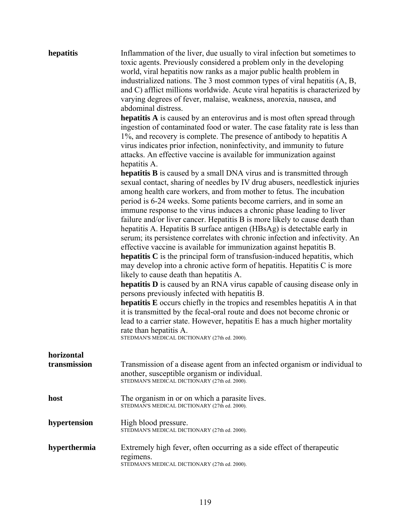| hepatitis                  | Inflammation of the liver, due usually to viral infection but sometimes to<br>toxic agents. Previously considered a problem only in the developing<br>world, viral hepatitis now ranks as a major public health problem in<br>industrialized nations. The 3 most common types of viral hepatitis (A, B,<br>and C) afflict millions worldwide. Acute viral hepatitis is characterized by<br>varying degrees of fever, malaise, weakness, anorexia, nausea, and<br>abdominal distress.<br><b>hepatitis A</b> is caused by an enterovirus and is most often spread through<br>ingestion of contaminated food or water. The case fatality rate is less than<br>1%, and recovery is complete. The presence of antibody to hepatitis A<br>virus indicates prior infection, noninfectivity, and immunity to future<br>attacks. An effective vaccine is available for immunization against<br>hepatitis A.<br><b>hepatitis B</b> is caused by a small DNA virus and is transmitted through<br>sexual contact, sharing of needles by IV drug abusers, needlestick injuries<br>among health care workers, and from mother to fetus. The incubation<br>period is 6-24 weeks. Some patients become carriers, and in some an<br>immune response to the virus induces a chronic phase leading to liver<br>failure and/or liver cancer. Hepatitis B is more likely to cause death than<br>hepatitis A. Hepatitis B surface antigen (HBsAg) is detectable early in<br>serum; its persistence correlates with chronic infection and infectivity. An<br>effective vaccine is available for immunization against hepatitis B.<br>hepatitis C is the principal form of transfusion-induced hepatitis, which<br>may develop into a chronic active form of hepatitis. Hepatitis C is more<br>likely to cause death than hepatitis A.<br>hepatitis D is caused by an RNA virus capable of causing disease only in<br>persons previously infected with hepatitis B.<br>hepatitis E occurs chiefly in the tropics and resembles hepatitis A in that<br>it is transmitted by the fecal-oral route and does not become chronic or<br>lead to a carrier state. However, hepatitis E has a much higher mortality<br>rate than hepatitis A.<br>STEDMAN'S MEDICAL DICTIONARY (27th ed. 2000). |
|----------------------------|----------------------------------------------------------------------------------------------------------------------------------------------------------------------------------------------------------------------------------------------------------------------------------------------------------------------------------------------------------------------------------------------------------------------------------------------------------------------------------------------------------------------------------------------------------------------------------------------------------------------------------------------------------------------------------------------------------------------------------------------------------------------------------------------------------------------------------------------------------------------------------------------------------------------------------------------------------------------------------------------------------------------------------------------------------------------------------------------------------------------------------------------------------------------------------------------------------------------------------------------------------------------------------------------------------------------------------------------------------------------------------------------------------------------------------------------------------------------------------------------------------------------------------------------------------------------------------------------------------------------------------------------------------------------------------------------------------------------------------------------------------------------------------------------------------------------------------------------------------------------------------------------------------------------------------------------------------------------------------------------------------------------------------------------------------------------------------------------------------------------------------------------------------------------------------------------------------------------------------------------------------------|
| horizontal<br>transmission | Transmission of a disease agent from an infected organism or individual to<br>another, susceptible organism or individual.<br>STEDMAN'S MEDICAL DICTIONARY (27th ed. 2000).                                                                                                                                                                                                                                                                                                                                                                                                                                                                                                                                                                                                                                                                                                                                                                                                                                                                                                                                                                                                                                                                                                                                                                                                                                                                                                                                                                                                                                                                                                                                                                                                                                                                                                                                                                                                                                                                                                                                                                                                                                                                                    |
| host                       | The organism in or on which a parasite lives.<br>STEDMAN'S MEDICAL DICTIONARY (27th ed. 2000).                                                                                                                                                                                                                                                                                                                                                                                                                                                                                                                                                                                                                                                                                                                                                                                                                                                                                                                                                                                                                                                                                                                                                                                                                                                                                                                                                                                                                                                                                                                                                                                                                                                                                                                                                                                                                                                                                                                                                                                                                                                                                                                                                                 |
| hypertension               | High blood pressure.<br>STEDMAN'S MEDICAL DICTIONARY (27th ed. 2000).                                                                                                                                                                                                                                                                                                                                                                                                                                                                                                                                                                                                                                                                                                                                                                                                                                                                                                                                                                                                                                                                                                                                                                                                                                                                                                                                                                                                                                                                                                                                                                                                                                                                                                                                                                                                                                                                                                                                                                                                                                                                                                                                                                                          |
| hyperthermia               | Extremely high fever, often occurring as a side effect of therapeutic<br>regimens.<br>STEDMAN'S MEDICAL DICTIONARY (27th ed. 2000).                                                                                                                                                                                                                                                                                                                                                                                                                                                                                                                                                                                                                                                                                                                                                                                                                                                                                                                                                                                                                                                                                                                                                                                                                                                                                                                                                                                                                                                                                                                                                                                                                                                                                                                                                                                                                                                                                                                                                                                                                                                                                                                            |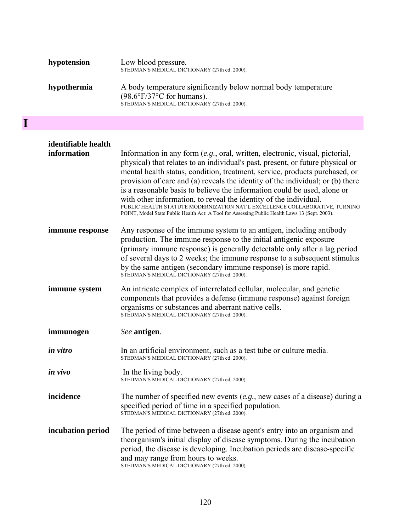|   | hypotension                        | Low blood pressure.<br>STEDMAN'S MEDICAL DICTIONARY (27th ed. 2000).                                                                                                                                                                                                                                                                                                                                                                                                                                                                                                                                                                                                                                     |
|---|------------------------------------|----------------------------------------------------------------------------------------------------------------------------------------------------------------------------------------------------------------------------------------------------------------------------------------------------------------------------------------------------------------------------------------------------------------------------------------------------------------------------------------------------------------------------------------------------------------------------------------------------------------------------------------------------------------------------------------------------------|
|   | hypothermia                        | A body temperature significantly below normal body temperature<br>$(98.6^{\circ}F/37^{\circ}C$ for humans).<br>STEDMAN'S MEDICAL DICTIONARY (27th ed. 2000).                                                                                                                                                                                                                                                                                                                                                                                                                                                                                                                                             |
| I |                                    |                                                                                                                                                                                                                                                                                                                                                                                                                                                                                                                                                                                                                                                                                                          |
|   | identifiable health<br>information | Information in any form $(e.g., \text{ oral}, \text{written}, \text{electronic}, \text{visual}, \text{ pictorial},$<br>physical) that relates to an individual's past, present, or future physical or<br>mental health status, condition, treatment, service, products purchased, or<br>provision of care and (a) reveals the identity of the individual; or (b) there<br>is a reasonable basis to believe the information could be used, alone or<br>with other information, to reveal the identity of the individual.<br>PUBLIC HEALTH STATUTE MODERNIZATION NAT'L EXCELLENCE COLLABORATIVE, TURNING<br>POINT, Model State Public Health Act: A Tool for Assessing Public Health Laws 13 (Sept. 2003). |
|   | immune response                    | Any response of the immune system to an antigen, including antibody<br>production. The immune response to the initial antigenic exposure<br>(primary immune response) is generally detectable only after a lag period<br>of several days to 2 weeks; the immune response to a subsequent stimulus<br>by the same antigen (secondary immune response) is more rapid.<br>STEDMAN'S MEDICAL DICTIONARY (27th ed. 2000).                                                                                                                                                                                                                                                                                     |
|   | immune system                      | An intricate complex of interrelated cellular, molecular, and genetic<br>components that provides a defense (immune response) against foreign<br>organisms or substances and aberrant native cells.<br>STEDMAN'S MEDICAL DICTIONARY (27th ed. 2000).                                                                                                                                                                                                                                                                                                                                                                                                                                                     |
|   | immunogen                          | See antigen.                                                                                                                                                                                                                                                                                                                                                                                                                                                                                                                                                                                                                                                                                             |
|   | in vitro                           | In an artificial environment, such as a test tube or culture media.<br>STEDMAN'S MEDICAL DICTIONARY (27th ed. 2000).                                                                                                                                                                                                                                                                                                                                                                                                                                                                                                                                                                                     |
|   | in vivo                            | In the living body.<br>STEDMAN'S MEDICAL DICTIONARY (27th ed. 2000).                                                                                                                                                                                                                                                                                                                                                                                                                                                                                                                                                                                                                                     |
|   | incidence                          | The number of specified new events $(e.g., new cases of a disease)$ during a<br>specified period of time in a specified population.<br>STEDMAN'S MEDICAL DICTIONARY (27th ed. 2000).                                                                                                                                                                                                                                                                                                                                                                                                                                                                                                                     |
|   | incubation period                  | The period of time between a disease agent's entry into an organism and<br>theorganism's initial display of disease symptoms. During the incubation<br>period, the disease is developing. Incubation periods are disease-specific<br>and may range from hours to weeks.<br>STEDMAN'S MEDICAL DICTIONARY (27th ed. 2000).                                                                                                                                                                                                                                                                                                                                                                                 |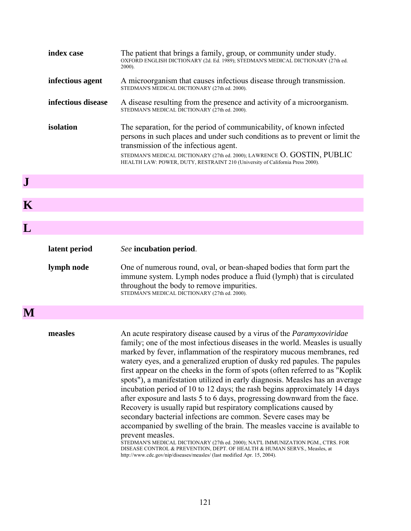| index case         | The patient that brings a family, group, or community under study.<br>OXFORD ENGLISH DICTIONARY (2d. Ed. 1989); STEDMAN'S MEDICAL DICTIONARY (27th ed.<br>$2000$ ).                                                                                                                                                                                       |
|--------------------|-----------------------------------------------------------------------------------------------------------------------------------------------------------------------------------------------------------------------------------------------------------------------------------------------------------------------------------------------------------|
| infectious agent   | A microorganism that causes infectious disease through transmission.<br>STEDMAN'S MEDICAL DICTIONARY (27th ed. 2000).                                                                                                                                                                                                                                     |
| infectious disease | A disease resulting from the presence and activity of a microorganism.<br>STEDMAN'S MEDICAL DICTIONARY (27th ed. 2000).                                                                                                                                                                                                                                   |
| isolation          | The separation, for the period of communicability, of known infected<br>persons in such places and under such conditions as to prevent or limit the<br>transmission of the infectious agent.<br>STEDMAN'S MEDICAL DICTIONARY (27th ed. 2000); LAWRENCE O. GOSTIN, PUBLIC<br>HEALTH LAW: POWER, DUTY, RESTRAINT 210 (University of California Press 2000). |
|                    |                                                                                                                                                                                                                                                                                                                                                           |
|                    |                                                                                                                                                                                                                                                                                                                                                           |
|                    |                                                                                                                                                                                                                                                                                                                                                           |
|                    |                                                                                                                                                                                                                                                                                                                                                           |
|                    |                                                                                                                                                                                                                                                                                                                                                           |
| latent period      | See incubation period.                                                                                                                                                                                                                                                                                                                                    |

| lymph node | One of numerous round, oval, or bean-shaped bodies that form part the |
|------------|-----------------------------------------------------------------------|
|            | immune system. Lymph nodes produce a fluid (lymph) that is circulated |
|            | throughout the body to remove impurities.                             |
|            | STEDMAN'S MEDICAL DICTIONARY (27th ed. 2000).                         |

**M**

**J**

**K** 

**L**

**measles** An acute respiratory disease caused by a virus of the *Paramyxoviridae*  family; one of the most infectious diseases in the world. Measles is usually marked by fever, inflammation of the respiratory mucous membranes, red watery eyes, and a generalized eruption of dusky red papules. The papules first appear on the cheeks in the form of spots (often referred to as "Koplik spots"), a manifestation utilized in early diagnosis. Measles has an average incubation period of 10 to 12 days; the rash begins approximately 14 days after exposure and lasts 5 to 6 days, progressing downward from the face. Recovery is usually rapid but respiratory complications caused by secondary bacterial infections are common. Severe cases may be accompanied by swelling of the brain. The measles vaccine is available to prevent measles. STEDMAN'S MEDICAL DICTIONARY (27th ed. 2000); NAT'L IMMUNIZATION PGM., CTRS. FOR DISEASE CONTROL & PREVENTION, DEPT. OF HEALTH & HUMAN SERVS., Measles, at

http://www.cdc.gov/nip/diseases/measles/ (last modified Apr. 15, 2004).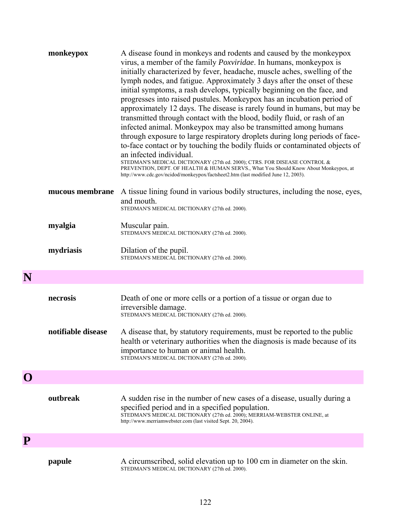|           | monkeypox          | A disease found in monkeys and rodents and caused by the monkeypox<br>virus, a member of the family <i>Poxviridae</i> . In humans, monkeypox is<br>initially characterized by fever, headache, muscle aches, swelling of the<br>lymph nodes, and fatigue. Approximately 3 days after the onset of these<br>initial symptoms, a rash develops, typically beginning on the face, and<br>progresses into raised pustules. Monkeypox has an incubation period of<br>approximately 12 days. The disease is rarely found in humans, but may be<br>transmitted through contact with the blood, bodily fluid, or rash of an<br>infected animal. Monkeypox may also be transmitted among humans<br>through exposure to large respiratory droplets during long periods of face-<br>to-face contact or by touching the bodily fluids or contaminated objects of<br>an infected individual.<br>STEDMAN'S MEDICAL DICTIONARY (27th ed. 2000); CTRS. FOR DISEASE CONTROL &<br>PREVENTION, DEPT. OF HEALTH & HUMAN SERVS., What You Should Know About Monkeypox, at<br>http://www.cdc.gov/ncidod/monkeypox/factsheet2.htm (last modified June 12, 2003). |
|-----------|--------------------|-------------------------------------------------------------------------------------------------------------------------------------------------------------------------------------------------------------------------------------------------------------------------------------------------------------------------------------------------------------------------------------------------------------------------------------------------------------------------------------------------------------------------------------------------------------------------------------------------------------------------------------------------------------------------------------------------------------------------------------------------------------------------------------------------------------------------------------------------------------------------------------------------------------------------------------------------------------------------------------------------------------------------------------------------------------------------------------------------------------------------------------------|
|           | mucous membrane    | A tissue lining found in various bodily structures, including the nose, eyes,<br>and mouth.<br>STEDMAN'S MEDICAL DICTIONARY (27th ed. 2000).                                                                                                                                                                                                                                                                                                                                                                                                                                                                                                                                                                                                                                                                                                                                                                                                                                                                                                                                                                                              |
|           | myalgia            | Muscular pain.<br>STEDMAN'S MEDICAL DICTIONARY (27th ed. 2000).                                                                                                                                                                                                                                                                                                                                                                                                                                                                                                                                                                                                                                                                                                                                                                                                                                                                                                                                                                                                                                                                           |
|           | mydriasis          | Dilation of the pupil.<br>STEDMAN'S MEDICAL DICTIONARY (27th ed. 2000).                                                                                                                                                                                                                                                                                                                                                                                                                                                                                                                                                                                                                                                                                                                                                                                                                                                                                                                                                                                                                                                                   |
| N         |                    |                                                                                                                                                                                                                                                                                                                                                                                                                                                                                                                                                                                                                                                                                                                                                                                                                                                                                                                                                                                                                                                                                                                                           |
|           | necrosis           | Death of one or more cells or a portion of a tissue or organ due to<br>irreversible damage.<br>STEDMAN'S MEDICAL DICTIONARY (27th ed. 2000).                                                                                                                                                                                                                                                                                                                                                                                                                                                                                                                                                                                                                                                                                                                                                                                                                                                                                                                                                                                              |
|           | notifiable disease | A disease that, by statutory requirements, must be reported to the public<br>health or veterinary authorities when the diagnosis is made because of its<br>importance to human or animal health.<br>STEDMAN'S MEDICAL DICTIONARY (27th ed. 2000).                                                                                                                                                                                                                                                                                                                                                                                                                                                                                                                                                                                                                                                                                                                                                                                                                                                                                         |
| $\bf{O}$  |                    |                                                                                                                                                                                                                                                                                                                                                                                                                                                                                                                                                                                                                                                                                                                                                                                                                                                                                                                                                                                                                                                                                                                                           |
|           | outbreak           | A sudden rise in the number of new cases of a disease, usually during a<br>specified period and in a specified population.<br>STEDMAN'S MEDICAL DICTIONARY (27th ed. 2000); MERRIAM-WEBSTER ONLINE, at<br>http://www.merriamwebster.com (last visited Sept. 20, 2004).                                                                                                                                                                                                                                                                                                                                                                                                                                                                                                                                                                                                                                                                                                                                                                                                                                                                    |
| ${\bf P}$ |                    |                                                                                                                                                                                                                                                                                                                                                                                                                                                                                                                                                                                                                                                                                                                                                                                                                                                                                                                                                                                                                                                                                                                                           |
|           | papule             | A circumscribed, solid elevation up to 100 cm in diameter on the skin.<br>STEDMAN'S MEDICAL DICTIONARY (27th ed. 2000).                                                                                                                                                                                                                                                                                                                                                                                                                                                                                                                                                                                                                                                                                                                                                                                                                                                                                                                                                                                                                   |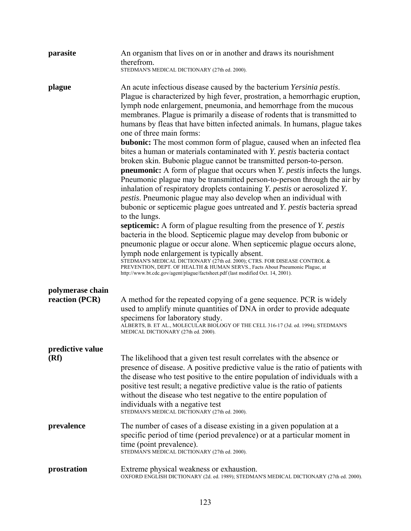| parasite                           | An organism that lives on or in another and draws its nourishment<br>therefrom.<br>STEDMAN'S MEDICAL DICTIONARY (27th ed. 2000).                                                                                                                                                                                                                                                                                                                                                                                                                                                                                                                                                                                                                                                                                                                                                                                                                                                                                                                                                                        |
|------------------------------------|---------------------------------------------------------------------------------------------------------------------------------------------------------------------------------------------------------------------------------------------------------------------------------------------------------------------------------------------------------------------------------------------------------------------------------------------------------------------------------------------------------------------------------------------------------------------------------------------------------------------------------------------------------------------------------------------------------------------------------------------------------------------------------------------------------------------------------------------------------------------------------------------------------------------------------------------------------------------------------------------------------------------------------------------------------------------------------------------------------|
| plague                             | An acute infectious disease caused by the bacterium Yersinia pestis.<br>Plague is characterized by high fever, prostration, a hemorrhagic eruption,<br>lymph node enlargement, pneumonia, and hemorrhage from the mucous<br>membranes. Plague is primarily a disease of rodents that is transmitted to<br>humans by fleas that have bitten infected animals. In humans, plague takes<br>one of three main forms:<br><b>bubonic:</b> The most common form of plague, caused when an infected flea<br>bites a human or materials contaminated with Y. pestis bacteria contact<br>broken skin. Bubonic plague cannot be transmitted person-to-person.<br><b>pneumonic:</b> A form of plague that occurs when <i>Y. pestis</i> infects the lungs.<br>Pneumonic plague may be transmitted person-to-person through the air by<br>inhalation of respiratory droplets containing <i>Y</i> . <i>pestis</i> or aerosolized <i>Y</i> .<br><i>pestis</i> . Pneumonic plague may also develop when an individual with<br>bubonic or septicemic plague goes untreated and Y. pestis bacteria spread<br>to the lungs. |
|                                    | septicemic: A form of plague resulting from the presence of <i>Y</i> . <i>pestis</i><br>bacteria in the blood. Septicemic plague may develop from bubonic or<br>pneumonic plague or occur alone. When septicemic plague occurs alone,<br>lymph node enlargement is typically absent.<br>STEDMAN'S MEDICAL DICTIONARY (27th ed. 2000); CTRS. FOR DISEASE CONTROL &<br>PREVENTION, DEPT. OF HEALTH & HUMAN SERVS., Facts About Pneumonic Plague, at<br>http://www.bt.cdc.gov/agent/plague/factsheet.pdf (last modified Oct. 14, 2001).                                                                                                                                                                                                                                                                                                                                                                                                                                                                                                                                                                    |
| polymerase chain<br>reaction (PCR) | A method for the repeated copying of a gene sequence. PCR is widely<br>used to amplify minute quantities of DNA in order to provide adequate<br>specimens for laboratory study.<br>ALBERTS, B. ET AL., MOLECULAR BIOLOGY OF THE CELL 316-17 (3d. ed. 1994); STEDMAN'S<br>MEDICAL DICTIONARY (27th ed. 2000).                                                                                                                                                                                                                                                                                                                                                                                                                                                                                                                                                                                                                                                                                                                                                                                            |
| predictive value<br>(Rf)           | The likelihood that a given test result correlates with the absence or<br>presence of disease. A positive predictive value is the ratio of patients with<br>the disease who test positive to the entire population of individuals with a<br>positive test result; a negative predictive value is the ratio of patients<br>without the disease who test negative to the entire population of<br>individuals with a negative test<br>STEDMAN'S MEDICAL DICTIONARY (27th ed. 2000).                                                                                                                                                                                                                                                                                                                                                                                                                                                                                                                                                                                                                        |
| prevalence                         | The number of cases of a disease existing in a given population at a<br>specific period of time (period prevalence) or at a particular moment in<br>time (point prevalence).<br>STEDMAN'S MEDICAL DICTIONARY (27th ed. 2000).                                                                                                                                                                                                                                                                                                                                                                                                                                                                                                                                                                                                                                                                                                                                                                                                                                                                           |
| prostration                        | Extreme physical weakness or exhaustion.<br>OXFORD ENGLISH DICTIONARY (2d. ed. 1989); STEDMAN'S MEDICAL DICTIONARY (27th ed. 2000).                                                                                                                                                                                                                                                                                                                                                                                                                                                                                                                                                                                                                                                                                                                                                                                                                                                                                                                                                                     |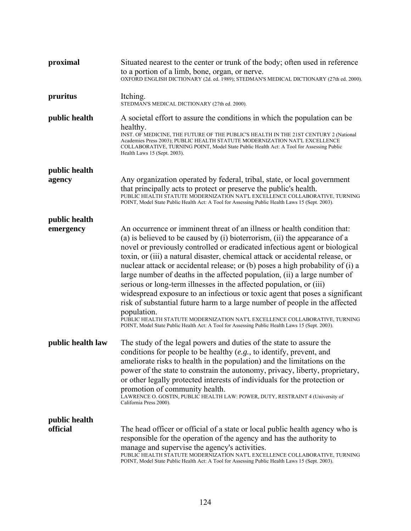| proximal                   | Situated nearest to the center or trunk of the body; often used in reference<br>to a portion of a limb, bone, organ, or nerve.<br>OXFORD ENGLISH DICTIONARY (2d. ed. 1989); STEDMAN'S MEDICAL DICTIONARY (27th ed. 2000).                                                                                                                                                                                                                                                                                                                                                                                                                                                                                                                                                                                                                                                                                                   |
|----------------------------|-----------------------------------------------------------------------------------------------------------------------------------------------------------------------------------------------------------------------------------------------------------------------------------------------------------------------------------------------------------------------------------------------------------------------------------------------------------------------------------------------------------------------------------------------------------------------------------------------------------------------------------------------------------------------------------------------------------------------------------------------------------------------------------------------------------------------------------------------------------------------------------------------------------------------------|
| pruritus                   | Itching.<br>STEDMAN'S MEDICAL DICTIONARY (27th ed. 2000).                                                                                                                                                                                                                                                                                                                                                                                                                                                                                                                                                                                                                                                                                                                                                                                                                                                                   |
| public health              | A societal effort to assure the conditions in which the population can be<br>healthy.<br>INST. OF MEDICINE, THE FUTURE OF THE PUBLIC'S HEALTH IN THE 21ST CENTURY 2 (National<br>Academies Press 2003); PUBLIC HEALTH STATUTE MODERNIZATION NAT'L EXCELLENCE<br>COLLABORATIVE, TURNING POINT, Model State Public Health Act: A Tool for Assessing Public<br>Health Laws 15 (Sept. 2003).                                                                                                                                                                                                                                                                                                                                                                                                                                                                                                                                    |
| public health<br>agency    | Any organization operated by federal, tribal, state, or local government<br>that principally acts to protect or preserve the public's health.<br>PUBLIC HEALTH STATUTE MODERNIZATION NAT'L EXCELLENCE COLLABORATIVE, TURNING<br>POINT, Model State Public Health Act: A Tool for Assessing Public Health Laws 15 (Sept. 2003).                                                                                                                                                                                                                                                                                                                                                                                                                                                                                                                                                                                              |
| public health<br>emergency | An occurrence or imminent threat of an illness or health condition that:<br>(a) is believed to be caused by (i) bioterrorism, (ii) the appearance of a<br>novel or previously controlled or eradicated infectious agent or biological<br>toxin, or (iii) a natural disaster, chemical attack or accidental release, or<br>nuclear attack or accidental release; or (b) poses a high probability of (i) a<br>large number of deaths in the affected population, (ii) a large number of<br>serious or long-term illnesses in the affected population, or (iii)<br>widespread exposure to an infectious or toxic agent that poses a significant<br>risk of substantial future harm to a large number of people in the affected<br>population.<br>PUBLIC HEALTH STATUTE MODERNIZATION NAT'L EXCELLENCE COLLABORATIVE, TURNING<br>POINT, Model State Public Health Act: A Tool for Assessing Public Health Laws 15 (Sept. 2003). |
| public health law          | The study of the legal powers and duties of the state to assure the<br>conditions for people to be healthy (e.g., to identify, prevent, and<br>ameliorate risks to health in the population) and the limitations on the<br>power of the state to constrain the autonomy, privacy, liberty, proprietary,<br>or other legally protected interests of individuals for the protection or<br>promotion of community health.<br>LAWRENCE O. GOSTIN, PUBLIC HEALTH LAW: POWER, DUTY, RESTRAINT 4 (University of<br>California Press 2000).                                                                                                                                                                                                                                                                                                                                                                                         |
| public health<br>official  | The head officer or official of a state or local public health agency who is<br>responsible for the operation of the agency and has the authority to<br>manage and supervise the agency's activities.<br>PUBLIC HEALTH STATUTE MODERNIZATION NAT'L EXCELLENCE COLLABORATIVE, TURNING<br>POINT, Model State Public Health Act: A Tool for Assessing Public Health Laws 15 (Sept. 2003).                                                                                                                                                                                                                                                                                                                                                                                                                                                                                                                                      |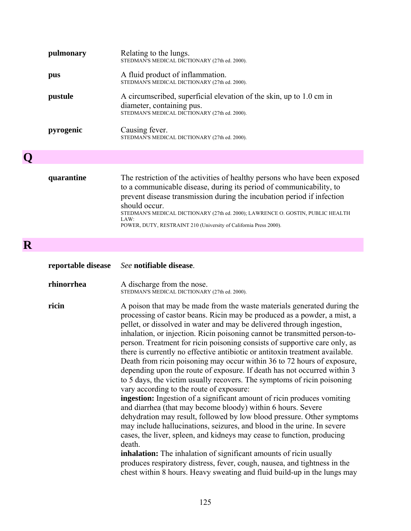| pulmonary  | Relating to the lungs.<br>STEDMAN'S MEDICAL DICTIONARY (27th ed. 2000).                                                                                                                                                                                                                                                                                                                                      |
|------------|--------------------------------------------------------------------------------------------------------------------------------------------------------------------------------------------------------------------------------------------------------------------------------------------------------------------------------------------------------------------------------------------------------------|
| pus        | A fluid product of inflammation.<br>STEDMAN'S MEDICAL DICTIONARY (27th ed. 2000).                                                                                                                                                                                                                                                                                                                            |
| pustule    | A circumscribed, superficial elevation of the skin, up to 1.0 cm in<br>diameter, containing pus.<br>STEDMAN'S MEDICAL DICTIONARY (27th ed. 2000).                                                                                                                                                                                                                                                            |
| pyrogenic  | Causing fever.<br>STEDMAN'S MEDICAL DICTIONARY (27th ed. 2000).                                                                                                                                                                                                                                                                                                                                              |
|            |                                                                                                                                                                                                                                                                                                                                                                                                              |
| quarantine | The restriction of the activities of healthy persons who have been exposed<br>to a communicable disease, during its period of communicability, to<br>prevent disease transmission during the incubation period if infection<br>should occur.<br>STEDMAN'S MEDICAL DICTIONARY (27th ed. 2000); LAWRENCE O. GOSTIN, PUBLIC HEALTH<br>LAW:<br>POWER, DUTY, RESTRAINT 210 (University of California Press 2000). |

# **R**

| reportable disease | See notifiable disease.                                                                                                                                                                                                                                                                                                                                                                                                                                                                                                                                                                                                                                                                                                                                                                                                                                                                                                                                                                                                                                                                                                                                                                                                                                                                                                                                                                 |
|--------------------|-----------------------------------------------------------------------------------------------------------------------------------------------------------------------------------------------------------------------------------------------------------------------------------------------------------------------------------------------------------------------------------------------------------------------------------------------------------------------------------------------------------------------------------------------------------------------------------------------------------------------------------------------------------------------------------------------------------------------------------------------------------------------------------------------------------------------------------------------------------------------------------------------------------------------------------------------------------------------------------------------------------------------------------------------------------------------------------------------------------------------------------------------------------------------------------------------------------------------------------------------------------------------------------------------------------------------------------------------------------------------------------------|
| rhinorrhea         | A discharge from the nose.<br>STEDMAN'S MEDICAL DICTIONARY (27th ed. 2000).                                                                                                                                                                                                                                                                                                                                                                                                                                                                                                                                                                                                                                                                                                                                                                                                                                                                                                                                                                                                                                                                                                                                                                                                                                                                                                             |
| ricin              | A poison that may be made from the waste materials generated during the<br>processing of castor beans. Ricin may be produced as a powder, a mist, a<br>pellet, or dissolved in water and may be delivered through ingestion,<br>inhalation, or injection. Ricin poisoning cannot be transmitted person-to-<br>person. Treatment for ricin poisoning consists of supportive care only, as<br>there is currently no effective antibiotic or antitoxin treatment available.<br>Death from ricin poisoning may occur within 36 to 72 hours of exposure,<br>depending upon the route of exposure. If death has not occurred within 3<br>to 5 days, the victim usually recovers. The symptoms of ricin poisoning<br>vary according to the route of exposure:<br><b>ingestion:</b> Ingestion of a significant amount of ricin produces vomiting<br>and diarrhea (that may become bloody) within 6 hours. Severe<br>dehydration may result, followed by low blood pressure. Other symptoms<br>may include hallucinations, seizures, and blood in the urine. In severe<br>cases, the liver, spleen, and kidneys may cease to function, producing<br>death.<br><b>inhalation:</b> The inhalation of significant amounts of ricin usually<br>produces respiratory distress, fever, cough, nausea, and tightness in the<br>chest within 8 hours. Heavy sweating and fluid build-up in the lungs may |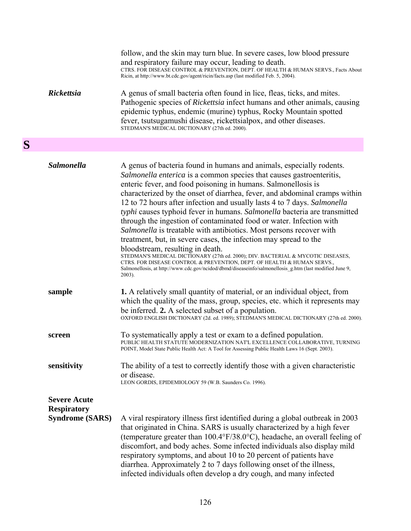|   |                                                                     | follow, and the skin may turn blue. In severe cases, low blood pressure<br>and respiratory failure may occur, leading to death.<br>CTRS. FOR DISEASE CONTROL & PREVENTION, DEPT. OF HEALTH & HUMAN SERVS., Facts About<br>Ricin, at http://www.bt.cdc.gov/agent/ricin/facts.asp (last modified Feb. 5, 2004).                                                                                                                                                                                                                                                                                                                                                                                                                                                                                                                                                                                                                                                                                     |
|---|---------------------------------------------------------------------|---------------------------------------------------------------------------------------------------------------------------------------------------------------------------------------------------------------------------------------------------------------------------------------------------------------------------------------------------------------------------------------------------------------------------------------------------------------------------------------------------------------------------------------------------------------------------------------------------------------------------------------------------------------------------------------------------------------------------------------------------------------------------------------------------------------------------------------------------------------------------------------------------------------------------------------------------------------------------------------------------|
|   | <b>Rickettsia</b>                                                   | A genus of small bacteria often found in lice, fleas, ticks, and mites.<br>Pathogenic species of <i>Rickettsia</i> infect humans and other animals, causing<br>epidemic typhus, endemic (murine) typhus, Rocky Mountain spotted<br>fever, tsutsugamushi disease, rickettsialpox, and other diseases.<br>STEDMAN'S MEDICAL DICTIONARY (27th ed. 2000).                                                                                                                                                                                                                                                                                                                                                                                                                                                                                                                                                                                                                                             |
| S |                                                                     |                                                                                                                                                                                                                                                                                                                                                                                                                                                                                                                                                                                                                                                                                                                                                                                                                                                                                                                                                                                                   |
|   | <b>Salmonella</b>                                                   | A genus of bacteria found in humans and animals, especially rodents.<br>Salmonella enterica is a common species that causes gastroenteritis,<br>enteric fever, and food poisoning in humans. Salmonellosis is<br>characterized by the onset of diarrhea, fever, and abdominal cramps within<br>12 to 72 hours after infection and usually lasts 4 to 7 days. Salmonella<br>typhi causes typhoid fever in humans. Salmonella bacteria are transmitted<br>through the ingestion of contaminated food or water. Infection with<br>Salmonella is treatable with antibiotics. Most persons recover with<br>treatment, but, in severe cases, the infection may spread to the<br>bloodstream, resulting in death.<br>STEDMAN'S MEDICAL DICTIONARY (27th ed. 2000); DIV. BACTERIAL & MYCOTIC DISEASES,<br>CTRS. FOR DISEASE CONTROL & PREVENTION, DEPT. OF HEALTH & HUMAN SERVS.,<br>Salmonellosis, at http://www.cdc.gov/ncidod/dbmd/diseaseinfo/salmonellosis_g.htm (last modified June 9,<br>$2003$ ). |
|   | sample                                                              | 1. A relatively small quantity of material, or an individual object, from<br>which the quality of the mass, group, species, etc. which it represents may<br>be inferred. 2. A selected subset of a population.<br>OXFORD ENGLISH DICTIONARY (2d. ed. 1989); STEDMAN'S MEDICAL DICTIONARY (27th ed. 2000).                                                                                                                                                                                                                                                                                                                                                                                                                                                                                                                                                                                                                                                                                         |
|   | screen                                                              | To systematically apply a test or exam to a defined population.<br>PUBLIC HEALTH STATUTE MODERNIZATION NAT'L EXCELLENCE COLLABORATIVE, TURNING<br>POINT, Model State Public Health Act: A Tool for Assessing Public Health Laws 16 (Sept. 2003).                                                                                                                                                                                                                                                                                                                                                                                                                                                                                                                                                                                                                                                                                                                                                  |
|   | sensitivity                                                         | The ability of a test to correctly identify those with a given characteristic<br>or disease.<br>LEON GORDIS, EPIDEMIOLOGY 59 (W.B. Saunders Co. 1996).                                                                                                                                                                                                                                                                                                                                                                                                                                                                                                                                                                                                                                                                                                                                                                                                                                            |
|   | <b>Severe Acute</b><br><b>Respiratory</b><br><b>Syndrome (SARS)</b> | A viral respiratory illness first identified during a global outbreak in 2003<br>that originated in China. SARS is usually characterized by a high fever<br>(temperature greater than 100.4°F/38.0°C), headache, an overall feeling of<br>discomfort, and body aches. Some infected individuals also display mild<br>respiratory symptoms, and about 10 to 20 percent of patients have<br>diarrhea. Approximately 2 to 7 days following onset of the illness,<br>infected individuals often develop a dry cough, and many infected                                                                                                                                                                                                                                                                                                                                                                                                                                                                |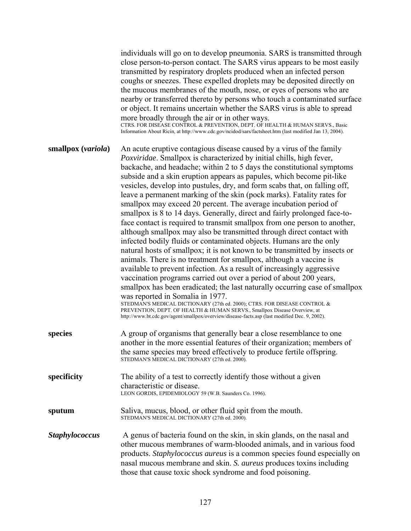|                       | individuals will go on to develop pneumonia. SARS is transmitted through<br>close person-to-person contact. The SARS virus appears to be most easily<br>transmitted by respiratory droplets produced when an infected person<br>coughs or sneezes. These expelled droplets may be deposited directly on<br>the mucous membranes of the mouth, nose, or eyes of persons who are<br>nearby or transferred thereto by persons who touch a contaminated surface<br>or object. It remains uncertain whether the SARS virus is able to spread<br>more broadly through the air or in other ways.<br>CTRS. FOR DISEASE CONTROL & PREVENTION, DEPT. OF HEALTH & HUMAN SERVS., Basic<br>Information About Ricin, at http://www.cdc.gov/ncidod/sars/factsheet.htm (last modified Jan 13, 2004).                                                                                                                                                                                                                                                                                                                                                                                                                                                                                                                                                                                                                                                                                                                                    |
|-----------------------|-------------------------------------------------------------------------------------------------------------------------------------------------------------------------------------------------------------------------------------------------------------------------------------------------------------------------------------------------------------------------------------------------------------------------------------------------------------------------------------------------------------------------------------------------------------------------------------------------------------------------------------------------------------------------------------------------------------------------------------------------------------------------------------------------------------------------------------------------------------------------------------------------------------------------------------------------------------------------------------------------------------------------------------------------------------------------------------------------------------------------------------------------------------------------------------------------------------------------------------------------------------------------------------------------------------------------------------------------------------------------------------------------------------------------------------------------------------------------------------------------------------------------|
| smallpox (variola)    | An acute eruptive contagious disease caused by a virus of the family<br>Poxviridae. Smallpox is characterized by initial chills, high fever,<br>backache, and headache; within 2 to 5 days the constitutional symptoms<br>subside and a skin eruption appears as papules, which become pit-like<br>vesicles, develop into pustules, dry, and form scabs that, on falling off,<br>leave a permanent marking of the skin (pock marks). Fatality rates for<br>smallpox may exceed 20 percent. The average incubation period of<br>smallpox is 8 to 14 days. Generally, direct and fairly prolonged face-to-<br>face contact is required to transmit smallpox from one person to another,<br>although smallpox may also be transmitted through direct contact with<br>infected bodily fluids or contaminated objects. Humans are the only<br>natural hosts of smallpox; it is not known to be transmitted by insects or<br>animals. There is no treatment for smallpox, although a vaccine is<br>available to prevent infection. As a result of increasingly aggressive<br>vaccination programs carried out over a period of about 200 years,<br>smallpox has been eradicated; the last naturally occurring case of smallpox<br>was reported in Somalia in 1977.<br>STEDMAN'S MEDICAL DICTIONARY (27th ed. 2000); CTRS. FOR DISEASE CONTROL &<br>PREVENTION, DEPT. OF HEALTH & HUMAN SERVS., Smallpox Disease Overview, at<br>http://www.bt.cdc.gov/agent/smallpox/overview/disease-facts.asp (last modified Dec. 9, 2002). |
| species               | A group of organisms that generally bear a close resemblance to one<br>another in the more essential features of their organization; members of<br>the same species may breed effectively to produce fertile offspring.<br>STEDMAN'S MEDICAL DICTIONARY (27th ed. 2000).                                                                                                                                                                                                                                                                                                                                                                                                                                                                                                                                                                                                                                                                                                                                                                                                                                                                                                                                                                                                                                                                                                                                                                                                                                                |
| specificity           | The ability of a test to correctly identify those without a given<br>characteristic or disease.<br>LEON GORDIS, EPIDEMIOLOGY 59 (W.B. Saunders Co. 1996).                                                                                                                                                                                                                                                                                                                                                                                                                                                                                                                                                                                                                                                                                                                                                                                                                                                                                                                                                                                                                                                                                                                                                                                                                                                                                                                                                               |
| sputum                | Saliva, mucus, blood, or other fluid spit from the mouth.<br>STEDMAN'S MEDICAL DICTIONARY (27th ed. 2000).                                                                                                                                                                                                                                                                                                                                                                                                                                                                                                                                                                                                                                                                                                                                                                                                                                                                                                                                                                                                                                                                                                                                                                                                                                                                                                                                                                                                              |
| <b>Staphylococcus</b> | A genus of bacteria found on the skin, in skin glands, on the nasal and<br>other mucous membranes of warm-blooded animals, and in various food<br>products. Staphylococcus aureus is a common species found especially on<br>nasal mucous membrane and skin. S. aureus produces toxins including<br>those that cause toxic shock syndrome and food poisoning.                                                                                                                                                                                                                                                                                                                                                                                                                                                                                                                                                                                                                                                                                                                                                                                                                                                                                                                                                                                                                                                                                                                                                           |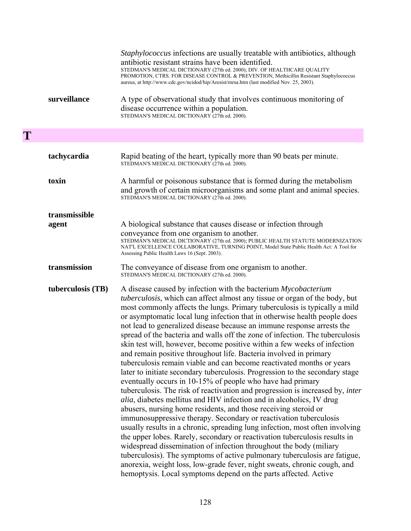|   |                        | <i>Staphylococcus</i> infections are usually treatable with antibiotics, although<br>antibiotic resistant strains have been identified.<br>STEDMAN'S MEDICAL DICTIONARY (27th ed. 2000); DIV. OF HEALTHCARE QUALITY<br>PROMOTION, CTRS. FOR DISEASE CONTROL & PREVENTION, Methicillin Resistant Staphylococcus<br>aureus, at http://www.cdc.gov/ncidod/hip/Aresist/mrsa.htm (last modified Nov. 25, 2003).                                                                                                                                                                                                                                                                                                                                                                                                                                                                                                                                                                                                                                                                                                                                                                                                                                                                                                                                                                                                                                                                                                                                                                                                        |
|---|------------------------|-------------------------------------------------------------------------------------------------------------------------------------------------------------------------------------------------------------------------------------------------------------------------------------------------------------------------------------------------------------------------------------------------------------------------------------------------------------------------------------------------------------------------------------------------------------------------------------------------------------------------------------------------------------------------------------------------------------------------------------------------------------------------------------------------------------------------------------------------------------------------------------------------------------------------------------------------------------------------------------------------------------------------------------------------------------------------------------------------------------------------------------------------------------------------------------------------------------------------------------------------------------------------------------------------------------------------------------------------------------------------------------------------------------------------------------------------------------------------------------------------------------------------------------------------------------------------------------------------------------------|
|   | surveillance           | A type of observational study that involves continuous monitoring of<br>disease occurrence within a population.<br>STEDMAN'S MEDICAL DICTIONARY (27th ed. 2000).                                                                                                                                                                                                                                                                                                                                                                                                                                                                                                                                                                                                                                                                                                                                                                                                                                                                                                                                                                                                                                                                                                                                                                                                                                                                                                                                                                                                                                                  |
| T |                        |                                                                                                                                                                                                                                                                                                                                                                                                                                                                                                                                                                                                                                                                                                                                                                                                                                                                                                                                                                                                                                                                                                                                                                                                                                                                                                                                                                                                                                                                                                                                                                                                                   |
|   | tachycardia            | Rapid beating of the heart, typically more than 90 beats per minute.<br>STEDMAN'S MEDICAL DICTIONARY (27th ed. 2000).                                                                                                                                                                                                                                                                                                                                                                                                                                                                                                                                                                                                                                                                                                                                                                                                                                                                                                                                                                                                                                                                                                                                                                                                                                                                                                                                                                                                                                                                                             |
|   | toxin                  | A harmful or poisonous substance that is formed during the metabolism<br>and growth of certain microorganisms and some plant and animal species.<br>STEDMAN'S MEDICAL DICTIONARY (27th ed. 2000).                                                                                                                                                                                                                                                                                                                                                                                                                                                                                                                                                                                                                                                                                                                                                                                                                                                                                                                                                                                                                                                                                                                                                                                                                                                                                                                                                                                                                 |
|   | transmissible<br>agent | A biological substance that causes disease or infection through<br>conveyance from one organism to another.<br>STEDMAN'S MEDICAL DICTIONARY (27th ed. 2000); PUBLIC HEALTH STATUTE MODERNIZATION<br>NAT'L EXCELLENCE COLLABORATIVE, TURNING POINT, Model State Public Health Act: A Tool for<br>Assessing Public Health Laws 16 (Sept. 2003).                                                                                                                                                                                                                                                                                                                                                                                                                                                                                                                                                                                                                                                                                                                                                                                                                                                                                                                                                                                                                                                                                                                                                                                                                                                                     |
|   | transmission           | The conveyance of disease from one organism to another.<br>STEDMAN'S MEDICAL DICTIONARY (27th ed. 2000).                                                                                                                                                                                                                                                                                                                                                                                                                                                                                                                                                                                                                                                                                                                                                                                                                                                                                                                                                                                                                                                                                                                                                                                                                                                                                                                                                                                                                                                                                                          |
|   | tuberculosis (TB)      | A disease caused by infection with the bacterium Mycobacterium<br><i>tuberculosis</i> , which can affect almost any tissue or organ of the body, but<br>most commonly affects the lungs. Primary tuberculosis is typically a mild<br>or asymptomatic local lung infection that in otherwise health people does<br>not lead to generalized disease because an immune response arrests the<br>spread of the bacteria and walls off the zone of infection. The tuberculosis<br>skin test will, however, become positive within a few weeks of infection<br>and remain positive throughout life. Bacteria involved in primary<br>tuberculosis remain viable and can become reactivated months or years<br>later to initiate secondary tuberculosis. Progression to the secondary stage<br>eventually occurs in 10-15% of people who have had primary<br>tuberculosis. The risk of reactivation and progression is increased by, inter<br>alia, diabetes mellitus and HIV infection and in alcoholics, IV drug<br>abusers, nursing home residents, and those receiving steroid or<br>immunosuppressive therapy. Secondary or reactivation tuberculosis<br>usually results in a chronic, spreading lung infection, most often involving<br>the upper lobes. Rarely, secondary or reactivation tuberculosis results in<br>widespread dissemination of infection throughout the body (miliary<br>tuberculosis). The symptoms of active pulmonary tuberculosis are fatigue,<br>anorexia, weight loss, low-grade fever, night sweats, chronic cough, and<br>hemoptysis. Local symptoms depend on the parts affected. Active |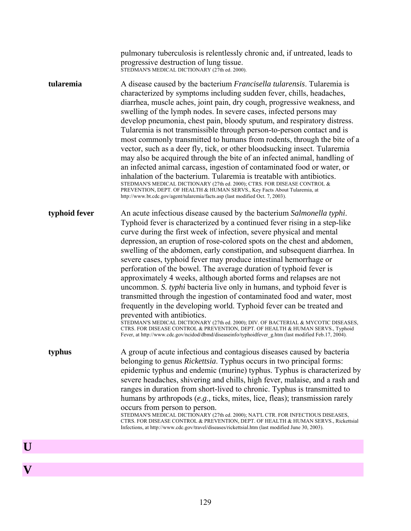pulmonary tuberculosis is relentlessly chronic and, if untreated, leads to progressive destruction of lung tissue. STEDMAN'S MEDICAL DICTIONARY (27th ed. 2000).

**tularemia** A disease caused by the bacterium *Francisella tularensis*. Tularemia is characterized by symptoms including sudden fever, chills, headaches, diarrhea, muscle aches, joint pain, dry cough, progressive weakness, and swelling of the lymph nodes. In severe cases, infected persons may develop pneumonia, chest pain, bloody sputum, and respiratory distress. Tularemia is not transmissible through person-to-person contact and is most commonly transmitted to humans from rodents, through the bite of a vector, such as a deer fly, tick, or other bloodsucking insect. Tularemia may also be acquired through the bite of an infected animal, handling of an infected animal carcass, ingestion of contaminated food or water, or inhalation of the bacterium. Tularemia is treatable with antibiotics. STEDMAN'S MEDICAL DICTIONARY (27th ed. 2000); CTRS. FOR DISEASE CONTROL & PREVENTION, DEPT. OF HEALTH & HUMAN SERVS., Key Facts About Tularemia, at http://www.bt.cdc.gov/agent/tularemia/facts.asp (last modified Oct. 7, 2003).

**typhoid fever** An acute infectious disease caused by the bacterium *Salmonella typhi*. Typhoid fever is characterized by a continued fever rising in a step-like curve during the first week of infection, severe physical and mental depression, an eruption of rose-colored spots on the chest and abdomen, swelling of the abdomen, early constipation, and subsequent diarrhea. In severe cases, typhoid fever may produce intestinal hemorrhage or perforation of the bowel. The average duration of typhoid fever is approximately 4 weeks, although aborted forms and relapses are not uncommon. *S. typhi* bacteria live only in humans, and typhoid fever is transmitted through the ingestion of contaminated food and water, most frequently in the developing world. Typhoid fever can be treated and prevented with antibiotics.

STEDMAN'S MEDICAL DICTIONARY (27th ed. 2000); DIV. OF BACTERIAL & MYCOTIC DISEASES, CTRS. FOR DISEASE CONTROL & PREVENTION, DEPT. OF HEALTH & HUMAN SERVS., Typhoid Fever, at http://www.cdc.gov/ncidod/dbmd/diseaseinfo/typhoidfever\_g.htm (last modified Feb.17, 2004).

**typhus** A group of acute infectious and contagious diseases caused by bacteria belonging to genus *Rickettsia*. Typhus occurs in two principal forms: epidemic typhus and endemic (murine) typhus. Typhus is characterized by severe headaches, shivering and chills, high fever, malaise, and a rash and ranges in duration from short-lived to chronic. Typhus is transmitted to humans by arthropods (*e.g.,* ticks, mites, lice, fleas); transmission rarely occurs from person to person.

> STEDMAN'S MEDICAL DICTIONARY (27th ed. 2000); NAT'L CTR. FOR INFECTIOUS DISEASES, CTRS. FOR DISEASE CONTROL & PREVENTION, DEPT. OF HEALTH & HUMAN SERVS., Rickettsial Infections, at http://www.cdc.gov/travel/diseases/rickettsial.htm (last modified June 30, 2003).



**V**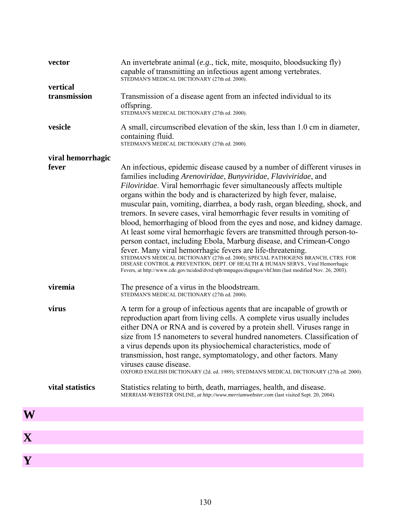|             | vector            | An invertebrate animal (e.g., tick, mite, mosquito, bloodsucking fly)<br>capable of transmitting an infectious agent among vertebrates.<br>STEDMAN'S MEDICAL DICTIONARY (27th ed. 2000).                                                                                                                                                                                                                                                                                                                                                                                                                                                                                                                                                                                                                                                                                                                                                                                                                                             |
|-------------|-------------------|--------------------------------------------------------------------------------------------------------------------------------------------------------------------------------------------------------------------------------------------------------------------------------------------------------------------------------------------------------------------------------------------------------------------------------------------------------------------------------------------------------------------------------------------------------------------------------------------------------------------------------------------------------------------------------------------------------------------------------------------------------------------------------------------------------------------------------------------------------------------------------------------------------------------------------------------------------------------------------------------------------------------------------------|
|             | vertical          |                                                                                                                                                                                                                                                                                                                                                                                                                                                                                                                                                                                                                                                                                                                                                                                                                                                                                                                                                                                                                                      |
|             | transmission      | Transmission of a disease agent from an infected individual to its<br>offspring.<br>STEDMAN'S MEDICAL DICTIONARY (27th ed. 2000).                                                                                                                                                                                                                                                                                                                                                                                                                                                                                                                                                                                                                                                                                                                                                                                                                                                                                                    |
|             | vesicle           | A small, circumscribed elevation of the skin, less than 1.0 cm in diameter,<br>containing fluid.<br>STEDMAN'S MEDICAL DICTIONARY (27th ed. 2000).                                                                                                                                                                                                                                                                                                                                                                                                                                                                                                                                                                                                                                                                                                                                                                                                                                                                                    |
|             | viral hemorrhagic |                                                                                                                                                                                                                                                                                                                                                                                                                                                                                                                                                                                                                                                                                                                                                                                                                                                                                                                                                                                                                                      |
|             | fever             | An infectious, epidemic disease caused by a number of different viruses in<br>families including Arenoviridae, Bunyviridae, Flaviviridae, and<br>Filoviridae. Viral hemorrhagic fever simultaneously affects multiple<br>organs within the body and is characterized by high fever, malaise,<br>muscular pain, vomiting, diarrhea, a body rash, organ bleeding, shock, and<br>tremors. In severe cases, viral hemorrhagic fever results in vomiting of<br>blood, hemorrhaging of blood from the eyes and nose, and kidney damage.<br>At least some viral hemorrhagic fevers are transmitted through person-to-<br>person contact, including Ebola, Marburg disease, and Crimean-Congo<br>fever. Many viral hemorrhagic fevers are life-threatening.<br>STEDMAN'S MEDICAL DICTIONARY (27th ed. 2000); SPECIAL PATHOGENS BRANCH, CTRS. FOR<br>DISEASE CONTROL & PREVENTION, DEPT. OF HEALTH & HUMAN SERVS., Viral Hemorrhagic<br>Fevers, at http://www.cdc.gov/ncidod/dvrd/spb/mnpages/dispages/vhf.htm (last modified Nov. 26, 2003). |
|             | viremia           | The presence of a virus in the bloodstream.<br>STEDMAN'S MEDICAL DICTIONARY (27th ed. 2000).                                                                                                                                                                                                                                                                                                                                                                                                                                                                                                                                                                                                                                                                                                                                                                                                                                                                                                                                         |
|             | virus             | A term for a group of infectious agents that are incapable of growth or<br>reproduction apart from living cells. A complete virus usually includes<br>either DNA or RNA and is covered by a protein shell. Viruses range in<br>size from 15 nanometers to several hundred nanometers. Classification of<br>a virus depends upon its physiochemical characteristics, mode of<br>transmission, host range, symptomatology, and other factors. Many<br>viruses cause disease.<br>OXFORD ENGLISH DICTIONARY (2d. ed. 1989); STEDMAN'S MEDICAL DICTIONARY (27th ed. 2000).                                                                                                                                                                                                                                                                                                                                                                                                                                                                |
|             | vital statistics  | Statistics relating to birth, death, marriages, health, and disease.<br>MERRIAM-WEBSTER ONLINE, at http://www.merriamwebster.com (last visited Sept. 20, 2004).                                                                                                                                                                                                                                                                                                                                                                                                                                                                                                                                                                                                                                                                                                                                                                                                                                                                      |
| W           |                   |                                                                                                                                                                                                                                                                                                                                                                                                                                                                                                                                                                                                                                                                                                                                                                                                                                                                                                                                                                                                                                      |
|             |                   |                                                                                                                                                                                                                                                                                                                                                                                                                                                                                                                                                                                                                                                                                                                                                                                                                                                                                                                                                                                                                                      |
| $\mathbf X$ |                   |                                                                                                                                                                                                                                                                                                                                                                                                                                                                                                                                                                                                                                                                                                                                                                                                                                                                                                                                                                                                                                      |
| Y           |                   |                                                                                                                                                                                                                                                                                                                                                                                                                                                                                                                                                                                                                                                                                                                                                                                                                                                                                                                                                                                                                                      |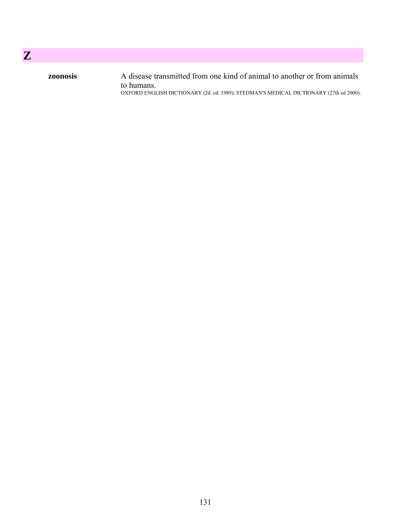**zoonosis** A disease transmitted from one kind of animal to another or from animals to humans. OXFORD ENGLISH DICTIONARY (2d. ed. 1989); STEDMAN'S MEDICAL DICTIONARY (27th ed 2000).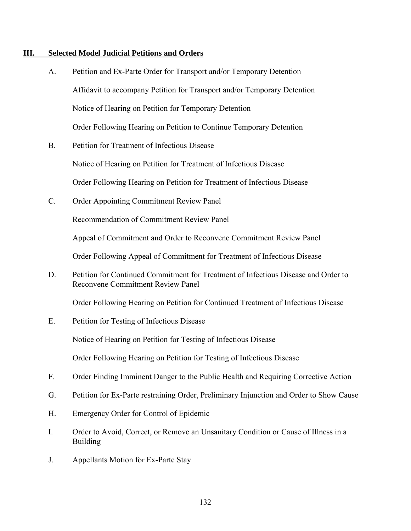## **III. Selected Model Judicial Petitions and Orders**

- A. Petition and Ex-Parte Order for Transport and/or Temporary Detention Affidavit to accompany Petition for Transport and/or Temporary Detention Notice of Hearing on Petition for Temporary Detention Order Following Hearing on Petition to Continue Temporary Detention
- B. Petition for Treatment of Infectious Disease Notice of Hearing on Petition for Treatment of Infectious Disease Order Following Hearing on Petition for Treatment of Infectious Disease
- C. Order Appointing Commitment Review Panel Recommendation of Commitment Review Panel Appeal of Commitment and Order to Reconvene Commitment Review Panel Order Following Appeal of Commitment for Treatment of Infectious Disease
- D. Petition for Continued Commitment for Treatment of Infectious Disease and Order to Reconvene Commitment Review Panel

Order Following Hearing on Petition for Continued Treatment of Infectious Disease

E. Petition for Testing of Infectious Disease

Notice of Hearing on Petition for Testing of Infectious Disease

Order Following Hearing on Petition for Testing of Infectious Disease

- F. Order Finding Imminent Danger to the Public Health and Requiring Corrective Action
- G. Petition for Ex-Parte restraining Order, Preliminary Injunction and Order to Show Cause
- H. Emergency Order for Control of Epidemic
- I. Order to Avoid, Correct, or Remove an Unsanitary Condition or Cause of Illness in a Building
- J. Appellants Motion for Ex-Parte Stay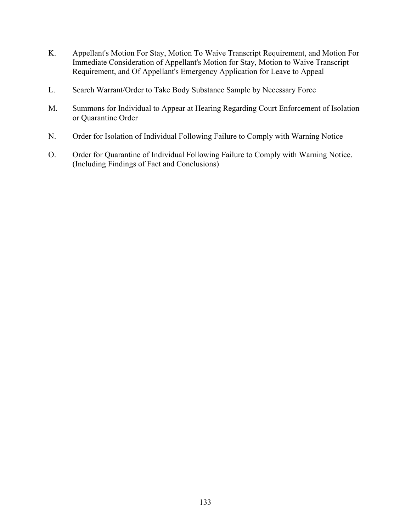- K. Appellant's Motion For Stay, Motion To Waive Transcript Requirement, and Motion For Immediate Consideration of Appellant's Motion for Stay, Motion to Waive Transcript Requirement, and Of Appellant's Emergency Application for Leave to Appeal
- L. Search Warrant/Order to Take Body Substance Sample by Necessary Force
- M. Summons for Individual to Appear at Hearing Regarding Court Enforcement of Isolation or Quarantine Order
- N. Order for Isolation of Individual Following Failure to Comply with Warning Notice
- O. Order for Quarantine of Individual Following Failure to Comply with Warning Notice. (Including Findings of Fact and Conclusions)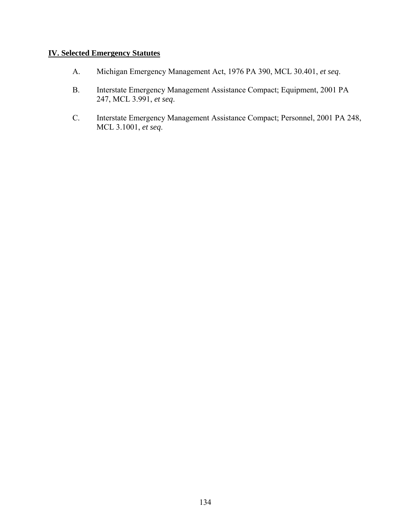# **IV. Selected Emergency Statutes**

- A. Michigan Emergency Management Act, 1976 PA 390, MCL 30.401, *et seq*.
- B. Interstate Emergency Management Assistance Compact; Equipment, 2001 PA 247, MCL 3.991, *et seq*.
- C. Interstate Emergency Management Assistance Compact; Personnel, 2001 PA 248, MCL 3.1001, *et seq*.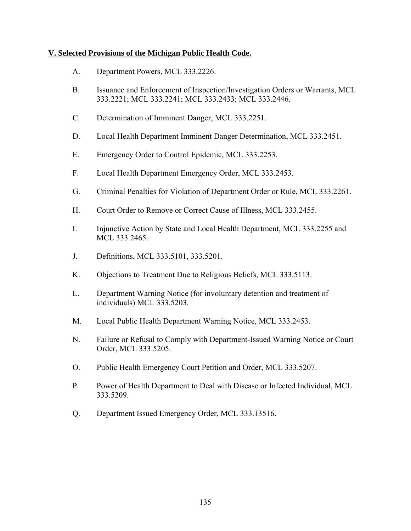# **V. Selected Provisions of the Michigan Public Health Code.**

- A. Department Powers, MCL 333.2226.
- B. Issuance and Enforcement of Inspection/Investigation Orders or Warrants, MCL 333.2221; MCL 333.2241; MCL 333.2433; MCL 333.2446.
- C. Determination of Imminent Danger, MCL 333.2251.
- D. Local Health Department Imminent Danger Determination, MCL 333.2451.
- E. Emergency Order to Control Epidemic, MCL 333.2253.
- F. Local Health Department Emergency Order, MCL 333.2453.
- G. Criminal Penalties for Violation of Department Order or Rule, MCL 333.2261.
- H. Court Order to Remove or Correct Cause of Illness, MCL 333.2455.
- I. Injunctive Action by State and Local Health Department, MCL 333.2255 and MCL 333.2465.
- J. Definitions, MCL 333.5101, 333.5201.
- K. Objections to Treatment Due to Religious Beliefs, MCL 333.5113.
- L. Department Warning Notice (for involuntary detention and treatment of individuals) MCL 333.5203.
- M. Local Public Health Department Warning Notice, MCL 333.2453.
- N. Failure or Refusal to Comply with Department-Issued Warning Notice or Court Order, MCL 333.5205.
- O. Public Health Emergency Court Petition and Order, MCL 333.5207.
- P. Power of Health Department to Deal with Disease or Infected Individual, MCL 333.5209.
- Q. Department Issued Emergency Order, MCL 333.13516.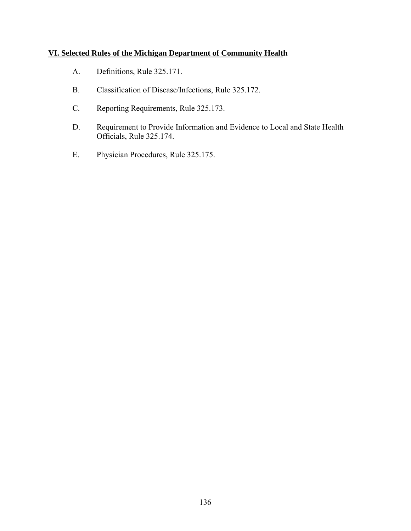# **VI. Selected Rules of the Michigan Department of Community Health**

- A. Definitions, Rule 325.171.
- B. Classification of Disease/Infections, Rule 325.172.
- C. Reporting Requirements, Rule 325.173.
- D. Requirement to Provide Information and Evidence to Local and State Health Officials, Rule 325.174.
- E. Physician Procedures, Rule 325.175.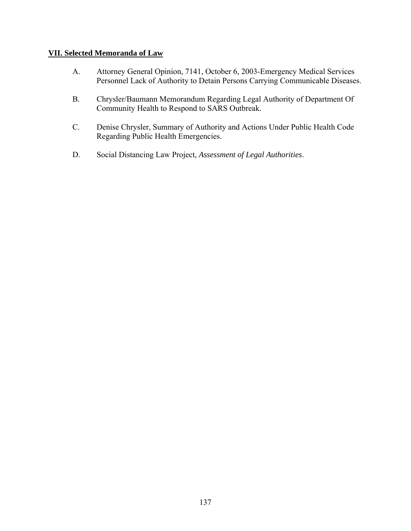# **VII. Selected Memoranda of Law**

- A. Attorney General Opinion, 7141, October 6, 2003-Emergency Medical Services Personnel Lack of Authority to Detain Persons Carrying Communicable Diseases.
- B. Chrysler/Baumann Memorandum Regarding Legal Authority of Department Of Community Health to Respond to SARS Outbreak.
- C. Denise Chrysler, Summary of Authority and Actions Under Public Health Code Regarding Public Health Emergencies.
- D. Social Distancing Law Project, *Assessment of Legal Authorities*.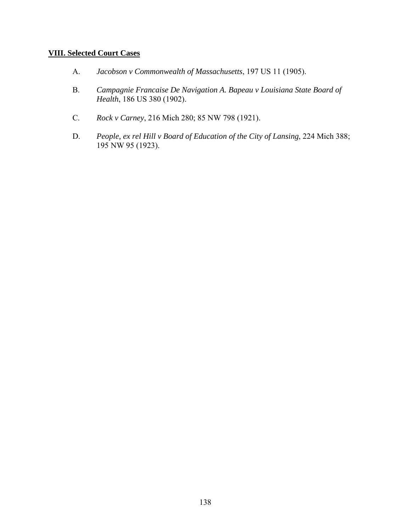# **VIII. Selected Court Cases**

- A. *Jacobson v Commonwealth of Massachusetts*, 197 US 11 (1905).
- B. *Campagnie Francaise De Navigation A. Bapeau v Louisiana State Board of Health*, 186 US 380 (1902).
- C. *Rock v Carney*, 216 Mich 280; 85 NW 798 (1921).
- D. *People, ex rel Hill v Board of Education of the City of Lansing*, 224 Mich 388; 195 NW 95 (1923).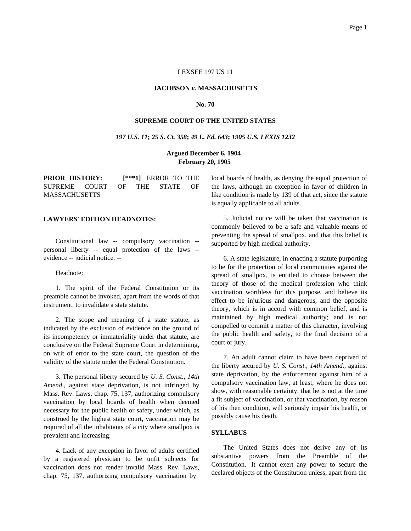#### LEXSEE 197 US 11

#### **JACOBSON** *v.* **MASSACHUSETTS**

#### **No. 70**

## **SUPREME COURT OF THE UNITED STATES**

# *197 U.S. 11***;** *25 S. Ct. 358***;** *49 L. Ed. 643***;** *1905 U.S. LEXIS 1232*

## **Argued December 6, 1904 February 20, 1905**

**PRIOR HISTORY: [\*\*\*1]** ERROR TO THE SUPREME COURT OF THE STATE OF MASSACHUSETTS

#### **LAWYERS' EDITION HEADNOTES:**

Constitutional law -- compulsory vaccination - personal liberty -- equal protection of the laws - evidence -- judicial notice. --

Headnote:

1. The spirit of the Federal Constitution or its preamble cannot be invoked, apart from the words of that instrument, to invalidate a state statute.

2. The scope and meaning of a state statute, as indicated by the exclusion of evidence on the ground of its incompetency or immateriality under that statute, are conclusive on the Federal Supreme Court in determining, on writ of error to the state court, the question of the validity of the statute under the Federal Constitution.

3. The personal liberty secured by *U. S. Const., 14th Amend.*, against state deprivation, is not infringed by Mass. Rev. Laws, chap. 75, 137, authorizing compulsory vaccination by local boards of health when deemed necessary for the public health or safety, under which, as construed by the highest state court, vaccination may be required of all the inhabitants of a city where smallpox is prevalent and increasing.

4. Lack of any exception in favor of adults certified by a registered physician to be unfit subjects for vaccination does not render invalid Mass. Rev. Laws, chap. 75, 137, authorizing compulsory vaccination by

local boards of health, as denying the equal protection of the laws, although an exception in favor of children in like condition is made by 139 of that act, since the statute is equally applicable to all adults.

5. Judicial notice will be taken that vaccination is commonly believed to be a safe and valuable means of preventing the spread of smallpox, and that this belief is supported by high medical authority.

6. A state legislature, in enacting a statute purporting to be for the protection of local communities against the spread of smallpox, is entitled to choose between the theory of those of the medical profession who think vaccination worthless for this purpose, and believe its effect to be injurious and dangerous, and the opposite theory, which is in accord with common belief, and is maintained by high medical authority; and is not compelled to commit a matter of this character, involving the public health and safety, to the final decision of a court or jury.

7. An adult cannot claim to have been deprived of the liberty secured by *U. S. Const., 14th Amend.*, against state deprivation, by the enforcement against him of a compulsory vaccination law, at least, where he does not show, with reasonable certainty, that he is not at the time a fit subject of vaccination, or that vaccination, by reason of his then condition, will seriously impair his health, or possibly cause his death.

# **SYLLABUS**

The United States does not derive any of its substantive powers from the Preamble of the Constitution. It cannot exert any power to secure the declared objects of the Constitution unless, apart from the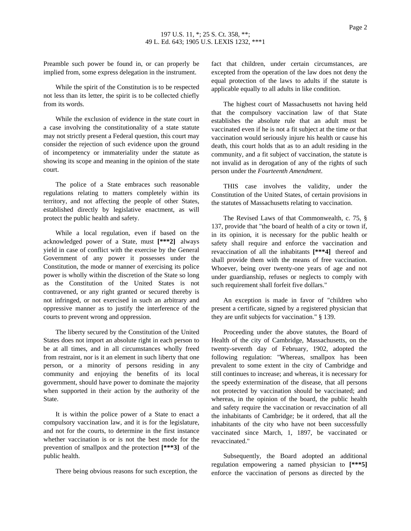Preamble such power be found in, or can properly be implied from, some express delegation in the instrument.

While the spirit of the Constitution is to be respected not less than its letter, the spirit is to be collected chiefly from its words.

While the exclusion of evidence in the state court in a case involving the constitutionality of a state statute may not strictly present a Federal question, this court may consider the rejection of such evidence upon the ground of incompetency or immateriality under the statute as showing its scope and meaning in the opinion of the state court.

The police of a State embraces such reasonable regulations relating to matters completely within its territory, and not affecting the people of other States, established directly by legislative enactment, as will protect the public health and safety.

While a local regulation, even if based on the acknowledged power of a State, must **[\*\*\*2]** always yield in case of conflict with the exercise by the General Government of any power it possesses under the Constitution, the mode or manner of exercising its police power is wholly within the discretion of the State so long as the Constitution of the United States is not contravened, or any right granted or secured thereby is not infringed, or not exercised in such an arbitrary and oppressive manner as to justify the interference of the courts to prevent wrong and oppression.

The liberty secured by the Constitution of the United States does not import an absolute right in each person to be at all times, and in all circumstances wholly freed from restraint, nor is it an element in such liberty that one person, or a minority of persons residing in any community and enjoying the benefits of its local government, should have power to dominate the majority when supported in their action by the authority of the State.

It is within the police power of a State to enact a compulsory vaccination law, and it is for the legislature, and not for the courts, to determine in the first instance whether vaccination is or is not the best mode for the prevention of smallpox and the protection **[\*\*\*3]** of the public health.

There being obvious reasons for such exception, the

fact that children, under certain circumstances, are excepted from the operation of the law does not deny the equal protection of the laws to adults if the statute is applicable equally to all adults in like condition.

The highest court of Massachusetts not having held that the compulsory vaccination law of that State establishes the absolute rule that an adult must be vaccinated even if he is not a fit subject at the time or that vaccination would seriously injure his health or cause his death, this court holds that as to an adult residing in the community, and a fit subject of vaccination, the statute is not invalid as in derogation of any of the rights of such person under the *Fourteenth Amendment*.

THIS case involves the validity, under the Constitution of the United States, of certain provisions in the statutes of Massachusetts relating to vaccination.

The Revised Laws of that Commonwealth, c. 75, § 137, provide that "the board of health of a city or town if, in its opinion, it is necessary for the public health or safety shall require and enforce the vaccination and revaccination of all the inhabitants **[\*\*\*4]** thereof and shall provide them with the means of free vaccination. Whoever, being over twenty-one years of age and not under guardianship, refuses or neglects to comply with such requirement shall forfeit five dollars."

An exception is made in favor of "children who present a certificate, signed by a registered physician that they are unfit subjects for vaccination." § 139.

Proceeding under the above statutes, the Board of Health of the city of Cambridge, Massachusetts, on the twenty-seventh day of February, 1902, adopted the following regulation: "Whereas, smallpox has been prevalent to some extent in the city of Cambridge and still continues to increase; and whereas, it is necessary for the speedy extermination of the disease, that all persons not protected by vaccination should be vaccinated; and whereas, in the opinion of the board, the public health and safety require the vaccination or revaccination of all the inhabitants of Cambridge; be it ordered, that all the inhabitants of the city who have not been successfully vaccinated since March, 1, 1897, be vaccinated or revaccinated."

Subsequently, the Board adopted an additional regulation empowering a named physician to **[\*\*\*5]** enforce the vaccination of persons as directed by the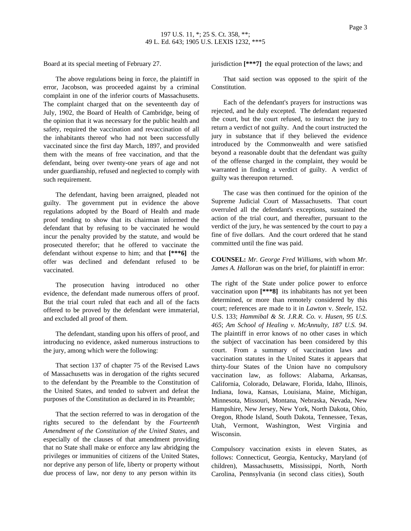Board at its special meeting of February 27.

The above regulations being in force, the plaintiff in error, Jacobson, was proceeded against by a criminal complaint in one of the inferior courts of Massachusetts. The complaint charged that on the seventeenth day of July, 1902, the Board of Health of Cambridge, being of the opinion that it was necessary for the public health and safety, required the vaccination and revaccination of all the inhabitants thereof who had not been successfully vaccinated since the first day March, 1897, and provided them with the means of free vaccination, and that the defendant, being over twenty-one years of age and not under guardianship, refused and neglected to comply with such requirement.

The defendant, having been arraigned, pleaded not guilty. The government put in evidence the above regulations adopted by the Board of Health and made proof tending to show that its chairman informed the defendant that by refusing to be vaccinated he would incur the penalty provided by the statute, and would be prosecuted therefor; that he offered to vaccinate the defendant without expense to him; and that **[\*\*\*6]** the offer was declined and defendant refused to be vaccinated.

The prosecution having introduced no other evidence, the defendant made numerous offers of proof. But the trial court ruled that each and all of the facts offered to be proved by the defendant were immaterial, and excluded all proof of them.

The defendant, standing upon his offers of proof, and introducing no evidence, asked numerous instructions to the jury, among which were the following:

That section 137 of chapter 75 of the Revised Laws of Massachusetts was in derogation of the rights secured to the defendant by the Preamble to the Constitution of the United States, and tended to subvert and defeat the purposes of the Constitution as declared in its Preamble;

That the section referred to was in derogation of the rights secured to the defendant by the *Fourteenth Amendment of the Constitution of the United States*, and especially of the clauses of that amendment providing that no State shall make or enforce any law abridging the privileges or immunities of citizens of the United States, nor deprive any person of life, liberty or property without due process of law, nor deny to any person within its

jurisdiction **[\*\*\*7]** the equal protection of the laws; and

That said section was opposed to the spirit of the Constitution.

Each of the defendant's prayers for instructions was rejected, and he duly excepted. The defendant requested the court, but the court refused, to instruct the jury to return a verdict of not guilty. And the court instructed the jury in substance that if they believed the evidence introduced by the Commonwealth and were satisfied beyond a reasonable doubt that the defendant was guilty of the offense charged in the complaint, they would be warranted in finding a verdict of guilty. A verdict of guilty was thereupon returned.

The case was then continued for the opinion of the Supreme Judicial Court of Massachusetts. That court overruled all the defendant's exceptions, sustained the action of the trial court, and thereafter, pursuant to the verdict of the jury, he was sentenced by the court to pay a fine of five dollars. And the court ordered that he stand committed until the fine was paid.

**COUNSEL:** *Mr. George Fred Williams*, with whom *Mr. James A. Halloran* was on the brief, for plaintiff in error:

The right of the State under police power to enforce vaccination upon **[\*\*\*8]** its inhabitants has not yet been determined, or more than remotely considered by this court; references are made to it in *Lawton* v. *Steele*, 152. U.S. 133; *Hammibal & St. J.R.R. Co. v. Husen, 95 U.S. 465*; *Am School of Healing v. McAnnulty, 187 U.S. 94*. The plaintiff in error knows of no other cases in which the subject of vaccination has been considered by this court. From a summary of vaccination laws and vaccination statutes in the United States it appears that thirty-four States of the Union have no compulsory vaccination law, as follows: Alabama, Arkansas, California, Colorado, Delaware, Florida, Idaho, Illinois, Indiana, Iowa, Kansas, Louisiana, Maine, Michigan, Minnesota, Missouri, Montana, Nebraska, Nevada, New Hampshire, New Jersey, New York, North Dakota, Ohio, Oregon, Rhode Island, South Dakota, Tennessee, Texas, Utah, Vermont, Washington, West Virginia and Wisconsin.

Compulsory vaccination exists in eleven States, as follows: Connecticut, Georgia, Kentucky, Maryland (of children), Massachusetts, Mississippi, North, North Carolina, Pennsylvania (in second class cities), South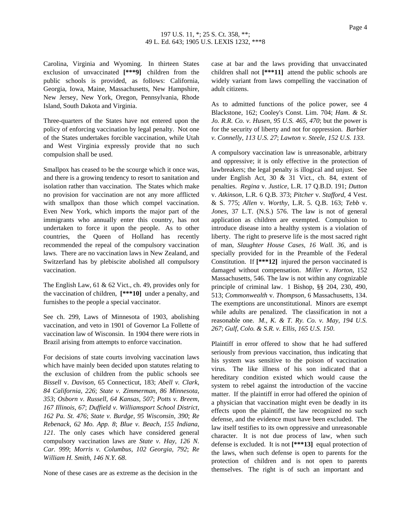Carolina, Virginia and Wyoming. In thirteen States exclusion of unvaccinated **[\*\*\*9]** children from the public schools is provided, as follows: California, Georgia, Iowa, Maine, Massachusetts, New Hampshire, New Jersey, New York, Oregon, Pennsylvania, Rhode Island, South Dakota and Virginia.

Three-quarters of the States have not entered upon the policy of enforcing vaccination by legal penalty. Not one of the States undertakes forcible vaccination, while Utah and West Virginia expressly provide that no such compulsion shall be used.

Smallpox has ceased to be the scourge which it once was, and there is a growing tendency to resort to sanitation and isolation rather than vaccination. The States which make no provision for vaccination are not any more afflicted with smallpox than those which compel vaccination. Even New York, which imports the major part of the immigrants who annually enter this country, has not undertaken to force it upon the people. As to other countries, the Queen of Holland has recently recommended the repeal of the compulsory vaccination laws. There are no vaccination laws in New Zealand, and Switzerland has by plebiscite abolished all compulsory vaccination.

The English Law, 61 & 62 Vict., ch. 49, provides only for the vaccination of children, **[\*\*\*10]** under a penalty, and furnishes to the people a special vaccinator.

See ch. 299, Laws of Minnesota of 1903, abolishing vaccination, and veto in 1901 of Governor La Follette of vaccination law of Wisconsin. In 1904 there were riots in Brazil arising from attempts to enforce vaccination.

For decisions of state courts involving vaccination laws which have mainly been decided upon statutes relating to the exclusion of children from the public schools see *Bissell* v. *Davison*, 65 Connecticut, 183; *Abell v. Clark, 84 California, 226*; *State v. Zimmerman, 86 Minnesota, 353*; *Osborn v. Russell, 64 Kansas, 507*; *Potts v. Breem, 167 Illinois, 67*; *Duffield v. Williamsport School District, 162 Pa. St. 476*; *State v. Burdge, 95 Wisconsin, 390*; *Re Rebenack, 62 Mo. App. 8*; *Blue v. Beach, 155 Indiana, 121*. The only cases which have considered general compulsory vaccination laws are *State v. Hay, 126 N. Car. 999*; *Morris v. Columbus, 102 Georgia, 792*; *Re William H. Smith, 146 N.Y. 68*.

None of these cases are as extreme as the decision in the

case at bar and the laws providing that unvaccinated children shall not **[\*\*\*11]** attend the public schools are widely variant from laws compelling the vaccination of adult citizens.

As to admitted functions of the police power, see 4 Blackstone, 162; Cooley's Const. Lim. 704; *Ham. & St. Jo. R.R. Co. v. Husen, 95 U.S. 465, 470*; but the power is for the security of liberty and not for oppression. *Barbier v. Connelly, 113 U.S. 27*; *Lawton v. Steele, 152 U.S. 133*.

A compulsory vaccination law is unreasonable, arbitrary and oppressive; it is only effective in the protection of lawbreakers; the legal penalty is illogical and unjust. See under English Act, 30 & 31 Vict., ch. 84, extent of penalties. *Regina* v. *Justice*, L.R. 17 Q.B.D. 191; *Dutton* v. *Atkinson*, L.R. 6 Q.B. 373; *Pitcher* v. *Stafford*, 4 Vest. & S. 775; *Allen* v. *Worthy*, L.R. 5. Q.B. 163; *Tebb* v. *Jones*, 37 L.T. (N.S.) 576. The law is not of general application as children are exempted. Compulsion to introduce disease into a healthy system is a violation of liberty. The right to preserve life is the most sacred right of man, *Slaughter House Cases, 16 Wall. 36*, and is specially provided for in the Preamble of the Federal Constitution. If **[\*\*\*12]** injured the person vaccinated is damaged without compensation. *Miller* v. *Horton*, 152 Massachusetts, 546. The law is not within any cognizable principle of criminal law. 1 Bishop, §§ 204, 230, 490, 513; *Commonwealth* v. *Thompson*, 6 Massachusetts, 134. The exemptions are unconstitutional. Minors are exempt while adults are penalized. The classification in not a reasonable one. *M., K. & T. Ry. Co. v. May, 194 U.S. 267*; *Gulf, Colo. & S.R. v. Ellis, 165 U.S. 150*.

Plaintiff in error offered to show that he had suffered seriously from previous vaccination, thus indicating that his system was sensitive to the poison of vaccination virus. The like illness of his son indicated that a hereditary condition existed which would cause the system to rebel against the introduction of the vaccine matter. If the plaintiff in error had offered the opinion of a physician that vaccination might even be deadly in its effects upon the plaintiff, the law recognized no such defense, and the evidence must have been excluded. The law itself testifies to its own oppressive and unreasonable character. It is not due process of law, when such defense is excluded. It is not **[\*\*\*13]** equal protection of the laws, when such defense is open to parents for the protection of children and is not open to parents themselves. The right is of such an important and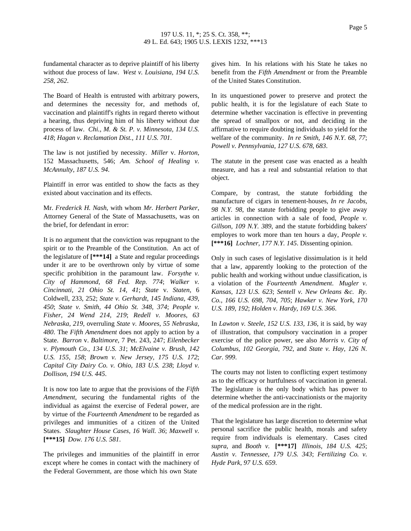fundamental character as to deprive plaintiff of his liberty without due process of law. *West v. Louisiana, 194 U.S. 258, 262*.

The Board of Health is entrusted with arbitrary powers, and determines the necessity for, and methods of, vaccination and plaintiff's rights in regard thereto without a hearing, thus depriving him of his liberty without due process of law. *Chi., M. & St. P. v. Minnesota, 134 U.S. 418*; *Hagan v. Reclamation Dist., 111 U.S. 701*.

The law is not justified by necessity. *Miller* v. *Horton*, 152 Massachusetts, 546; *Am. School of Healing v. McAnnulty, 187 U.S. 94*.

Plaintiff in error was entitled to show the facts as they existed about vaccination and its effects.

Mr. *Frederick H. Nash*, with whom *Mr. Herbert Parker*, Attorney General of the State of Massachusetts, was on the brief, for defendant in error:

It is no argument that the conviction was repugnant to the spirit or to the Preamble of the Constitution. An act of the legislature of **[\*\*\*14]** a State and regular proceedings under it are to be overthrown only by virtue of some specific prohibition in the paramount law. *Forsythe v. City of Hammond, 68 Fed. Rep. 774*; *Walker v. Cincinnati, 21 Ohio St. 14, 41*; *State* v. *Staten*, 6 Coldwell, 233, 252; *State v. Gerhardt, 145 Indiana, 439, 450*; *State v. Smith, 44 Ohio St. 348, 374*; *People v. Fisher, 24 Wend 214, 219*; *Redell v. Moores, 63 Nebraska, 219*, overruling *State v. Moores, 55 Nebraska, 480*. The *Fifth Amendment* does not apply to action by a State. *Barron* v. *Baltimore*, 7 Pet. 243, 247; *Eilenbecker v. Plymouth Co., 134 U.S. 31*; *McElvaine v. Brush, 142 U.S. 155, 158*; *Brown v. New Jersey, 175 U.S. 172*; *Capital City Dairy Co. v. Ohio, 183 U.S. 238*; *Lloyd v. Dollison, 194 U.S. 445*.

It is now too late to argue that the provisions of the *Fifth Amendment*, securing the fundamental rights of the individual as against the exercise of Federal power, are by virtue of the *Fourteenth Amendment* to be regarded as privileges and immunities of a citizen of the United States. *Slaughter House Cases, 16 Wall. 36*; *Maxwell v.* **[\*\*\*15]** *Dow. 176 U.S. 581*.

The privileges and immunities of the plaintiff in error except where he comes in contact with the machinery of the Federal Government, are those which his own State

gives him. In his relations with his State he takes no benefit from the *Fifth Amendment* or from the Preamble of the United States Constitution.

In its unquestioned power to preserve and protect the public health, it is for the legislature of each State to determine whether vaccination is effective in preventing the spread of smallpox or not, and deciding in the affirmative to require doubting individuals to yield for the welfare of the community. *In re Smith, 146 N.Y. 68, 77*; *Powell v. Pennsylvania, 127 U.S. 678, 683*.

The *s*tatute in the present case was enacted as a health measure, and has a real and substantial relation to that object.

Compare, by contrast, the statute forbidding the manufacture of cigars in tenement-houses, *In re Jacobs, 98 N.Y. 98*, the statute forbidding people to give away articles in connection with a sale of food, *People v. Gillson, 109 N.Y. 389*, and the statute forbidding bakers' employes to work more than ten hours a day, *People v.* **[\*\*\*16]** *Lochner, 177 N.Y. 145*. Dissenting opinion.

Only in such cases of legislative dissimulation is it held that a law, apparently looking to the protection of the public health and working without undue classification, is a violation of the *Fourteenth Amendment*. *Mugler v. Kansas, 123 U.S. 623*; *Sentell v. New Orleans &c. Ry. Co., 166 U.S. 698, 704, 705*; *Hawker v. New York, 170 U.S. 189, 192*; *Holden v. Hardy, 169 U.S. 366*.

In *Lawton v. Steele, 152 U.S. 133, 136*, it is said, by way of illustration, that compulsory vaccination in a proper exercise of the police power, see also *Morris v. City of Columbus, 102 Georgia, 792*, and *State v. Hay, 126 N. Car. 999*.

The courts may not listen to conflicting expert testimony as to the efficacy or hurtfulness of vaccination in general. The legislature is the only body which has power to determine whether the anti-vaccinationists or the majority of the medical profession are in the right.

That the legislature has large discretion to determine what personal sacrifice the public health, morals and safety require from individuals is elementary. Cases cited *supra*, and *Booth v.* **[\*\*\*17]** *Illinois, 184 U.S. 425*; *Austin v. Tennessee, 179 U.S. 343*; *Fertilizing Co. v. Hyde Park, 97 U.S. 659*.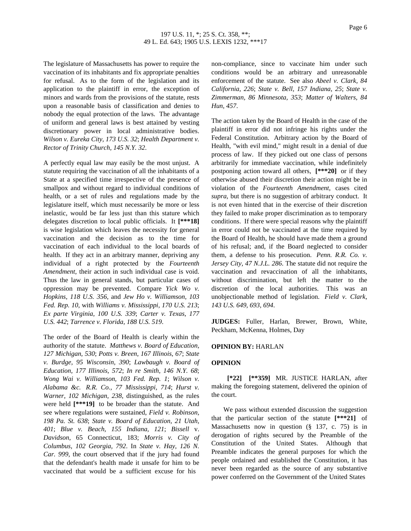The legislature of Massachusetts has power to require the vaccination of its inhabitants and fix appropriate penalties for refusal. As to the form of the legislation and its application to the plaintiff in error, the exception of minors and wards from the provisions of the statute, rests upon a reasonable basis of classification and denies to nobody the equal protection of the laws. The advantage of uniform and general laws is best attained by vesting discretionary power in local administrative bodies. *Wilson v. Eureka City, 173 U.S. 32*; *Health Department v. Rector of Trinity Church, 145 N.Y. 32*.

A perfectly equal law may easily be the most unjust. A statute requiring the vaccination of all the inhabitants of a State at a specified time irrespective of the presence of smallpox and without regard to individual conditions of health, or a set of rules and regulations made by the legislature itself, which must necessarily be more or less inelastic, would be far less just than this stature which delegates discretion to local public officials. It **[\*\*\*18]** is wise legislation which leaves the necessity for general vaccination and the decision as to the time for vaccination of each individual to the local boards of health. If they act in an arbitrary manner, depriving any individual of a right protected by the *Fourteenth Amendment*, their action in such individual case is void. Thus the law in general stands, but particular cases of oppression may be prevented. Compare *Yick Wo v. Hopkins, 118 U.S. 356*, and *Jew Ho v. Williamson, 103 Fed. Rep. 10*, with *Williams v. Mississippi, 170 U.S. 213*; *Ex parte Virginia, 100 U.S. 339*; *Carter v. Texas, 177 U.S. 442*; *Tarrence v. Florida, 188 U.S. 519*.

The order of the Board of Health is clearly within the authority of the statute. *Matthews v. Board of Education, 127 Michigan, 530*; *Potts v. Breen, 167 Illinois, 67*; *State v. Burdge, 95 Wisconsin, 390*; *Lawbaugh v. Board of Education, 177 Illinois, 572*; *In re Smith, 146 N.Y. 68*; *Wong Wai v. Williamson, 103 Fed. Rep. 1*; *Wilson v. Alabama &c. R.R. Co., 77 Mississippi, 714*; *Hurst v. Warner, 102 Michigan, 238*, distinguished, as the rules were held **[\*\*\*19]** to be broader than the statute. And see where regulations were sustained, *Field v. Robinson, 198 Pa. St. 638*; *State v. Board of Education, 21 Utah, 401*; *Blue v. Beach, 155 Indiana, 121*; *Bissell* v. *Davidson*, 65 Connecticut, 183; *Morris v. City of Columbus, 102 Georgia, 792*. In *State v. Hay, 126 N. Car. 999*, the court observed that if the jury had found that the defendant's health made it unsafe for him to be vaccinated that would be a sufficient excuse for his

non-compliance, since to vaccinate him under such conditions would be an arbitrary and unreasonable enforcement of the statute. See also *Abeel v. Clark, 84 California, 226*; *State v. Bell, 157 Indiana, 25*; *State v. Zimmerman, 86 Minnesota, 353*; *Matter of Walters, 84 Hun, 457*.

The action taken by the Board of Health in the case of the plaintiff in error did not infringe his rights under the Federal Constitution. Arbitrary action by the Board of Health, "with evil mind," might result in a denial of due process of law. If they picked out one class of persons arbitrarily for immediate vaccination, while indefinitely postponing action toward all others, **[\*\*\*20]** or if they otherwise abused their discretion their action might be in violation of the *Fourteenth Amendment*, cases cited *supra*, but there is no suggestion of arbitrary conduct. It is not even hinted that in the exercise of their discretion they failed to make proper discrimination as to temporary conditions. If there were special reasons why the plaintiff in error could not be vaccinated at the time required by the Board of Health, he should have made them a ground of his refusal; and, if the Board neglected to consider them, a defense to his prosecution. *Penn. R.R. Co. v. Jersey City, 47 N.J.L. 286*. The statute did not require the vaccination and revaccination of all the inhabitants, without discrimination, but left the matter to the discretion of the local authorities. This was an unobjectionable method of legislation. *Field v. Clark, 143 U.S. 649, 693, 694*.

**JUDGES:** Fuller, Harlan, Brewer, Brown, White, Peckham, McKenna, Holmes, Day

# **OPINION BY:** HARLAN

## **OPINION**

**[\*22] [\*\*359]** MR. JUSTICE HARLAN, after making the foregoing statement, delivered the opinion of the court.

We pass without extended discussion the suggestion that the particular section of the statute **[\*\*\*21]** of Massachusetts now in question (§ 137, c. 75) is in derogation of rights secured by the Preamble of the Constitution of the United States. Although that Preamble indicates the general purposes for which the people ordained and established the Constitution, it has never been regarded as the source of any substantive power conferred on the Government of the United States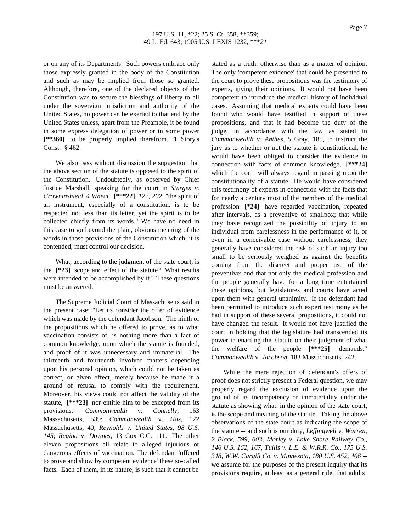or on any of its Departments. Such powers embrace only those expressly granted in the body of the Constitution and such as may be implied from those so granted. Although, therefore, one of the declared objects of the Constitution was to secure the blessings of liberty to all under the sovereign jurisdiction and authority of the United States, no power can be exerted to that end by the United States unless, apart from the Preamble, it be found in some express delegation of power or in some power **[\*\*360]** to be properly implied therefrom. 1 Story's Const. § 462.

We also pass without discussion the suggestion that the above section of the statute is opposed to the spirit of the Constitution. Undoubtedly, as observed by Chief Justice Marshall, speaking for the court in *Sturges v. Crowninshield, 4 Wheat.* **[\*\*\*22]** *122, 202*, "the spirit of an instrument, especially of a constitution, is to be respected not less than its letter, yet the spirit is to be collected chiefly from its words." We have no need in this case to go beyond the plain, obvious meaning of the words in those provisions of the Constitution which, it is contended, must control our decision.

What, according to the judgment of the state court, is the **[\*23]** scope and effect of the statute? What results were intended to be accomplished by it? These questions must be answered.

The Supreme Judicial Court of Massachusetts said in the present case: "Let us consider the offer of evidence which was made by the defendant Jacobson. The ninth of the propositions which he offered to prove, as to what vaccination consists of, is nothing more than a fact of common knowledge, upon which the statute is founded, and proof of it was unnecessary and immaterial. The thirteenth and fourteenth involved matters depending upon his personal opinion, which could not be taken as correct, or given effect, merely because he made it a ground of refusal to comply with the requirement. Moreover, his views could not affect the validity of the statute, **[\*\*\*23]** nor entitle him to be excepted from its provisions. *Commonwealth* v. *Connelly*, 163 Massachusetts, 539; *Commonwealth* v. *Has*, 122 Massachusetts, 40; *Reynolds v. United States, 98 U.S. 145*; *Regina* v. *Downes*, 13 Cox C.C. 111. The other eleven propositions all relate to alleged injurious or dangerous effects of vaccination. The defendant 'offered to prove and show by competent evidence' these so-called facts. Each of them, in its nature, is such that it cannot be

stated as a truth, otherwise than as a matter of opinion. The only 'competent evidence' that could be presented to the court to prove these propositions was the testimony of experts, giving their opinions. It would not have been competent to introduce the medical history of individual cases. Assuming that medical experts could have been found who would have testified in support of these propositions, and that it had become the duty of the judge, in accordance with the law as stated in *Commonwealth* v. *Anthes*, 5 Gray, 185, to instruct the jury as to whether or not the statute is constitutional, he would have been obliged to consider the evidence in connection with facts of common knowledge, **[\*\*\*24]** which the court will always regard in passing upon the constitutionality of a statute. He would have considered this testimony of experts in connection with the facts that for nearly a century most of the members of the medical profession **[\*24]** have regarded vaccination, repeated after intervals, as a preventive of smallpox; that while they have recognized the possibility of injury to an individual from carelessness in the performance of it, or even in a conceivable case without carelessness, they generally have considered the risk of such an injury too small to be seriously weighed as against the benefits coming from the discreet and proper use of the preventive; and that not only the medical profession and the people generally have for a long time entertained these opinions, but legislatures and courts have acted upon them with general unanimity. If the defendant had been permitted to introduce such expert testimony as he had in support of these several propositions, it could not have changed the result. It would not have justified the court in holding that the legislature had transcended its power in enacting this statute on their judgment of what the welfare of the people **[\*\*\*25]** demands." *Commonwealth* v. *Jacobson*, 183 Massachusetts, 242.

While the mere rejection of defendant's offers of proof does not strictly present a Federal question, we may properly regard the exclusion of evidence upon the ground of its incompetency or immateriality under the statute as showing what, in the opinion of the state court, is the scope and meaning of the statute. Taking the above observations of the state court as indicating the scope of the statute -- and such is our duty, *Leffingwell v. Warren, 2 Black, 599, 603*, *Morley v. Lake Shore Railway Co., 146 U.S. 162, 167*, *Tullis v. L.E. & W.R.R. Co., 175 U.S. 348*, *W.W. Cargill Co. v. Minnesota, 180 U.S. 452, 466* - we assume for the purposes of the present inquiry that its provisions require, at least as a general rule, that adults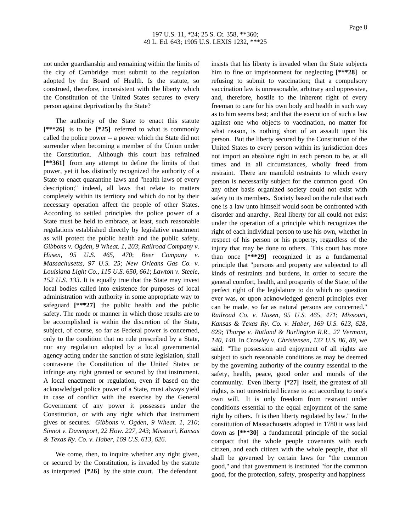not under guardianship and remaining within the limits of the city of Cambridge must submit to the regulation adopted by the Board of Health. Is the statute, so construed, therefore, inconsistent with the liberty which the Constitution of the United States secures to every person against deprivation by the State?

The authority of the State to enact this statute **[\*\*\*26]** is to be **[\*25]** referred to what is commonly called the police power -- a power which the State did not surrender when becoming a member of the Union under the Constitution. Although this court has refrained **[\*\*361]** from any attempt to define the limits of that power, yet it has distinctly recognized the authority of a State to enact quarantine laws and "health laws of every description;" indeed, all laws that relate to matters completely within its territory and which do not by their necessary operation affect the people of other States. According to settled principles the police power of a State must be held to embrace, at least, such reasonable regulations established directly by legislative enactment as will protect the public health and the public safety. *Gibbons v. Ogden, 9 Wheat. 1, 203*; *Railroad Company v. Husen, 95 U.S. 465, 470*; *Beer Company v. Massachusetts, 97 U.S. 25*; *New Orleans Gas Co. v. Louisiana Light Co., 115 U.S. 650, 661*; *Lawton v. Steele, 152 U.S. 133*. It is equally true that the State may invest local bodies called into existence for purposes of local administration with authority in some appropriate way to safeguard **[\*\*\*27]** the public health and the public safety. The mode or manner in which those results are to be accomplished is within the discretion of the State, subject, of course, so far as Federal power is concerned, only to the condition that no rule prescribed by a State, nor any regulation adopted by a local governmental agency acting under the sanction of state legislation, shall contravene the Constitution of the United States or infringe any right granted or secured by that instrument. A local enactment or regulation, even if based on the acknowledged police power of a State, must always yield in case of conflict with the exercise by the General Government of any power it possesses under the Constitution, or with any right which that instrument gives or secures. *Gibbons v. Ogden, 9 Wheat. 1, 210*; *Sinnot v. Davenport, 22 How. 227, 243*; *Missouri, Kansas & Texas Ry. Co. v. Haber, 169 U.S. 613, 626*.

We come, then, to inquire whether any right given, or secured by the Constitution, is invaded by the statute as interpreted **[\*26]** by the state court. The defendant

insists that his liberty is invaded when the State subjects him to fine or imprisonment for neglecting **[\*\*\*28]** or refusing to submit to vaccination; that a compulsory vaccination law is unreasonable, arbitrary and oppressive, and, therefore, hostile to the inherent right of every freeman to care for his own body and health in such way as to him seems best; and that the execution of such a law against one who objects to vaccination, no matter for what reason, is nothing short of an assault upon his person. But the liberty secured by the Constitution of the United States to every person within its jurisdiction does not import an absolute right in each person to be, at all times and in all circumstances, wholly freed from restraint. There are manifold restraints to which every person is necessarily subject for the common good. On any other basis organized society could not exist with safety to its members. Society based on the rule that each one is a law unto himself would soon be confronted with disorder and anarchy. Real liberty for all could not exist under the operation of a principle which recognizes the right of each individual person to use his own, whether in respect of his person or his property, regardless of the injury that may be done to others. This court has more than once **[\*\*\*29]** recognized it as a fundamental principle that "persons and property are subjected to all kinds of restraints and burdens, in order to secure the general comfort, health, and prosperity of the State; of the perfect right of the legislature to do which no question ever was, or upon acknowledged general principles ever can be made, so far as natural persons are concerned." *Railroad Co. v. Husen, 95 U.S. 465, 471*; *Missouri, Kansas & Texas Ry. Co. v. Haber, 169 U.S. 613, 628, 629*; *Thorpe v. Rutland & Burlington R.R., 27 Vermont, 140, 148*. In *Crowley v. Christensen, 137 U.S. 86, 89*, we said: "The possession and enjoyment of all rights are subject to such reasonable conditions as may be deemed by the governing authority of the country essential to the safety, health, peace, good order and morals of the community. Even liberty **[\*27]** itself, the greatest of all rights, is not unrestricted license to act according to one's own will. It is only freedom from restraint under conditions essential to the equal enjoyment of the same right by others. It is then liberty regulated by law." In the constitution of Massachusetts adopted in 1780 it was laid down as **[\*\*\*30]** a fundamental principle of the social compact that the whole people covenants with each citizen, and each citizen with the whole people, that all shall be governed by certain laws for "the common good," and that government is instituted "for the common good, for the protection, safety, prosperity and happiness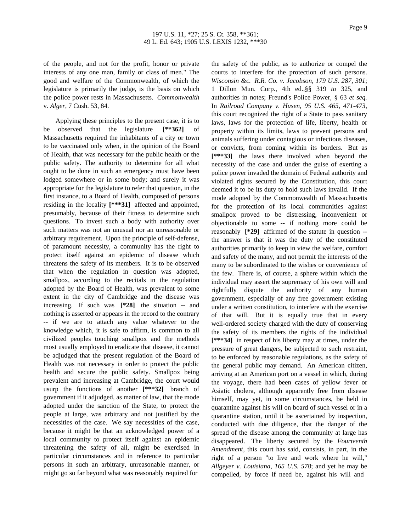of the people, and not for the profit, honor or private interests of any one man, family or class of men." The good and welfare of the Commonwealth, of which the legislature is primarily the judge, is the basis on which the police power rests in Massachusetts. *Commonwealth* v. *Alger*, 7 Cush. 53, 84.

Applying these principles to the present case, it is to be observed that the legislature **[\*\*362]** of Massachusetts required the inhabitants of a city or town to be vaccinated only when, in the opinion of the Board of Health, that was necessary for the public health or the public safety. The authority to determine for all what ought to be done in such an emergency must have been lodged somewhere or in some body; and surely it was appropriate for the legislature to refer that question, in the first instance, to a Board of Health, composed of persons residing in the locality **[\*\*\*31]** affected and appointed, presumably, because of their fitness to determine such questions. To invest such a body with authority over such matters was not an unusual nor an unreasonable or arbitrary requirement. Upon the principle of self-defense, of paramount necessity, a community has the right to protect itself against an epidemic of disease which threatens the safety of its members. It is to be observed that when the regulation in question was adopted, smallpox, according to the recitals in the regulation adopted by the Board of Health, was prevalent to some extent in the city of Cambridge and the disease was increasing. If such was **[\*28]** the situation -- and nothing is asserted or appears in the record to the contrary -- if we are to attach any value whatever to the knowledge which, it is safe to affirm, is common to all civilized peoples touching smallpox and the methods most usually employed to eradicate that disease, it cannot be adjudged that the present regulation of the Board of Health was not necessary in order to protect the public health and secure the public safety. Smallpox being prevalent and increasing at Cambridge, the court would usurp the functions of another **[\*\*\*32]** branch of government if it adjudged, as matter of law, that the mode adopted under the sanction of the State, to protect the people at large, was arbitrary and not justified by the necessities of the case. We say necessities of the case, because it might be that an acknowledged power of a local community to protect itself against an epidemic threatening the safety of all, might be exercised in particular circumstances and in reference to particular persons in such an arbitrary, unreasonable manner, or might go so far beyond what was reasonably required for

the safety of the public, as to authorize or compel the courts to interfere for the protection of such persons. *Wisconsin &c. R.R. Co. v. Jacobson, 179 U.S. 287, 301*; 1 Dillon Mun. Corp., 4th ed.,§§ 319 *to* 325, and authorities in notes; Freund's Police Power, § 63 *et seq.* In *Railroad Company v. Husen, 95 U.S. 465, 471-473*, this court recognized the right of a State to pass sanitary laws, laws for the protection of life, liberty, health or property within its limits, laws to prevent persons and animals suffering under contagious or infectious diseases, or convicts, from coming within its borders. But as **[\*\*\*33]** the laws there involved when beyond the necessity of the case and under the guise of exerting a police power invaded the domain of Federal authority and violated rights secured by the Constitution, this court deemed it to be its duty to hold such laws invalid. If the mode adopted by the Commonwealth of Massachusetts for the protection of its local communities against smallpox proved to be distressing, inconvenient or objectionable to some -- if nothing more could be reasonably **[\*29]** affirmed of the statute in question - the answer is that it was the duty of the constituted authorities primarily to keep in view the welfare, comfort and safety of the many, and not permit the interests of the many to be subordinated to the wishes or convenience of the few. There is, of course, a sphere within which the individual may assert the supremacy of his own will and rightfully dispute the authority of any human government, especially of any free government existing under a written constitution, to interfere with the exercise of that will. But it is equally true that in every well-ordered society charged with the duty of conserving the safety of its members the rights of the individual **[\*\*\*34]** in respect of his liberty may at times, under the pressure of great dangers, be subjected to such restraint, to be enforced by reasonable regulations, as the safety of the general public may demand. An American citizen, arriving at an American port on a vessel in which, during the voyage, there had been cases of yellow fever or Asiatic cholera, although apparently free from disease himself, may yet, in some circumstances, be held in quarantine against his will on board of such vessel or in a quarantine station, until it be ascertained by inspection, conducted with due diligence, that the danger of the spread of the disease among the community at large has disappeared. The liberty secured by the *Fourteenth Amendment*, this court has said, consists, in part, in the right of a person "to live and work where he will," *Allgeyer v. Louisiana, 165 U.S. 578*; and yet he may be compelled, by force if need be, against his will and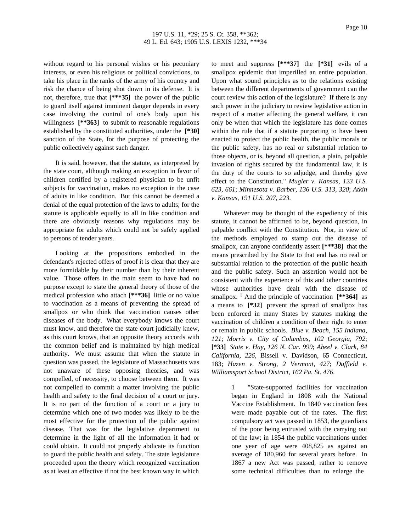without regard to his personal wishes or his pecuniary interests, or even his religious or political convictions, to take his place in the ranks of the army of his country and risk the chance of being shot down in its defense. It is not, therefore, true that **[\*\*\*35]** the power of the public to guard itself against imminent danger depends in every case involving the control of one's body upon his willingness  $[***363]$  to submit to reasonable regulations established by the constituted authorities, under the **[\*30]** sanction of the State, for the purpose of protecting the public collectively against such danger.

It is said, however, that the statute, as interpreted by the state court, although making an exception in favor of children certified by a registered physician to be unfit subjects for vaccination, makes no exception in the case of adults in like condition. But this cannot be deemed a denial of the equal protection of the laws to adults; for the statute is applicable equally to all in like condition and there are obviously reasons why regulations may be appropriate for adults which could not be safely applied to persons of tender years.

Looking at the propositions embodied in the defendant's rejected offers of proof it is clear that they are more formidable by their number than by their inherent value. Those offers in the main seem to have had no purpose except to state the general theory of those of the medical profession who attach **[\*\*\*36]** little or no value to vaccination as a means of preventing the spread of smallpox or who think that vaccination causes other diseases of the body. What everybody knows the court must know, and therefore the state court judicially knew, as this court knows, that an opposite theory accords with the common belief and is maintained by high medical authority. We must assume that when the statute in question was passed, the legislature of Massachusetts was not unaware of these opposing theories, and was compelled, of necessity, to choose between them. It was not compelled to commit a matter involving the public health and safety to the final decision of a court or jury. It is no part of the function of a court or a jury to determine which one of two modes was likely to be the most effective for the protection of the public against disease. That was for the legislative department to determine in the light of all the information it had or could obtain. It could not properly abdicate its function to guard the public health and safety. The state legislature proceeded upon the theory which recognized vaccination as at least an effective if not the best known way in which

to meet and suppress **[\*\*\*37]** the **[\*31]** evils of a smallpox epidemic that imperilled an entire population. Upon what sound principles as to the relations existing between the different departments of government can the court review this action of the legislature? If there is any such power in the judiciary to review legislative action in respect of a matter affecting the general welfare, it can only be when that which the legislature has done comes within the rule that if a statute purporting to have been enacted to protect the public health, the public morals or the public safety, has no real or substantial relation to those objects, or is, beyond all question, a plain, palpable invasion of rights secured by the fundamental law, it is the duty of the courts to so adjudge, and thereby give effect to the Constitution." *Mugler v. Kansas, 123 U.S. 623, 661*; *Minnesota v. Barber, 136 U.S. 313, 320*; *Atkin v. Kansas, 191 U.S. 207, 223*.

Whatever may be thought of the expediency of this statute, it cannot be affirmed to be, beyond question, in palpable conflict with the Constitution. Nor, in view of the methods employed to stamp out the disease of smallpox, can anyone confidently assert **[\*\*\*38]** that the means prescribed by the State to that end has no real or substantial relation to the protection of the public health and the public safety. Such an assertion would not be consistent with the experience of this and other countries whose authorities have dealt with the disease of smallpox. <sup>1</sup> And the principle of vaccination  $[**364]$  as a means to **[\*32]** prevent the spread of smallpox has been enforced in many States by statutes making the vaccination of children a condition of their right to enter or remain in public schools. *Blue v. Beach, 155 Indiana, 121*; *Morris v. City of Columbus, 102 Georgia, 792*; **[\*33]** *State v. Hay, 126 N. Car. 999*; *Abeel v. Clark, 84 California, 226*, Bissell v. Davidson, 65 Connecticut, 183; *Hazen v. Strong, 2 Vermont, 427*; *Duffield v. Williamsport School District, 162 Pa. St. 476*.

> 1 "State-supported facilities for vaccination began in England in 1808 with the National Vaccine Establishment. In 1840 vaccination fees were made payable out of the rates. The first compulsory act was passed in 1853, the guardians of the poor being entrusted with the carrying out of the law; in 1854 the public vaccinations under one year of age were 408,825 as against an average of 180,960 for several years before. In 1867 a new Act was passed, rather to remove some technical difficulties than to enlarge the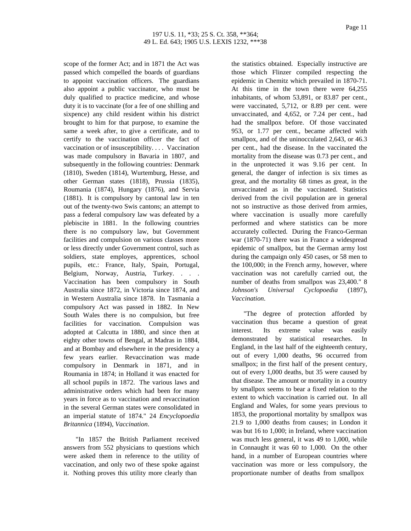scope of the former Act; and in 1871 the Act was passed which compelled the boards of guardians to appoint vaccination officers. The guardians also appoint a public vaccinator, who must be duly qualified to practice medicine, and whose duty it is to vaccinate (for a fee of one shilling and sixpence) any child resident within his district brought to him for that purpose, to examine the same a week after, to give a certificate, and to certify to the vaccination officer the fact of vaccination or of insusceptibility. . . . Vaccination was made compulsory in Bavaria in 1807, and subsequently in the following countries: Denmark (1810), Sweden (1814), Wurtemburg, Hesse, and other German states (1818), Prussia (1835), Roumania (1874), Hungary (1876), and Servia (1881). It is compulsory by cantonal law in ten out of the twenty-two Swis cantons; an attempt to pass a federal compulsory law was defeated by a plebiscite in 1881. In the following countries there is no compulsory law, but Government facilities and compulsion on various classes more or less directly under Government control, such as soldiers, state employes, apprentices, school pupils, etc.: France, Italy, Spain, Portugal, Belgium, Norway, Austria, Turkey. . . . Vaccination has been compulsory in South Australia since 1872, in Victoria since 1874, and in Western Australia since 1878. In Tasmania a compulsory Act was passed in 1882. In New South Wales there is no compulsion, but free facilities for vaccination. Compulsion was adopted at Calcutta in 1880, and since then at eighty other towns of Bengal, at Madras in 1884, and at Bombay and elsewhere in the presidency a few years earlier. Revaccination was made compulsory in Denmark in 1871, and in Roumania in 1874; in Holland it was enacted for all school pupils in 1872. The various laws and administrative orders which had been for many years in force as to vaccination and revaccination in the several German states were consolidated in an imperial statute of 1874." 24 *Encyclopoedia Britannica* (1894), *Vaccination*.

"In 1857 the British Parliament received answers from 552 physicians to questions which were asked them in reference to the utility of vaccination, and only two of these spoke against it. Nothing proves this utility more clearly than

the statistics obtained. Especially instructive are those which Flinzer compiled respecting the epidemic in Chemitz which prevailed in 1870-71. At this time in the town there were 64,255 inhabitants, of whom 53,891, or 83.87 per cent., were vaccinated, 5,712, or 8.89 per cent. were unvaccinated, and 4,652, or 7.24 per cent., had had the smallpox before. Of those vaccinated 953, or 1.77 per cent., became affected with smallpox, and of the uninocculated 2,643, or 46.3 per cent., had the disease. In the vaccinated the mortality from the disease was 0.73 per cent., and in the unprotected it was 9.16 per cent. In general, the danger of infection is six times as great, and the mortality 68 times as great, in the unvaccinated as in the vaccinated. Statistics derived from the civil population are in general not so instructive as those derived from armies, where vaccination is usually more carefully performed and where statistics can be more accurately collected. During the Franco-German war (1870-71) there was in France a widespread epidemic of smallpox, but the German army lost during the campaign only 450 cases, or 58 men to the 100,000; in the French army, however, where vaccination was not carefully carried out, the number of deaths from smallpox was 23,400." 8 *Johnson's Universal Cyclopoedia* (1897), *Vaccination*.

"The degree of protection afforded by vaccination thus became a question of great interest. Its extreme value was easily demonstrated by statistical researches. In England, in the last half of the eighteenth century, out of every 1,000 deaths, 96 occurred from smallpox; in the first half of the present century, out of every 1,000 deaths, but 35 were caused by that disease. The amount or mortality in a country by smallpox seems to bear a fixed relation to the extent to which vaccination is carried out. In all England and Wales, for some years previous to 1853, the proportional mortality by smallpox was 21.9 to 1,000 deaths from causes; in London it was but 16 to 1,000; in Ireland, where vaccination was much less general, it was 49 to 1,000, while in Connaught it was 60 to 1,000. On the other hand, in a number of European countries where vaccination was more or less compulsory, the proportionate number of deaths from smallpox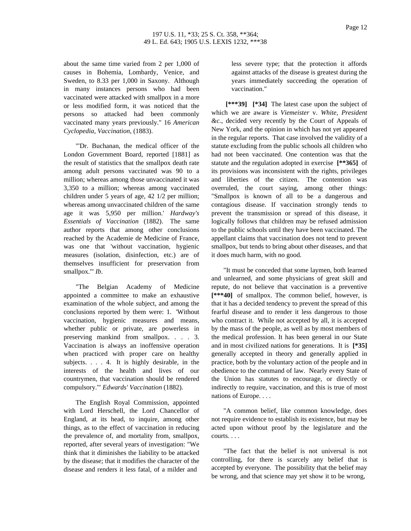about the same time varied from 2 per 1,000 of causes in Bohemia, Lombardy, Venice, and Sweden, to 8.33 per 1,000 in Saxony. Although in many instances persons who had been vaccinated were attacked with smallpox in a more or less modified form, it was noticed that the persons so attacked had been commonly vaccinated many years previously." 16 *American Cyclopedia, Vaccination*, (1883).

"'Dr. Buchanan, the medical officer of the London Government Board, reported [1881] as the result of statistics that the smallpox death rate among adult persons vaccinated was 90 to a million; whereas among those unvaccinated it was 3,350 to a million; whereas among vaccinated children under 5 years of age, 42 1/2 per million; whereas among unvaccinated children of the same age it was 5,950 per million.' *Hardway's Essentials of Vaccination* (1882). The same author reports that among other conclusions reached by the Academie de Medicine of France, was one that 'without vaccination, hygienic measures (isolation, disinfection, etc.) are of themselves insufficient for preservation from smallpox.'" *Ib*.

"The Belgian Academy of Medicine appointed a committee to make an exhaustive examination of the whole subject, and among the conclusions reported by them were: 1. 'Without vaccination, hygienic measures and means, whether public or private, are powerless in preserving mankind from smallpox. . . . 3. Vaccination is always an inoffensive operation when practiced with proper care on healthy subjects. . . . 4. It is highly desirable, in the interests of the health and lives of our countrymen, that vaccination should be rendered compulsory.'" *Edwards' Vaccination* (1882).

The English Royal Commission, appointed with Lord Herschell, the Lord Chancellor of England, at its head, to inquire, among other things, as to the effect of vaccination in reducing the prevalence of, and mortality from, smallpox, reported, after several years of investigation: "We think that it diminishes the liability to be attacked by the disease; that it modifies the character of the disease and renders it less fatal, of a milder and

less severe type; that the protection it affords against attacks of the disease is greatest during the years immediately succeeding the operation of vaccination."

**[\*\*\*39] [\*34]** The latest case upon the subject of which we are aware is *Viemeister* v. *White, President &c.*, decided very recently by the Court of Appeals of New York, and the opinion in which has not yet appeared in the regular reports. That case involved the validity of a statute excluding from the public schools all children who had not been vaccinated. One contention was that the statute and the regulation adopted in exercise **[\*\*365]** of its provisions was inconsistent with the rights, privileges and liberties of the citizen. The contention was overruled, the court saying, among other things: "Smallpox is known of all to be a dangerous and contagious disease. If vaccination strongly tends to prevent the transmission or spread of this disease, it logically follows that children may be refused admission to the public schools until they have been vaccinated. The appellant claims that vaccination does not tend to prevent smallpox, but tends to bring about other diseases, and that it does much harm, with no good.

"It must be conceded that some laymen, both learned and unlearned, and some physicians of great skill and repute, do not believe that vaccination is a preventive **[\*\*\*40]** of smallpox. The common belief, however, is that it has a decided tendency to prevent the spread of this fearful disease and to render it less dangerous to those who contract it. While not accepted by all, it is accepted by the mass of the people, as well as by most members of the medical profession. It has been general in our State and in most civilized nations for generations. It is **[\*35]** generally accepted in theory and generally applied in practice, both by the voluntary action of the people and in obedience to the command of law. Nearly every State of the Union has statutes to encourage, or directly or indirectly to require, vaccination, and this is true of most nations of Europe. . . .

"A common belief, like common knowledge, does not require evidence to establish its existence, but may be acted upon without proof by the legislature and the courts. . . .

"The fact that the belief is not universal is not controlling, for there is scarcely any belief that is accepted by everyone. The possibility that the belief may be wrong, and that science may yet show it to be wrong,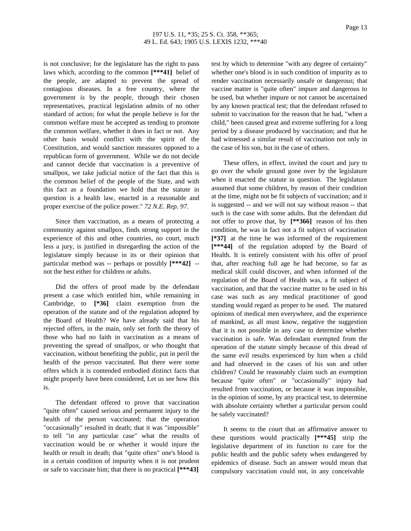is not conclusive; for the legislature has the right to pass laws which, according to the common **[\*\*\*41]** belief of the people, are adapted to prevent the spread of contagious diseases. In a free country, where the government is by the people, through their chosen representatives, practical legislation admits of no other standard of action; for what the people believe is for the common welfare must be accepted as tending to promote the common welfare, whether it does in fact or not. Any other basis would conflict with the spirit of the Constitution, and would sanction measures opposed to a republican form of government. While we do not decide and cannot decide that vaccination is a preventive of smallpox, we take judicial notice of the fact that this is the common belief of the people of the State, and with this fact as a foundation we hold that the statute in question is a health law, enacted in a reasonable and proper exercise of the police power." *72 N.E. Rep. 97*.

Since then vaccination, as a means of protecting a community against smallpox, finds strong support in the experience of this and other countries, no court, much less a jury, is justified in disregarding the action of the legislature simply because in its or their opinion that particular method was -- perhaps or possibly **[\*\*\*42]** - not the best either for children or adults.

Did the offers of proof made by the defendant present a case which entitled him, while remaining in Cambridge, to **[\*36]** claim exemption from the operation of the statute and of the regulation adopted by the Board of Health? We have already said that his rejected offers, in the main, only set forth the theory of those who had no faith in vaccination as a means of preventing the spread of smallpox, or who thought that vaccination, without benefiting the public, put in peril the health of the person vaccinated. But there were some offers which it is contended embodied distinct facts that might properly have been considered, Let us see how this is.

The defendant offered to prove that vaccination "quite often" caused serious and permanent injury to the health of the person vaccinated; that the operation "occasionally" resulted in death; that it was "impossible" to tell "in any particular case" what the results of vaccination would be or whether it would injure the health or result in death; that "quite often" one's blood is in a certain condition of impurity when it is not prudent or safe to vaccinate him; that there is no practical **[\*\*\*43]**

test by which to determine "with any degree of certainty" whether one's blood is in such condition of impurity as to render vaccination necessarily unsafe or dangerous; that vaccine matter is "quite often" impure and dangerous to be used, but whether impure or not cannot be ascertained by any known practical test; that the defendant refused to submit to vaccination for the reason that he had, "when a child," been caused great and extreme suffering for a long period by a disease produced by vaccination; and that he had witnessed a similar result of vaccination not only in the case of his son, but in the case of others.

These offers, in effect, invited the court and jury to go over the whole ground gone over by the legislature when it enacted the statute in question. The legislature assumed that some children, by reason of their condition at the time, might not be fit subjects of vaccination; and it is suggested -- and we will not say without reason -- that such is the case with some adults. But the defendant did not offer to prove that, by **[\*\*366]** reason of his then condition, he was in fact not a fit subject of vaccination **[\*37]** at the time he was informed of the requirement **[\*\*\*44]** of the regulation adopted by the Board of Health. It is entirely consistent with his offer of proof that, after reaching full age he had become, so far as medical skill could discover, and when informed of the regulation of the Board of Health was, a fit subject of vaccination, and that the vaccine matter to be used in his case was such as any medical practitioner of good standing would regard as proper to be used. The matured opinions of medical men everywhere, and the experience of mankind, as all must know, negative the suggestion that it is not possible in any case to determine whether vaccination is safe. Was defendant exempted from the operation of the statute simply because of this dread of the same evil results experienced by him when a child and had observed in the cases of his son and other children? Could he reasonably claim such an exemption because "quite often" or "occasionally" injury had resulted from vaccination, or because it was impossible, in the opinion of some, by any practical test, to determine with absolute certainty whether a particular person could be safely vaccinated?

It seems to the court that an affirmative answer to these questions would practically **[\*\*\*45]** strip the legislative department of its function to care for the public health and the public safety when endangered by epidemics of disease. Such an answer would mean that compulsory vaccination could not, in any conceivable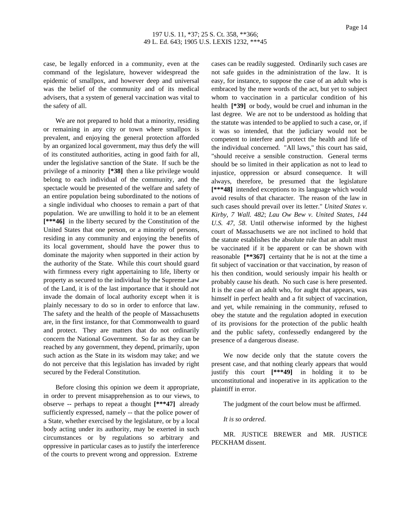case, be legally enforced in a community, even at the command of the legislature, however widespread the epidemic of smallpox, and however deep and universal was the belief of the community and of its medical advisers, that a system of general vaccination was vital to the safety of all.

We are not prepared to hold that a minority, residing or remaining in any city or town where smallpox is prevalent, and enjoying the general protection afforded by an organized local government, may thus defy the will of its constituted authorities, acting in good faith for all, under the legislative sanction of the State. If such be the privilege of a minority **[\*38]** then a like privilege would belong to each individual of the community, and the spectacle would be presented of the welfare and safety of an entire population being subordinated to the notions of a single individual who chooses to remain a part of that population. We are unwilling to hold it to be an element **[\*\*\*46]** in the liberty secured by the Constitution of the United States that one person, or a minority of persons, residing in any community and enjoying the benefits of its local government, should have the power thus to dominate the majority when supported in their action by the authority of the State. While this court should guard with firmness every right appertaining to life, liberty or property as secured to the individual by the Supreme Law of the Land, it is of the last importance that it should not invade the domain of local authority except when it is plainly necessary to do so in order to enforce that law. The safety and the health of the people of Massachusetts are, in the first instance, for that Commonwealth to guard and protect. They are matters that do not ordinarily concern the National Government. So far as they can be reached by any government, they depend, primarily, upon such action as the State in its wisdom may take; and we do not perceive that this legislation has invaded by right secured by the Federal Constitution.

Before closing this opinion we deem it appropriate, in order to prevent misapprehension as to our views, to observe -- perhaps to repeat a thought **[\*\*\*47]** already sufficiently expressed, namely -- that the police power of a State, whether exercised by the legislature, or by a local body acting under its authority, may be exerted in such circumstances or by regulations so arbitrary and oppressive in particular cases as to justify the interference of the courts to prevent wrong and oppression. Extreme

cases can be readily suggested. Ordinarily such cases are not safe guides in the administration of the law. It is easy, for instance, to suppose the case of an adult who is embraced by the mere words of the act, but yet to subject whom to vaccination in a particular condition of his health **[\*39]** or body, would be cruel and inhuman in the last degree. We are not to be understood as holding that the statute was intended to be applied to such a case, or, if it was so intended, that the judiciary would not be competent to interfere and protect the health and life of the individual concerned. "All laws," this court has said, "should receive a sensible construction. General terms should be so limited in their application as not to lead to injustice, oppression or absurd consequence. It will always, therefore, be presumed that the legislature **[\*\*\*48]** intended exceptions to its language which would avoid results of that character. The reason of the law in such cases should prevail over its letter." *United States v. Kirby, 7 Wall. 482*; *Lau Ow Bew v. United States, 144 U.S. 47, 58*. Until otherwise informed by the highest court of Massachusetts we are not inclined to hold that the statute establishes the absolute rule that an adult must be vaccinated if it be apparent or can be shown with reasonable **[\*\*367]** certainty that he is not at the time a fit subject of vaccination or that vaccination, by reason of his then condition, would seriously impair his health or probably cause his death. No such case is here presented. It is the case of an adult who, for aught that appears, was himself in perfect health and a fit subject of vaccination, and yet, while remaining in the community, refused to obey the statute and the regulation adopted in execution of its provisions for the protection of the public health and the public safety, confessedly endangered by the presence of a dangerous disease.

We now decide only that the statute covers the present case, and that nothing clearly appears that would justify this court **[\*\*\*49]** in holding it to be unconstitutional and inoperative in its application to the plaintiff in error.

The judgment of the court below must be affirmed.

*It is so ordered*.

MR. JUSTICE BREWER and MR. JUSTICE PECKHAM dissent.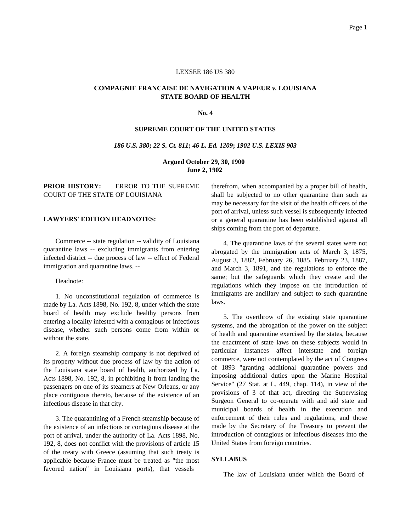#### LEXSEE 186 US 380

# **COMPAGNIE FRANCAISE DE NAVIGATION A VAPEUR** *v.* **LOUISIANA STATE BOARD OF HEALTH**

#### **No. 4**

# **SUPREME COURT OF THE UNITED STATES**

#### *186 U.S. 380***;** *22 S. Ct. 811***;** *46 L. Ed. 1209***;** *1902 U.S. LEXIS 903*

# **Argued October 29, 30, 1900 June 2, 1902**

# **PRIOR HISTORY:** ERROR TO THE SUPREME COURT OF THE STATE OF LOUISIANA

#### **LAWYERS' EDITION HEADNOTES:**

Commerce -- state regulation -- validity of Louisiana quarantine laws -- excluding immigrants from entering infected district -- due process of law -- effect of Federal immigration and quarantine laws. --

Headnote:

1. No unconstitutional regulation of commerce is made by La. Acts 1898, No. 192, 8, under which the state board of health may exclude healthy persons from entering a locality infested with a contagious or infectious disease, whether such persons come from within or without the state.

2. A foreign steamship company is not deprived of its property without due process of law by the action of the Louisiana state board of health, authorized by La. Acts 1898, No. 192, 8, in prohibiting it from landing the passengers on one of its steamers at New Orleans, or any place contiguous thereto, because of the existence of an infectious disease in that city.

3. The quarantining of a French steamship because of the existence of an infectious or contagious disease at the port of arrival, under the authority of La. Acts 1898, No. 192, 8, does not conflict with the provisions of article 15 of the treaty with Greece (assuming that such treaty is applicable because France must be treated as "the most favored nation" in Louisiana ports), that vessels

therefrom, when accompanied by a proper bill of health, shall be subjected to no other quarantine than such as may be necessary for the visit of the health officers of the port of arrival, unless such vessel is subsequently infected or a general quarantine has been established against all ships coming from the port of departure.

4. The quarantine laws of the several states were not abrogated by the immigration acts of March 3, 1875, August 3, 1882, February 26, 1885, February 23, 1887, and March 3, 1891, and the regulations to enforce the same; but the safeguards which they create and the regulations which they impose on the introduction of immigrants are ancillary and subject to such quarantine laws.

5. The overthrow of the existing state quarantine systems, and the abrogation of the power on the subject of health and quarantine exercised by the states, because the enactment of state laws on these subjects would in particular instances affect interstate and foreign commerce, were not contemplated by the act of Congress of 1893 "granting additional quarantine powers and imposing additional duties upon the Marine Hospital Service" (27 Stat. at L. 449, chap. 114), in view of the provisions of 3 of that act, directing the Supervising Surgeon General to co-operate with and aid state and municipal boards of health in the execution and enforcement of their rules and regulations, and those made by the Secretary of the Treasury to prevent the introduction of contagious or infectious diseases into the United States from foreign countries.

# **SYLLABUS**

The law of Louisiana under which the Board of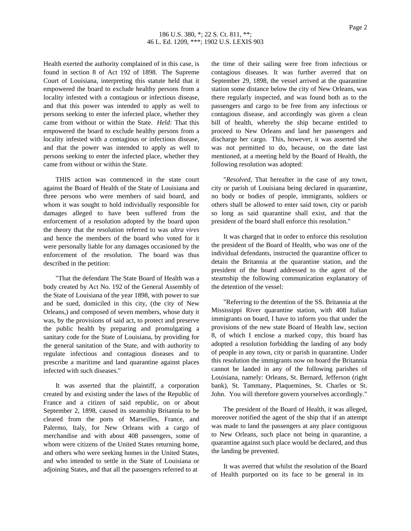Health exerted the authority complained of in this case, is found in section 8 of Act 192 of 1898. The Supreme Court of Louisiana, interpreting this statute held that it empowered the board to exclude healthy persons from a locality infested with a contagious or infectious disease, and that this power was intended to apply as well to persons seeking to enter the infected place, whether they came from without or within the State. *Held:* That this empowered the board to exclude healthy persons from a locality infested with a contagious or infectious disease, and that the power was intended to apply as well to persons seeking to enter the infected place, whether they came from without or within the State.

THIS action was commenced in the state court against the Board of Health of the State of Louisiana and three persons who were members of said board, and whom it was sought to hold individually responsible for damages alleged to have been suffered from the enforcement of a resolution adopted by the board upon the theory that the resolution referred to was *ultra vires* and hence the members of the board who voted for it were personally liable for any damages occasioned by the enforcement of the resolution. The board was thus described in the petition:

"That the defendant The State Board of Health was a body created by Act No. 192 of the General Assembly of the State of Louisiana of the year 1898, with power to sue and be sued, domiciled in this city, (the city of New Orleans,) and composed of seven members, whose duty it was, by the provisions of said act, to protect and preserve the public health by preparing and promulgating a sanitary code for the State of Louisiana, by providing for the general sanitation of the State, and with authority to regulate infectious and contagious diseases and to prescribe a maritime and land quarantine against places infected with such diseases."

It was asserted that the plaintiff, a corporation created by and existing under the laws of the Republic of France and a citizen of said republic, on or about September 2, 1898, caused its steamship Britannia to be cleared from the ports of Marseilles, France, and Palermo, Italy, for New Orleans with a cargo of merchandise and with about 408 passengers, some of whom were citizens of the United States returning home, and others who were seeking homes in the United States, and who intended to settle in the State of Louisiana or adjoining States, and that all the passengers referred to at

the time of their sailing were free from infectious or contagious diseases. It was further averred that on September 29, 1898, the vessel arrived at the quarantine station some distance below the city of New Orleans, was there regularly inspected, and was found both as to the passengers and cargo to be free from any infectious or contagious disease, and accordingly was given a clean bill of health, whereby the ship became entitled to proceed to New Orleans and land her passengers and discharge her cargo. This, however, it was asserted she was not permitted to do, because, on the date last mentioned, at a meeting held by the Board of Health, the following resolution was adopted:

"*Resolved*, That hereafter in the case of any town, city or parish of Louisiana being declared in quarantine, no body or bodies of people, immigrants, soldiers or others shall be allowed to enter said town, city or parish so long as said quarantine shall exist, and that the president of the board shall enforce this resolution."

It was charged that in order to enforce this resolution the president of the Board of Health, who was one of the individual defendants, instructed the quarantine officer to detain the Britannia at the quarantine station, and the president of the board addressed to the agent of the steamship the following communication explanatory of the detention of the vessel:

"Referring to the detention of the SS. Britannia at the Mississippi River quarantine station, with 408 Italian immigrants on board, I have to inform you that under the provisions of the new state Board of Health law, section 8, of which I enclose a marked copy, this board has adopted a resolution forbidding the landing of any body of people in any town, city or parish in quarantine. Under this resolution the immigrants now on board the Britannia cannot be landed in any of the following parishes of Louisiana, namely: Orleans, St. Bernard, Jefferson (right bank), St. Tammany, Plaquemines, St. Charles or St. John. You will therefore govern yourselves accordingly."

The president of the Board of Health, it was alleged, moreover notified the agent of the ship that if an attempt was made to land the passengers at any place contiguous to New Orleans, such place not being in quarantine, a quarantine against such place would be declared, and thus the landing be prevented.

It was averred that whilst the resolution of the Board of Health purported on its face to be general in its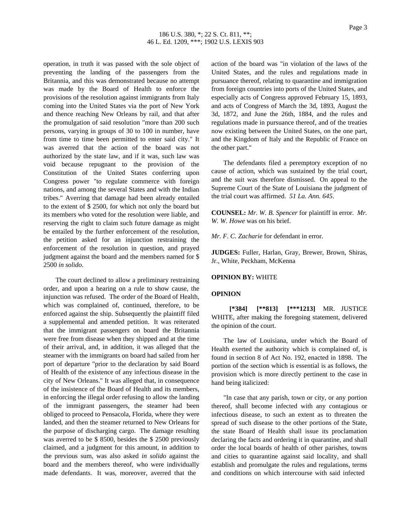operation, in truth it was passed with the sole object of preventing the landing of the passengers from the Britannia, and this was demonstrated because no attempt was made by the Board of Health to enforce the provisions of the resolution against immigrants from Italy coming into the United States via the port of New York and thence reaching New Orleans by rail, and that after the promulgation of said resolution "more than 200 such persons, varying in groups of 30 to 100 in number, have from time to time been permitted to enter said city." It was averred that the action of the board was not authorized by the state law, and if it was, such law was void because repugnant to the provision of the Constitution of the United States conferring upon Congress power "to regulate commerce with foreign nations, and among the several States and with the Indian tribes." Averring that damage had been already entailed to the extent of \$ 2500, for which not only the board but its members who voted for the resolution were liable, and reserving the right to claim such future damage as might be entailed by the further enforcement of the resolution, the petition asked for an injunction restraining the enforcement of the resolution in question, and prayed judgment against the board and the members named for \$ 2500 *in solido*.

The court declined to allow a preliminary restraining order, and upon a hearing on a rule to show cause, the injunction was refused. The order of the Board of Health, which was complained of, continued, therefore, to be enforced against the ship. Subsequently the plaintiff filed a supplemental and amended petition. It was reiterated that the immigrant passengers on board the Britannia were free from disease when they shipped and at the time of their arrival, and, in addition, it was alleged that the steamer with the immigrants on board had sailed from her port of departure "prior to the declaration by said Board of Health of the existence of any infectious disease in the city of New Orleans." It was alleged that, in consequence of the insistence of the Board of Health and its members, in enforcing the illegal order refusing to allow the landing of the immigrant passengers, the steamer had been obliged to proceed to Pensacola, Florida, where they were landed, and then the steamer returned to New Orleans for the purpose of discharging cargo. The damage resulting was averred to be \$ 8500, besides the \$ 2500 previously claimed, and a judgment for this amount, in addition to the previous sum, was also asked *in solido* against the board and the members thereof, who were individually made defendants. It was, moreover, averred that the

action of the board was "in violation of the laws of the United States, and the rules and regulations made in pursuance thereof, relating to quarantine and immigration from foreign countries into ports of the United States, and especially acts of Congress approved February 15, 1893, and acts of Congress of March the 3d, 1893, August the 3d, 1872, and June the 26th, 1884, and the rules and regulations made in pursuance thereof, and of the treaties now existing between the United States, on the one part, and the Kingdom of Italy and the Republic of France on the other part."

The defendants filed a peremptory exception of no cause of action, which was sustained by the trial court, and the suit was therefore dismissed. On appeal to the Supreme Court of the State of Louisiana the judgment of the trial court was affirmed. *51 La. Ann. 645*.

**COUNSEL:** *Mr. W. B. Spencer* for plaintiff in error. *Mr. W. W. Howe* was on his brief.

*Mr. F. C. Zacharie* for defendant in error.

**JUDGES:** Fuller, Harlan, Gray, Brewer, Brown, Shiras, Jr., White, Peckham, McKenna

#### **OPINION BY:** WHITE

#### **OPINION**

**[\*384] [\*\*813] [\*\*\*1213]** MR. JUSTICE WHITE, after making the foregoing statement, delivered the opinion of the court.

The law of Louisiana, under which the Board of Health exerted the authority which is complained of, is found in section 8 of Act No. 192, enacted in 1898. The portion of the section which is essential is as follows, the provision which is more directly pertinent to the case in hand being italicized:

"In case that any parish, town or city, or any portion thereof, shall become infected with any contagious or infectious disease, to such an extent as to threaten the spread of such disease to the other portions of the State, the state Board of Health shall issue its proclamation declaring the facts and ordering it in quarantine, and shall order the local boards of health of other parishes, towns and cities to quarantine against said locality, and shall establish and promulgate the rules and regulations, terms and conditions on which intercourse with said infected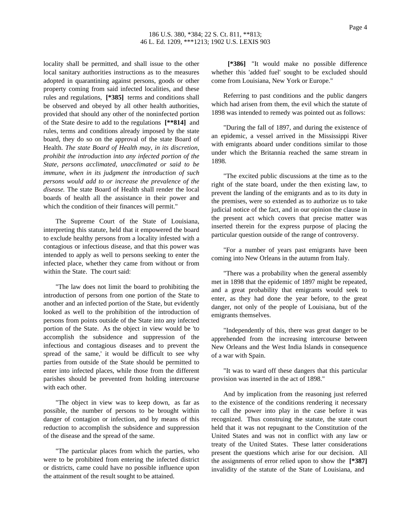locality shall be permitted, and shall issue to the other local sanitary authorities instructions as to the measures adopted in quarantining against persons, goods or other property coming from said infected localities, and these rules and regulations, **[\*385]** terms and conditions shall be observed and obeyed by all other health authorities, provided that should any other of the noninfected portion of the State desire to add to the regulations **[\*\*814]** and rules, terms and conditions already imposed by the state board, they do so on the approval of the state Board of Health. *The state Board of Health may, in its discretion, prohibit the introduction into any infected portion of the State, persons acclimated, unacclimated or said to be immune, when in its judgment the introduction of such persons would add to or increase the prevalence of the disease.* The state Board of Health shall render the local boards of health all the assistance in their power and which the condition of their finances will permit."

The Supreme Court of the State of Louisiana, interpreting this statute, held that it empowered the board to exclude healthy persons from a locality infested with a contagious or infectious disease, and that this power was intended to apply as well to persons seeking to enter the infected place, whether they came from without or from within the State. The court said:

"The law does not limit the board to prohibiting the introduction of persons from one portion of the State to another and an infected portion of the State, but evidently looked as well to the prohibition of the introduction of persons from points outside of the State into any infected portion of the State. As the object in view would be 'to accomplish the subsidence and suppression of the infectious and contagious diseases and to prevent the spread of the same,' it would be difficult to see why parties from outside of the State should be permitted to enter into infected places, while those from the different parishes should be prevented from holding intercourse with each other.

"The object in view was to keep down, as far as possible, the number of persons to be brought within danger of contagion or infection, and by means of this reduction to accomplish the subsidence and suppression of the disease and the spread of the same.

"The particular places from which the parties, who were to be prohibited from entering the infected district or districts, came could have no possible influence upon the attainment of the result sought to be attained.

**[\*386]** "It would make no possible difference whether this 'added fuel' sought to be excluded should come from Louisiana, New York or Europe."

Referring to past conditions and the public dangers which had arisen from them, the evil which the statute of 1898 was intended to remedy was pointed out as follows:

"During the fall of 1897, and during the existence of an epidemic, a vessel arrived in the Mississippi River with emigrants aboard under conditions similar to those under which the Britannia reached the same stream in 1898.

"The excited public discussions at the time as to the right of the state board, under the then existing law, to prevent the landing of the emigrants and as to its duty in the premises, were so extended as to authorize us to take judicial notice of the fact, and in our opinion the clause in the present act which covers that precise matter was inserted therein for the express purpose of placing the particular question outside of the range of controversy.

"For a number of years past emigrants have been coming into New Orleans in the autumn from Italy.

"There was a probability when the general assembly met in 1898 that the epidemic of 1897 might be repeated, and a great probability that emigrants would seek to enter, as they had done the year before, to the great danger, not only of the people of Louisiana, but of the emigrants themselves.

"Independently of this, there was great danger to be apprehended from the increasing intercourse between New Orleans and the West India Islands in consequence of a war with Spain.

"It was to ward off these dangers that this particular provision was inserted in the act of 1898."

And by implication from the reasoning just referred to the existence of the conditions rendering it necessary to call the power into play in the case before it was recognized. Thus construing the statute, the state court held that it was not repugnant to the Constitution of the United States and was not in conflict with any law or treaty of the United States. These latter considerations present the questions which arise for our decision. All the assignments of error relied upon to show the **[\*387]** invalidity of the statute of the State of Louisiana, and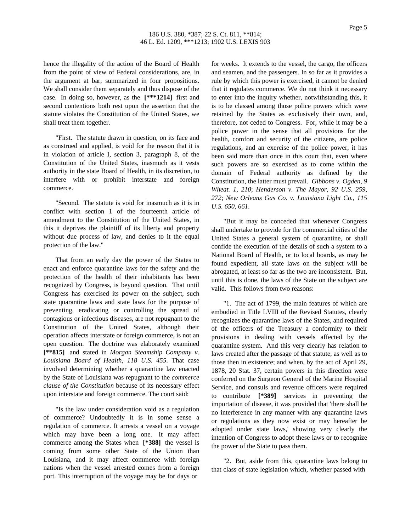hence the illegality of the action of the Board of Health from the point of view of Federal considerations, are, in the argument at bar, summarized in four propositions. We shall consider them separately and thus dispose of the case. In doing so, however, as the **[\*\*\*1214]** first and second contentions both rest upon the assertion that the statute violates the Constitution of the United States, we shall treat them together.

"First. The statute drawn in question, on its face and as construed and applied, is void for the reason that it is in violation of article I, section 3, paragraph 8, of the Constitution of the United States, inasmuch as it vests authority in the state Board of Health, in its discretion, to interfere with or prohibit interstate and foreign commerce.

"Second. The statute is void for inasmuch as it is in conflict with section 1 of the fourteenth article of amendment to the Constitution of the United States, in this it deprives the plaintiff of its liberty and property without due process of law, and denies to it the equal protection of the law."

That from an early day the power of the States to enact and enforce quarantine laws for the safety and the protection of the health of their inhabitants has been recognized by Congress, is beyond question. That until Congress has exercised its power on the subject, such state quarantine laws and state laws for the purpose of preventing, eradicating or controlling the spread of contagious or infectious diseases, are not repugnant to the Constitution of the United States, although their operation affects interstate or foreign commerce, is not an open question. The doctrine was elaborately examined **[\*\*815]** and stated in *Morgan Steamship Company v. Louisiana Board of Health, 118 U.S. 455*. That case involved determining whether a quarantine law enacted by the State of Louisiana was repugnant to the *commerce clause of the Constitution* because of its necessary effect upon interstate and foreign commerce. The court said:

"Is the law under consideration void as a regulation of commerce? Undoubtedly it is in some sense a regulation of commerce. It arrests a vessel on a voyage which may have been a long one. It may affect commerce among the States when **[\*388]** the vessel is coming from some other State of the Union than Louisiana, and it may affect commerce with foreign nations when the vessel arrested comes from a foreign port. This interruption of the voyage may be for days or

for weeks. It extends to the vessel, the cargo, the officers and seamen, and the passengers. In so far as it provides a rule by which this power is exercised, it cannot be denied that it regulates commerce. We do not think it necessary to enter into the inquiry whether, notwithstanding this, it is to be classed among those police powers which were retained by the States as exclusively their own, and, therefore, not ceded to Congress. For, while it may be a police power in the sense that all provisions for the health, comfort and security of the citizens, are police regulations, and an exercise of the police power, it has been said more than once in this court that, even where such powers are so exercised as to come within the domain of Federal authority as defined by the Constitution, the latter must prevail. *Gibbons v. Ogden, 9 Wheat. 1, 210*; *Henderson v. The Mayor, 92 U.S. 259, 272*; *New Orleans Gas Co. v. Louisiana Light Co., 115 U.S. 650, 661*.

"But it may be conceded that whenever Congress shall undertake to provide for the commercial cities of the United States a general system of quarantine, or shall confide the execution of the details of such a system to a National Board of Health, or to local boards, as may be found expedient, all state laws on the subject will be abrogated, at least so far as the two are inconsistent. But, until this is done, the laws of the State on the subject are valid. This follows from two reasons:

"1. The act of 1799, the main features of which are embodied in Title LVIII of the Revised Statutes, clearly recognizes the quarantine laws of the States, and required of the officers of the Treasury a conformity to their provisions in dealing with vessels affected by the quarantine system. And this very clearly has relation to laws created after the passage of that statute, as well as to those then in existence; and when, by the act of April 29, 1878, 20 Stat. 37, certain powers in this direction were conferred on the Surgeon General of the Marine Hospital Service, and consuls and revenue officers were required to contribute **[\*389]** services in preventing the importation of disease, it was provided that 'there shall be no interference in any manner with any quarantine laws or regulations as they now exist or may hereafter be adopted under state laws,' showing very clearly the intention of Congress to adopt these laws or to recognize the power of the State to pass them.

"2. But, aside from this, quarantine laws belong to that class of state legislation which, whether passed with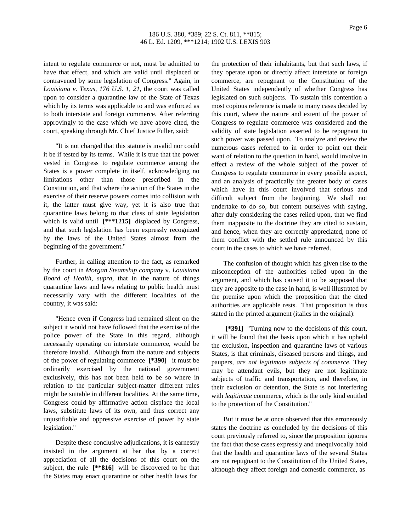intent to regulate commerce or not, must be admitted to have that effect, and which are valid until displaced or contravened by some legislation of Congress." Again, in *Louisiana v. Texas, 176 U.S. 1, 21*, the court was called upon to consider a quarantine law of the State of Texas which by its terms was applicable to and was enforced as to both interstate and foreign commerce. After referring approvingly to the case which we have above cited, the court, speaking through Mr. Chief Justice Fuller, said:

"It is not charged that this statute is invalid nor could it be if tested by its terms. While it is true that the power vested in Congress to regulate commerce among the States is a power complete in itself, acknowledging no limitations other than those prescribed in the Constitution, and that where the action of the States in the exercise of their reserve powers comes into collision with it, the latter must give way, yet it is also true that quarantine laws belong to that class of state legislation which is valid until **[\*\*\*1215]** displaced by Congress, and that such legislation has been expressly recognized by the laws of the United States almost from the beginning of the government."

Further, in calling attention to the fact, as remarked by the court in *Morgan Steamship company* v. *Louisiana Board of Health, supra*, that in the nature of things quarantine laws and laws relating to public health must necessarily vary with the different localities of the country, it was said:

"Hence even if Congress had remained silent on the subject it would not have followed that the exercise of the police power of the State in this regard, although necessarily operating on interstate commerce, would be therefore invalid. Although from the nature and subjects of the power of regulating commerce **[\*390]** it must be ordinarily exercised by the national government exclusively, this has not been held to be so where in relation to the particular subject-matter different rules might be suitable in different localities. At the same time, Congress could by affirmative action displace the local laws, substitute laws of its own, and thus correct any unjustifiable and oppressive exercise of power by state legislation."

Despite these conclusive adjudications, it is earnestly insisted in the argument at bar that by a correct appreciation of all the decisions of this court on the subject, the rule **[\*\*816]** will be discovered to be that the States may enact quarantine or other health laws for

the protection of their inhabitants, but that such laws, if they operate upon or directly affect interstate or foreign commerce, are repugnant to the Constitution of the United States independently of whether Congress has legislated on such subjects. To sustain this contention a most copious reference is made to many cases decided by this court, where the nature and extent of the power of Congress to regulate commerce was considered and the validity of state legislation asserted to be repugnant to such power was passed upon. To analyze and review the numerous cases referred to in order to point out their want of relation to the question in hand, would involve in effect a review of the whole subject of the power of Congress to regulate commerce in every possible aspect, and an analysis of practically the greater body of cases which have in this court involved that serious and difficult subject from the beginning. We shall not undertake to do so, but content ourselves with saying, after duly considering the cases relied upon, that we find them inapposite to the doctrine they are cited to sustain, and hence, when they are correctly appreciated, none of them conflict with the settled rule announced by this court in the cases to which we have referred.

The confusion of thought which has given rise to the misconception of the authorities relied upon in the argument, and which has caused it to be supposed that they are apposite to the case in hand, is well illustrated by the premise upon which the proposition that the cited authorities are applicable rests. That proposition is thus stated in the printed argument (italics in the original):

**[\*391]** "Turning now to the decisions of this court, it will be found that the basis upon which it has upheld the exclusion, inspection and quarantine laws of various States, is that criminals, diseased persons and things, and paupers, *are not legitimate subjects of commerce*. They may be attendant evils, but they are not legitimate subjects of traffic and transportation, and therefore, in their exclusion or detention, the State is not interfering with *legitimate* commerce, which is the only kind entitled to the protection of the Constitution."

But it must be at once observed that this erroneously states the doctrine as concluded by the decisions of this court previously referred to, since the proposition ignores the fact that those cases expressly and unequivocally hold that the health and quarantine laws of the several States are not repugnant to the Constitution of the United States, although they affect foreign and domestic commerce, as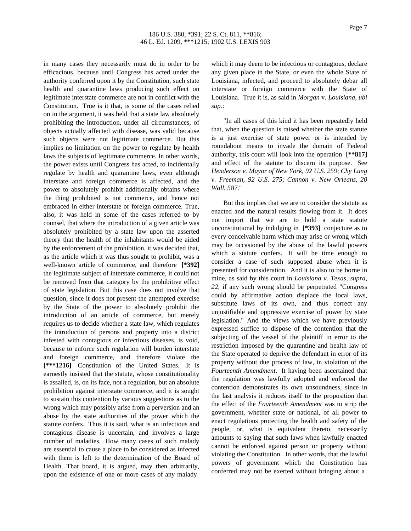in many cases they necessarily must do in order to be efficacious, because until Congress has acted under the authority conferred upon it by the Constitution, such state health and quarantine laws producing such effect on legitimate interstate commerce are not in conflict with the Constitution. True is it that, is some of the cases relied on in the argument, it was held that a state law absolutely prohibiting the introduction, under all circumstances, of objects actually affected with disease, was valid because such objects were not legitimate commerce. But this implies no limitation on the power to regulate by health laws the subjects of legitimate commerce. In other words, the power exists until Congress has acted, to incidentally regulate by health and quarantine laws, even although interstate and foreign commerce is affected, and the power to absolutely prohibit additionally obtains where the thing prohibited is not commerce, and hence not embraced in either interstate or foreign commerce. True, also, it was held in some of the cases referred to by counsel, that where the introduction of a given article was absolutely prohibited by a state law upon the asserted theory that the health of the inhabitants would be aided by the enforcement of the prohibition, it was decided that, as the article which it was thus sought to prohibit, was a well-known article of commerce, and therefore **[\*392]** the legitimate subject of interstate commerce, it could not be removed from that category by the prohibitive effect of state legislation. But this case does not involve that question, since it does not present the attempted exercise by the State of the power to absolutely prohibit the introduction of an article of commerce, but merely requires us to decide whether a state law, which regulates the introduction of persons and property into a district infested with contagious or infectious diseases, is void, because to enforce such regulation will burden interstate and foreign commerce, and therefore violate the **[\*\*\*1216]** Constitution of the United States. It is earnestly insisted that the statute, whose constitutionality is assailed, is, on its face, not a regulation, but an absolute prohibition against interstate commerce, and it is sought to sustain this contention by various suggestions as to the wrong which may possibly arise from a perversion and an abuse by the state authorities of the power which the statute confers. Thus it is said, what is an infectious and contagious disease is uncertain, and involves a large number of maladies. How many cases of such malady are essential to cause a place to be considered as infected with them is left to the determination of the Board of Health. That board, it is argued, may then arbitrarily, upon the existence of one or more cases of any malady

which it may deem to be infectious or contagious, declare any given place in the State, or even the whole State of Louisiana, infected, and proceed to absolutely debar all interstate or foreign commerce with the State of Louisiana. True it is, as said in *Morgan* v. *Louisiana, ubi sup.*:

"In all cases of this kind it has been repeatedly held that, when the question is raised whether the state statute is a just exercise of state power or is intended by roundabout means to invade the domain of Federal authority, this court will look into the operation **[\*\*817]** and effect of the statute to discern its purpose. See *Henderson v. Mayor of New York, 92 U.S. 259*; *Chy Lung v. Freeman, 92 U.S. 275*; *Cannon v. New Orleans, 20 Wall. 587*."

But this implies that we are to consider the statute as enacted and the natural results flowing from it. It does not import that we are to hold a state statute unconstitutional by indulging in **[\*393]** conjecture as to every conceivable harm which may arise or wrong which may be occasioned by the abuse of the lawful powers which a statute confers. It will be time enough to consider a case of such supposed abuse when it is presented for consideration. And it is also to be borne in mine, as said by this court in *Louisiana v. Texas, supra, 22*, if any such wrong should be perpetrated "Congress could by affirmative action displace the local laws, substitute laws of its own, and thus correct any unjustifiable and oppressive exercise of power by state legislation." And the views which we have previously expressed suffice to dispose of the contention that the subjecting of the vessel of the plaintiff in error to the restriction imposed by the quarantine and health law of the State operated to deprive the defendant in error of its property without due process of law, in violation of the *Fourteenth Amendment*. It having been ascertained that the regulation was lawfully adopted and enforced the contention demonstrates its own unsoundness, since in the last analysis it reduces itself to the proposition that the effect of the *Fourteenth Amendment* was to strip the government, whether state or national, of all power to enact regulations protecting the health and safety of the people, or, what is equivalent thereto, necessarily amounts to saying that such laws when lawfully enacted cannot be enforced against person or property without violating the Constitution. In other words, that the lawful powers of government which the Constitution has conferred may not be exerted without bringing about a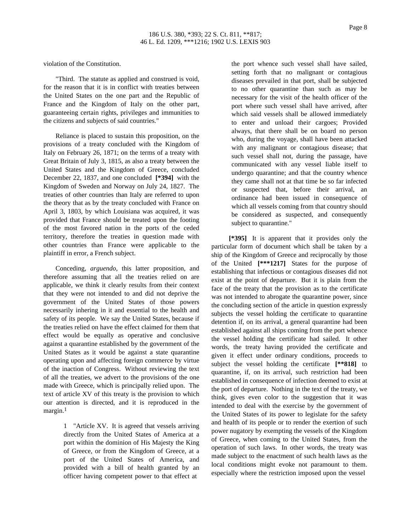violation of the Constitution.

"Third. The statute as applied and construed is void, for the reason that it is in conflict with treaties between the United States on the one part and the Republic of France and the Kingdom of Italy on the other part, guaranteeing certain rights, privileges and immunities to the citizens and subjects of said countries."

Reliance is placed to sustain this proposition, on the provisions of a treaty concluded with the Kingdom of Italy on February 26, 1871; on the terms of a treaty with Great Britain of July 3, 1815, as also a treaty between the United States and the Kingdom of Greece, concluded December 22, 1837, and one concluded **[\*394]** with the Kingdom of Sweden and Norway on July 24, 1827. The treaties of other countries than Italy are referred to upon the theory that as by the treaty concluded with France on April 3, 1803, by which Louisiana was acquired, it was provided that France should be treated upon the footing of the most favored nation in the ports of the ceded territory, therefore the treaties in question made with other countries than France were applicable to the plaintiff in error, a French subject.

Conceding, *arguendo*, this latter proposition, and therefore assuming that all the treaties relied on are applicable, we think it clearly results from their context that they were not intended to and did not deprive the government of the United States of those powers necessarily inhering in it and essential to the health and safety of its people. We say the United States, because if the treaties relied on have the effect claimed for them that effect would be equally as operative and conclusive against a quarantine established by the government of the United States as it would be against a state quarantine operating upon and affecting foreign commerce by virtue of the inaction of Congress. Without reviewing the text of all the treaties, we advert to the provisions of the one made with Greece, which is principally relied upon. The text of article XV of this treaty is the provision to which our attention is directed, and it is reproduced in the margin.<sup>1</sup>

> 1 "Article XV. It is agreed that vessels arriving directly from the United States of America at a port within the dominion of His Majesty the King of Greece, or from the Kingdom of Greece, at a port of the United States of America, and provided with a bill of health granted by an officer having competent power to that effect at

the port whence such vessel shall have sailed, setting forth that no malignant or contagious diseases prevailed in that port, shall be subjected to no other quarantine than such as may be necessary for the visit of the health officer of the port where such vessel shall have arrived, after which said vessels shall be allowed immediately to enter and unload their cargoes; Provided always, that there shall be on board no person who, during the voyage, shall have been attacked with any malignant or contagious disease; that such vessel shall not, during the passage, have communicated with any vessel liable itself to undergo quarantine; and that the country whence they came shall not at that time be so far infected or suspected that, before their arrival, an ordinance had been issued in consequence of which all vessels coming from that country should be considered as suspected, and consequently subject to quarantine."

**[\*395]** It is apparent that it provides only the particular form of document which shall be taken by a ship of the Kingdom of Greece and reciprocally by those of the United **[\*\*\*1217]** States for the purpose of establishing that infectious or contagious diseases did not exist at the point of departure. But it is plain from the face of the treaty that the provision as to the certificate was not intended to abrogate the quarantine power, since the concluding section of the article in question expressly subjects the vessel holding the certificate to quarantine detention if, on its arrival, a general quarantine had been established against all ships coming from the port whence the vessel holding the certificate had sailed. It other words, the treaty having provided the certificate and given it effect under ordinary conditions, proceeds to subject the vessel holding the certificate **[\*\*818]** to quarantine, if, on its arrival, such restriction had been established in consequence of infection deemed to exist at the port of departure. Nothing in the text of the treaty, we think, gives even color to the suggestion that it was intended to deal with the exercise by the government of the United States of its power to legislate for the safety and health of its people or to render the exertion of such power nugatory by exempting the vessels of the Kingdom of Greece, when coming to the United States, from the operation of such laws. In other words, the treaty was made subject to the enactment of such health laws as the local conditions might evoke not paramount to them. especially where the restriction imposed upon the vessel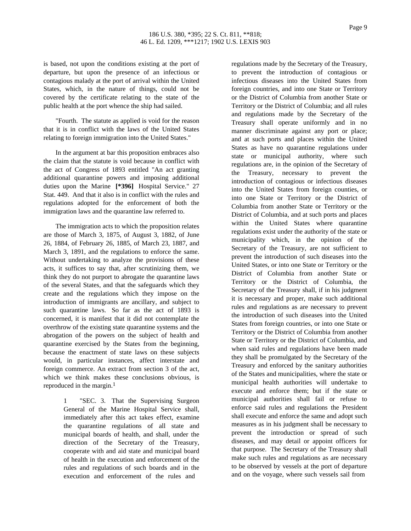is based, not upon the conditions existing at the port of departure, but upon the presence of an infectious or contagious malady at the port of arrival within the United States, which, in the nature of things, could not be covered by the certificate relating to the state of the public health at the port whence the ship had sailed.

"Fourth. The statute as applied is void for the reason that it is in conflict with the laws of the United States relating to foreign immigration into the United States."

In the argument at bar this proposition embraces also the claim that the statute is void because in conflict with the act of Congress of 1893 entitled "An act granting additional quarantine powers and imposing additional duties upon the Marine **[\*396]** Hospital Service." 27 Stat. 449. And that it also is in conflict with the rules and regulations adopted for the enforcement of both the immigration laws and the quarantine law referred to.

The immigration acts to which the proposition relates are those of March 3, 1875, of August 3, 1882, of June 26, 1884, of February 26, 1885, of March 23, 1887, and March 3, 1891, and the regulations to enforce the same. Without undertaking to analyze the provisions of these acts, it suffices to say that, after scrutinizing them, we think they do not purport to abrogate the quarantine laws of the several States, and that the safeguards which they create and the regulations which they impose on the introduction of immigrants are ancillary, and subject to such quarantine laws. So far as the act of 1893 is concerned, it is manifest that it did not contemplate the overthrow of the existing state quarantine systems and the abrogation of the powers on the subject of health and quarantine exercised by the States from the beginning, because the enactment of state laws on these subjects would, in particular instances, affect interstate and foreign commerce. An extract from section 3 of the act, which we think makes these conclusions obvious, is reproduced in the margin.<sup>1</sup>

> 1 "SEC. 3. That the Supervising Surgeon General of the Marine Hospital Service shall, immediately after this act takes effect, examine the quarantine regulations of all state and municipal boards of health, and shall, under the direction of the Secretary of the Treasury, cooperate with and aid state and municipal board of health in the execution and enforcement of the rules and regulations of such boards and in the execution and enforcement of the rules and

regulations made by the Secretary of the Treasury, to prevent the introduction of contagious or infectious diseases into the United States from foreign countries, and into one State or Territory or the District of Columbia from another State or Territory or the District of Columbia; and all rules and regulations made by the Secretary of the Treasury shall operate uniformly and in no manner discriminate against any port or place; and at such ports and places within the United States as have no quarantine regulations under state or municipal authority, where such regulations are, in the opinion of the Secretary of the Treasury, necessary to prevent the introduction of contagious or infectious diseases into the United States from foreign counties, or into one State or Territory or the District of Columbia from another State or Territory or the District of Columbia, and at such ports and places within the United States where quarantine regulations exist under the authority of the state or municipality which, in the opinion of the Secretary of the Treasury, are not sufficient to prevent the introduction of such diseases into the United States, or into one State or Territory or the District of Columbia from another State or Territory or the District of Columbia, the Secretary of the Treasury shall, if in his judgment it is necessary and proper, make such additional rules and regulations as are necessary to prevent the introduction of such diseases into the United States from foreign countries, or into one State or Territory or the District of Columbia from another State or Territory or the District of Columbia, and when said rules and regulations have been made they shall be promulgated by the Secretary of the Treasury and enforced by the sanitary authorities of the States and municipalities, where the state or municipal health authorities will undertake to execute and enforce them; but if the state or municipal authorities shall fail or refuse to enforce said rules and regulations the President shall execute and enforce the same and adopt such measures as in his judgment shall be necessary to prevent the introduction or spread of such diseases, and may detail or appoint officers for that purpose. The Secretary of the Treasury shall make such rules and regulations as are necessary to be observed by vessels at the port of departure and on the voyage, where such vessels sail from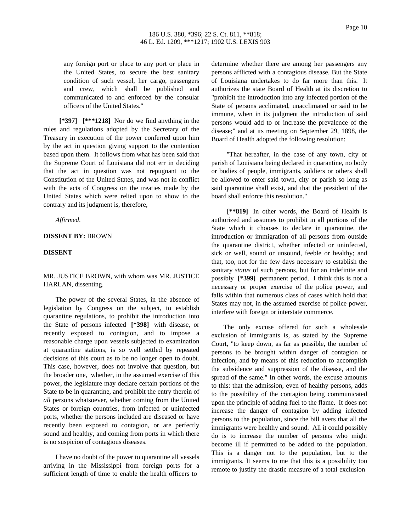any foreign port or place to any port or place in the United States, to secure the best sanitary condition of such vessel, her cargo, passengers and crew, which shall be published and communicated to and enforced by the consular officers of the United States."

**[\*397] [\*\*\*1218]** Nor do we find anything in the rules and regulations adopted by the Secretary of the Treasury in execution of the power conferred upon him by the act in question giving support to the contention based upon them. It follows from what has been said that the Supreme Court of Louisiana did not err in deciding that the act in question was not repugnant to the Constitution of the United States, and was not in conflict with the acts of Congress on the treaties made by the United States which were relied upon to show to the contrary and its judgment is, therefore,

*Affirmed*.

## **DISSENT BY:** BROWN

### **DISSENT**

# MR. JUSTICE BROWN, with whom was MR. JUSTICE HARLAN, dissenting.

The power of the several States, in the absence of legislation by Congress on the subject, to establish quarantine regulations, to prohibit the introduction into the State of persons infected **[\*398]** with disease, or recently exposed to contagion, and to impose a reasonable charge upon vessels subjected to examination at quarantine stations, is so well settled by repeated decisions of this court as to be no longer open to doubt. This case, however, does not involve that question, but the broader one, whether, in the assumed exercise of this power, the legislature may declare certain portions of the State to be in quarantine, and prohibit the entry therein of *all* persons whatsoever, whether coming from the United States or foreign countries, from infected or uninfected ports, whether the persons included are diseased or have recently been exposed to contagion, or are perfectly sound and healthy, and coming from ports in which there is no suspicion of contagious diseases.

I have no doubt of the power to quarantine all vessels arriving in the Mississippi from foreign ports for a sufficient length of time to enable the health officers to

determine whether there are among her passengers any persons afflicted with a contagious disease. But the State of Louisiana undertakes to do far more than this. It authorizes the state Board of Health at its discretion to "prohibit the introduction into any infected portion of the State of persons acclimated, unacclimated or said to be immune, when in its judgment the introduction of said persons would add to or increase the prevalence of the disease;" and at its meeting on September 29, 1898, the Board of Health adopted the following resolution:

"That hereafter, in the case of any town, city or parish of Louisiana being declared in quarantine, no body or bodies of people, immigrants, soldiers or others shall be allowed to enter said town, city or parish so long as said quarantine shall exist, and that the president of the board shall enforce this resolution."

**[\*\*819]** In other words, the Board of Health is authorized and assumes to prohibit in all portions of the State which it chooses to declare in quarantine, the introduction or immigration of all persons from outside the quarantine district, whether infected or uninfected, sick or well, sound or unsound, feeble or healthy; and that, too, not for the few days necessary to establish the sanitary *status* of such persons, but for an indefinite and possibly **[\*399]** permanent period. I think this is not a necessary or proper exercise of the police power, and falls within that numerous class of cases which hold that States may not, in the assumed exercise of police power, interfere with foreign or interstate commerce.

The only excuse offered for such a wholesale exclusion of immigrants is, as stated by the Supreme Court, "to keep down, as far as possible, the number of persons to be brought within danger of contagion or infection, and by means of this reduction to accomplish the subsidence and suppression of the disease, and the spread of the same." In other words, the excuse amounts to this: that the admission, even of healthy persons, adds to the possibility of the contagion being communicated upon the principle of adding fuel to the flame. It does not increase the danger of contagion by adding infected persons to the population, since the bill avers that all the immigrants were healthy and sound. All it could possibly do is to increase the number of persons who might become ill if permitted to be added to the population. This is a danger not to the population, but to the immigrants. It seems to me that this is a possibility too remote to justify the drastic measure of a total exclusion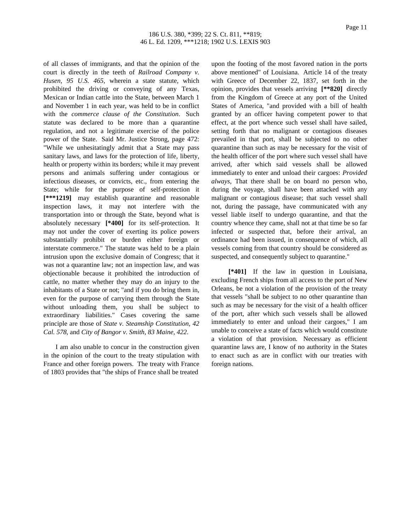of all classes of immigrants, and that the opinion of the court is directly in the teeth of *Railroad Company v.* Husen, 95 U.S. 465, wherein a state statute, which prohibited the driving or conveying of any Texas, Mexican or Indian cattle into the State, between March 1 and November 1 in each year, was held to be in conflict with the *commerce clause of the Constitution*. Such statute was declared to be more than a quarantine regulation, and not a legitimate exercise of the police power of the State. Said Mr. Justice Strong, page 472: "While we unhesitatingly admit that a State may pass sanitary laws, and laws for the protection of life, liberty, health or property within its borders; while it may prevent persons and animals suffering under contagious or infectious diseases, or convicts, etc., from entering the State; while for the purpose of self-protection it **[\*\*\*1219]** may establish quarantine and reasonable inspection laws, it may not interfere with the transportation into or through the State, beyond what is absolutely necessary **[\*400]** for its self-protection. It may not under the cover of exerting its police powers substantially prohibit or burden either foreign or interstate commerce." The statute was held to be a plain intrusion upon the exclusive domain of Congress; that it was not a quarantine law; not an inspection law, and was objectionable because it prohibited the introduction of cattle, no matter whether they may do an injury to the inhabitants of a State or not; "and if you do bring them in, even for the purpose of carrying them through the State without unloading them, you shall be subject to extraordinary liabilities." Cases covering the same principle are those of *State v. Steamship Constitution, 42 Cal. 578*, and *City of Bangor v. Smith, 83 Maine, 422*.

I am also unable to concur in the construction given in the opinion of the court to the treaty stipulation with France and other foreign powers. The treaty with France of 1803 provides that "the ships of France shall be treated

upon the footing of the most favored nation in the ports above mentioned" of Louisiana. Article 14 of the treaty with Greece of December 22, 1837, set forth in the opinion, provides that vessels arriving **[\*\*820]** directly from the Kingdom of Greece at any port of the United States of America, "and provided with a bill of health granted by an officer having competent power to that effect, at the port whence such vessel shall have sailed, setting forth that no malignant or contagious diseases prevailed in that port, shall be subjected to no other quarantine than such as may be necessary for the visit of the health officer of the port where such vessel shall have arrived, after which said vessels shall be allowed immediately to enter and unload their cargoes: *Provided always*, That there shall be on board no person who, during the voyage, shall have been attacked with any malignant or contagious disease; that such vessel shall not, during the passage, have communicated with any vessel liable itself to undergo quarantine, and that the country whence they came, shall not at that time be so far infected or suspected that, before their arrival, an ordinance had been issued, in consequence of which, all vessels coming from that country should be considered as suspected, and consequently subject to quarantine."

**[\*401]** If the law in question in Louisiana, excluding French ships from all access to the port of New Orleans, be not a violation of the provision of the treaty that vessels "shall be subject to no other quarantine than such as may be necessary for the visit of a health officer of the port, after which such vessels shall be allowed immediately to enter and unload their cargoes," I am unable to conceive a state of facts which would constitute a violation of that provision. Necessary as efficient quarantine laws are, I know of no authority in the States to enact such as are in conflict with our treaties with foreign nations.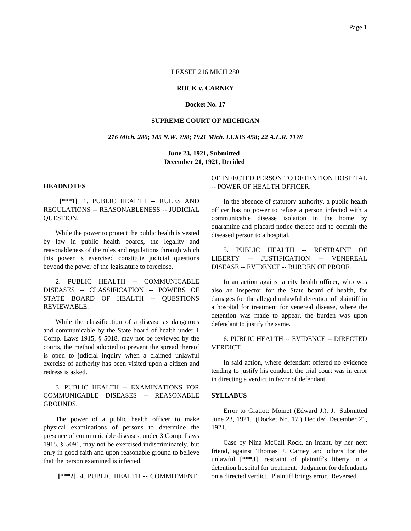#### LEXSEE 216 MICH 280

# **ROCK v. CARNEY**

#### **Docket No. 17**

## **SUPREME COURT OF MICHIGAN**

### *216 Mich. 280***;** *185 N.W. 798***;** *1921 Mich. LEXIS 458***;** *22 A.L.R. 1178*

## **June 23, 1921, Submitted December 21, 1921, Decided**

#### **HEADNOTES**

**[\*\*\*1]** 1. PUBLIC HEALTH -- RULES AND REGULATIONS -- REASONABLENESS -- JUDICIAL QUESTION.

While the power to protect the public health is vested by law in public health boards, the legality and reasonableness of the rules and regulations through which this power is exercised constitute judicial questions beyond the power of the legislature to foreclose.

2. PUBLIC HEALTH -- COMMUNICABLE DISEASES -- CLASSIFICATION -- POWERS OF STATE BOARD OF HEALTH -- QUESTIONS REVIEWABLE.

While the classification of a disease as dangerous and communicable by the State board of health under 1 Comp. Laws 1915, § 5018, may not be reviewed by the courts, the method adopted to prevent the spread thereof is open to judicial inquiry when a claimed unlawful exercise of authority has been visited upon a citizen and redress is asked.

3. PUBLIC HEALTH -- EXAMINATIONS FOR COMMUNICABLE DISEASES -- REASONABLE GROUNDS.

The power of a public health officer to make physical examinations of persons to determine the presence of communicable diseases, under 3 Comp. Laws 1915, § 5091, may not be exercised indiscriminately, but only in good faith and upon reasonable ground to believe that the person examined is infected.

**[\*\*\*2]** 4. PUBLIC HEALTH -- COMMITMENT

# OF INFECTED PERSON TO DETENTION HOSPITAL -- POWER OF HEALTH OFFICER.

In the absence of statutory authority, a public health officer has no power to refuse a person infected with a communicable disease isolation in the home by quarantine and placard notice thereof and to commit the diseased person to a hospital.

5. PUBLIC HEALTH -- RESTRAINT OF LIBERTY -- JUSTIFICATION -- VENEREAL DISEASE -- EVIDENCE -- BURDEN OF PROOF.

In an action against a city health officer, who was also an inspector for the State board of health, for damages for the alleged unlawful detention of plaintiff in a hospital for treatment for venereal disease, where the detention was made to appear, the burden was upon defendant to justify the same.

6. PUBLIC HEALTH -- EVIDENCE -- DIRECTED VERDICT.

In said action, where defendant offered no evidence tending to justify his conduct, the trial court was in error in directing a verdict in favor of defendant.

### **SYLLABUS**

Error to Gratiot; Moinet (Edward J.), J. Submitted June 23, 1921. (Docket No. 17.) Decided December 21, 1921.

Case by Nina McCall Rock, an infant, by her next friend, against Thomas J. Carney and others for the unlawful **[\*\*\*3]** restraint of plaintiff's liberty in a detention hospital for treatment. Judgment for defendants on a directed verdict. Plaintiff brings error. Reversed.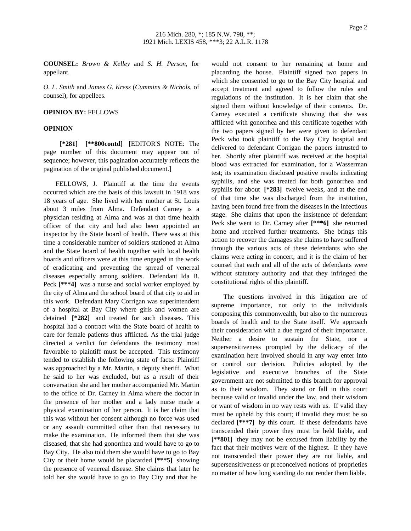**COUNSEL:** *Brown & Kelley* and *S. H. Person,* for appellant.

*O. L. Smith* and *James G. Kress* (*Cummins & Nichols,* of counsel), for appellees.

## **OPINION BY:** FELLOWS

#### **OPINION**

**[\*281] [\*\*800contd]** [EDITOR'S NOTE: The page number of this document may appear out of sequence; however, this pagination accurately reflects the pagination of the original published document.]

FELLOWS, J. Plaintiff at the time the events occurred which are the basis of this lawsuit in 1918 was 18 years of age. She lived with her mother at St. Louis about 3 miles from Alma. Defendant Carney is a physician residing at Alma and was at that time health officer of that city and had also been appointed an inspector by the State board of health. There was at this time a considerable number of soldiers stationed at Alma and the State board of health together with local health boards and officers were at this time engaged in the work of eradicating and preventing the spread of venereal diseases especially among soldiers. Defendant Ida B. Peck **[\*\*\*4]** was a nurse and social worker employed by the city of Alma and the school board of that city to aid in this work. Defendant Mary Corrigan was superintendent of a hospital at Bay City where girls and women are detained **[\*282]** and treated for such diseases. This hospital had a contract with the State board of health to care for female patients thus afflicted. As the trial judge directed a verdict for defendants the testimony most favorable to plaintiff must be accepted. This testimony tended to establish the following state of facts: Plaintiff was approached by a Mr. Martin, a deputy sheriff. What he said to her was excluded, but as a result of their conversation she and her mother accompanied Mr. Martin to the office of Dr. Carney in Alma where the doctor in the presence of her mother and a lady nurse made a physical examination of her person. It is her claim that this was without her consent although no force was used or any assault committed other than that necessary to make the examination. He informed them that she was diseased, that she had gonorrhea and would have to go to Bay City. He also told them she would have to go to Bay City or their home would be placarded **[\*\*\*5]** showing the presence of venereal disease. She claims that later he told her she would have to go to Bay City and that he

would not consent to her remaining at home and placarding the house. Plaintiff signed two papers in which she consented to go to the Bay City hospital and accept treatment and agreed to follow the rules and regulations of the institution. It is her claim that she signed them without knowledge of their contents. Dr. Carney executed a certificate showing that she was afflicted with gonorrhea and this certificate together with the two papers signed by her were given to defendant Peck who took plaintiff to the Bay City hospital and delivered to defendant Corrigan the papers intrusted to her. Shortly after plaintiff was received at the hospital blood was extracted for examination, for a Wasserman test; its examination disclosed positive results indicating syphilis, and she was treated for both gonorrhea and syphilis for about **[\*283]** twelve weeks, and at the end of that time she was discharged from the institution, having been found free from the diseases in the infectious stage. She claims that upon the insistence of defendant Peck she went to Dr. Carney after **[\*\*\*6]** she returned home and received further treatments. She brings this action to recover the damages she claims to have suffered through the various acts of these defendants who she claims were acting in concert, and it is the claim of her counsel that each and all of the acts of defendants were without statutory authority and that they infringed the constitutional rights of this plaintiff.

The questions involved in this litigation are of supreme importance, not only to the individuals composing this commonwealth, but also to the numerous boards of health and to the State itself. We approach their consideration with a due regard of their importance. Neither a desire to sustain the State, nor a supersensitiveness prompted by the delicacy of the examination here involved should in any way enter into or control our decision. Policies adopted by the legislative and executive branches of the State government are not submitted to this branch for approval as to their wisdom. They stand or fall in this court because valid or invalid under the law, and their wisdom or want of wisdom in no way rests with us. If valid they must be upheld by this court; if invalid they must be so declared **[\*\*\*7]** by this court. If these defendants have transcended their power they must be held liable, and **[\*\*801]** they may not be excused from liability by the fact that their motives were of the highest. If they have not transcended their power they are not liable, and supersensitiveness or preconceived notions of proprieties no matter of how long standing do not render them liable.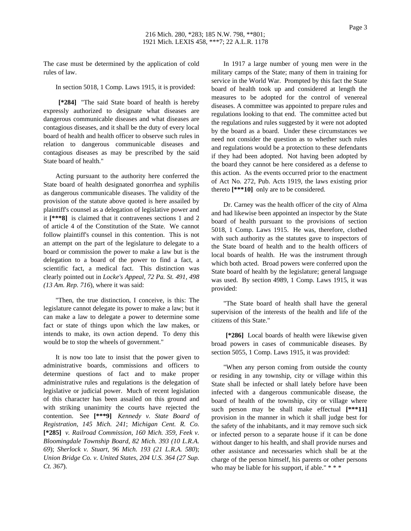The case must be determined by the application of cold rules of law.

In section 5018, 1 Comp. Laws 1915, it is provided:

**[\*284]** "The said State board of health is hereby expressly authorized to designate what diseases are dangerous communicable diseases and what diseases are contagious diseases, and it shall be the duty of every local board of health and health officer to observe such rules in relation to dangerous communicable diseases and contagious diseases as may be prescribed by the said State board of health."

Acting pursuant to the authority here conferred the State board of health designated gonorrhea and syphilis as dangerous communicable diseases. The validity of the provision of the statute above quoted is here assailed by plaintiff's counsel as a delegation of legislative power and it **[\*\*\*8]** is claimed that it contravenes sections 1 and 2 of article 4 of the Constitution of the State. We cannot follow plaintiff's counsel in this contention. This is not an attempt on the part of the legislature to delegate to a board or commission the power to make a law but is the delegation to a board of the power to find a fact, a scientific fact, a medical fact. This distinction was clearly pointed out in *Locke's Appeal, 72 Pa. St. 491, 498 (13 Am. Rep. 716*), where it was said:

"Then, the true distinction, I conceive, is this: The legislature cannot delegate its power to make a law; but it can make a law to delegate a power to determine some fact or state of things upon which the law makes, or intends to make, its own action depend. To deny this would be to stop the wheels of government."

It is now too late to insist that the power given to administrative boards, commissions and officers to determine questions of fact and to make proper administrative rules and regulations is the delegation of legislative or judicial power. Much of recent legislation of this character has been assailed on this ground and with striking unanimity the courts have rejected the contention. See **[\*\*\*9]** *Kennedy v. State Board of Registration, 145 Mich. 241*; *Michigan Cent. R. Co.* **[\*285]** *v. Railroad Commission, 160 Mich. 359*, *Feek v. Bloomingdale Township Board, 82 Mich. 393 (10 L.R.A. 69*); *Sherlock v. Stuart, 96 Mich. 193 (21 L.R.A. 580*); *Union Bridge Co. v. United States, 204 U.S. 364 (27 Sup. Ct. 367*).

In 1917 a large number of young men were in the military camps of the State; many of them in training for service in the World War. Prompted by this fact the State board of health took up and considered at length the measures to be adopted for the control of venereal diseases. A committee was appointed to prepare rules and regulations looking to that end. The committee acted but the regulations and rules suggested by it were not adopted by the board as a board. Under these circumstances we need not consider the question as to whether such rules and regulations would be a protection to these defendants if they had been adopted. Not having been adopted by the board they cannot be here considered as a defense to this action. As the events occurred prior to the enactment of Act No. 272, Pub. Acts 1919, the laws existing prior thereto **[\*\*\*10]** only are to be considered.

Dr. Carney was the health officer of the city of Alma and had likewise been appointed an inspector by the State board of health pursuant to the provisions of section 5018, 1 Comp. Laws 1915. He was, therefore, clothed with such authority as the statutes gave to inspectors of the State board of health and to the health officers of local boards of health. He was the instrument through which both acted. Broad powers were conferred upon the State board of health by the legislature; general language was used. By section 4989, 1 Comp. Laws 1915, it was provided:

"The State board of health shall have the general supervision of the interests of the health and life of the citizens of this State."

**[\*286]** Local boards of health were likewise given broad powers in cases of communicable diseases. By section 5055, 1 Comp. Laws 1915, it was provided:

"When any person coming from outside the county or residing in any township, city or village within this State shall be infected or shall lately before have been infected with a dangerous communicable disease, the board of health of the township, city or village where such person may be shall make effectual **[\*\*\*11]** provision in the manner in which it shall judge best for the safety of the inhabitants, and it may remove such sick or infected person to a separate house if it can be done without danger to his health, and shall provide nurses and other assistance and necessaries which shall be at the charge of the person himself, his parents or other persons who may be liable for his support, if able." \* \* \*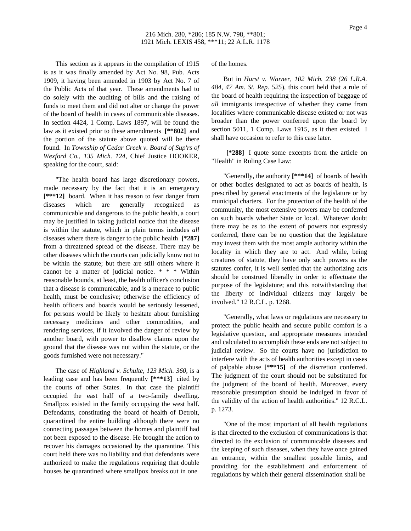This section as it appears in the compilation of 1915 is as it was finally amended by Act No. 98, Pub. Acts 1909, it having been amended in 1903 by Act No. 7 of the Public Acts of that year. These amendments had to do solely with the auditing of bills and the raising of funds to meet them and did not alter or change the power of the board of health in cases of communicable diseases. In section 4424, 1 Comp. Laws 1897, will be found the law as it existed prior to these amendments **[\*\*802]** and the portion of the statute above quoted will be there found. In *Township of Cedar Creek v. Board of Sup'rs of Wexford Co., 135 Mich. 124*, Chief Justice HOOKER, speaking for the court, said:

"The health board has large discretionary powers, made necessary by the fact that it is an emergency **[\*\*\*12]** board. When it has reason to fear danger from diseases which are generally recognized as communicable and dangerous to the public health, a court may be justified in taking judicial notice that the disease is within the statute, which in plain terms includes *all* diseases where there is danger to the public health **[\*287]** from a threatened spread of the disease. There may be other diseases which the courts can judicially know not to be within the statute; but there are still others where it cannot be a matter of judicial notice. \* \* \* Within reasonable bounds, at least, the health officer's conclusion that a disease is communicable, and is a menace to public health, must be conclusive; otherwise the efficiency of health officers and boards would be seriously lessened, for persons would be likely to hesitate about furnishing necessary medicines and other commodities, and rendering services, if it involved the danger of review by another board, with power to disallow claims upon the ground that the disease was not within the statute, or the goods furnished were not necessary."

The case of *Highland v. Schulte, 123 Mich. 360*, is a leading case and has been frequently **[\*\*\*13]** cited by the courts of other States. In that case the plaintiff occupied the east half of a two-family dwelling. Smallpox existed in the family occupying the west half. Defendants, constituting the board of health of Detroit, quarantined the entire building although there were no connecting passages between the homes and plaintiff had not been exposed to the disease. He brought the action to recover his damages occasioned by the quarantine. This court held there was no liability and that defendants were authorized to make the regulations requiring that double houses be quarantined where smallpox breaks out in one

of the homes.

But in *Hurst v. Warner, 102 Mich. 238 (26 L.R.A. 484, 47 Am. St. Rep. 525*), this court held that a rule of the board of health requiring the inspection of baggage of *all* immigrants irrespective of whether they came from localities where communicable disease existed or not was broader than the power conferred upon the board by section 5011, 1 Comp. Laws 1915, as it then existed. I shall have occasion to refer to this case later.

**[\*288]** I quote some excerpts from the article on "Health" in Ruling Case Law:

"Generally, the authority **[\*\*\*14]** of boards of health or other bodies designated to act as boards of health, is prescribed by general enactments of the legislature or by municipal charters. For the protection of the health of the community, the most extensive powers may be conferred on such boards whether State or local. Whatever doubt there may be as to the extent of powers not expressly conferred, there can be no question that the legislature may invest them with the most ample authority within the locality in which they are to act. And while, being creatures of statute, they have only such powers as the statutes confer, it is well settled that the authorizing acts should be construed liberally in order to effectuate the purpose of the legislature; and this notwithstanding that the liberty of individual citizens may largely be involved." 12 R.C.L. p. 1268.

"Generally, what laws or regulations are necessary to protect the public health and secure public comfort is a legislative question, and appropriate measures intended and calculated to accomplish these ends are not subject to judicial review. So the courts have no jurisdiction to interfere with the acts of health authorities except in cases of palpable abuse **[\*\*\*15]** of the discretion conferred. The judgment of the court should not be substituted for the judgment of the board of health. Moreover, every reasonable presumption should be indulged in favor of the validity of the action of health authorities." 12 R.C.L. p. 1273.

"One of the most important of all health regulations is that directed to the exclusion of communications is that directed to the exclusion of communicable diseases and the keeping of such diseases, when they have once gained an entrance, within the smallest possible limits, and providing for the establishment and enforcement of regulations by which their general dissemination shall be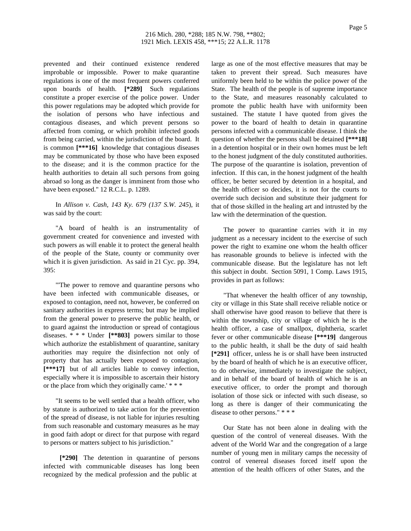prevented and their continued existence rendered improbable or impossible. Power to make quarantine regulations is one of the most frequent powers conferred upon boards of health. **[\*289]** Such regulations constitute a proper exercise of the police power. Under this power regulations may be adopted which provide for the isolation of persons who have infectious and contagious diseases, and which prevent persons so affected from coming, or which prohibit infected goods from being carried, within the jurisdiction of the board. It is common **[\*\*\*16]** knowledge that contagious diseases may be communicated by those who have been exposed to the disease; and it is the common practice for the health authorities to detain all such persons from going abroad so long as the danger is imminent from those who have been exposed." 12 R.C.L. p. 1289.

In *Allison v. Cash, 143 Ky. 679 (137 S.W. 245*), it was said by the court:

"A board of health is an instrumentality of government created for convenience and invested with such powers as will enable it to protect the general health of the people of the State, county or community over which it is given jurisdiction. As said in 21 Cyc. pp. 394, 395:

"'The power to remove and quarantine persons who have been infected with communicable diseases, or exposed to contagion, need not, however, be conferred on sanitary authorities in express terms; but may be implied from the general power to preserve the public health, or to guard against the introduction or spread of contagious diseases. \* \* \* Under **[\*\*803]** powers similar to those which authorize the establishment of quarantine, sanitary authorities may require the disinfection not only of property that has actually been exposed to contagion, **[\*\*\*17]** but of all articles liable to convey infection, especially where it is impossible to ascertain their history or the place from which they originally came.' \* \* \*

"It seems to be well settled that a health officer, who by statute is authorized to take action for the prevention of the spread of disease, is not liable for injuries resulting from such reasonable and customary measures as he may in good faith adopt or direct for that purpose with regard to persons or matters subject to his jurisdiction."

**[\*290]** The detention in quarantine of persons infected with communicable diseases has long been recognized by the medical profession and the public at

large as one of the most effective measures that may be taken to prevent their spread. Such measures have uniformly been held to be within the police power of the State. The health of the people is of supreme importance to the State, and measures reasonably calculated to promote the public health have with uniformity been sustained. The statute I have quoted from gives the power to the board of health to detain in quarantine persons infected with a communicable disease. I think the question of whether the persons shall be detained **[\*\*\*18]** in a detention hospital or in their own homes must be left to the honest judgment of the duly constituted authorities. The purpose of the quarantine is isolation, prevention of infection. If this can, in the honest judgment of the health officer, be better secured by detention in a hospital, and the health officer so decides, it is not for the courts to override such decision and substitute their judgment for that of those skilled in the healing art and intrusted by the law with the determination of the question.

The power to quarantine carries with it in my judgment as a necessary incident to the exercise of such power the right to examine one whom the health officer has reasonable grounds to believe is infected with the communicable disease. But the legislature has not left this subject in doubt. Section 5091, 1 Comp. Laws 1915, provides in part as follows:

"That whenever the health officer of any township, city or village in this State shall receive reliable notice or shall otherwise have good reason to believe that there is within the township, city or village of which he is the health officer, a case of smallpox, diphtheria, scarlet fever or other communicable disease **[\*\*\*19]** dangerous to the public health, it shall be the duty of said health **[\*291]** officer, unless he is or shall have been instructed by the board of health of which he is an executive officer, to do otherwise, immediately to investigate the subject, and in behalf of the board of health of which he is an executive officer, to order the prompt and thorough isolation of those sick or infected with such disease, so long as there is danger of their communicating the disease to other persons." \* \* \*

Our State has not been alone in dealing with the question of the control of venereal diseases. With the advent of the World War and the congregation of a large number of young men in military camps the necessity of control of venereal diseases forced itself upon the attention of the health officers of other States, and the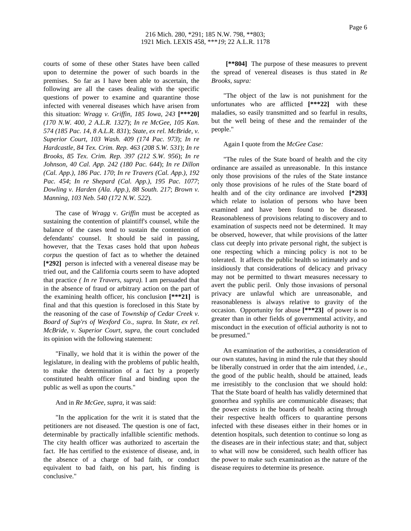courts of some of these other States have been called upon to determine the power of such boards in the premises. So far as I have been able to ascertain, the following are all the cases dealing with the specific questions of power to examine and quarantine those infected with venereal diseases which have arisen from this situation: *Wragg v. Griffin, 185 Iowa, 243* **[\*\*\*20]** *(170 N.W. 400, 2 A.L.R. 1327*); *In re McGee, 105 Kan. 574 (185 Pac. 14, 8 A.L.R. 831*); *State, ex rel. McBride, v. Superior Court, 103 Wash. 409 (174 Pac. 973*); *In re Hardcastle, 84 Tex. Crim. Rep. 463 (208 S.W. 531*); *In re Brooks, 85 Tex. Crim. Rep. 397 (212 S.W. 956*); *In re Johnson, 40 Cal. App. 242 (180 Pac. 644*); *In re Dillon (Cal. App.), 186 Pac. 170*; *In re Travers (Cal. App.), 192 Pac. 454*; *In re Shepard (Cal. App.), 195 Pac. 1077*; *Dowling v. Harden (Ala. App.), 88 South. 217*; *Brown v. Manning, 103 Neb. 540 (172 N.W. 522*).

The case of *Wragg* v. *Griffin* must be accepted as sustaining the contention of plaintiff's counsel, while the balance of the cases tend to sustain the contention of defendants' counsel. It should be said in passing, however, that the Texas cases hold that upon *habeas corpus* the question of fact as to whether the detained **[\*292]** person is infected with a venereal disease may be tried out, and the California courts seem to have adopted that practice *( In re Travers, supra).* I am persuaded that in the absence of fraud or arbitrary action on the part of the examining health officer, his conclusion **[\*\*\*21]** is final and that this question is foreclosed in this State by the reasoning of the case of *Township of Cedar Creek v. Board of Sup'rs of Wexford Co., supra.* In *State, ex rel. McBride, v. Superior Court, supra,* the court concluded its opinion with the following statement:

"Finally, we hold that it is within the power of the legislature, in dealing with the problems of public health, to make the determination of a fact by a properly constituted health officer final and binding upon the public as well as upon the courts."

### And in *Re McGee, supra,* it was said:

"In the application for the writ it is stated that the petitioners are not diseased. The question is one of fact, determinable by practically infallible scientific methods. The city health officer was authorized to ascertain the fact. He has certified to the existence of disease, and, in the absence of a charge of bad faith, or conduct equivalent to bad faith, on his part, his finding is conclusive."

**[\*\*804]** The purpose of these measures to prevent the spread of venereal diseases is thus stated in *Re Brooks, supra:*

"The object of the law is not punishment for the unfortunates who are afflicted **[\*\*\*22]** with these maladies, so easily transmitted and so fearful in results, but the well being of these and the remainder of the people."

Again I quote from the *McGee Case:*

"The rules of the State board of health and the city ordinance are assailed as unreasonable. In this instance only those provisions of the rules of the State instance only those provisions of he rules of the State board of health and of the city ordinance are involved **[\*293]** which relate to isolation of persons who have been examined and have been found to be diseased. Reasonableness of provisions relating to discovery and to examination of suspects need not be determined. It may be observed, however, that while provisions of the latter class cut deeply into private personal right, the subject is one respecting which a mincing policy is not to be tolerated. It affects the public health so intimately and so insidiously that considerations of delicacy and privacy may not be permitted to thwart measures necessary to avert the public peril. Only those invasions of personal privacy are unlawful which are unreasonable, and reasonableness is always relative to gravity of the occasion. Opportunity for abuse **[\*\*\*23]** of power is no greater than in other fields of governmental activity, and misconduct in the execution of official authority is not to be presumed."

An examination of the authorities, a consideration of our own statutes, having in mind the rule that they should be liberally construed in order that the aim intended, *i.e.,* the good of the public health, should be attained, leads me irresistibly to the conclusion that we should hold: That the State board of health has validly determined that gonorrhea and syphilis are communicable diseases; that the power exists in the boards of health acting through their respective health officers to quarantine persons infected with these diseases either in their homes or in detention hospitals, such detention to continue so long as the diseases are in their infectious state; and that, subject to what will now be considered, such health officer has the power to make such examination as the nature of the disease requires to determine its presence.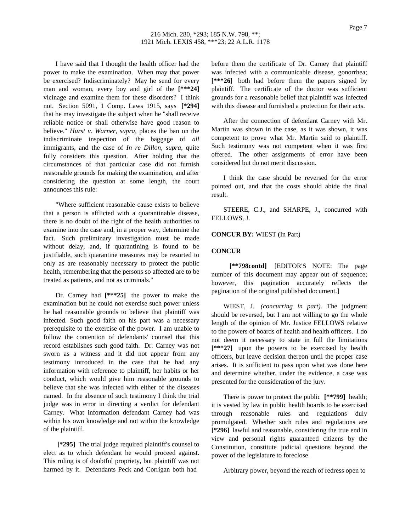I have said that I thought the health officer had the power to make the examination. When may that power be exercised? Indiscriminately? May he send for every man and woman, every boy and girl of the **[\*\*\*24]** vicinage and examine them for these disorders? I think not. Section 5091, 1 Comp. Laws 1915, says **[\*294]** that he may investigate the subject when he "shall receive reliable notice or shall otherwise have good reason to believe." *Hurst v. Warner, supra,* places the ban on the indiscriminate inspection of the baggage of *all* immigrants, and the case of *In re Dillon, supra,* quite fully considers this question. After holding that the circumstances of that particular case did not furnish reasonable grounds for making the examination, and after considering the question at some length, the court announces this rule:

"Where sufficient reasonable cause exists to believe that a person is afflicted with a quarantinable disease, there is no doubt of the right of the health authorities to examine into the case and, in a proper way, determine the fact. Such preliminary investigation must be made without delay, and, if quarantining is found to be justifiable, such quarantine measures may be resorted to only as are reasonably necessary to protect the public health, remembering that the persons so affected are to be treated as patients, and not as criminals."

Dr. Carney had **[\*\*\*25]** the power to make the examination but he could not exercise such power unless he had reasonable grounds to believe that plaintiff was infected. Such good faith on his part was a necessary prerequisite to the exercise of the power. I am unable to follow the contention of defendants' counsel that this record establishes such good faith. Dr. Carney was not sworn as a witness and it did not appear from any testimony introduced in the case that he had any information with reference to plaintiff, her habits or her conduct, which would give him reasonable grounds to believe that she was infected with either of the diseases named. In the absence of such testimony I think the trial judge was in error in directing a verdict for defendant Carney. What information defendant Carney had was within his own knowledge and not within the knowledge of the plaintiff.

**[\*295]** The trial judge required plaintiff's counsel to elect as to which defendant he would proceed against. This ruling is of doubtful propriety, but plaintiff was not harmed by it. Defendants Peck and Corrigan both had

before them the certificate of Dr. Carney that plaintiff was infected with a communicable disease, gonorrhea; **[\*\*\*26]** both had before them the papers signed by plaintiff. The certificate of the doctor was sufficient grounds for a reasonable belief that plaintiff was infected with this disease and furnished a protection for their acts.

After the connection of defendant Carney with Mr. Martin was shown in the case, as it was shown, it was competent to prove what Mr. Martin said to plaintiff. Such testimony was not competent when it was first offered. The other assignments of error have been considered but do not merit discussion.

I think the case should be reversed for the error pointed out, and that the costs should abide the final result.

STEERE, C.J., and SHARPE, J., concurred with FELLOWS, J.

### **CONCUR BY:** WIEST (In Part)

# **CONCUR**

**[\*\*798contd]** [EDITOR'S NOTE: The page number of this document may appear out of sequence; however, this pagination accurately reflects the pagination of the original published document.]

WIEST, J. *(concurring in part).* The judgment should be reversed, but I am not willing to go the whole length of the opinion of Mr. Justice FELLOWS relative to the powers of boards of health and health officers. I do not deem it necessary to state in full the limitations **[\*\*\*27]** upon the powers to be exercised by health officers, but leave decision thereon until the proper case arises. It is sufficient to pass upon what was done here and determine whether, under the evidence, a case was presented for the consideration of the jury.

There is power to protect the public **[\*\*799]** health; it is vested by law in public health boards to be exercised through reasonable rules and regulations duly promulgated. Whether such rules and regulations are **[\*296]** lawful and reasonable, considering the true end in view and personal rights guaranteed citizens by the Constitution, constitute judicial questions beyond the power of the legislature to foreclose.

Arbitrary power, beyond the reach of redress open to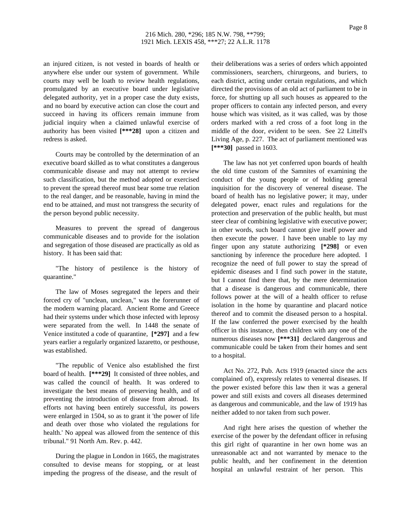an injured citizen, is not vested in boards of health or anywhere else under our system of government. While courts may well be loath to review health regulations, promulgated by an executive board under legislative delegated authority, yet in a proper case the duty exists, and no board by executive action can close the court and succeed in having its officers remain immune from judicial inquiry when a claimed unlawful exercise of authority has been visited **[\*\*\*28]** upon a citizen and redress is asked.

Courts may be controlled by the determination of an executive board skilled as to what constitutes a dangerous communicable disease and may not attempt to review such classification, but the method adopted or exercised to prevent the spread thereof must bear some true relation to the real danger, and be reasonable, having in mind the end to be attained, and must not transgress the security of the person beyond public necessity.

Measures to prevent the spread of dangerous communicable diseases and to provide for the isolation and segregation of those diseased are practically as old as history. It has been said that:

"The history of pestilence is the history of quarantine."

The law of Moses segregated the lepers and their forced cry of "unclean, unclean," was the forerunner of the modern warning placard. Ancient Rome and Greece had their systems under which those infected with leprosy were separated from the well. In 1448 the senate of Venice instituted a code of quarantine, **[\*297]** and a few years earlier a regularly organized lazaretto, or pesthouse, was established.

"The republic of Venice also established the first board of health. **[\*\*\*29]** It consisted of three nobles, and was called the council of health. It was ordered to investigate the best means of preserving health, and of preventing the introduction of disease from abroad. Its efforts not having been entirely successful, its powers were enlarged in 1504, so as to grant it 'the power of life and death over those who violated the regulations for health.' No appeal was allowed from the sentence of this tribunal." 91 North Am. Rev. p. 442.

During the plague in London in 1665, the magistrates consulted to devise means for stopping, or at least impeding the progress of the disease, and the result of

their deliberations was a series of orders which appointed commissioners, searchers, chirurgeons, and buriers, to each district, acting under certain regulations, and which directed the provisions of an old act of parliament to be in force, for shutting up all such houses as appeared to the proper officers to contain any infected person, and every house which was visited, as it was called, was by those orders marked with a red cross of a foot long in the middle of the door, evident to be seen. See 22 Littell's Living Age, p. 227. The act of parliament mentioned was **[\*\*\*30]** passed in 1603.

The law has not yet conferred upon boards of health the old time custom of the Samnites of examining the conduct of the young people or of holding general inquisition for the discovery of venereal disease. The board of health has no legislative power; it may, under delegated power, enact rules and regulations for the protection and preservation of the public health, but must steer clear of combining legislative with executive power; in other words, such board cannot give itself power and then execute the power. I have been unable to lay my finger upon any statute authorizing **[\*298]** or even sanctioning by inference the procedure here adopted. I recognize the need of full power to stay the spread of epidemic diseases and I find such power in the statute, but I cannot find there that, by the mere determination that a disease is dangerous and communicable, there follows power at the will of a health officer to refuse isolation in the home by quarantine and placard notice thereof and to commit the diseased person to a hospital. If the law conferred the power exercised by the health officer in this instance, then children with any one of the numerous diseases now **[\*\*\*31]** declared dangerous and communicable could be taken from their homes and sent to a hospital.

Act No. 272, Pub. Acts 1919 (enacted since the acts complained of), expressly relates to venereal diseases. If the power existed before this law then it was a general power and still exists and covers all diseases determined as dangerous and communicable, and the law of 1919 has neither added to nor taken from such power.

And right here arises the question of whether the exercise of the power by the defendant officer in refusing this girl right of quarantine in her own home was an unreasonable act and not warranted by menace to the public health, and her confinement in the detention hospital an unlawful restraint of her person. This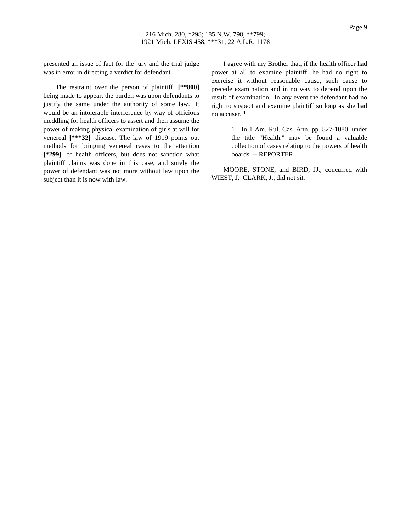presented an issue of fact for the jury and the trial judge was in error in directing a verdict for defendant.

The restraint over the person of plaintiff **[\*\*800]** being made to appear, the burden was upon defendants to justify the same under the authority of some law. It would be an intolerable interference by way of officious meddling for health officers to assert and then assume the power of making physical examination of girls at will for venereal **[\*\*\*32]** disease. The law of 1919 points out methods for bringing venereal cases to the attention **[\*299]** of health officers, but does not sanction what plaintiff claims was done in this case, and surely the power of defendant was not more without law upon the subject than it is now with law.

I agree with my Brother that, if the health officer had power at all to examine plaintiff, he had no right to exercise it without reasonable cause, such cause to precede examination and in no way to depend upon the result of examination. In any event the defendant had no right to suspect and examine plaintiff so long as she had no accuser. 1

> 1 In 1 Am. Rul. Cas. Ann. pp. 827-1080, under the title "Health," may be found a valuable collection of cases relating to the powers of health boards. -- REPORTER.

MOORE, STONE, and BIRD, JJ., concurred with WIEST, J. CLARK, J., did not sit.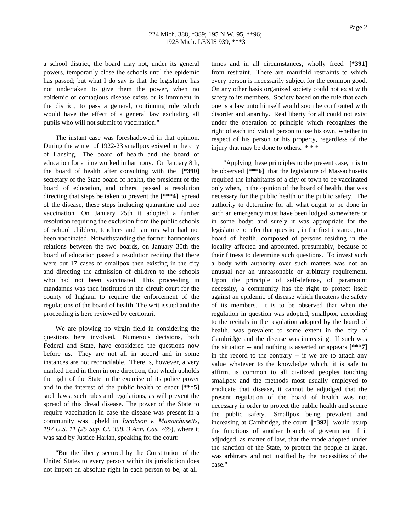a school district, the board may not, under its general powers, temporarily close the schools until the epidemic has passed; but what I do say is that the legislature has not undertaken to give them the power, when no epidemic of contagious disease exists or is imminent in the district, to pass a general, continuing rule which would have the effect of a general law excluding all pupils who will not submit to vaccination."

The instant case was foreshadowed in that opinion. During the winter of 1922-23 smallpox existed in the city of Lansing. The board of health and the board of education for a time worked in harmony. On January 8th, the board of health after consulting with the **[\*390]** secretary of the State board of health, the president of the board of education, and others, passed a resolution directing that steps be taken to prevent the **[\*\*\*4]** spread of the disease, these steps including quarantine and free vaccination. On January 25th it adopted a further resolution requiring the exclusion from the public schools of school children, teachers and janitors who had not been vaccinated. Notwithstanding the former harmonious relations between the two boards, on January 30th the board of education passed a resolution reciting that there were but 17 cases of smallpox then existing in the city and directing the admission of children to the schools who had not been vaccinated. This proceeding in mandamus was then instituted in the circuit court for the county of Ingham to require the enforcement of the regulations of the board of health. The writ issued and the proceeding is here reviewed by certiorari.

We are plowing no virgin field in considering the questions here involved. Numerous decisions, both Federal and State, have considered the questions now before us. They are not all in accord and in some instances are not reconcilable. There is, however, a very marked trend in them in one direction, that which upholds the right of the State in the exercise of its police power and in the interest of the public health to enact **[\*\*\*5]** such laws, such rules and regulations, as will prevent the spread of this dread disease. The power of the State to require vaccination in case the disease was present in a community was upheld in *Jacobson v. Massachusetts, 197 U.S. 11 (25 Sup. Ct. 358, 3 Ann. Cas. 765*), where it was said by Justice Harlan, speaking for the court:

"But the liberty secured by the Constitution of the United States to every person within its jurisdiction does not import an absolute right in each person to be, at all

times and in all circumstances, wholly freed **[\*391]** from restraint. There are manifold restraints to which every person is necessarily subject for the common good. On any other basis organized society could not exist with safety to its members. Society based on the rule that each one is a law unto himself would soon be confronted with disorder and anarchy. Real liberty for all could not exist under the operation of principle which recognizes the right of each individual person to use his own, whether in respect of his person or his property, regardless of the injury that may be done to others. \* \* \*

"Applying these principles to the present case, it is to be observed **[\*\*\*6]** that the legislature of Massachusetts required the inhabitants of a city or town to be vaccinated only when, in the opinion of the board of health, that was necessary for the public health or the public safety. The authority to determine for all what ought to be done in such an emergency must have been lodged somewhere or in some body; and surely it was appropriate for the legislature to refer that question, in the first instance, to a board of health, composed of persons residing in the locality affected and appointed, presumably, because of their fitness to determine such questions. To invest such a body with authority over such matters was not an unusual nor an unreasonable or arbitrary requirement. Upon the principle of self-defense, of paramount necessity, a community has the right to protect itself against an epidemic of disease which threatens the safety of its members. It is to be observed that when the regulation in question was adopted, smallpox, according to the recitals in the regulation adopted by the board of health, was prevalent to some extent in the city of Cambridge and the disease was increasing. If such was the situation -- and nothing is asserted or appears **[\*\*\*7]** in the record to the contrary -- if we are to attach any value whatever to the knowledge which, it is safe to affirm, is common to all civilized peoples touching smallpox and the methods most usually employed to eradicate that disease, it cannot be adjudged that the present regulation of the board of health was not necessary in order to protect the public health and secure the public safety. Smallpox being prevalent and increasing at Cambridge, the court **[\*392]** would usurp the functions of another branch of government if it adjudged, as matter of law, that the mode adopted under the sanction of the State, to protect the people at large, was arbitrary and not justified by the necessities of the case."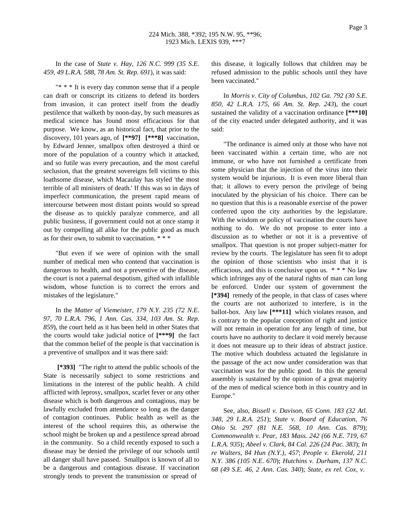Page 3

In the case of *State v. Hay, 126 N.C. 999 (35 S.E. 459, 49 L.R.A. 588, 78 Am. St. Rep. 691*), it was said:

"\* \* \* It is every day common sense that if a people can draft or conscript its citizens to defend its borders from invasion, it can protect itself from the deadly pestilence that walketh by noon-day, by such measures as medical science has found most efficacious for that purpose. We know, as an historical fact, that prior to the discovery, 101 years ago, of **[\*\*97] [\*\*\*8]** vaccination, by Edward Jenner, smallpox often destroyed a third or more of the population of a country which it attacked, and so futile was every precaution, and the most careful seclusion, that the greatest sovereigns fell victims to this loathsome disease, which Macaulay has styled 'the most terrible of all ministers of death.' If this was so in days of imperfect communication, the present rapid means of intercourse between most distant points would so spread the disease as to quickly paralyze commerce, and all public business, if government could not at once stamp it out by compelling all alike for the public good as much as for their own, to submit to vaccination. \* \* \*

"But even if we were of opinion with the small number of medical men who contend that vaccination is dangerous to health, and not a preventive of the disease, the court is not a paternal despotism, gifted with infallible wisdom, whose function is to correct the errors and mistakes of the legislature."

In the *Matter of Viemeister, 179 N.Y. 235 (72 N.E. 97, 70 L.R.A. 796, 1 Ann. Cas. 334, 103 Am. St. Rep. 859*), the court held as it has been held in other States that the courts would take judicial notice of **[\*\*\*9]** the fact that the common belief of the people is that vaccination is a preventive of smallpox and it was there said:

**[\*393]** "The right to attend the public schools of the State is necessarily subject to some restrictions and limitations in the interest of the public health. A child afflicted with leprosy, smallpox, scarlet fever or any other disease which is both dangerous and contagious, may be lawfully excluded from attendance so long as the danger of contagion continues. Public health as well as the interest of the school requires this, as otherwise the school might be broken up and a pestilence spread abroad in the community. So a child recently exposed to such a disease may be denied the privilege of our schools until all danger shall have passed. Smallpox is known of all to be a dangerous and contagious disease. If vaccination strongly tends to prevent the transmission or spread of

this disease, it logically follows that children may be refused admission to the public schools until they have been vaccinated."

In *Morris v. City of Columbus, 102 Ga. 792 (30 S.E. 850, 42 L.R.A. 175, 66 Am. St. Rep. 243*), the court sustained the validity of a vaccination ordinance **[\*\*\*10]** of the city enacted under delegated authority, and it was said:

"The ordinance is aimed only at those who have not been vaccinated within a certain time, who are not immune, or who have not furnished a certificate from some physician that the injection of the virus into their system would be injurious. It is even more liberal than that; it allows to every person the privilege of being inoculated by the physician of his choice. There can be no question that this is a reasonable exercise of the power conferred upon the city authorities by the legislature. With the wisdom or policy of vaccination the courts have nothing to do. We do not propose to enter into a discussion as to whether or not it is a preventive of smallpox. That question is not proper subject-matter for review by the courts. The legislature has seen fit to adopt the opinion of those scientists who insist that it is efficacious, and this is conclusive upon us. \* \* \* No law which infringes any of the natural rights of man can long be enforced. Under our system of government the **[\*394]** remedy of the people, in that class of cases where the courts are not authorized to interfere, is in the ballot-box. Any law **[\*\*\*11]** which violates reason, and is contrary to the popular conception of right and justice will not remain in operation for any length of time, but courts have no authority to declare it void merely because it does not measure up to their ideas of abstract justice. The motive which doubtless actuated the legislature in the passage of the act now under consideration was that vaccination was for the public good. In this the general assembly is sustained by the opinion of a great majority of the men of medical science both in this country and in Europe."

See, also, *Bissell v. Davison, 65 Conn. 183 (32 Atl. 348, 29 L.R.A. 251*); *State v. Board of Education, 76 Ohio St. 297 (81 N.E. 568, 10 Ann. Cas. 879*); *Commonwealth v. Pear, 183 Mass. 242 (66 N.E. 719, 67 L.R.A. 935*); *Abeel v. Clark, 84 Cal. 226 (24 Pac. 383*); *In re Walters, 84 Hun (N.Y.), 457*; *People v. Ekerold, 211 N.Y. 386 (105 N.E. 670*); *Hutchins v. Durham, 137 N.C. 68 (49 S.E. 46, 2 Ann. Cas. 340*); *State, ex rel. Cox, v.*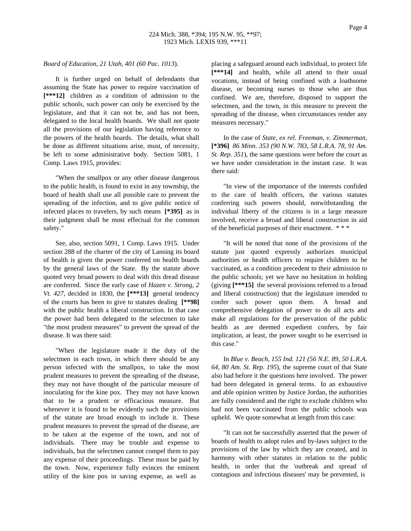## *Board of Education, 21 Utah, 401 (60 Pac. 1013*).

It is further urged on behalf of defendants that assuming the State has power to require vaccination of **[\*\*\*12]** children as a condition of admission to the public schools, such power can only be exercised by the legislature, and that it can not be, and has not been, delegated to the local health boards. We shall not quote all the provisions of our legislation having reference to the powers of the health boards. The details, what shall be done as different situations arise, must, of necessity, be left to some administrative body. Section 5081, 1 Comp. Laws 1915, provides:

"When the smallpox or any other disease dangerous to the public health, is found to exist in any township, the board of health shall use all possible care to prevent the spreading of the infection, and to give public notice of infected places to travelers, by such means **[\*395]** as in their judgment shall be most effectual for the common safety."

See, also, section 5091, 1 Comp. Laws 1915. Under section 288 of the charter of the city of Lansing its board of health is given the power conferred on health boards by the general laws of the State. By the statute above quoted very broad powers to deal with this dread disease are conferred. Since the early case of *Hazen v. Strong, 2 Vt. 427*, decided in 1830, the **[\*\*\*13]** general tendency of the courts has been to give to statutes dealing **[\*\*98]** with the public health a liberal construction. In that case the power had been delegated to the selectmen to take "the most prudent measures" to prevent the spread of the disease. It was there said:

"When the legislature made it the duty of the selectmen in each town, in which there should be any person infected with the smallpox, to take the most prudent measures to prevent the spreading of the disease, they may not have thought of the particular measure of inoculating for the kine pox. They may not have known that to be a prudent or efficacious measure. But whenever it is found to be evidently such the provisions of the statute are broad enough to include it. These prudent measures to prevent the spread of the disease, are to be taken at the expense of the town, and not of individuals. There may be trouble and expense to individuals, but the selectmen cannot compel them to pay any expense of their proceedings. These must be paid by the town. Now, experience fully evinces the eminent utility of the kine pox in saving expense, as well as

placing a safeguard around each individual, to protect life **[\*\*\*14]** and health, while all attend to their usual vocations, instead of being confined with a loathsome disease, or becoming nurses to those who are thus confined. We are, therefore, disposed to support the selectmen, and the town, in this measure to prevent the spreading of the disease, when circumstances render any measures necessary."

In the case of *State, ex rel. Freeman, v. Zimmerman,* **[\*396]** *86 Minn. 353 (90 N.W. 783, 58 L.R.A. 78, 91 Am. St. Rep. 351*), the same questions were before the court as we have under consideration in the instant case. It was there said:

"In view of the importance of the interests confided to the care of health officers, the various statutes conferring such powers should, notwithstanding the individual liberty of the citizens is in a large measure involved, receive a broad and liberal construction in aid of the beneficial purposes of their enactment. \* \* \*

"It will be noted that none of the provisions of the statute just quoted expressly authorizes municipal authorities or health officers to require children to be vaccinated, as a condition precedent to their admission to the public schools; yet we have no hesitation in holding (giving **[\*\*\*15]** the several provisions referred to a broad and liberal construction) that the legislature intended to confer such power upon them. A broad and comprehensive delegation of power to do all acts and make all regulations for the preservation of the public health as are deemed expedient confers, by fair implication, at least, the power sought to be exercised in this case."

In *Blue v. Beach, 155 Ind. 121 (56 N.E. 89, 50 L.R.A. 64, 80 Am. St. Rep. 195*), the supreme court of that State also had before it the questions here involved. The power had been delegated in general terms. In an exhaustive and able opinion written by Justice Jordan, the authorities are fully considered and the right to exclude children who had not been vaccinated from the public schools was upheld. We quote somewhat at length from this case:

"It can not be successfully asserted that the power of boards of health to adopt rules and by-laws subject to the provisions of the law by which they are created, and in harmony with other statutes in relation to the public health, in order that the 'outbreak and spread of contagious and infectious diseases' may be prevented, is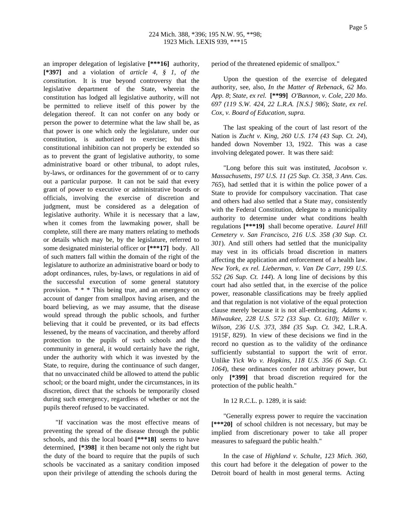an improper delegation of legislative **[\*\*\*16]** authority, **[\*397]** and a violation of *article 4, § 1, of the constitution.* It is true beyond controversy that the legislative department of the State, wherein the constitution has lodged all legislative authority, will not be permitted to relieve itself of this power by the delegation thereof. It can not confer on any body or person the power to determine what the law shall be, as that power is one which only the legislature, under our constitution, is authorized to exercise; but this constitutional inhibition can not properly be extended so as to prevent the grant of legislative authority, to some administrative board or other tribunal, to adopt rules, by-laws, or ordinances for the government of or to carry out a particular purpose. It can not be said that every grant of power to executive or administrative boards or officials, involving the exercise of discretion and judgment, must be considered as a delegation of legislative authority. While it is necessary that a law, when it comes from the lawmaking power, shall be complete, still there are many matters relating to methods or details which may be, by the legislature, referred to some designated ministerial officer or **[\*\*\*17]** body. All of such matters fall within the domain of the right of the legislature to authorize an administrative board or body to adopt ordinances, rules, by-laws, or regulations in aid of the successful execution of some general statutory provision. \* \* \* This being true, and an emergency on account of danger from smallpox having arisen, and the board believing, as we may assume, that the disease would spread through the public schools, and further believing that it could be prevented, or its bad effects lessened, by the means of vaccination, and thereby afford protection to the pupils of such schools and the community in general, it would certainly have the right, under the authority with which it was invested by the State, to require, during the continuance of such danger, that no unvaccinated child be allowed to attend the public school; or the board might, under the circumstances, in its discretion, direct that the schools be temporarily closed during such emergency, regardless of whether or not the pupils thereof refused to be vaccinated.

"If vaccination was the most effective means of preventing the spread of the disease through the public schools, and this the local board **[\*\*\*18]** seems to have determined, **[\*398]** it then became not only the right but the duty of the board to require that the pupils of such schools be vaccinated as a sanitary condition imposed upon their privilege of attending the schools during the

period of the threatened epidemic of smallpox."

Upon the question of the exercise of delegated authority, see, also, *In the Matter of Rebenack, 62 Mo. App. 8*; *State, ex rel.* **[\*\*99]** *O'Bannon, v. Cole, 220 Mo. 697 (119 S.W. 424, 22 L.R.A. [N.S.] 986*); *State, ex rel. Cox, v. Board of Education, supra.*

The last speaking of the court of last resort of the Nation is *Zucht v. King, 260 U.S. 174 (43 Sup. Ct. 24*), handed down November 13, 1922. This was a case involving delegated power. It was there said:

"Long before this suit was instituted, *Jacobson v. Massachusetts, 197 U.S. 11 (25 Sup. Ct. 358, 3 Ann. Cas. 765*), had settled that it is within the police power of a State to provide for compulsory vaccination. That case and others had also settled that a State may, consistently with the Federal Constitution, delegate to a municipality authority to determine under what conditions health regulations **[\*\*\*19]** shall become operative. *Laurel Hill Cemetery v. San Francisco, 216 U.S. 358 (30 Sup. Ct. 301*). And still others had settled that the municipality may vest in its officials broad discretion in matters affecting the application and enforcement of a health law. *New York, ex rel. Lieberman, v. Van De Carr, 199 U.S. 552 (26 Sup. Ct. 144*). A long line of decisions by this court had also settled that, in the exercise of the police power, reasonable classifications may be freely applied and that regulation is not violative of the equal protection clause merely because it is not all-embracing. *Adams v. Milwaukee, 228 U.S. 572 (33 Sup. Ct. 610*); *Miller v. Wilson, 236 U.S. 373, 384 (35 Sup. Ct. 342*, L.R.A. 1915F, 829). In view of these decisions we find in the record no question as to the validity of the ordinance sufficiently substantial to support the writ of error. Unlike *Yick Wo v. Hopkins, 118 U.S. 356 (6 Sup. Ct. 1064*), these ordinances confer not arbitrary power, but only **[\*399]** that broad discretion required for the protection of the public health."

In 12 R.C.L. p. 1289, it is said:

"Generally express power to require the vaccination **[\*\*\*20]** of school children is not necessary, but may be implied from discretionary power to take all proper measures to safeguard the public health."

In the case of *Highland v. Schulte, 123 Mich. 360*, this court had before it the delegation of power to the Detroit board of health in most general terms. Acting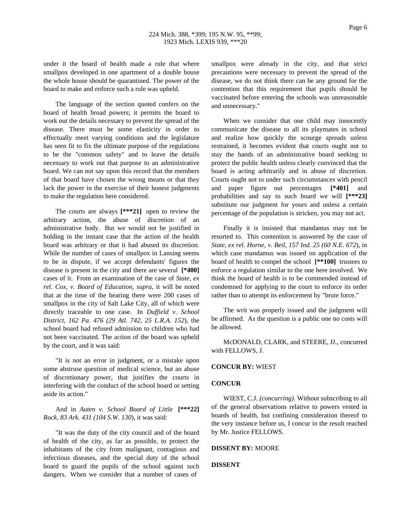under it the board of health made a rule that where smallpox developed in one apartment of a double house the whole house should be quarantined. The power of the board to make and enforce such a rule was upheld.

The language of the section quoted confers on the board of health broad powers; it permits the board to work out the details necessary to prevent the spread of the disease. There must be some elasticity in order to effectually meet varying conditions and the legislature has seen fit to fix the ultimate purpose of the regulations to be the "common safety" and to leave the details necessary to work out that purpose to an administrative board. We can not say upon this record that the members of that board have chosen the wrong means or that they lack the power in the exercise of their honest judgments to make the regulation here considered.

The courts are always **[\*\*\*21]** open to review the arbitrary action, the abuse of discretion of an administrative body. But we would not be justified in holding in the instant case that the action of the health board was arbitrary or that it had abused its discretion. While the number of cases of smallpox in Lansing seems to be in dispute, if we accept defendants' figures the disease is present in the city and there are several **[\*400]** cases of it. From an examination of the case of *State, ex rel. Cox, v. Board of Education, supra,* it will be noted that at the time of the hearing there were 200 cases of smallpox in the city of Salt Lake City, all of which were directly traceable to one case. In *Duffield v. School District, 162 Pa. 476 (29 Atl. 742, 25 L.R.A. 152*), the school board had refused admission to children who had not been vaccinated. The action of the board was upheld by the court, and it was said:

"It is not an error in judgment, or a mistake upon some abstruse question of medical science, but an abuse of discretionary power, that justifies the courts in interfering with the conduct of the school board or setting aside its action."

And in *Auten v. School Board of Little* **[\*\*\*22]** *Rock, 83 Ark. 431 (104 S.W. 130*), it was said:

"It was the duty of the city council and of the board of health of the city, as far as possible, to protect the inhabitants of the city from malignant, contagious and infectious diseases, and the special duty of the school board to guard the pupils of the school against such dangers. When we consider that a number of cases of

smallpox were already in the city, and that strict precautions were necessary to prevent the spread of the disease, we do not think there can be any ground for the contention that this requirement that pupils should be vaccinated before entering the schools was unreasonable and unnecessary."

When we consider that one child may innocently communicate the disease to all its playmates in school and realize how quickly the scourge spreads unless restrained, it becomes evident that courts ought not to stay the hands of an administrative board seeking to protect the public health unless clearly convinced that the board is acting arbitrarily and in abuse of discretion. Courts ought not to under such circumstances with pencil and paper figure out percentages **[\*401]** and probabilities and say to such board we will **[\*\*\*23]** substitute our judgment for yours and unless a certain percentage of the population is stricken, you may not act.

Finally it is insisted that mandamus may not be resorted to. This contention is answered by the case of *State, ex rel. Horne, v. Beil, 157 Ind. 25 (60 N.E. 672*), in which case mandamus was issued on application of the board of health to compel the school **[\*\*100]** trustees to enforce a regulation similar to the one here involved. We think the board of health is to be commended instead of condemned for applying to the court to enforce its order rather than to attempt its enforcement by "brute force."

The writ was properly issued and the judgment will be affirmed. As the question is a public one no costs will be allowed.

McDONALD, CLARK, and STEERE, JJ., concurred with FELLOWS, J.

### **CONCUR BY:** WIEST

## **CONCUR**

WIEST, C.J. *(concurring).* Without subscribing to all of the general observations relative to powers vested in boards of health, but confining consideration thereof to the very instance before us, I concur in the result reached by Mr. Justice FELLOWS.

#### **DISSENT BY:** MOORE

# **DISSENT**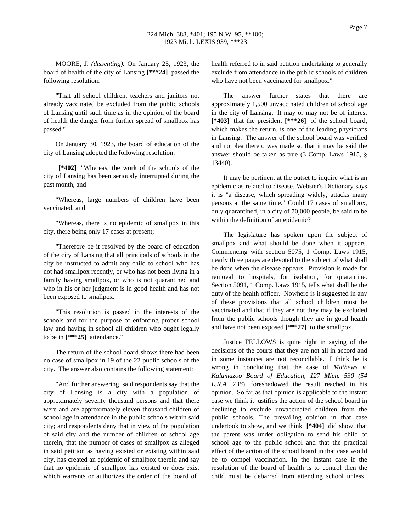MOORE, J. *(dissenting).* On January 25, 1923, the board of health of the city of Lansing **[\*\*\*24]** passed the following resolution:

"That all school children, teachers and janitors not already vaccinated be excluded from the public schools of Lansing until such time as in the opinion of the board of health the danger from further spread of smallpox has passed."

On January 30, 1923, the board of education of the city of Lansing adopted the following resolution:

**[\*402]** "Whereas, the work of the schools of the city of Lansing has been seriously interrupted during the past month, and

"Whereas, large numbers of children have been vaccinated, and

"Whereas, there is no epidemic of smallpox in this city, there being only 17 cases at present;

"Therefore be it resolved by the board of education of the city of Lansing that all principals of schools in the city be instructed to admit any child to school who has not had smallpox recently, or who has not been living in a family having smallpox, or who is not quarantined and who in his or her judgment is in good health and has not been exposed to smallpox.

"This resolution is passed in the interests of the schools and for the purpose of enforcing proper school law and having in school all children who ought legally to be in **[\*\*\*25]** attendance."

The return of the school board shows there had been no case of smallpox in 19 of the 22 public schools of the city. The answer also contains the following statement:

"And further answering, said respondents say that the city of Lansing is a city with a population of approximately seventy thousand persons and that there were and are approximately eleven thousand children of school age in attendance in the public schools within said city; and respondents deny that in view of the population of said city and the number of children of school age therein, that the number of cases of smallpox as alleged in said petition as having existed or existing within said city, has created an epidemic of smallpox therein and say that no epidemic of smallpox has existed or does exist which warrants or authorizes the order of the board of

health referred to in said petition undertaking to generally exclude from attendance in the public schools of children who have not been vaccinated for smallpox."

The answer further states that there are approximately 1,500 unvaccinated children of school age in the city of Lansing. It may or may not be of interest **[\*403]** that the president **[\*\*\*26]** of the school board, which makes the return, is one of the leading physicians in Lansing. The answer of the school board was verified and no plea thereto was made so that it may be said the answer should be taken as true (3 Comp. Laws 1915, § 13440).

It may be pertinent at the outset to inquire what is an epidemic as related to disease. Webster's Dictionary says it is "a disease, which spreading widely, attacks many persons at the same time." Could 17 cases of smallpox, duly quarantined, in a city of 70,000 people, be said to be within the definition of an epidemic?

The legislature has spoken upon the subject of smallpox and what should be done when it appears. Commencing with section 5075, 1 Comp. Laws 1915, nearly three pages are devoted to the subject of what shall be done when the disease appears. Provision is made for removal to hospitals, for isolation, for quarantine. Section 5091, 1 Comp. Laws 1915, tells what shall be the duty of the health officer. Nowhere is it suggested in any of these provisions that all school children must be vaccinated and that if they are not they may be excluded from the public schools though they are in good health and have not been exposed **[\*\*\*27]** to the smallpox.

Justice FELLOWS is quite right in saying of the decisions of the courts that they are not all in accord and in some instances are not reconcilable. I think he is wrong in concluding that the case of *Mathews v. Kalamazoo Board of Education, 127 Mich. 530 (54 L.R.A. 736*), foreshadowed the result reached in his opinion. So far as that opinion is applicable to the instant case we think it justifies the action of the school board in declining to exclude unvaccinated children from the public schools. The prevailing opinion in that case undertook to show, and we think **[\*404]** did show, that the parent was under obligation to send his child of school age to the public school and that the practical effect of the action of the school board in that case would be to compel vaccination. In the instant case if the resolution of the board of health is to control then the child must be debarred from attending school unless